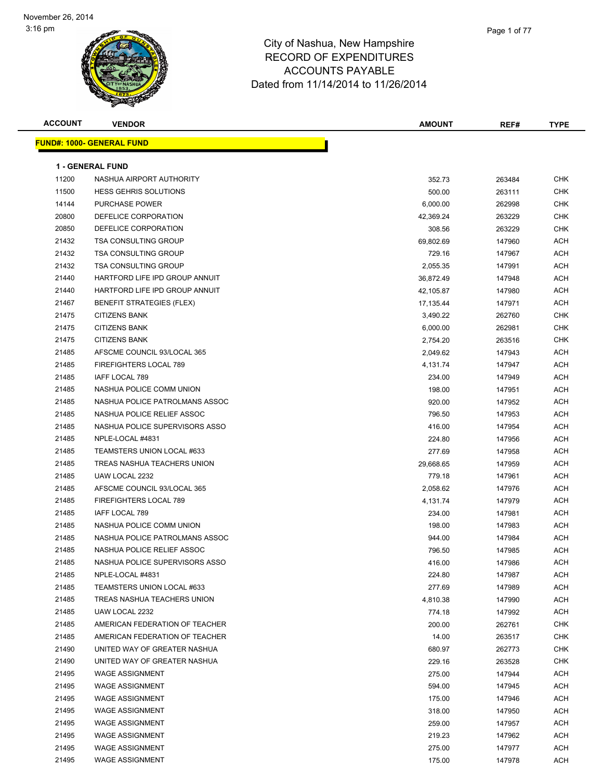

| <b>ACCOUNT</b> | <b>VENDOR</b>                    | <b>AMOUNT</b> | REF#   | <b>TYPE</b> |
|----------------|----------------------------------|---------------|--------|-------------|
|                | FUND#: 1000- GENERAL FUND        |               |        |             |
|                |                                  |               |        |             |
|                | <b>1 - GENERAL FUND</b>          |               |        |             |
| 11200          | NASHUA AIRPORT AUTHORITY         | 352.73        | 263484 | <b>CHK</b>  |
| 11500          | <b>HESS GEHRIS SOLUTIONS</b>     | 500.00        | 263111 | <b>CHK</b>  |
| 14144          | PURCHASE POWER                   | 6,000.00      | 262998 | <b>CHK</b>  |
| 20800          | DEFELICE CORPORATION             | 42,369.24     | 263229 | <b>CHK</b>  |
| 20850          | DEFELICE CORPORATION             | 308.56        | 263229 | CHK         |
| 21432          | <b>TSA CONSULTING GROUP</b>      | 69,802.69     | 147960 | ACH         |
| 21432          | <b>TSA CONSULTING GROUP</b>      | 729.16        | 147967 | ACH         |
| 21432          | <b>TSA CONSULTING GROUP</b>      | 2,055.35      | 147991 | ACH         |
| 21440          | HARTFORD LIFE IPD GROUP ANNUIT   | 36,872.49     | 147948 | ACH         |
| 21440          | HARTFORD LIFE IPD GROUP ANNUIT   | 42,105.87     | 147980 | ACH         |
| 21467          | <b>BENEFIT STRATEGIES (FLEX)</b> | 17,135.44     | 147971 | ACH         |
| 21475          | <b>CITIZENS BANK</b>             | 3,490.22      | 262760 | <b>CHK</b>  |
| 21475          | <b>CITIZENS BANK</b>             | 6,000.00      | 262981 | CHK         |
| 21475          | <b>CITIZENS BANK</b>             | 2,754.20      | 263516 | CHK         |
| 21485          | AFSCME COUNCIL 93/LOCAL 365      | 2,049.62      | 147943 | ACH         |
| 21485          | FIREFIGHTERS LOCAL 789           | 4,131.74      | 147947 | ACH         |
| 21485          | <b>IAFF LOCAL 789</b>            | 234.00        | 147949 | ACH         |
| 21485          | NASHUA POLICE COMM UNION         | 198.00        | 147951 | ACH         |
| 21485          | NASHUA POLICE PATROLMANS ASSOC   | 920.00        | 147952 | ACH         |
| 21485          | NASHUA POLICE RELIEF ASSOC       | 796.50        | 147953 | ACH         |
| 21485          | NASHUA POLICE SUPERVISORS ASSO   | 416.00        | 147954 | ACH         |
| 21485          | NPLE-LOCAL #4831                 | 224.80        | 147956 | ACH         |
| 21485          | TEAMSTERS UNION LOCAL #633       | 277.69        | 147958 | ACH         |
| 21485          | TREAS NASHUA TEACHERS UNION      | 29,668.65     | 147959 | ACH         |
| 21485          | UAW LOCAL 2232                   | 779.18        | 147961 | ACH         |
| 21485          | AFSCME COUNCIL 93/LOCAL 365      | 2,058.62      | 147976 | ACH         |
| 21485          | FIREFIGHTERS LOCAL 789           | 4,131.74      | 147979 | ACH         |
| 21485          | IAFF LOCAL 789                   | 234.00        | 147981 | ACH         |
| 21485          | NASHUA POLICE COMM UNION         | 198.00        | 147983 | ACH         |
| 21485          | NASHUA POLICE PATROLMANS ASSOC   | 944.00        | 147984 | ACH         |
| 21485          | NASHUA POLICE RELIEF ASSOC       | 796.50        | 147985 | ACH         |
| 21485          | NASHUA POLICE SUPERVISORS ASSO   | 416.00        | 147986 | ACH         |
| 21485          | NPLE-LOCAL #4831                 | 224.80        | 147987 | ACH         |
| 21485          | TEAMSTERS UNION LOCAL #633       | 277.69        | 147989 | ACH         |
| 21485          | TREAS NASHUA TEACHERS UNION      | 4,810.38      | 147990 | ACH         |
| 21485          | UAW LOCAL 2232                   | 774.18        | 147992 | ACH         |
| 21485          | AMERICAN FEDERATION OF TEACHER   | 200.00        | 262761 | CHK         |
| 21485          | AMERICAN FEDERATION OF TEACHER   | 14.00         | 263517 | CHK         |
| 21490          | UNITED WAY OF GREATER NASHUA     | 680.97        | 262773 | <b>CHK</b>  |
| 21490          | UNITED WAY OF GREATER NASHUA     | 229.16        | 263528 | <b>CHK</b>  |
| 21495          | <b>WAGE ASSIGNMENT</b>           | 275.00        | 147944 | ACH         |
| 21495          | <b>WAGE ASSIGNMENT</b>           | 594.00        | 147945 | ACH         |
| 21495          | <b>WAGE ASSIGNMENT</b>           | 175.00        | 147946 | ACH         |
| 21495          | <b>WAGE ASSIGNMENT</b>           | 318.00        | 147950 | ACH         |
| 21495          | <b>WAGE ASSIGNMENT</b>           | 259.00        | 147957 | ACH         |
| 21495          | <b>WAGE ASSIGNMENT</b>           | 219.23        | 147962 | ACH         |
| 21495          | <b>WAGE ASSIGNMENT</b>           | 275.00        | 147977 | ACH         |
| 21495          | <b>WAGE ASSIGNMENT</b>           | 175.00        | 147978 | ACH         |
|                |                                  |               |        |             |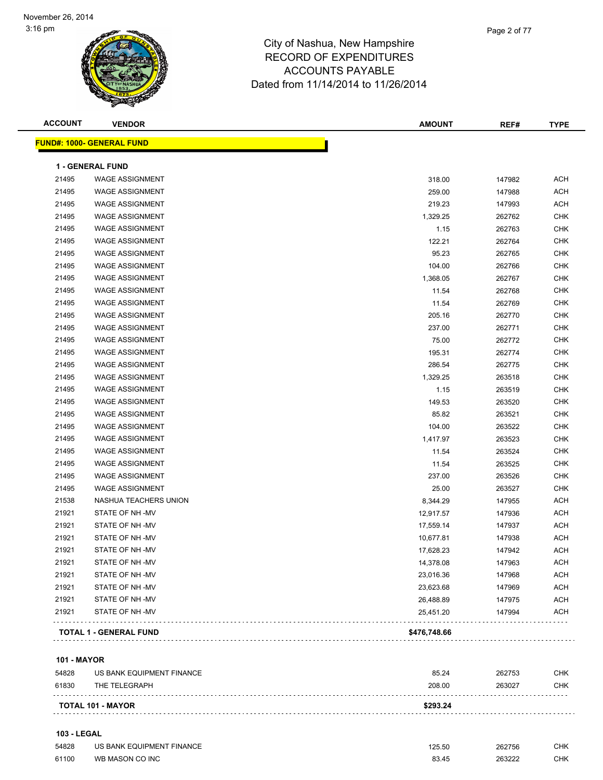

| <b>ACCOUNT</b> | <b>VENDOR</b>                    | <b>AMOUNT</b> | REF#   | <b>TYPE</b> |
|----------------|----------------------------------|---------------|--------|-------------|
|                | <b>FUND#: 1000- GENERAL FUND</b> |               |        |             |
|                | <b>1 - GENERAL FUND</b>          |               |        |             |
| 21495          | <b>WAGE ASSIGNMENT</b>           | 318.00        | 147982 | <b>ACH</b>  |
| 21495          | <b>WAGE ASSIGNMENT</b>           | 259.00        | 147988 | <b>ACH</b>  |
| 21495          | <b>WAGE ASSIGNMENT</b>           | 219.23        | 147993 | <b>ACH</b>  |
| 21495          | <b>WAGE ASSIGNMENT</b>           | 1,329.25      | 262762 | <b>CHK</b>  |
| 21495          | <b>WAGE ASSIGNMENT</b>           | 1.15          | 262763 | <b>CHK</b>  |
| 21495          | <b>WAGE ASSIGNMENT</b>           | 122.21        | 262764 | <b>CHK</b>  |
| 21495          | <b>WAGE ASSIGNMENT</b>           | 95.23         | 262765 | <b>CHK</b>  |
| 21495          | <b>WAGE ASSIGNMENT</b>           | 104.00        | 262766 | <b>CHK</b>  |
| 21495          | <b>WAGE ASSIGNMENT</b>           | 1,368.05      | 262767 | <b>CHK</b>  |
| 21495          | <b>WAGE ASSIGNMENT</b>           | 11.54         | 262768 | <b>CHK</b>  |
| 21495          | <b>WAGE ASSIGNMENT</b>           | 11.54         | 262769 | <b>CHK</b>  |
| 21495          | <b>WAGE ASSIGNMENT</b>           | 205.16        | 262770 | <b>CHK</b>  |
| 21495          | <b>WAGE ASSIGNMENT</b>           | 237.00        | 262771 | <b>CHK</b>  |
| 21495          | <b>WAGE ASSIGNMENT</b>           | 75.00         | 262772 | <b>CHK</b>  |
| 21495          | <b>WAGE ASSIGNMENT</b>           | 195.31        | 262774 | <b>CHK</b>  |
| 21495          | <b>WAGE ASSIGNMENT</b>           | 286.54        | 262775 | <b>CHK</b>  |
| 21495          | <b>WAGE ASSIGNMENT</b>           | 1,329.25      | 263518 | <b>CHK</b>  |
| 21495          | <b>WAGE ASSIGNMENT</b>           | 1.15          | 263519 | <b>CHK</b>  |
| 21495          | <b>WAGE ASSIGNMENT</b>           | 149.53        | 263520 | <b>CHK</b>  |
| 21495          | <b>WAGE ASSIGNMENT</b>           | 85.82         | 263521 | <b>CHK</b>  |
| 21495          | <b>WAGE ASSIGNMENT</b>           | 104.00        | 263522 | <b>CHK</b>  |
| 21495          | <b>WAGE ASSIGNMENT</b>           | 1,417.97      | 263523 | <b>CHK</b>  |
| 21495          | <b>WAGE ASSIGNMENT</b>           | 11.54         | 263524 | <b>CHK</b>  |
| 21495          | <b>WAGE ASSIGNMENT</b>           | 11.54         | 263525 | <b>CHK</b>  |
| 21495          | <b>WAGE ASSIGNMENT</b>           | 237.00        | 263526 | <b>CHK</b>  |
| 21495          | <b>WAGE ASSIGNMENT</b>           | 25.00         | 263527 | <b>CHK</b>  |
| 21538          | NASHUA TEACHERS UNION            | 8,344.29      | 147955 | <b>ACH</b>  |
| 21921          | STATE OF NH-MV                   | 12,917.57     | 147936 | <b>ACH</b>  |
| 21921          | STATE OF NH-MV                   | 17,559.14     | 147937 | <b>ACH</b>  |
| 21921          | STATE OF NH-MV                   | 10,677.81     | 147938 | <b>ACH</b>  |
| 21921          | STATE OF NH-MV                   | 17,628.23     | 147942 | <b>ACH</b>  |
| 21921          | STATE OF NH-MV                   | 14,378.08     | 147963 | ACH         |
| 21921          | STATE OF NH-MV                   | 23,016.36     | 147968 | ACH         |
| 21921          | STATE OF NH-MV                   | 23,623.68     | 147969 | <b>ACH</b>  |
| 21921          | STATE OF NH-MV                   | 26,488.89     | 147975 | <b>ACH</b>  |
| 21921          | STATE OF NH -MV                  | 25,451.20     | 147994 | <b>ACH</b>  |
|                | TOTAL 1 - GENERAL FUND           | \$476,748.66  |        |             |

**101 - MAYOR**

| 54828 | US BANK EQUIPMENT FINANCE | 85.24    | 262753 | CHK |
|-------|---------------------------|----------|--------|-----|
| 61830 | THE TELEGRAPH             | 208.00   | 263027 | CHK |
|       | <b>TOTAL 101 - MAYOR</b>  | \$293.24 |        |     |
|       |                           |          |        |     |

#### **103 - LEGAL**

| 54828 | US BANK EQUIPMENT FINANCE | 125.50 | 262756 | <b>CHK</b> |
|-------|---------------------------|--------|--------|------------|
| 61100 | WB MASON CO INC           | 83.45  | 263222 | <b>CHK</b> |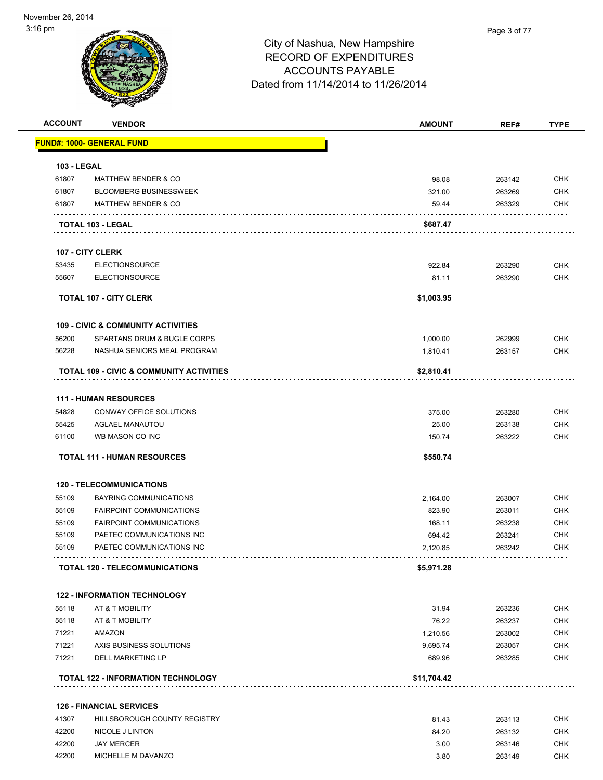| <b>ACCOUNT</b>     | <b>VENDOR</b>                                 | <b>AMOUNT</b> | REF#   | <b>TYPE</b> |
|--------------------|-----------------------------------------------|---------------|--------|-------------|
|                    | <u> FUND#: 1000- GENERAL FUND</u>             |               |        |             |
| <b>103 - LEGAL</b> |                                               |               |        |             |
| 61807              | <b>MATTHEW BENDER &amp; CO</b>                | 98.08         | 263142 | <b>CHK</b>  |
| 61807              | <b>BLOOMBERG BUSINESSWEEK</b>                 | 321.00        | 263269 | <b>CHK</b>  |
| 61807              | <b>MATTHEW BENDER &amp; CO</b>                | 59.44         | 263329 | CHK         |
|                    | <b>TOTAL 103 - LEGAL</b>                      | \$687.47      |        |             |
|                    | <b>107 - CITY CLERK</b>                       |               |        |             |
| 53435              | <b>ELECTIONSOURCE</b>                         | 922.84        | 263290 | <b>CHK</b>  |
| 55607              | <b>ELECTIONSOURCE</b>                         | 81.11         | 263290 | <b>CHK</b>  |
|                    | <b>TOTAL 107 - CITY CLERK</b>                 | \$1,003.95    |        |             |
|                    | <b>109 - CIVIC &amp; COMMUNITY ACTIVITIES</b> |               |        |             |
| 56200              | SPARTANS DRUM & BUGLE CORPS                   | 1,000.00      | 262999 | <b>CHK</b>  |
| 56228              | NASHUA SENIORS MEAL PROGRAM                   | 1,810.41      | 263157 | <b>CHK</b>  |
|                    | TOTAL 109 - CIVIC & COMMUNITY ACTIVITIES      | \$2,810.41    |        |             |
|                    | <b>111 - HUMAN RESOURCES</b>                  |               |        |             |
| 54828              | CONWAY OFFICE SOLUTIONS                       | 375.00        | 263280 | <b>CHK</b>  |
| 55425              | <b>AGLAEL MANAUTOU</b>                        | 25.00         | 263138 | <b>CHK</b>  |
| 61100              | WB MASON CO INC                               | 150.74        | 263222 | <b>CHK</b>  |
|                    | <b>TOTAL 111 - HUMAN RESOURCES</b>            | \$550.74      |        |             |
|                    | <b>120 - TELECOMMUNICATIONS</b>               |               |        |             |
| 55109              | <b>BAYRING COMMUNICATIONS</b>                 | 2.164.00      | 263007 | <b>CHK</b>  |
| 55109              | <b>FAIRPOINT COMMUNICATIONS</b>               | 823.90        | 263011 | <b>CHK</b>  |
| 55109              | <b>FAIRPOINT COMMUNICATIONS</b>               | 168.11        | 263238 | <b>CHK</b>  |
| 55109              | PAETEC COMMUNICATIONS INC                     | 694.42        | 263241 | <b>CHK</b>  |
| 55109              | PAETEC COMMUNICATIONS INC                     | 2,120.85      | 263242 | <b>CHK</b>  |
|                    | <b>TOTAL 120 - TELECOMMUNICATIONS</b>         | \$5,971.28    |        |             |
|                    | <b>122 - INFORMATION TECHNOLOGY</b>           |               |        |             |
| 55118              | AT & T MOBILITY                               | 31.94         | 263236 | <b>CHK</b>  |
| 55118              | AT & T MOBILITY                               | 76.22         | 263237 | <b>CHK</b>  |
| 71221              | AMAZON                                        | 1,210.56      | 263002 | <b>CHK</b>  |
| 71221              | AXIS BUSINESS SOLUTIONS                       | 9,695.74      | 263057 | <b>CHK</b>  |
| 71221              | <b>DELL MARKETING LP</b>                      | 689.96        | 263285 | <b>CHK</b>  |
|                    | <b>TOTAL 122 - INFORMATION TECHNOLOGY</b>     | \$11,704.42   |        |             |
|                    | <b>126 - FINANCIAL SERVICES</b>               |               |        |             |
| 41307              | HILLSBOROUGH COUNTY REGISTRY                  | 81.43         | 263113 | <b>CHK</b>  |
| 42200              | NICOLE J LINTON                               | 84.20         | 263132 | <b>CHK</b>  |
| 42200              | <b>JAY MERCER</b>                             | 3.00          | 263146 | <b>CHK</b>  |

42200 MICHELLE M DAVANZO 3.80 263149 CHK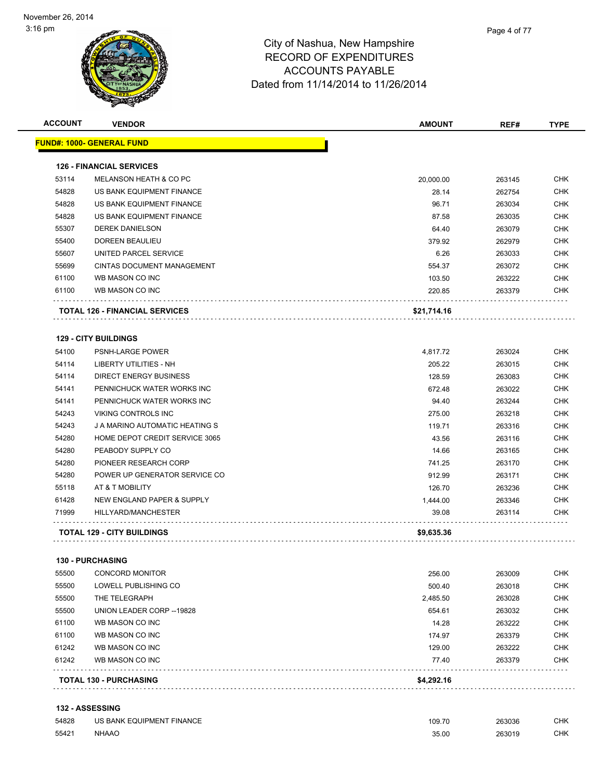| FUND#: 1000- GENERAL FUND<br><b>126 - FINANCIAL SERVICES</b> |                                                                                                                                                                                                                                                                                                                                                                       |                                                                                                                                                                                                 |                                                                                                                                                                                            |
|--------------------------------------------------------------|-----------------------------------------------------------------------------------------------------------------------------------------------------------------------------------------------------------------------------------------------------------------------------------------------------------------------------------------------------------------------|-------------------------------------------------------------------------------------------------------------------------------------------------------------------------------------------------|--------------------------------------------------------------------------------------------------------------------------------------------------------------------------------------------|
|                                                              |                                                                                                                                                                                                                                                                                                                                                                       |                                                                                                                                                                                                 |                                                                                                                                                                                            |
|                                                              |                                                                                                                                                                                                                                                                                                                                                                       |                                                                                                                                                                                                 |                                                                                                                                                                                            |
| MELANSON HEATH & CO PC                                       | 20,000.00                                                                                                                                                                                                                                                                                                                                                             | 263145                                                                                                                                                                                          | <b>CHK</b>                                                                                                                                                                                 |
| US BANK EQUIPMENT FINANCE                                    | 28.14                                                                                                                                                                                                                                                                                                                                                                 | 262754                                                                                                                                                                                          | <b>CHK</b>                                                                                                                                                                                 |
| US BANK EQUIPMENT FINANCE                                    | 96.71                                                                                                                                                                                                                                                                                                                                                                 | 263034                                                                                                                                                                                          | <b>CHK</b>                                                                                                                                                                                 |
| US BANK EQUIPMENT FINANCE                                    | 87.58                                                                                                                                                                                                                                                                                                                                                                 | 263035                                                                                                                                                                                          | <b>CHK</b>                                                                                                                                                                                 |
| <b>DEREK DANIELSON</b>                                       | 64.40                                                                                                                                                                                                                                                                                                                                                                 | 263079                                                                                                                                                                                          | <b>CHK</b>                                                                                                                                                                                 |
| <b>DOREEN BEAULIEU</b>                                       | 379.92                                                                                                                                                                                                                                                                                                                                                                | 262979                                                                                                                                                                                          | <b>CHK</b>                                                                                                                                                                                 |
| UNITED PARCEL SERVICE                                        | 6.26                                                                                                                                                                                                                                                                                                                                                                  | 263033                                                                                                                                                                                          | <b>CHK</b>                                                                                                                                                                                 |
| <b>CINTAS DOCUMENT MANAGEMENT</b>                            | 554.37                                                                                                                                                                                                                                                                                                                                                                | 263072                                                                                                                                                                                          | <b>CHK</b>                                                                                                                                                                                 |
| WB MASON CO INC                                              | 103.50                                                                                                                                                                                                                                                                                                                                                                | 263222                                                                                                                                                                                          | <b>CHK</b>                                                                                                                                                                                 |
| WB MASON CO INC                                              | 220.85                                                                                                                                                                                                                                                                                                                                                                | 263379                                                                                                                                                                                          | <b>CHK</b>                                                                                                                                                                                 |
| <b>TOTAL 126 - FINANCIAL SERVICES</b>                        | \$21,714.16                                                                                                                                                                                                                                                                                                                                                           |                                                                                                                                                                                                 |                                                                                                                                                                                            |
|                                                              |                                                                                                                                                                                                                                                                                                                                                                       |                                                                                                                                                                                                 |                                                                                                                                                                                            |
| PSNH-LARGE POWER                                             |                                                                                                                                                                                                                                                                                                                                                                       |                                                                                                                                                                                                 | <b>CHK</b>                                                                                                                                                                                 |
|                                                              |                                                                                                                                                                                                                                                                                                                                                                       |                                                                                                                                                                                                 | <b>CHK</b>                                                                                                                                                                                 |
|                                                              |                                                                                                                                                                                                                                                                                                                                                                       |                                                                                                                                                                                                 | <b>CHK</b>                                                                                                                                                                                 |
|                                                              |                                                                                                                                                                                                                                                                                                                                                                       |                                                                                                                                                                                                 | <b>CHK</b>                                                                                                                                                                                 |
|                                                              |                                                                                                                                                                                                                                                                                                                                                                       |                                                                                                                                                                                                 | <b>CHK</b>                                                                                                                                                                                 |
|                                                              |                                                                                                                                                                                                                                                                                                                                                                       |                                                                                                                                                                                                 | <b>CHK</b>                                                                                                                                                                                 |
|                                                              |                                                                                                                                                                                                                                                                                                                                                                       |                                                                                                                                                                                                 | <b>CHK</b>                                                                                                                                                                                 |
| HOME DEPOT CREDIT SERVICE 3065                               | 43.56                                                                                                                                                                                                                                                                                                                                                                 |                                                                                                                                                                                                 | <b>CHK</b>                                                                                                                                                                                 |
| PEABODY SUPPLY CO                                            |                                                                                                                                                                                                                                                                                                                                                                       |                                                                                                                                                                                                 | <b>CHK</b>                                                                                                                                                                                 |
| PIONEER RESEARCH CORP                                        |                                                                                                                                                                                                                                                                                                                                                                       |                                                                                                                                                                                                 | <b>CHK</b>                                                                                                                                                                                 |
| POWER UP GENERATOR SERVICE CO                                |                                                                                                                                                                                                                                                                                                                                                                       |                                                                                                                                                                                                 | <b>CHK</b>                                                                                                                                                                                 |
| AT & T MOBILITY                                              |                                                                                                                                                                                                                                                                                                                                                                       |                                                                                                                                                                                                 | <b>CHK</b>                                                                                                                                                                                 |
|                                                              |                                                                                                                                                                                                                                                                                                                                                                       |                                                                                                                                                                                                 | <b>CHK</b>                                                                                                                                                                                 |
| HILLYARD/MANCHESTER                                          | 39.08                                                                                                                                                                                                                                                                                                                                                                 | 263114                                                                                                                                                                                          | <b>CHK</b>                                                                                                                                                                                 |
| <b>TOTAL 129 - CITY BUILDINGS</b>                            | \$9,635.36                                                                                                                                                                                                                                                                                                                                                            |                                                                                                                                                                                                 |                                                                                                                                                                                            |
|                                                              |                                                                                                                                                                                                                                                                                                                                                                       |                                                                                                                                                                                                 |                                                                                                                                                                                            |
|                                                              |                                                                                                                                                                                                                                                                                                                                                                       |                                                                                                                                                                                                 | <b>CHK</b>                                                                                                                                                                                 |
| LOWELL PUBLISHING CO                                         |                                                                                                                                                                                                                                                                                                                                                                       |                                                                                                                                                                                                 | <b>CHK</b>                                                                                                                                                                                 |
| THE TELEGRAPH                                                | 2,485.50                                                                                                                                                                                                                                                                                                                                                              |                                                                                                                                                                                                 | <b>CHK</b>                                                                                                                                                                                 |
| UNION LEADER CORP -- 19828                                   |                                                                                                                                                                                                                                                                                                                                                                       | 263032                                                                                                                                                                                          | <b>CHK</b>                                                                                                                                                                                 |
|                                                              |                                                                                                                                                                                                                                                                                                                                                                       |                                                                                                                                                                                                 | <b>CHK</b>                                                                                                                                                                                 |
| WB MASON CO INC                                              |                                                                                                                                                                                                                                                                                                                                                                       |                                                                                                                                                                                                 | <b>CHK</b>                                                                                                                                                                                 |
|                                                              |                                                                                                                                                                                                                                                                                                                                                                       |                                                                                                                                                                                                 | <b>CHK</b>                                                                                                                                                                                 |
| WB MASON CO INC                                              | 77.40                                                                                                                                                                                                                                                                                                                                                                 | 263379                                                                                                                                                                                          | <b>CHK</b>                                                                                                                                                                                 |
|                                                              |                                                                                                                                                                                                                                                                                                                                                                       |                                                                                                                                                                                                 |                                                                                                                                                                                            |
|                                                              | <b>129 - CITY BUILDINGS</b><br><b>LIBERTY UTILITIES - NH</b><br>DIRECT ENERGY BUSINESS<br>PENNICHUCK WATER WORKS INC<br>PENNICHUCK WATER WORKS INC<br>VIKING CONTROLS INC<br>J A MARINO AUTOMATIC HEATING S<br>NEW ENGLAND PAPER & SUPPLY<br><b>130 - PURCHASING</b><br><b>CONCORD MONITOR</b><br>WB MASON CO INC<br>WB MASON CO INC<br><b>TOTAL 130 - PURCHASING</b> | 4,817.72<br>205.22<br>128.59<br>672.48<br>94.40<br>275.00<br>119.71<br>14.66<br>741.25<br>912.99<br>126.70<br>1,444.00<br>256.00<br>500.40<br>654.61<br>14.28<br>174.97<br>129.00<br>\$4,292.16 | 263024<br>263015<br>263083<br>263022<br>263244<br>263218<br>263316<br>263116<br>263165<br>263170<br>263171<br>263236<br>263346<br>263009<br>263018<br>263028<br>263222<br>263379<br>263222 |

#### **132 - ASSESSING**

| 54828 | US BANK EQUIPMENT FINANCE | 109.70 | 263036 | CHK |
|-------|---------------------------|--------|--------|-----|
| 55421 | <b>NHAAO</b>              | 35.00  | 263019 | CHK |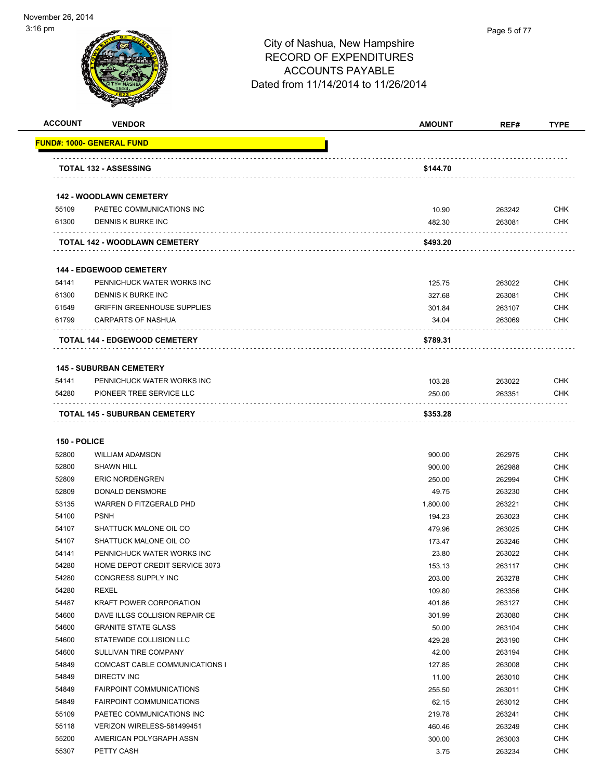| <b>ACCOUNT</b> | <b>VENDOR</b>                             | <b>AMOUNT</b> | REF#     | <b>TYPE</b>   |
|----------------|-------------------------------------------|---------------|----------|---------------|
|                | <b>FUND#: 1000- GENERAL FUND</b>          |               |          |               |
|                | <b>TOTAL 132 - ASSESSING</b>              | \$144.70      |          |               |
|                | <b>142 - WOODLAWN CEMETERY</b>            |               |          |               |
| 55109          | PAETEC COMMUNICATIONS INC                 | 10.90         | 263242   | <b>CHK</b>    |
| 61300          | DENNIS K BURKE INC                        | 482.30        | 263081   | <b>CHK</b>    |
|                | <b>TOTAL 142 - WOODLAWN CEMETERY</b>      | \$493.20      |          |               |
|                | <b>144 - EDGEWOOD CEMETERY</b>            |               |          |               |
| 54141          | PENNICHUCK WATER WORKS INC                | 125.75        | 263022   | <b>CHK</b>    |
| 61300          | DENNIS K BURKE INC                        | 327.68        | 263081   | <b>CHK</b>    |
| 61549          | <b>GRIFFIN GREENHOUSE SUPPLIES</b>        | 301.84        | 263107   | <b>CHK</b>    |
| 61799          | <b>CARPARTS OF NASHUA</b>                 | 34.04         | 263069   | <b>CHK</b>    |
|                | .<br><b>TOTAL 144 - EDGEWOOD CEMETERY</b> | \$789.31      |          |               |
|                | <b>145 - SUBURBAN CEMETERY</b>            |               |          |               |
| 54141          | PENNICHUCK WATER WORKS INC                | 103.28        | 263022   | <b>CHK</b>    |
| 54280          | PIONEER TREE SERVICE LLC                  | 250.00        | 263351   | <b>CHK</b>    |
|                | <b>TOTAL 145 - SUBURBAN CEMETERY</b>      | \$353.28      |          |               |
| 150 - POLICE   |                                           |               |          |               |
| 52800          | <b>WILLIAM ADAMSON</b>                    | 900.00        | 262975   | <b>CHK</b>    |
| 52800          | <b>SHAWN HILL</b>                         | 900.00        | 262988   | <b>CHK</b>    |
| 52809          | <b>ERIC NORDENGREN</b>                    | 250.00        | 262994   | <b>CHK</b>    |
| 52809          | DONALD DENSMORE                           | 49.75         | 263230   | <b>CHK</b>    |
| 53135          | WARREN D FITZGERALD PHD                   | 1,800.00      | 263221   | <b>CHK</b>    |
| 54100          | <b>PSNH</b>                               | 194.23        | 263023   | <b>CHK</b>    |
| - -            |                                           | $-22$         | $\cdots$ | $\sim$ $\sim$ |

| 53135 | WARREN D FITZGERALD PHD               | 1,800.00 | 263221 | CHK        |
|-------|---------------------------------------|----------|--------|------------|
| 54100 | <b>PSNH</b>                           | 194.23   | 263023 | <b>CHK</b> |
| 54107 | SHATTUCK MALONE OIL CO                | 479.96   | 263025 | <b>CHK</b> |
| 54107 | SHATTUCK MALONE OIL CO                | 173.47   | 263246 | <b>CHK</b> |
| 54141 | PENNICHUCK WATER WORKS INC            | 23.80    | 263022 | <b>CHK</b> |
| 54280 | HOME DEPOT CREDIT SERVICE 3073        | 153.13   | 263117 | <b>CHK</b> |
| 54280 | CONGRESS SUPPLY INC                   | 203.00   | 263278 | <b>CHK</b> |
| 54280 | <b>REXEL</b>                          | 109.80   | 263356 | <b>CHK</b> |
| 54487 | <b>KRAFT POWER CORPORATION</b>        | 401.86   | 263127 | <b>CHK</b> |
| 54600 | DAVE ILLGS COLLISION REPAIR CE        | 301.99   | 263080 | <b>CHK</b> |
| 54600 | <b>GRANITE STATE GLASS</b>            | 50.00    | 263104 | <b>CHK</b> |
| 54600 | STATEWIDE COLLISION LLC               | 429.28   | 263190 | <b>CHK</b> |
| 54600 | <b>SULLIVAN TIRE COMPANY</b>          | 42.00    | 263194 | <b>CHK</b> |
| 54849 | <b>COMCAST CABLE COMMUNICATIONS I</b> | 127.85   | 263008 | <b>CHK</b> |
| 54849 | <b>DIRECTV INC</b>                    | 11.00    | 263010 | <b>CHK</b> |
| 54849 | <b>FAIRPOINT COMMUNICATIONS</b>       | 255.50   | 263011 | <b>CHK</b> |
| 54849 | <b>FAIRPOINT COMMUNICATIONS</b>       | 62.15    | 263012 | <b>CHK</b> |
| 55109 | PAETEC COMMUNICATIONS INC             | 219.78   | 263241 | <b>CHK</b> |
| 55118 | VERIZON WIRELESS-581499451            | 460.46   | 263249 | <b>CHK</b> |
| 55200 | AMERICAN POLYGRAPH ASSN               | 300.00   | 263003 | <b>CHK</b> |
| 55307 | PETTY CASH                            | 3.75     | 263234 | CHK        |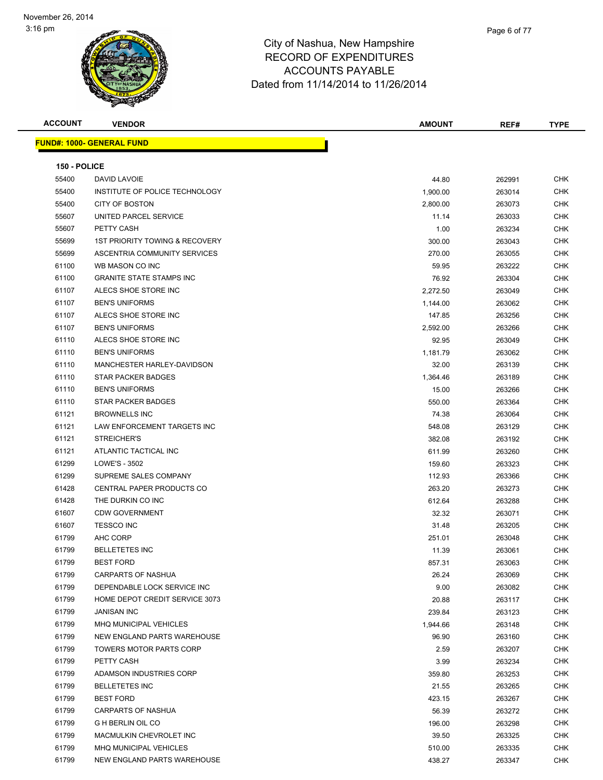| <b>ACCOUNT</b>      | <b>VENDOR</b>                     | <b>AMOUNT</b> | REF#   | <b>TYPE</b> |
|---------------------|-----------------------------------|---------------|--------|-------------|
|                     | <u> FUND#: 1000- GENERAL FUND</u> |               |        |             |
|                     |                                   |               |        |             |
| <b>150 - POLICE</b> |                                   |               |        |             |
| 55400               | DAVID LAVOIE                      | 44.80         | 262991 | <b>CHK</b>  |
| 55400               | INSTITUTE OF POLICE TECHNOLOGY    | 1,900.00      | 263014 | <b>CHK</b>  |
| 55400               | <b>CITY OF BOSTON</b>             | 2,800.00      | 263073 | <b>CHK</b>  |
| 55607               | UNITED PARCEL SERVICE             | 11.14         | 263033 | <b>CHK</b>  |
| 55607               | PETTY CASH                        | 1.00          | 263234 | <b>CHK</b>  |
| 55699               | 1ST PRIORITY TOWING & RECOVERY    | 300.00        | 263043 | <b>CHK</b>  |
| 55699               | ASCENTRIA COMMUNITY SERVICES      | 270.00        | 263055 | <b>CHK</b>  |
| 61100               | WB MASON CO INC                   | 59.95         | 263222 | <b>CHK</b>  |
| 61100               | <b>GRANITE STATE STAMPS INC</b>   | 76.92         | 263304 | <b>CHK</b>  |
| 61107               | ALECS SHOE STORE INC              | 2,272.50      | 263049 | <b>CHK</b>  |
| 61107               | <b>BEN'S UNIFORMS</b>             | 1,144.00      | 263062 | <b>CHK</b>  |
| 61107               | ALECS SHOE STORE INC              | 147.85        | 263256 | <b>CHK</b>  |
| 61107               | <b>BEN'S UNIFORMS</b>             | 2,592.00      | 263266 | CHK         |
| 61110               | ALECS SHOE STORE INC              | 92.95         | 263049 | <b>CHK</b>  |
| 61110               | <b>BEN'S UNIFORMS</b>             | 1,181.79      | 263062 | <b>CHK</b>  |
| 61110               | MANCHESTER HARLEY-DAVIDSON        | 32.00         | 263139 | <b>CHK</b>  |
| 61110               | <b>STAR PACKER BADGES</b>         | 1,364.46      | 263189 | <b>CHK</b>  |
| 61110               | <b>BEN'S UNIFORMS</b>             | 15.00         | 263266 | <b>CHK</b>  |
| 61110               | STAR PACKER BADGES                | 550.00        | 263364 | <b>CHK</b>  |
| 61121               | <b>BROWNELLS INC</b>              | 74.38         | 263064 | <b>CHK</b>  |
| 61121               | LAW ENFORCEMENT TARGETS INC       | 548.08        | 263129 | <b>CHK</b>  |
| 61121               | STREICHER'S                       | 382.08        | 263192 | <b>CHK</b>  |
| 61121               | ATLANTIC TACTICAL INC             | 611.99        | 263260 | <b>CHK</b>  |
| 61299               | LOWE'S - 3502                     | 159.60        | 263323 | <b>CHK</b>  |
| 61299               | SUPREME SALES COMPANY             | 112.93        | 263366 | <b>CHK</b>  |
| 61428               | CENTRAL PAPER PRODUCTS CO         | 263.20        | 263273 | <b>CHK</b>  |
| 61428               | THE DURKIN CO INC                 | 612.64        | 263288 | <b>CHK</b>  |
| 61607               | <b>CDW GOVERNMENT</b>             | 32.32         | 263071 | <b>CHK</b>  |
| 61607               | <b>TESSCO INC</b>                 | 31.48         | 263205 | <b>CHK</b>  |
| 61799               | AHC CORP                          | 251.01        | 263048 | <b>CHK</b>  |
| 61799               | <b>BELLETETES INC</b>             | 11.39         | 263061 | <b>CHK</b>  |
| 61799               | <b>BEST FORD</b>                  | 857.31        | 263063 | <b>CHK</b>  |
| 61799               | CARPARTS OF NASHUA                | 26.24         | 263069 | <b>CHK</b>  |
| 61799               | DEPENDABLE LOCK SERVICE INC       | 9.00          | 263082 | <b>CHK</b>  |
| 61799               | HOME DEPOT CREDIT SERVICE 3073    | 20.88         | 263117 | CHK         |
| 61799               | <b>JANISAN INC</b>                | 239.84        | 263123 | CHK         |
| 61799               | MHQ MUNICIPAL VEHICLES            | 1,944.66      | 263148 | CHK         |
| 61799               | NEW ENGLAND PARTS WAREHOUSE       | 96.90         | 263160 | CHK         |
| 61799               | TOWERS MOTOR PARTS CORP           | 2.59          | 263207 | CHK         |
| 61799               | PETTY CASH                        | 3.99          | 263234 | CHK         |
| 61799               | ADAMSON INDUSTRIES CORP           | 359.80        | 263253 | CHK         |
| 61799               | <b>BELLETETES INC</b>             | 21.55         | 263265 | <b>CHK</b>  |
| 61799               | <b>BEST FORD</b>                  | 423.15        | 263267 | CHK         |
| 61799               | <b>CARPARTS OF NASHUA</b>         | 56.39         | 263272 | CHK         |
| 61799               | <b>G H BERLIN OIL CO</b>          | 196.00        | 263298 | <b>CHK</b>  |
| 61799               | MACMULKIN CHEVROLET INC           | 39.50         | 263325 | CHK         |
| 61799               | MHQ MUNICIPAL VEHICLES            | 510.00        | 263335 | CHK         |
| 61799               | NEW ENGLAND PARTS WAREHOUSE       | 438.27        | 263347 | CHK         |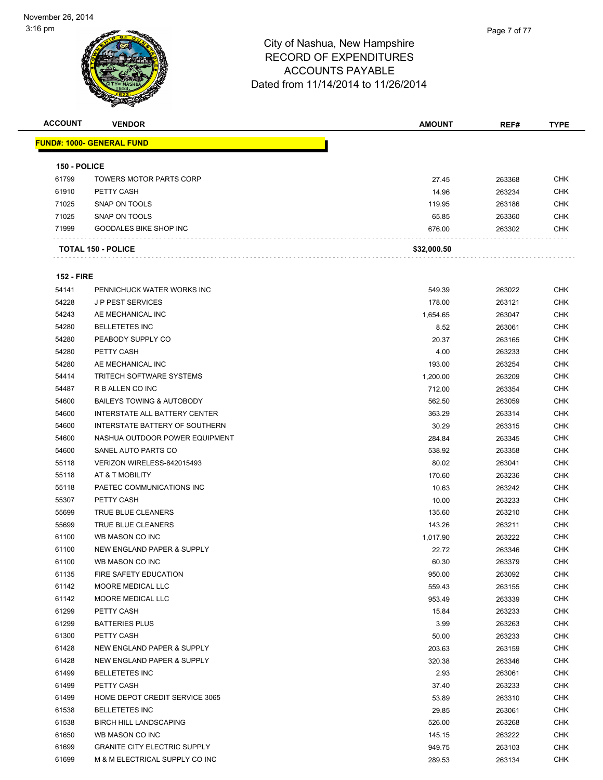| <b>ACCOUNT</b>    | <b>VENDOR</b>                                        | <b>AMOUNT</b> | REF#   | <b>TYPE</b> |
|-------------------|------------------------------------------------------|---------------|--------|-------------|
|                   | <u> FUND#: 1000- GENERAL FUND</u>                    |               |        |             |
|                   |                                                      |               |        |             |
| 150 - POLICE      |                                                      |               |        |             |
| 61799             | <b>TOWERS MOTOR PARTS CORP</b>                       | 27.45         | 263368 | <b>CHK</b>  |
| 61910             | PETTY CASH                                           | 14.96         | 263234 | <b>CHK</b>  |
| 71025             | SNAP ON TOOLS                                        | 119.95        | 263186 | <b>CHK</b>  |
| 71025             | SNAP ON TOOLS                                        | 65.85         | 263360 | <b>CHK</b>  |
| 71999             | GOODALES BIKE SHOP INC                               | 676.00        | 263302 | <b>CHK</b>  |
|                   | <b>TOTAL 150 - POLICE</b>                            | \$32,000.50   |        |             |
| <b>152 - FIRE</b> |                                                      |               |        |             |
| 54141             | PENNICHUCK WATER WORKS INC                           | 549.39        | 263022 | <b>CHK</b>  |
| 54228             | <b>JP PEST SERVICES</b>                              | 178.00        | 263121 | <b>CHK</b>  |
| 54243             | AE MECHANICAL INC                                    | 1,654.65      | 263047 | <b>CHK</b>  |
| 54280             | <b>BELLETETES INC</b>                                | 8.52          | 263061 | <b>CHK</b>  |
| 54280             | PEABODY SUPPLY CO                                    | 20.37         | 263165 | <b>CHK</b>  |
| 54280             | PETTY CASH                                           | 4.00          |        | <b>CHK</b>  |
|                   |                                                      |               | 263233 |             |
| 54280             | AE MECHANICAL INC<br><b>TRITECH SOFTWARE SYSTEMS</b> | 193.00        | 263254 | <b>CHK</b>  |
| 54414             |                                                      | 1,200.00      | 263209 | <b>CHK</b>  |
| 54487             | R B ALLEN CO INC                                     | 712.00        | 263354 | <b>CHK</b>  |
| 54600             | <b>BAILEYS TOWING &amp; AUTOBODY</b>                 | 562.50        | 263059 | <b>CHK</b>  |
| 54600             | INTERSTATE ALL BATTERY CENTER                        | 363.29        | 263314 | <b>CHK</b>  |
| 54600             | INTERSTATE BATTERY OF SOUTHERN                       | 30.29         | 263315 | <b>CHK</b>  |
| 54600             | NASHUA OUTDOOR POWER EQUIPMENT                       | 284.84        | 263345 | <b>CHK</b>  |
| 54600             | SANEL AUTO PARTS CO                                  | 538.92        | 263358 | <b>CHK</b>  |
| 55118             | VERIZON WIRELESS-842015493                           | 80.02         | 263041 | <b>CHK</b>  |
| 55118             | AT & T MOBILITY                                      | 170.60        | 263236 | <b>CHK</b>  |
| 55118             | PAETEC COMMUNICATIONS INC                            | 10.63         | 263242 | <b>CHK</b>  |
| 55307             | PETTY CASH                                           | 10.00         | 263233 | <b>CHK</b>  |
| 55699             | <b>TRUE BLUE CLEANERS</b>                            | 135.60        | 263210 | <b>CHK</b>  |
| 55699             | TRUE BLUE CLEANERS                                   | 143.26        | 263211 | <b>CHK</b>  |
| 61100             | WB MASON CO INC                                      | 1,017.90      | 263222 | <b>CHK</b>  |
| 61100             | NEW ENGLAND PAPER & SUPPLY                           | 22.72         | 263346 | <b>CHK</b>  |
| 61100             | WB MASON CO INC                                      | 60.30         | 263379 | <b>CHK</b>  |
| 61135             | FIRE SAFETY EDUCATION                                | 950.00        | 263092 | CHK         |
| 61142             | MOORE MEDICAL LLC                                    | 559.43        | 263155 | <b>CHK</b>  |
| 61142             | MOORE MEDICAL LLC                                    | 953.49        | 263339 | <b>CHK</b>  |
| 61299             | PETTY CASH                                           | 15.84         | 263233 | <b>CHK</b>  |
| 61299             | <b>BATTERIES PLUS</b>                                | 3.99          | 263263 | <b>CHK</b>  |
| 61300             | PETTY CASH                                           | 50.00         | 263233 | <b>CHK</b>  |
| 61428             | NEW ENGLAND PAPER & SUPPLY                           | 203.63        | 263159 | <b>CHK</b>  |
| 61428             | NEW ENGLAND PAPER & SUPPLY                           | 320.38        | 263346 | <b>CHK</b>  |
| 61499             | <b>BELLETETES INC</b>                                | 2.93          | 263061 | <b>CHK</b>  |
| 61499             | PETTY CASH                                           | 37.40         | 263233 | <b>CHK</b>  |
| 61499             | HOME DEPOT CREDIT SERVICE 3065                       | 53.89         | 263310 | <b>CHK</b>  |
| 61538             | <b>BELLETETES INC</b>                                |               |        | <b>CHK</b>  |
| 61538             |                                                      | 29.85         | 263061 | <b>CHK</b>  |
|                   | <b>BIRCH HILL LANDSCAPING</b>                        | 526.00        | 263268 |             |
| 61650             | WB MASON CO INC                                      | 145.15        | 263222 | <b>CHK</b>  |
| 61699             | <b>GRANITE CITY ELECTRIC SUPPLY</b>                  | 949.75        | 263103 | <b>CHK</b>  |
| 61699             | M & M ELECTRICAL SUPPLY CO INC                       | 289.53        | 263134 | <b>CHK</b>  |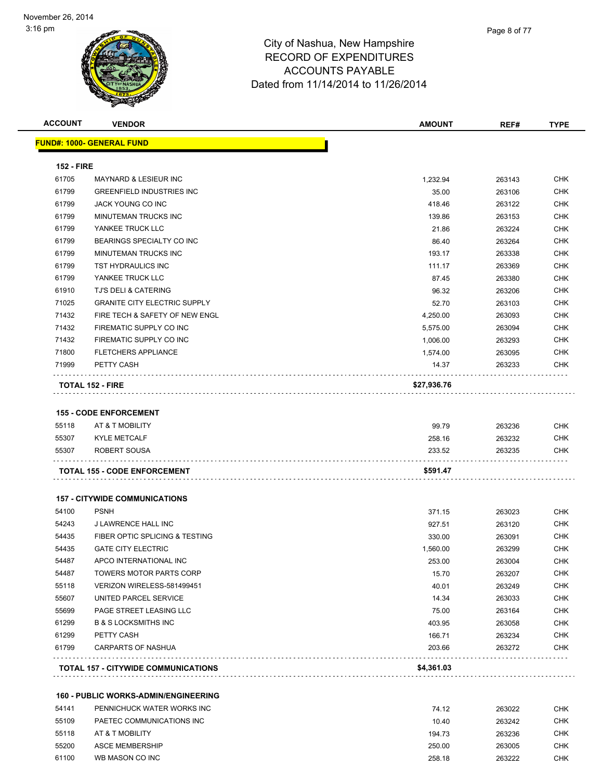| <b>ACCOUNT</b>    | <b>VENDOR</b>                               | <b>AMOUNT</b> | REF#   | <b>TYPE</b> |
|-------------------|---------------------------------------------|---------------|--------|-------------|
|                   | <u> FUND#: 1000- GENERAL FUND</u>           |               |        |             |
| <b>152 - FIRE</b> |                                             |               |        |             |
| 61705             | <b>MAYNARD &amp; LESIEUR INC</b>            | 1,232.94      | 263143 | <b>CHK</b>  |
| 61799             | <b>GREENFIELD INDUSTRIES INC</b>            | 35.00         | 263106 | <b>CHK</b>  |
| 61799             | JACK YOUNG CO INC                           | 418.46        | 263122 | <b>CHK</b>  |
| 61799             | MINUTEMAN TRUCKS INC                        | 139.86        | 263153 | <b>CHK</b>  |
| 61799             | YANKEE TRUCK LLC                            | 21.86         | 263224 | <b>CHK</b>  |
| 61799             | BEARINGS SPECIALTY CO INC                   | 86.40         | 263264 | <b>CHK</b>  |
| 61799             | MINUTEMAN TRUCKS INC                        | 193.17        | 263338 | <b>CHK</b>  |
| 61799             | TST HYDRAULICS INC                          |               |        | <b>CHK</b>  |
| 61799             | YANKEE TRUCK LLC                            | 111.17        | 263369 | <b>CHK</b>  |
|                   |                                             | 87.45         | 263380 |             |
| 61910             | TJ'S DELI & CATERING                        | 96.32         | 263206 | <b>CHK</b>  |
| 71025             | <b>GRANITE CITY ELECTRIC SUPPLY</b>         | 52.70         | 263103 | <b>CHK</b>  |
| 71432             | FIRE TECH & SAFETY OF NEW ENGL              | 4,250.00      | 263093 | <b>CHK</b>  |
| 71432             | FIREMATIC SUPPLY CO INC                     | 5,575.00      | 263094 | <b>CHK</b>  |
| 71432             | FIREMATIC SUPPLY CO INC                     | 1,006.00      | 263293 | <b>CHK</b>  |
| 71800             | <b>FLETCHERS APPLIANCE</b>                  | 1,574.00      | 263095 | CHK         |
| 71999             | PETTY CASH                                  | 14.37         | 263233 | <b>CHK</b>  |
|                   | <b>TOTAL 152 - FIRE</b>                     | \$27,936.76   |        |             |
|                   |                                             |               |        |             |
|                   | <b>155 - CODE ENFORCEMENT</b>               |               |        |             |
| 55118             | AT & T MOBILITY                             | 99.79         | 263236 | CHK         |
| 55307             | <b>KYLE METCALF</b>                         | 258.16        | 263232 | <b>CHK</b>  |
| 55307             | ROBERT SOUSA                                | 233.52        | 263235 | <b>CHK</b>  |
|                   | <b>TOTAL 155 - CODE ENFORCEMENT</b>         | \$591.47      |        |             |
|                   |                                             |               |        |             |
|                   | <b>157 - CITYWIDE COMMUNICATIONS</b>        |               |        |             |
| 54100             | <b>PSNH</b>                                 | 371.15        | 263023 | CHK         |
| 54243             | J LAWRENCE HALL INC                         | 927.51        | 263120 | CHK         |
| 54435             | FIBER OPTIC SPLICING & TESTING              | 330.00        | 263091 | CHK         |
| 54435             | <b>GATE CITY ELECTRIC</b>                   | 1,560.00      | 263299 | <b>CHK</b>  |
| 54487             | APCO INTERNATIONAL INC                      | 253.00        | 263004 | <b>CHK</b>  |
| 54487             | <b>TOWERS MOTOR PARTS CORP</b>              | 15.70         | 263207 | <b>CHK</b>  |
| 55118             | VERIZON WIRELESS-581499451                  | 40.01         | 263249 | <b>CHK</b>  |
| 55607             | UNITED PARCEL SERVICE                       | 14.34         | 263033 | <b>CHK</b>  |
| 55699             | PAGE STREET LEASING LLC                     | 75.00         | 263164 | <b>CHK</b>  |
| 61299             | <b>B &amp; S LOCKSMITHS INC</b>             | 403.95        | 263058 | <b>CHK</b>  |
| 61299             | PETTY CASH                                  | 166.71        | 263234 | <b>CHK</b>  |
| 61799             | <b>CARPARTS OF NASHUA</b>                   | 203.66        | 263272 | <b>CHK</b>  |
|                   |                                             |               |        |             |
|                   | <b>TOTAL 157 - CITYWIDE COMMUNICATIONS</b>  | \$4,361.03    |        |             |
|                   | <b>160 - PUBLIC WORKS-ADMIN/ENGINEERING</b> |               |        |             |
| 54141             | PENNICHUCK WATER WORKS INC                  | 74.12         | 263022 | <b>CHK</b>  |
| 55109             | PAETEC COMMUNICATIONS INC                   | 10.40         |        | <b>CHK</b>  |
|                   |                                             |               | 263242 |             |
| 55118             | AT & T MOBILITY                             | 194.73        | 263236 | <b>CHK</b>  |
| 55200             | <b>ASCE MEMBERSHIP</b>                      | 250.00        | 263005 | <b>CHK</b>  |
| 61100             | WB MASON CO INC                             | 258.18        | 263222 | <b>CHK</b>  |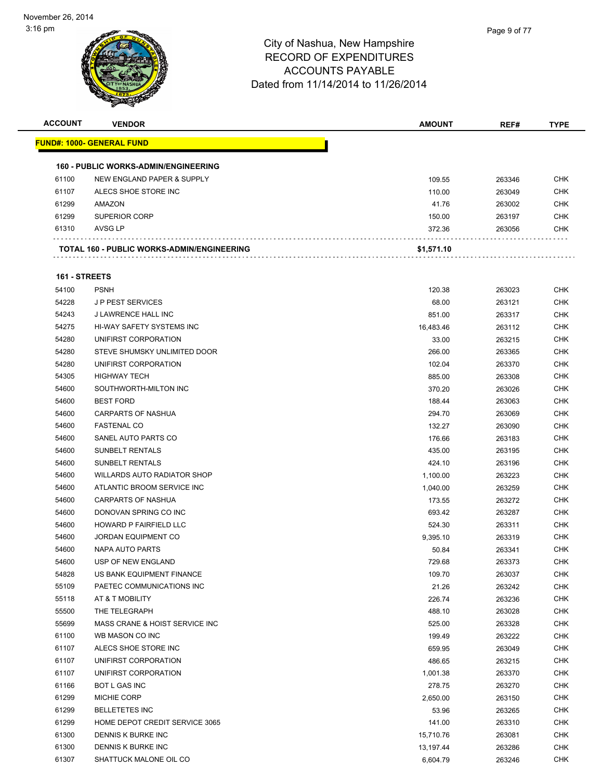

| <b>ACCOUNT</b> | <b>VENDOR</b>                                     | <b>AMOUNT</b> | REF#   | <b>TYPE</b> |
|----------------|---------------------------------------------------|---------------|--------|-------------|
|                | <u> FUND#: 1000- GENERAL FUND</u>                 |               |        |             |
|                |                                                   |               |        |             |
|                | <b>160 - PUBLIC WORKS-ADMIN/ENGINEERING</b>       |               |        |             |
| 61100          | NEW ENGLAND PAPER & SUPPLY                        | 109.55        | 263346 | <b>CHK</b>  |
| 61107          | ALECS SHOE STORE INC                              | 110.00        | 263049 | <b>CHK</b>  |
| 61299          | AMAZON                                            | 41.76         | 263002 | <b>CHK</b>  |
| 61299          | <b>SUPERIOR CORP</b>                              | 150.00        | 263197 | <b>CHK</b>  |
| 61310          | AVSG LP                                           | 372.36        | 263056 | CHK         |
|                |                                                   |               |        |             |
|                | <b>TOTAL 160 - PUBLIC WORKS-ADMIN/ENGINEERING</b> | \$1,571.10    |        |             |
| 161 - STREETS  |                                                   |               |        |             |
| 54100          | <b>PSNH</b>                                       | 120.38        | 263023 | <b>CHK</b>  |
| 54228          | <b>JP PEST SERVICES</b>                           | 68.00         | 263121 | <b>CHK</b>  |
| 54243          | J LAWRENCE HALL INC                               | 851.00        | 263317 | <b>CHK</b>  |
| 54275          | HI-WAY SAFETY SYSTEMS INC                         | 16,483.46     | 263112 | <b>CHK</b>  |
| 54280          | UNIFIRST CORPORATION                              | 33.00         | 263215 | <b>CHK</b>  |
| 54280          | STEVE SHUMSKY UNLIMITED DOOR                      | 266.00        | 263365 | <b>CHK</b>  |
| 54280          | UNIFIRST CORPORATION                              | 102.04        | 263370 | <b>CHK</b>  |
| 54305          | <b>HIGHWAY TECH</b>                               | 885.00        | 263308 | <b>CHK</b>  |
| 54600          | SOUTHWORTH-MILTON INC                             | 370.20        | 263026 | <b>CHK</b>  |
| 54600          | <b>BEST FORD</b>                                  | 188.44        | 263063 | <b>CHK</b>  |
| 54600          | <b>CARPARTS OF NASHUA</b>                         | 294.70        | 263069 | <b>CHK</b>  |
| 54600          | <b>FASTENAL CO</b>                                | 132.27        | 263090 | <b>CHK</b>  |
| 54600          | SANEL AUTO PARTS CO                               | 176.66        | 263183 | <b>CHK</b>  |
| 54600          | <b>SUNBELT RENTALS</b>                            | 435.00        | 263195 | <b>CHK</b>  |
| 54600          | <b>SUNBELT RENTALS</b>                            | 424.10        | 263196 | <b>CHK</b>  |
| 54600          | WILLARDS AUTO RADIATOR SHOP                       | 1,100.00      | 263223 | <b>CHK</b>  |
| 54600          | ATLANTIC BROOM SERVICE INC                        | 1,040.00      | 263259 | <b>CHK</b>  |
| 54600          | <b>CARPARTS OF NASHUA</b>                         | 173.55        | 263272 | <b>CHK</b>  |
| 54600          | DONOVAN SPRING CO INC                             | 693.42        | 263287 | <b>CHK</b>  |
| 54600          | <b>HOWARD P FAIRFIELD LLC</b>                     | 524.30        | 263311 | <b>CHK</b>  |
| 54600          | <b>JORDAN EQUIPMENT CO</b>                        | 9,395.10      | 263319 | <b>CHK</b>  |
| 54600          | NAPA AUTO PARTS                                   | 50.84         | 263341 | CHK         |
| 54600          | USP OF NEW ENGLAND                                | 729.68        | 263373 | CHK         |
| 54828          | US BANK EQUIPMENT FINANCE                         | 109.70        | 263037 | <b>CHK</b>  |
| 55109          | PAETEC COMMUNICATIONS INC                         | 21.26         | 263242 | <b>CHK</b>  |
| 55118          | AT & T MOBILITY                                   | 226.74        | 263236 | <b>CHK</b>  |
| 55500          | THE TELEGRAPH                                     | 488.10        | 263028 | <b>CHK</b>  |
| 55699          | MASS CRANE & HOIST SERVICE INC                    | 525.00        | 263328 | <b>CHK</b>  |
| 61100          | WB MASON CO INC                                   | 199.49        | 263222 | <b>CHK</b>  |
| 61107          | ALECS SHOE STORE INC                              | 659.95        | 263049 | <b>CHK</b>  |
| 61107          | UNIFIRST CORPORATION                              | 486.65        | 263215 | <b>CHK</b>  |
| 61107          | UNIFIRST CORPORATION                              | 1,001.38      | 263370 | <b>CHK</b>  |
| 61166          | BOT L GAS INC                                     | 278.75        | 263270 | <b>CHK</b>  |
| 61299          | MICHIE CORP                                       | 2,650.00      | 263150 | <b>CHK</b>  |
| 61299          | <b>BELLETETES INC</b>                             | 53.96         | 263265 | <b>CHK</b>  |
| 61299          | HOME DEPOT CREDIT SERVICE 3065                    | 141.00        | 263310 | <b>CHK</b>  |
| 61300          | DENNIS K BURKE INC                                | 15,710.76     | 263081 | <b>CHK</b>  |
| 61300          | DENNIS K BURKE INC                                | 13,197.44     | 263286 | <b>CHK</b>  |
| 61307          | SHATTUCK MALONE OIL CO                            | 6,604.79      | 263246 | <b>CHK</b>  |
|                |                                                   |               |        |             |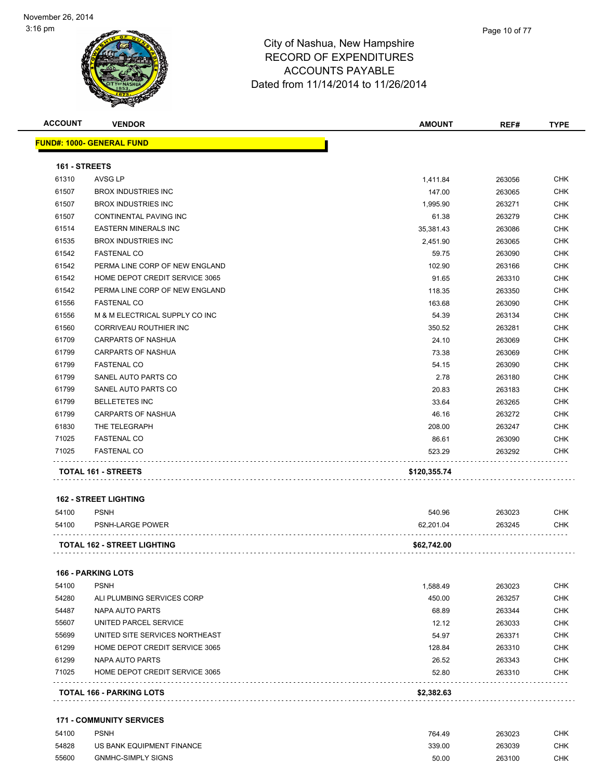

| <b>ACCOUNT</b> | <b>VENDOR</b>                    | <b>AMOUNT</b> | REF#   | <b>TYPE</b> |
|----------------|----------------------------------|---------------|--------|-------------|
|                | <b>FUND#: 1000- GENERAL FUND</b> |               |        |             |
| 161 - STREETS  |                                  |               |        |             |
| 61310          | AVSG LP                          | 1,411.84      | 263056 | <b>CHK</b>  |
| 61507          | <b>BROX INDUSTRIES INC</b>       | 147.00        | 263065 | <b>CHK</b>  |
| 61507          | <b>BROX INDUSTRIES INC</b>       | 1,995.90      | 263271 | <b>CHK</b>  |
| 61507          | CONTINENTAL PAVING INC           | 61.38         | 263279 | <b>CHK</b>  |
| 61514          | <b>EASTERN MINERALS INC</b>      | 35,381.43     | 263086 | <b>CHK</b>  |
| 61535          | <b>BROX INDUSTRIES INC</b>       | 2,451.90      | 263065 | <b>CHK</b>  |
| 61542          | <b>FASTENAL CO</b>               | 59.75         | 263090 | <b>CHK</b>  |
| 61542          | PERMA LINE CORP OF NEW ENGLAND   | 102.90        | 263166 | <b>CHK</b>  |
| 61542          | HOME DEPOT CREDIT SERVICE 3065   | 91.65         | 263310 | <b>CHK</b>  |
| 61542          | PERMA LINE CORP OF NEW ENGLAND   | 118.35        | 263350 | <b>CHK</b>  |
| 61556          | <b>FASTENAL CO</b>               | 163.68        | 263090 | <b>CHK</b>  |
| 61556          | M & M ELECTRICAL SUPPLY CO INC   | 54.39         | 263134 | <b>CHK</b>  |
| 61560          | <b>CORRIVEAU ROUTHIER INC</b>    | 350.52        | 263281 | <b>CHK</b>  |
| 61709          | <b>CARPARTS OF NASHUA</b>        | 24.10         | 263069 | <b>CHK</b>  |
| 61799          | <b>CARPARTS OF NASHUA</b>        | 73.38         | 263069 | <b>CHK</b>  |
| 61799          | <b>FASTENAL CO</b>               | 54.15         | 263090 | <b>CHK</b>  |
| 61799          | SANEL AUTO PARTS CO              | 2.78          | 263180 | <b>CHK</b>  |
| 61799          | SANEL AUTO PARTS CO              | 20.83         | 263183 | <b>CHK</b>  |
| 61799          | <b>BELLETETES INC</b>            | 33.64         | 263265 | <b>CHK</b>  |
| 61799          | <b>CARPARTS OF NASHUA</b>        | 46.16         | 263272 | <b>CHK</b>  |
| 61830          | THE TELEGRAPH                    | 208.00        | 263247 | <b>CHK</b>  |
| 71025          | <b>FASTENAL CO</b>               | 86.61         | 263090 | <b>CHK</b>  |
| 71025          | <b>FASTENAL CO</b>               | 523.29        | 263292 | <b>CHK</b>  |
|                | <b>TOTAL 161 - STREETS</b>       | \$120,355.74  |        |             |

#### **162 - STREET LIGHTING**

| 54100 | <b>PSNH</b>                        | 540.96      | 263023 | CHK |
|-------|------------------------------------|-------------|--------|-----|
| 54100 | PSNH-LARGE POWER                   | 62.201.04   | 263245 | CHK |
|       | <b>TOTAL 162 - STREET LIGHTING</b> | \$62,742.00 |        |     |

#### **166 - PARKING LOTS**

| 54100 | <b>PSNH</b>                           | 1.588.49   | 263023 | <b>CHK</b> |
|-------|---------------------------------------|------------|--------|------------|
| 54280 | ALI PLUMBING SERVICES CORP            | 450.00     | 263257 | <b>CHK</b> |
| 54487 | NAPA AUTO PARTS                       | 68.89      | 263344 | <b>CHK</b> |
| 55607 | UNITED PARCEL SERVICE                 | 12.12      | 263033 | <b>CHK</b> |
| 55699 | UNITED SITE SERVICES NORTHEAST        | 54.97      | 263371 | <b>CHK</b> |
| 61299 | <b>HOME DEPOT CREDIT SERVICE 3065</b> | 128.84     | 263310 | <b>CHK</b> |
| 61299 | NAPA AUTO PARTS                       | 26.52      | 263343 | <b>CHK</b> |
| 71025 | HOME DEPOT CREDIT SERVICE 3065        | 52.80      | 263310 | <b>CHK</b> |
|       | <b>TOTAL 166 - PARKING LOTS</b>       | \$2,382.63 |        |            |

#### **171 - COMMUNITY SERVICES**

| 54100 | <b>PSNH</b>               | 764.49 | 263023 | СНК        |
|-------|---------------------------|--------|--------|------------|
| 54828 | US BANK EQUIPMENT FINANCE | 339.00 | 263039 | CHK.       |
| 55600 | <b>GNMHC-SIMPLY SIGNS</b> | 50.00  | 263100 | <b>CHK</b> |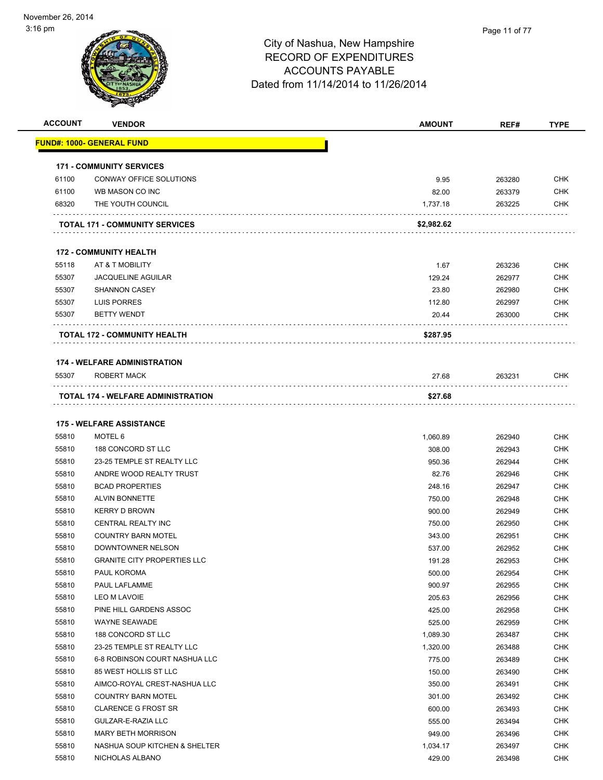| <b>ACCOUNT</b> | <b>VENDOR</b>                                  | <b>AMOUNT</b>    | REF#             | <b>TYPE</b>       |
|----------------|------------------------------------------------|------------------|------------------|-------------------|
|                | <u> FUND#: 1000- GENERAL FUND</u>              |                  |                  |                   |
|                |                                                |                  |                  |                   |
|                | <b>171 - COMMUNITY SERVICES</b>                |                  |                  |                   |
| 61100          | CONWAY OFFICE SOLUTIONS                        | 9.95             | 263280           | <b>CHK</b>        |
| 61100          | WB MASON CO INC                                | 82.00            | 263379           | <b>CHK</b>        |
| 68320          | THE YOUTH COUNCIL                              | 1,737.18         | 263225           | <b>CHK</b>        |
|                | <b>TOTAL 171 - COMMUNITY SERVICES</b>          | \$2,982.62       |                  |                   |
|                | <b>172 - COMMUNITY HEALTH</b>                  |                  |                  |                   |
| 55118          | AT & T MOBILITY                                | 1.67             | 263236           | <b>CHK</b>        |
| 55307          | <b>JACQUELINE AGUILAR</b>                      | 129.24           | 262977           | <b>CHK</b>        |
| 55307          | <b>SHANNON CASEY</b>                           | 23.80            | 262980           | <b>CHK</b>        |
| 55307          | LUIS PORRES                                    | 112.80           | 262997           | <b>CHK</b>        |
| 55307          | <b>BETTY WENDT</b>                             | 20.44            | 263000           | CHK               |
|                |                                                |                  |                  |                   |
|                | <b>TOTAL 172 - COMMUNITY HEALTH</b>            | \$287.95         |                  |                   |
|                | <b>174 - WELFARE ADMINISTRATION</b>            |                  |                  |                   |
| 55307          | ROBERT MACK                                    | 27.68            | 263231           | CHK               |
|                | TOTAL 174 - WELFARE ADMINISTRATION             | \$27.68          |                  |                   |
|                |                                                |                  |                  |                   |
|                | <b>175 - WELFARE ASSISTANCE</b>                |                  |                  |                   |
| 55810          | MOTEL 6                                        | 1,060.89         | 262940           | <b>CHK</b>        |
| 55810          | 188 CONCORD ST LLC                             | 308.00           | 262943           | <b>CHK</b>        |
| 55810          | 23-25 TEMPLE ST REALTY LLC                     | 950.36           | 262944           | CHK               |
| 55810          | ANDRE WOOD REALTY TRUST                        | 82.76            | 262946           | <b>CHK</b>        |
| 55810          | <b>BCAD PROPERTIES</b>                         | 248.16           | 262947           | <b>CHK</b>        |
| 55810          | <b>ALVIN BONNETTE</b>                          | 750.00           | 262948           | <b>CHK</b>        |
| 55810          | <b>KERRY D BROWN</b>                           | 900.00           | 262949           | <b>CHK</b>        |
| 55810          | CENTRAL REALTY INC                             | 750.00           | 262950           | <b>CHK</b>        |
| 55810<br>55810 | <b>COUNTRY BARN MOTEL</b><br>DOWNTOWNER NELSON | 343.00           | 262951           | CHK<br><b>CHK</b> |
| 55810          | <b>GRANITE CITY PROPERTIES LLC</b>             | 537.00<br>191.28 | 262952<br>262953 | <b>CHK</b>        |
| 55810          | PAUL KOROMA                                    | 500.00           | 262954           | CHK               |
| 55810          | PAUL LAFLAMME                                  | 900.97           | 262955           | <b>CHK</b>        |
| 55810          | LEO M LAVOIE                                   | 205.63           | 262956           | <b>CHK</b>        |
| 55810          | PINE HILL GARDENS ASSOC                        | 425.00           | 262958           | <b>CHK</b>        |
| 55810          | WAYNE SEAWADE                                  | 525.00           | 262959           | <b>CHK</b>        |
| 55810          | 188 CONCORD ST LLC                             | 1,089.30         | 263487           | <b>CHK</b>        |
| 55810          | 23-25 TEMPLE ST REALTY LLC                     | 1,320.00         | 263488           | <b>CHK</b>        |
| 55810          | 6-8 ROBINSON COURT NASHUA LLC                  | 775.00           | 263489           | <b>CHK</b>        |
| 55810          | 85 WEST HOLLIS ST LLC                          | 150.00           | 263490           | <b>CHK</b>        |
| 55810          | AIMCO-ROYAL CREST-NASHUA LLC                   | 350.00           | 263491           | <b>CHK</b>        |
| 55810          | <b>COUNTRY BARN MOTEL</b>                      | 301.00           | 263492           | <b>CHK</b>        |
| 55810          | <b>CLARENCE G FROST SR</b>                     | 600.00           | 263493           | <b>CHK</b>        |
| 55810          | GULZAR-E-RAZIA LLC                             | 555.00           | 263494           | <b>CHK</b>        |
| 55810          | <b>MARY BETH MORRISON</b>                      | 949.00           | 263496           | <b>CHK</b>        |
| 55810          | NASHUA SOUP KITCHEN & SHELTER                  | 1,034.17         | 263497           | <b>CHK</b>        |
| 55810          | NICHOLAS ALBANO                                | 429.00           | 263498           | <b>CHK</b>        |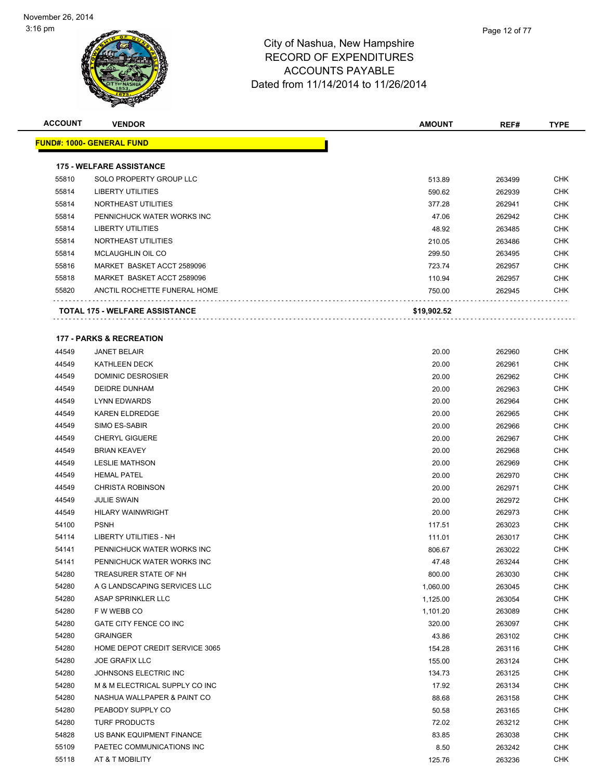| <b>ACCOUNT</b> | <b>VENDOR</b>                         | <b>AMOUNT</b> | REF#   | <b>TYPE</b> |
|----------------|---------------------------------------|---------------|--------|-------------|
|                | <u> FUND#: 1000- GENERAL FUND</u>     |               |        |             |
|                |                                       |               |        |             |
|                | <b>175 - WELFARE ASSISTANCE</b>       |               |        |             |
| 55810          | SOLO PROPERTY GROUP LLC               | 513.89        | 263499 | <b>CHK</b>  |
| 55814          | LIBERTY UTILITIES                     | 590.62        | 262939 | <b>CHK</b>  |
| 55814          | NORTHEAST UTILITIES                   | 377.28        | 262941 | <b>CHK</b>  |
| 55814          | PENNICHUCK WATER WORKS INC            | 47.06         | 262942 | <b>CHK</b>  |
| 55814          | <b>LIBERTY UTILITIES</b>              | 48.92         | 263485 | <b>CHK</b>  |
| 55814          | NORTHEAST UTILITIES                   | 210.05        | 263486 | <b>CHK</b>  |
| 55814          | <b>MCLAUGHLIN OIL CO</b>              | 299.50        | 263495 | <b>CHK</b>  |
| 55816          | MARKET BASKET ACCT 2589096            | 723.74        | 262957 | <b>CHK</b>  |
| 55818          | MARKET BASKET ACCT 2589096            | 110.94        | 262957 | <b>CHK</b>  |
| 55820          | ANCTIL ROCHETTE FUNERAL HOME          | 750.00        | 262945 | <b>CHK</b>  |
|                | <b>TOTAL 175 - WELFARE ASSISTANCE</b> | \$19,902.52   |        |             |
|                |                                       |               |        |             |
|                | <b>177 - PARKS &amp; RECREATION</b>   |               |        |             |
| 44549          | <b>JANET BELAIR</b>                   | 20.00         | 262960 | <b>CHK</b>  |
| 44549          | <b>KATHLEEN DECK</b>                  | 20.00         | 262961 | <b>CHK</b>  |
| 44549          | DOMINIC DESROSIER                     | 20.00         | 262962 | <b>CHK</b>  |
| 44549          | <b>DEIDRE DUNHAM</b>                  | 20.00         | 262963 | <b>CHK</b>  |
| 44549          | <b>LYNN EDWARDS</b>                   | 20.00         | 262964 | <b>CHK</b>  |
| 44549          | <b>KAREN ELDREDGE</b>                 | 20.00         | 262965 | <b>CHK</b>  |
| 44549          | SIMO ES-SABIR                         | 20.00         | 262966 | <b>CHK</b>  |
| 44549          | <b>CHERYL GIGUERE</b>                 | 20.00         | 262967 | <b>CHK</b>  |
| 44549          | <b>BRIAN KEAVEY</b>                   | 20.00         | 262968 | <b>CHK</b>  |
| 44549          | <b>LESLIE MATHSON</b>                 | 20.00         | 262969 | <b>CHK</b>  |
| 44549          | <b>HEMAL PATEL</b>                    | 20.00         | 262970 | <b>CHK</b>  |
| 44549          | <b>CHRISTA ROBINSON</b>               | 20.00         | 262971 | <b>CHK</b>  |
| 44549          | <b>JULIE SWAIN</b>                    | 20.00         | 262972 | <b>CHK</b>  |
| 44549          | <b>HILARY WAINWRIGHT</b>              | 20.00         | 262973 | <b>CHK</b>  |
| 54100          | <b>PSNH</b>                           | 117.51        | 263023 | <b>CHK</b>  |
| 54114          | LIBERTY UTILITIES - NH                | 111.01        | 263017 | <b>CHK</b>  |
| 54141          | PENNICHUCK WATER WORKS INC            | 806.67        | 263022 | <b>CHK</b>  |
| 54141          | PENNICHUCK WATER WORKS INC            | 47.48         | 263244 | <b>CHK</b>  |
| 54280          | TREASURER STATE OF NH                 | 800.00        | 263030 | <b>CHK</b>  |
| 54280          | A G LANDSCAPING SERVICES LLC          | 1,060.00      | 263045 | <b>CHK</b>  |
| 54280          | ASAP SPRINKLER LLC                    | 1,125.00      | 263054 | <b>CHK</b>  |
| 54280          | F W WEBB CO                           | 1,101.20      | 263089 | <b>CHK</b>  |
| 54280          | GATE CITY FENCE CO INC                | 320.00        | 263097 | <b>CHK</b>  |
| 54280          | <b>GRAINGER</b>                       | 43.86         | 263102 | <b>CHK</b>  |
| 54280          | HOME DEPOT CREDIT SERVICE 3065        | 154.28        | 263116 | <b>CHK</b>  |
| 54280          | <b>JOE GRAFIX LLC</b>                 | 155.00        | 263124 | <b>CHK</b>  |
| 54280          | JOHNSONS ELECTRIC INC                 | 134.73        | 263125 | <b>CHK</b>  |
| 54280          | M & M ELECTRICAL SUPPLY CO INC        | 17.92         | 263134 | <b>CHK</b>  |
| 54280          | NASHUA WALLPAPER & PAINT CO           | 88.68         | 263158 | <b>CHK</b>  |
| 54280          | PEABODY SUPPLY CO                     | 50.58         | 263165 | <b>CHK</b>  |
| 54280          | <b>TURF PRODUCTS</b>                  | 72.02         | 263212 | <b>CHK</b>  |
| 54828          | US BANK EQUIPMENT FINANCE             | 83.85         | 263038 | <b>CHK</b>  |
| 55109          | PAETEC COMMUNICATIONS INC             | 8.50          | 263242 | <b>CHK</b>  |
| 55118          | AT & T MOBILITY                       | 125.76        | 263236 | <b>CHK</b>  |
|                |                                       |               |        |             |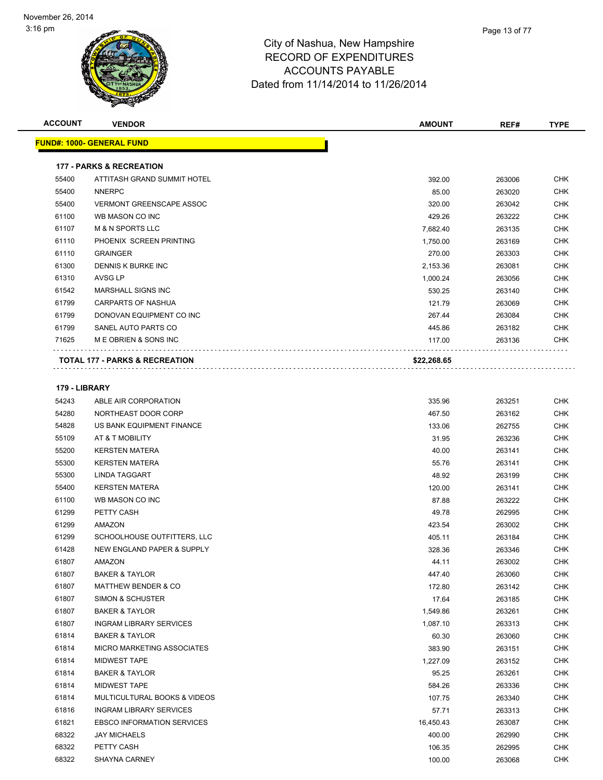| <b>ACCOUNT</b> | <b>VENDOR</b>                       | <b>AMOUNT</b> | REF#   | <b>TYPE</b> |
|----------------|-------------------------------------|---------------|--------|-------------|
|                | <b>FUND#: 1000- GENERAL FUND</b>    |               |        |             |
|                | <b>177 - PARKS &amp; RECREATION</b> |               |        |             |
| 55400          | ATTITASH GRAND SUMMIT HOTEL         | 392.00        | 263006 | <b>CHK</b>  |
| 55400          | <b>NNERPC</b>                       | 85.00         | 263020 | <b>CHK</b>  |
| 55400          | <b>VERMONT GREENSCAPE ASSOC</b>     | 320.00        | 263042 | <b>CHK</b>  |
| 61100          | WB MASON CO INC                     | 429.26        | 263222 | <b>CHK</b>  |
| 61107          | <b>M &amp; N SPORTS LLC</b>         | 7,682.40      | 263135 | <b>CHK</b>  |
| 61110          | PHOENIX SCREEN PRINTING             | 1,750.00      | 263169 | <b>CHK</b>  |
| 61110          | <b>GRAINGER</b>                     | 270.00        | 263303 | <b>CHK</b>  |
| 61300          | DENNIS K BURKE INC                  | 2,153.36      | 263081 | <b>CHK</b>  |
| 61310          | AVSG LP                             | 1,000.24      | 263056 | <b>CHK</b>  |
| 61542          | MARSHALL SIGNS INC                  | 530.25        | 263140 | <b>CHK</b>  |
| 61799          | <b>CARPARTS OF NASHUA</b>           | 121.79        | 263069 | <b>CHK</b>  |
| 61799          | DONOVAN EQUIPMENT CO INC            | 267.44        | 263084 | <b>CHK</b>  |
| 61799          | SANEL AUTO PARTS CO                 | 445.86        | 263182 | <b>CHK</b>  |
| 71625          | M E OBRIEN & SONS INC               | 117.00        | 263136 | <b>CHK</b>  |
|                | TOTAL 177 - PARKS & RECREATION      | \$22,268.65   |        |             |
| 179 - LIBRARY  |                                     |               |        |             |
| 54243          | ABLE AIR CORPORATION                | 335.96        | 263251 | <b>CHK</b>  |
| 54280          | NORTHEAST DOOR CORP                 | 467.50        | 263162 | <b>CHK</b>  |
| 54828          | US BANK EQUIPMENT FINANCE           | 133.06        | 262755 | <b>CHK</b>  |
| 55109          | AT & T MOBILITY                     | 31.95         | 263236 | <b>CHK</b>  |
| 55200          | <b>KERSTEN MATERA</b>               | 40.00         | 263141 | <b>CHK</b>  |
| 55300          | <b>KERSTEN MATERA</b>               | 55.76         | 263141 | <b>CHK</b>  |
| 55300          | LINDA TAGGART                       | 48.92         | 263199 | <b>CHK</b>  |
| 55400          | <b>KERSTEN MATERA</b>               | 120.00        | 263141 | <b>CHK</b>  |
| 61100          | WB MASON CO INC                     | 87.88         | 263222 | <b>CHK</b>  |
| 61299          | PETTY CASH                          | 49.78         | 262995 | <b>CHK</b>  |
| 0.000          | AAZ                                 | 100F1         | 000000 | $\sim$ 11/  |

| 55300 | <b>LINDA TAGGART</b>                  | 48.92     | 263199 | <b>CHK</b> |
|-------|---------------------------------------|-----------|--------|------------|
| 55400 | <b>KERSTEN MATERA</b>                 | 120.00    | 263141 | <b>CHK</b> |
| 61100 | WB MASON CO INC                       | 87.88     | 263222 | <b>CHK</b> |
| 61299 | PETTY CASH                            | 49.78     | 262995 | <b>CHK</b> |
| 61299 | AMAZON                                | 423.54    | 263002 | <b>CHK</b> |
| 61299 | SCHOOLHOUSE OUTFITTERS, LLC           | 405.11    | 263184 | <b>CHK</b> |
| 61428 | <b>NEW ENGLAND PAPER &amp; SUPPLY</b> | 328.36    | 263346 | <b>CHK</b> |
| 61807 | AMAZON                                | 44.11     | 263002 | <b>CHK</b> |
| 61807 | <b>BAKER &amp; TAYLOR</b>             | 447.40    | 263060 | <b>CHK</b> |
| 61807 | <b>MATTHEW BENDER &amp; CO</b>        | 172.80    | 263142 | <b>CHK</b> |
| 61807 | <b>SIMON &amp; SCHUSTER</b>           | 17.64     | 263185 | <b>CHK</b> |
| 61807 | <b>BAKER &amp; TAYLOR</b>             | 1,549.86  | 263261 | <b>CHK</b> |
| 61807 | <b>INGRAM LIBRARY SERVICES</b>        | 1,087.10  | 263313 | <b>CHK</b> |
| 61814 | <b>BAKER &amp; TAYLOR</b>             | 60.30     | 263060 | <b>CHK</b> |
| 61814 | <b>MICRO MARKETING ASSOCIATES</b>     | 383.90    | 263151 | <b>CHK</b> |
| 61814 | <b>MIDWEST TAPE</b>                   | 1,227.09  | 263152 | <b>CHK</b> |
| 61814 | <b>BAKER &amp; TAYLOR</b>             | 95.25     | 263261 | <b>CHK</b> |
| 61814 | <b>MIDWEST TAPE</b>                   | 584.26    | 263336 | <b>CHK</b> |
| 61814 | MULTICULTURAL BOOKS & VIDEOS          | 107.75    | 263340 | <b>CHK</b> |
| 61816 | <b>INGRAM LIBRARY SERVICES</b>        | 57.71     | 263313 | <b>CHK</b> |
| 61821 | <b>EBSCO INFORMATION SERVICES</b>     | 16,450.43 | 263087 | <b>CHK</b> |
| 68322 | <b>JAY MICHAELS</b>                   | 400.00    | 262990 | <b>CHK</b> |
| 68322 | PETTY CASH                            | 106.35    | 262995 | <b>CHK</b> |
| 68322 | <b>SHAYNA CARNEY</b>                  | 100.00    | 263068 | <b>CHK</b> |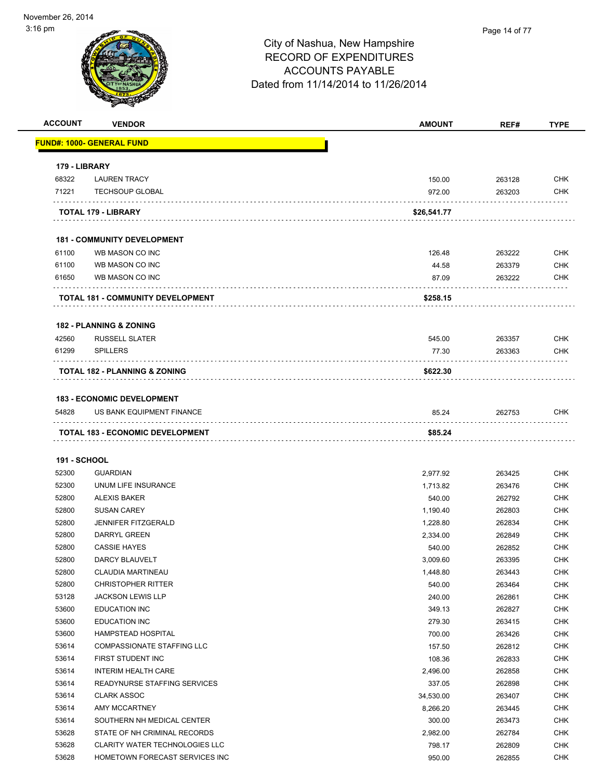| <b>ACCOUNT</b>      | <b>VENDOR</b>                                                  | <b>AMOUNT</b> | REF#   | <b>TYPE</b> |
|---------------------|----------------------------------------------------------------|---------------|--------|-------------|
|                     | <b>FUND#: 1000- GENERAL FUND</b>                               |               |        |             |
| 179 - LIBRARY       |                                                                |               |        |             |
| 68322               | <b>LAUREN TRACY</b>                                            | 150.00        | 263128 | <b>CHK</b>  |
| 71221               | <b>TECHSOUP GLOBAL</b>                                         | 972.00        | 263203 | <b>CHK</b>  |
|                     | TOTAL 179 - LIBRARY                                            | \$26,541.77   |        |             |
|                     | <b>181 - COMMUNITY DEVELOPMENT</b>                             |               |        |             |
| 61100               | WB MASON CO INC                                                | 126.48        | 263222 | <b>CHK</b>  |
| 61100               | WB MASON CO INC                                                | 44.58         | 263379 | <b>CHK</b>  |
| 61650               | WB MASON CO INC                                                | 87.09         | 263222 | <b>CHK</b>  |
|                     | <b>TOTAL 181 - COMMUNITY DEVELOPMENT</b>                       | \$258.15      |        |             |
|                     | <b>182 - PLANNING &amp; ZONING</b>                             |               |        |             |
| 42560               | <b>RUSSELL SLATER</b>                                          | 545.00        | 263357 | <b>CHK</b>  |
| 61299               | <b>SPILLERS</b>                                                | 77.30         | 263363 | <b>CHK</b>  |
|                     | <b>TOTAL 182 - PLANNING &amp; ZONING</b>                       | \$622.30      |        |             |
|                     |                                                                |               |        |             |
| 54828               | <b>183 - ECONOMIC DEVELOPMENT</b><br>US BANK EQUIPMENT FINANCE | 85.24         | 262753 | <b>CHK</b>  |
|                     | <b>TOTAL 183 - ECONOMIC DEVELOPMENT</b>                        | \$85.24       |        |             |
|                     |                                                                |               |        |             |
| <b>191 - SCHOOL</b> |                                                                |               |        |             |
| 52300               | <b>GUARDIAN</b>                                                | 2,977.92      | 263425 | <b>CHK</b>  |
| 52300               | UNUM LIFE INSURANCE                                            | 1,713.82      | 263476 | <b>CHK</b>  |
| 52800               | <b>ALEXIS BAKER</b>                                            | 540.00        | 262792 | <b>CHK</b>  |
| 52800               | <b>SUSAN CAREY</b>                                             | 1,190.40      | 262803 | <b>CHK</b>  |
| 52800               | <b>JENNIFER FITZGERALD</b>                                     | 1,228.80      | 262834 | <b>CHK</b>  |
| 52800               | <b>DARRYL GREEN</b>                                            | 2,334.00      | 262849 | <b>CHK</b>  |
| 52800               | <b>CASSIE HAYES</b>                                            | 540.00        | 262852 | CHK         |
| 52800               | DARCY BLAUVELT                                                 | 3,009.60      | 263395 | <b>CHK</b>  |
| 52800               | <b>CLAUDIA MARTINEAU</b>                                       | 1,448.80      | 263443 | <b>CHK</b>  |
| 52800               | <b>CHRISTOPHER RITTER</b>                                      | 540.00        | 263464 | <b>CHK</b>  |
| 53128               | <b>JACKSON LEWIS LLP</b>                                       | 240.00        | 262861 | <b>CHK</b>  |
| 53600               | <b>EDUCATION INC</b>                                           | 349.13        | 262827 | <b>CHK</b>  |
| 53600               | <b>EDUCATION INC</b>                                           | 279.30        | 263415 | <b>CHK</b>  |
| 53600               | HAMPSTEAD HOSPITAL                                             | 700.00        | 263426 | <b>CHK</b>  |
| 53614               | COMPASSIONATE STAFFING LLC                                     | 157.50        | 262812 | <b>CHK</b>  |
| 53614               | FIRST STUDENT INC                                              | 108.36        | 262833 | <b>CHK</b>  |
| 53614               | <b>INTERIM HEALTH CARE</b>                                     | 2,496.00      | 262858 | <b>CHK</b>  |
| 53614               | READYNURSE STAFFING SERVICES                                   | 337.05        | 262898 | <b>CHK</b>  |
| 53614               | <b>CLARK ASSOC</b>                                             | 34,530.00     | 263407 | <b>CHK</b>  |
|                     | AMY MCCARTNEY                                                  | 8,266.20      | 263445 | <b>CHK</b>  |
| 53614               |                                                                |               |        | <b>CHK</b>  |
| 53614               | SOUTHERN NH MEDICAL CENTER                                     | 300.00        | 263473 |             |
| 53628               | STATE OF NH CRIMINAL RECORDS                                   | 2,982.00      | 262784 | <b>CHK</b>  |
| 53628               | <b>CLARITY WATER TECHNOLOGIES LLC</b>                          | 798.17        | 262809 | <b>CHK</b>  |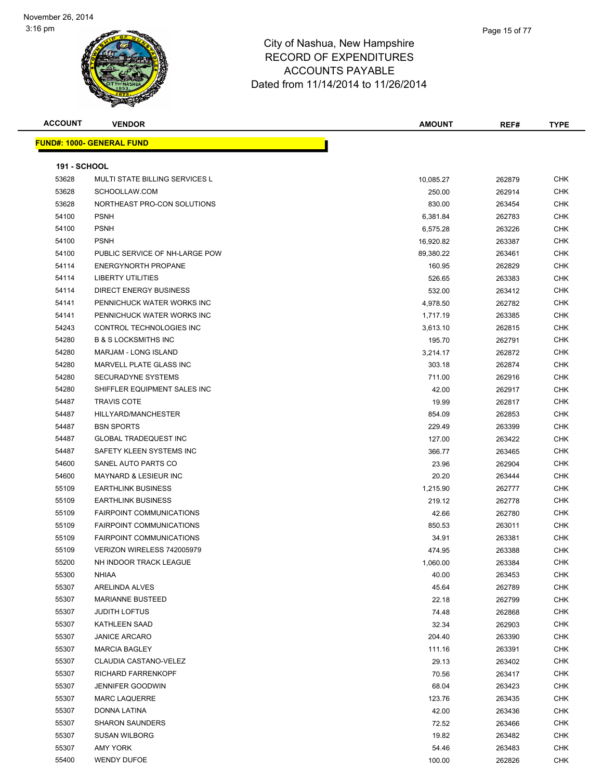| <b>ACCOUNT</b>      | <b>VENDOR</b>                         | <b>AMOUNT</b> | REF#   | <b>TYPE</b> |
|---------------------|---------------------------------------|---------------|--------|-------------|
|                     | <b>FUND#: 1000- GENERAL FUND</b>      |               |        |             |
|                     |                                       |               |        |             |
| <b>191 - SCHOOL</b> |                                       |               |        |             |
| 53628               | <b>MULTI STATE BILLING SERVICES L</b> | 10,085.27     | 262879 | <b>CHK</b>  |
| 53628               | SCHOOLLAW.COM                         | 250.00        | 262914 | <b>CHK</b>  |
| 53628               | NORTHEAST PRO-CON SOLUTIONS           | 830.00        | 263454 | CHK         |
| 54100               | <b>PSNH</b>                           | 6,381.84      | 262783 | <b>CHK</b>  |
| 54100               | <b>PSNH</b>                           | 6,575.28      | 263226 | <b>CHK</b>  |
| 54100               | <b>PSNH</b>                           | 16,920.82     | 263387 | <b>CHK</b>  |
| 54100               | PUBLIC SERVICE OF NH-LARGE POW        | 89,380.22     | 263461 | CHK         |
| 54114               | <b>ENERGYNORTH PROPANE</b>            | 160.95        | 262829 | <b>CHK</b>  |
| 54114               | <b>LIBERTY UTILITIES</b>              | 526.65        | 263383 | CHK         |
| 54114               | <b>DIRECT ENERGY BUSINESS</b>         | 532.00        | 263412 | <b>CHK</b>  |
| 54141               | PENNICHUCK WATER WORKS INC            | 4,978.50      | 262782 | <b>CHK</b>  |
| 54141               | PENNICHUCK WATER WORKS INC            | 1,717.19      | 263385 | CHK         |
| 54243               | CONTROL TECHNOLOGIES INC              | 3,613.10      | 262815 | CHK         |
| 54280               | <b>B &amp; S LOCKSMITHS INC</b>       | 195.70        | 262791 | CHK         |
| 54280               | MARJAM - LONG ISLAND                  | 3,214.17      | 262872 | CHK         |
| 54280               | MARVELL PLATE GLASS INC               | 303.18        | 262874 | <b>CHK</b>  |
| 54280               | <b>SECURADYNE SYSTEMS</b>             | 711.00        | 262916 | <b>CHK</b>  |
| 54280               | SHIFFLER EQUIPMENT SALES INC          | 42.00         | 262917 | CHK         |
| 54487               | <b>TRAVIS COTE</b>                    | 19.99         | 262817 | CHK         |
| 54487               | HILLYARD/MANCHESTER                   | 854.09        | 262853 | <b>CHK</b>  |
| 54487               | <b>BSN SPORTS</b>                     | 229.49        | 263399 | CHK         |
| 54487               | <b>GLOBAL TRADEQUEST INC</b>          | 127.00        | 263422 | CHK         |
| 54487               | SAFETY KLEEN SYSTEMS INC              | 366.77        | 263465 | CHK         |
| 54600               | SANEL AUTO PARTS CO                   | 23.96         | 262904 | <b>CHK</b>  |
| 54600               | <b>MAYNARD &amp; LESIEUR INC</b>      | 20.20         | 263444 | <b>CHK</b>  |
| 55109               | <b>EARTHLINK BUSINESS</b>             | 1,215.90      | 262777 | <b>CHK</b>  |
| 55109               | <b>EARTHLINK BUSINESS</b>             | 219.12        | 262778 | <b>CHK</b>  |
| 55109               | <b>FAIRPOINT COMMUNICATIONS</b>       | 42.66         | 262780 | <b>CHK</b>  |
| 55109               | <b>FAIRPOINT COMMUNICATIONS</b>       | 850.53        | 263011 | <b>CHK</b>  |
| 55109               | <b>FAIRPOINT COMMUNICATIONS</b>       | 34.91         | 263381 | CHK         |
| 55109               | VERIZON WIRELESS 742005979            | 474.95        | 263388 | <b>CHK</b>  |
| 55200               | NH INDOOR TRACK LEAGUE                | 1,060.00      | 263384 | CHK         |
| 55300               | <b>NHIAA</b>                          | 40.00         | 263453 | <b>CHK</b>  |
| 55307               | ARELINDA ALVES                        | 45.64         | 262789 | CHK         |
| 55307               | <b>MARIANNE BUSTEED</b>               | 22.18         | 262799 | <b>CHK</b>  |
| 55307               | <b>JUDITH LOFTUS</b>                  | 74.48         | 262868 | <b>CHK</b>  |
| 55307               | <b>KATHLEEN SAAD</b>                  | 32.34         | 262903 | <b>CHK</b>  |
| 55307               | <b>JANICE ARCARO</b>                  | 204.40        | 263390 | <b>CHK</b>  |
| 55307               | <b>MARCIA BAGLEY</b>                  | 111.16        | 263391 | <b>CHK</b>  |
| 55307               | CLAUDIA CASTANO-VELEZ                 | 29.13         | 263402 | <b>CHK</b>  |
| 55307               | RICHARD FARRENKOPF                    | 70.56         | 263417 | <b>CHK</b>  |
| 55307               | <b>JENNIFER GOODWIN</b>               | 68.04         | 263423 | <b>CHK</b>  |
| 55307               | <b>MARC LAQUERRE</b>                  | 123.76        | 263435 | <b>CHK</b>  |
| 55307               | DONNA LATINA                          | 42.00         | 263436 | <b>CHK</b>  |
| 55307               | <b>SHARON SAUNDERS</b>                | 72.52         | 263466 | CHK         |
| 55307               | <b>SUSAN WILBORG</b>                  | 19.82         | 263482 | <b>CHK</b>  |
| 55307               | AMY YORK                              | 54.46         | 263483 | CHK         |
| 55400               | <b>WENDY DUFOE</b>                    | 100.00        | 262826 | <b>CHK</b>  |
|                     |                                       |               |        |             |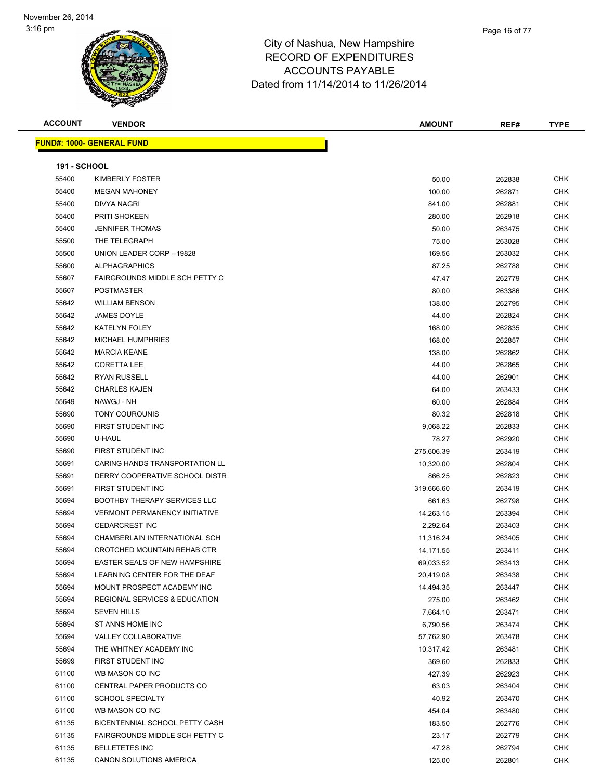| <b>ACCOUNT</b>      | <b>VENDOR</b>                        | <b>AMOUNT</b> | REF#   | <b>TYPE</b> |
|---------------------|--------------------------------------|---------------|--------|-------------|
|                     | <b>FUND#: 1000- GENERAL FUND</b>     |               |        |             |
|                     |                                      |               |        |             |
| <b>191 - SCHOOL</b> |                                      |               |        |             |
| 55400               | KIMBERLY FOSTER                      | 50.00         | 262838 | <b>CHK</b>  |
| 55400               | <b>MEGAN MAHONEY</b>                 | 100.00        | 262871 | <b>CHK</b>  |
| 55400               | DIVYA NAGRI                          | 841.00        | 262881 | <b>CHK</b>  |
| 55400               | <b>PRITI SHOKEEN</b>                 | 280.00        | 262918 | <b>CHK</b>  |
| 55400               | <b>JENNIFER THOMAS</b>               | 50.00         | 263475 | <b>CHK</b>  |
| 55500               | THE TELEGRAPH                        | 75.00         | 263028 | <b>CHK</b>  |
| 55500               | UNION LEADER CORP -- 19828           | 169.56        | 263032 | <b>CHK</b>  |
| 55600               | <b>ALPHAGRAPHICS</b>                 | 87.25         | 262788 | <b>CHK</b>  |
| 55607               | FAIRGROUNDS MIDDLE SCH PETTY C       | 47.47         | 262779 | <b>CHK</b>  |
| 55607               | <b>POSTMASTER</b>                    | 80.00         | 263386 | <b>CHK</b>  |
| 55642               | <b>WILLIAM BENSON</b>                | 138.00        | 262795 | <b>CHK</b>  |
| 55642               | <b>JAMES DOYLE</b>                   | 44.00         | 262824 | <b>CHK</b>  |
| 55642               | <b>KATELYN FOLEY</b>                 | 168.00        | 262835 | <b>CHK</b>  |
| 55642               | <b>MICHAEL HUMPHRIES</b>             | 168.00        | 262857 | <b>CHK</b>  |
| 55642               | <b>MARCIA KEANE</b>                  | 138.00        | 262862 | <b>CHK</b>  |
| 55642               | <b>CORETTA LEE</b>                   | 44.00         | 262865 | <b>CHK</b>  |
| 55642               | <b>RYAN RUSSELL</b>                  | 44.00         | 262901 | <b>CHK</b>  |
| 55642               | <b>CHARLES KAJEN</b>                 | 64.00         | 263433 | <b>CHK</b>  |
| 55649               | NAWGJ - NH                           | 60.00         | 262884 | <b>CHK</b>  |
| 55690               | TONY COUROUNIS                       | 80.32         | 262818 | <b>CHK</b>  |
| 55690               | FIRST STUDENT INC                    | 9,068.22      | 262833 | <b>CHK</b>  |
| 55690               | U-HAUL                               | 78.27         | 262920 | <b>CHK</b>  |
| 55690               | FIRST STUDENT INC                    | 275,606.39    | 263419 | <b>CHK</b>  |
| 55691               | CARING HANDS TRANSPORTATION LL       | 10,320.00     | 262804 | <b>CHK</b>  |
| 55691               | DERRY COOPERATIVE SCHOOL DISTR       | 866.25        | 262823 | <b>CHK</b>  |
| 55691               | FIRST STUDENT INC                    | 319,666.60    | 263419 | <b>CHK</b>  |
| 55694               | <b>BOOTHBY THERAPY SERVICES LLC</b>  | 661.63        | 262798 | <b>CHK</b>  |
| 55694               | <b>VERMONT PERMANENCY INITIATIVE</b> | 14,263.15     | 263394 | <b>CHK</b>  |
| 55694               | <b>CEDARCREST INC</b>                | 2,292.64      | 263403 | <b>CHK</b>  |
| 55694               | CHAMBERLAIN INTERNATIONAL SCH        | 11,316.24     | 263405 | <b>CHK</b>  |
| 55694               | <b>CROTCHED MOUNTAIN REHAB CTR</b>   | 14,171.55     | 263411 | <b>CHK</b>  |
| 55694               | EASTER SEALS OF NEW HAMPSHIRE        | 69,033.52     | 263413 | CHK         |
| 55694               | LEARNING CENTER FOR THE DEAF         | 20,419.08     | 263438 | <b>CHK</b>  |
| 55694               | MOUNT PROSPECT ACADEMY INC           | 14,494.35     | 263447 | <b>CHK</b>  |
| 55694               | REGIONAL SERVICES & EDUCATION        | 275.00        | 263462 | <b>CHK</b>  |
| 55694               | <b>SEVEN HILLS</b>                   | 7,664.10      | 263471 | <b>CHK</b>  |
| 55694               | ST ANNS HOME INC                     | 6,790.56      | 263474 | <b>CHK</b>  |
| 55694               | VALLEY COLLABORATIVE                 | 57,762.90     | 263478 | <b>CHK</b>  |
| 55694               | THE WHITNEY ACADEMY INC              | 10,317.42     | 263481 | <b>CHK</b>  |
| 55699               | FIRST STUDENT INC                    | 369.60        | 262833 | <b>CHK</b>  |
| 61100               | WB MASON CO INC                      | 427.39        | 262923 | <b>CHK</b>  |
| 61100               | CENTRAL PAPER PRODUCTS CO            | 63.03         | 263404 | <b>CHK</b>  |
| 61100               | <b>SCHOOL SPECIALTY</b>              | 40.92         | 263470 | <b>CHK</b>  |
| 61100               | WB MASON CO INC                      | 454.04        | 263480 | <b>CHK</b>  |
| 61135               | BICENTENNIAL SCHOOL PETTY CASH       | 183.50        | 262776 | <b>CHK</b>  |
| 61135               | FAIRGROUNDS MIDDLE SCH PETTY C       | 23.17         | 262779 | <b>CHK</b>  |
| 61135               | <b>BELLETETES INC</b>                | 47.28         | 262794 | <b>CHK</b>  |
| 61135               | CANON SOLUTIONS AMERICA              | 125.00        | 262801 | <b>CHK</b>  |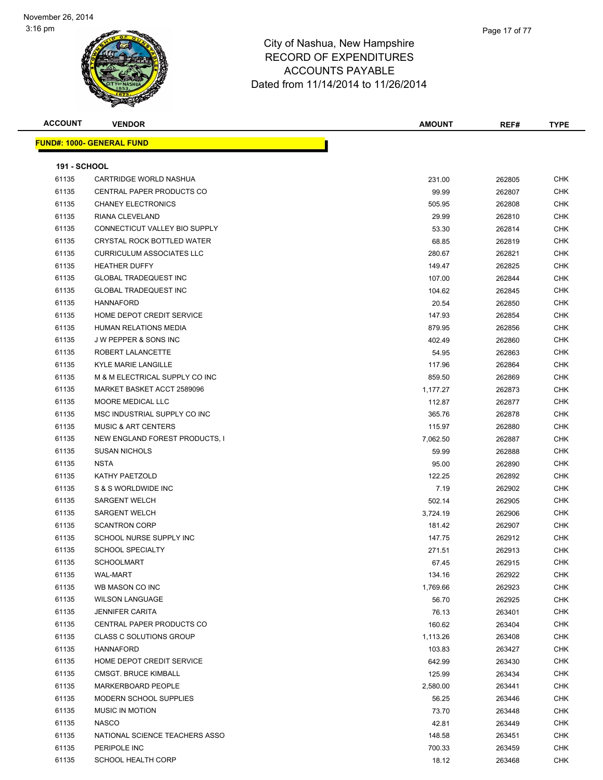| <b>ACCOUNT</b>      | <b>VENDOR</b>                    | <b>AMOUNT</b> | REF#   | <b>TYPE</b> |
|---------------------|----------------------------------|---------------|--------|-------------|
|                     | <b>FUND#: 1000- GENERAL FUND</b> |               |        |             |
|                     |                                  |               |        |             |
| <b>191 - SCHOOL</b> |                                  |               |        |             |
| 61135               | CARTRIDGE WORLD NASHUA           | 231.00        | 262805 | <b>CHK</b>  |
| 61135               | CENTRAL PAPER PRODUCTS CO        | 99.99         | 262807 | <b>CHK</b>  |
| 61135               | <b>CHANEY ELECTRONICS</b>        | 505.95        | 262808 | <b>CHK</b>  |
| 61135               | RIANA CLEVELAND                  | 29.99         | 262810 | <b>CHK</b>  |
| 61135               | CONNECTICUT VALLEY BIO SUPPLY    | 53.30         | 262814 | <b>CHK</b>  |
| 61135               | CRYSTAL ROCK BOTTLED WATER       | 68.85         | 262819 | <b>CHK</b>  |
| 61135               | <b>CURRICULUM ASSOCIATES LLC</b> | 280.67        | 262821 | <b>CHK</b>  |
| 61135               | <b>HEATHER DUFFY</b>             | 149.47        | 262825 | <b>CHK</b>  |
| 61135               | <b>GLOBAL TRADEQUEST INC</b>     | 107.00        | 262844 | <b>CHK</b>  |
| 61135               | <b>GLOBAL TRADEQUEST INC</b>     | 104.62        | 262845 | <b>CHK</b>  |
| 61135               | <b>HANNAFORD</b>                 | 20.54         | 262850 | <b>CHK</b>  |
| 61135               | HOME DEPOT CREDIT SERVICE        | 147.93        | 262854 | <b>CHK</b>  |
| 61135               | <b>HUMAN RELATIONS MEDIA</b>     | 879.95        | 262856 | <b>CHK</b>  |
| 61135               | <b>JW PEPPER &amp; SONS INC</b>  | 402.49        | 262860 | <b>CHK</b>  |
| 61135               | ROBERT LALANCETTE                | 54.95         | 262863 | <b>CHK</b>  |
| 61135               | <b>KYLE MARIE LANGILLE</b>       | 117.96        | 262864 | <b>CHK</b>  |
| 61135               | M & M ELECTRICAL SUPPLY CO INC   | 859.50        | 262869 | <b>CHK</b>  |
| 61135               | MARKET BASKET ACCT 2589096       | 1,177.27      | 262873 | <b>CHK</b>  |
| 61135               | MOORE MEDICAL LLC                | 112.87        | 262877 | <b>CHK</b>  |
| 61135               | MSC INDUSTRIAL SUPPLY CO INC     | 365.76        | 262878 | <b>CHK</b>  |
| 61135               | <b>MUSIC &amp; ART CENTERS</b>   | 115.97        | 262880 | <b>CHK</b>  |
| 61135               | NEW ENGLAND FOREST PRODUCTS, I   | 7,062.50      | 262887 | <b>CHK</b>  |
| 61135               | <b>SUSAN NICHOLS</b>             | 59.99         | 262888 | <b>CHK</b>  |
| 61135               | <b>NSTA</b>                      | 95.00         | 262890 | <b>CHK</b>  |
| 61135               | KATHY PAETZOLD                   | 122.25        | 262892 | <b>CHK</b>  |
| 61135               | S & S WORLDWIDE INC              | 7.19          | 262902 | <b>CHK</b>  |
| 61135               | <b>SARGENT WELCH</b>             | 502.14        | 262905 | <b>CHK</b>  |
| 61135               | <b>SARGENT WELCH</b>             | 3,724.19      | 262906 | <b>CHK</b>  |
| 61135               | <b>SCANTRON CORP</b>             | 181.42        | 262907 | <b>CHK</b>  |
| 61135               | SCHOOL NURSE SUPPLY INC          | 147.75        | 262912 | <b>CHK</b>  |
| 61135               | <b>SCHOOL SPECIALTY</b>          | 271.51        | 262913 | <b>CHK</b>  |
| 61135               | <b>SCHOOLMART</b>                | 67.45         | 262915 | CHK         |
| 61135               | <b>WAL-MART</b>                  | 134.16        | 262922 | <b>CHK</b>  |
| 61135               | WB MASON CO INC                  |               |        | <b>CHK</b>  |
| 61135               | <b>WILSON LANGUAGE</b>           | 1,769.66      | 262923 |             |
|                     |                                  | 56.70         | 262925 | <b>CHK</b>  |
| 61135               | <b>JENNIFER CARITA</b>           | 76.13         | 263401 | <b>CHK</b>  |
| 61135               | CENTRAL PAPER PRODUCTS CO        | 160.62        | 263404 | <b>CHK</b>  |
| 61135               | <b>CLASS C SOLUTIONS GROUP</b>   | 1,113.26      | 263408 | <b>CHK</b>  |
| 61135               | <b>HANNAFORD</b>                 | 103.83        | 263427 | <b>CHK</b>  |
| 61135               | HOME DEPOT CREDIT SERVICE        | 642.99        | 263430 | <b>CHK</b>  |
| 61135               | <b>CMSGT. BRUCE KIMBALL</b>      | 125.99        | 263434 | <b>CHK</b>  |
| 61135               | MARKERBOARD PEOPLE               | 2,580.00      | 263441 | <b>CHK</b>  |
| 61135               | MODERN SCHOOL SUPPLIES           | 56.25         | 263446 | <b>CHK</b>  |
| 61135               | <b>MUSIC IN MOTION</b>           | 73.70         | 263448 | <b>CHK</b>  |
| 61135               | <b>NASCO</b>                     | 42.81         | 263449 | <b>CHK</b>  |
| 61135               | NATIONAL SCIENCE TEACHERS ASSO   | 148.58        | 263451 | <b>CHK</b>  |
| 61135               | PERIPOLE INC                     | 700.33        | 263459 | <b>CHK</b>  |
| 61135               | <b>SCHOOL HEALTH CORP</b>        | 18.12         | 263468 | <b>CHK</b>  |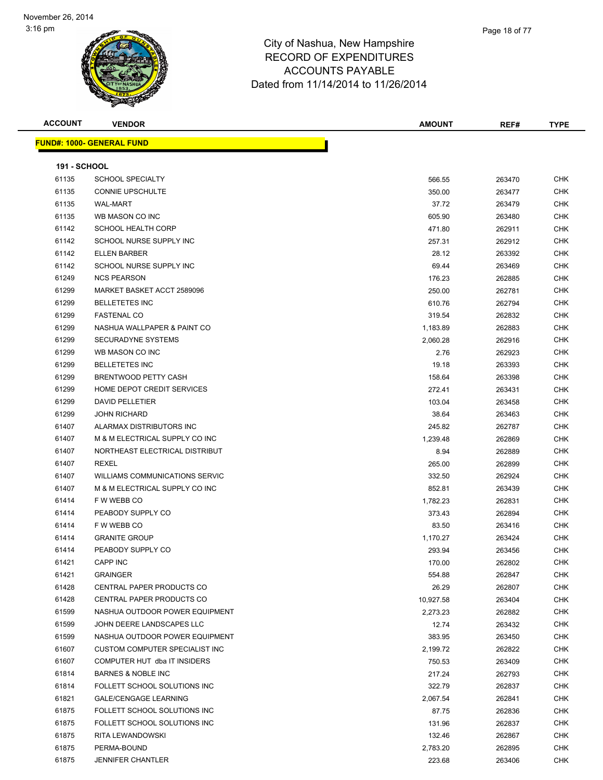

| <b>ACCOUNT</b>      | <b>VENDOR</b>                     | <b>AMOUNT</b> | REF#   | <b>TYPE</b> |
|---------------------|-----------------------------------|---------------|--------|-------------|
|                     | <u> FUND#: 1000- GENERAL FUND</u> |               |        |             |
|                     |                                   |               |        |             |
| <b>191 - SCHOOL</b> |                                   |               |        |             |
| 61135               | <b>SCHOOL SPECIALTY</b>           | 566.55        | 263470 | <b>CHK</b>  |
| 61135               | <b>CONNIE UPSCHULTE</b>           | 350.00        | 263477 | <b>CHK</b>  |
| 61135               | <b>WAL-MART</b>                   | 37.72         | 263479 | <b>CHK</b>  |
| 61135               | WB MASON CO INC                   | 605.90        | 263480 | CHK         |
| 61142               | <b>SCHOOL HEALTH CORP</b>         | 471.80        | 262911 | <b>CHK</b>  |
| 61142               | SCHOOL NURSE SUPPLY INC           | 257.31        | 262912 | <b>CHK</b>  |
| 61142               | <b>ELLEN BARBER</b>               | 28.12         | 263392 | <b>CHK</b>  |
| 61142               | SCHOOL NURSE SUPPLY INC           | 69.44         | 263469 | <b>CHK</b>  |
| 61249               | <b>NCS PEARSON</b>                | 176.23        | 262885 | <b>CHK</b>  |
| 61299               | MARKET BASKET ACCT 2589096        | 250.00        | 262781 | <b>CHK</b>  |
| 61299               | <b>BELLETETES INC</b>             | 610.76        | 262794 | <b>CHK</b>  |
| 61299               | <b>FASTENAL CO</b>                | 319.54        | 262832 | <b>CHK</b>  |
| 61299               | NASHUA WALLPAPER & PAINT CO       | 1,183.89      | 262883 | <b>CHK</b>  |
| 61299               | <b>SECURADYNE SYSTEMS</b>         | 2,060.28      | 262916 | <b>CHK</b>  |
| 61299               | WB MASON CO INC                   | 2.76          | 262923 | <b>CHK</b>  |
| 61299               | <b>BELLETETES INC</b>             | 19.18         | 263393 | <b>CHK</b>  |
| 61299               | <b>BRENTWOOD PETTY CASH</b>       | 158.64        | 263398 | <b>CHK</b>  |
| 61299               | HOME DEPOT CREDIT SERVICES        | 272.41        | 263431 | <b>CHK</b>  |
| 61299               | <b>DAVID PELLETIER</b>            | 103.04        | 263458 | <b>CHK</b>  |
| 61299               | <b>JOHN RICHARD</b>               | 38.64         | 263463 | CHK         |
| 61407               | ALARMAX DISTRIBUTORS INC          | 245.82        | 262787 | <b>CHK</b>  |
| 61407               | M & M ELECTRICAL SUPPLY CO INC    | 1,239.48      | 262869 | <b>CHK</b>  |
| 61407               | NORTHEAST ELECTRICAL DISTRIBUT    | 8.94          | 262889 | <b>CHK</b>  |
| 61407               | REXEL                             | 265.00        | 262899 | <b>CHK</b>  |
| 61407               | WILLIAMS COMMUNICATIONS SERVIC    | 332.50        | 262924 | <b>CHK</b>  |
| 61407               | M & M ELECTRICAL SUPPLY CO INC    | 852.81        | 263439 | <b>CHK</b>  |
| 61414               | F W WEBB CO                       | 1,782.23      | 262831 | <b>CHK</b>  |
| 61414               | PEABODY SUPPLY CO                 | 373.43        | 262894 | <b>CHK</b>  |
| 61414               | F W WEBB CO                       | 83.50         | 263416 | <b>CHK</b>  |
| 61414               | <b>GRANITE GROUP</b>              | 1,170.27      | 263424 | CHK         |
| 61414               | PEABODY SUPPLY CO                 | 293.94        | 263456 | CHK         |
| 61421               | <b>CAPP INC</b>                   | 170.00        | 262802 | <b>CHK</b>  |
| 61421               | <b>GRAINGER</b>                   | 554.88        | 262847 | <b>CHK</b>  |
| 61428               | CENTRAL PAPER PRODUCTS CO         | 26.29         | 262807 | <b>CHK</b>  |
| 61428               | CENTRAL PAPER PRODUCTS CO         | 10,927.58     | 263404 | <b>CHK</b>  |
| 61599               | NASHUA OUTDOOR POWER EQUIPMENT    | 2,273.23      | 262882 | <b>CHK</b>  |
| 61599               | JOHN DEERE LANDSCAPES LLC         | 12.74         | 263432 | <b>CHK</b>  |
| 61599               | NASHUA OUTDOOR POWER EQUIPMENT    | 383.95        | 263450 | <b>CHK</b>  |
| 61607               | CUSTOM COMPUTER SPECIALIST INC    | 2,199.72      | 262822 | <b>CHK</b>  |
| 61607               | COMPUTER HUT dba IT INSIDERS      | 750.53        | 263409 | <b>CHK</b>  |
| 61814               | <b>BARNES &amp; NOBLE INC</b>     | 217.24        | 262793 | <b>CHK</b>  |
| 61814               | FOLLETT SCHOOL SOLUTIONS INC      | 322.79        | 262837 | <b>CHK</b>  |
| 61821               | <b>GALE/CENGAGE LEARNING</b>      | 2,067.54      | 262841 | <b>CHK</b>  |
| 61875               | FOLLETT SCHOOL SOLUTIONS INC      | 87.75         | 262836 | <b>CHK</b>  |
| 61875               | FOLLETT SCHOOL SOLUTIONS INC      | 131.96        | 262837 | <b>CHK</b>  |
| 61875               | RITA LEWANDOWSKI                  | 132.46        | 262867 | <b>CHK</b>  |
| 61875               | PERMA-BOUND                       | 2,783.20      | 262895 | <b>CHK</b>  |
| 61875               | <b>JENNIFER CHANTLER</b>          | 223.68        | 263406 | <b>CHK</b>  |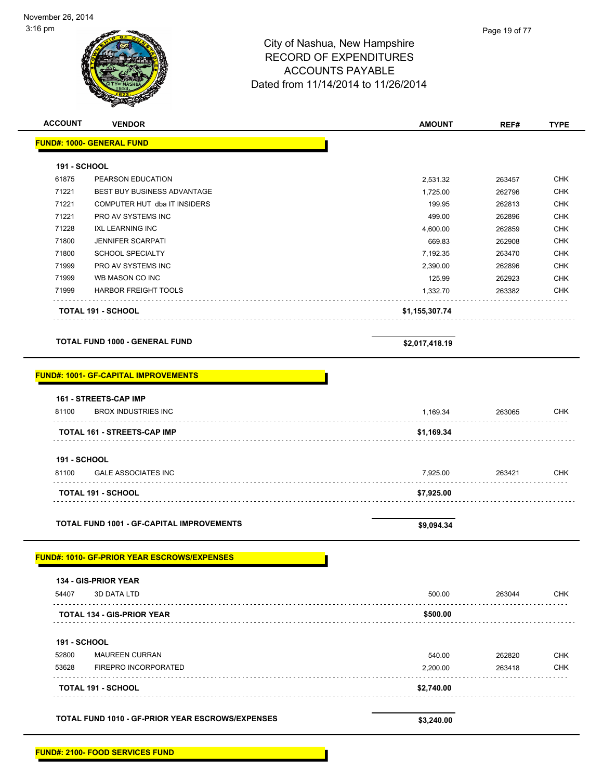# City of Nashua, New Hampshire RECORD OF EXPENDITURES ACCOUNTS PAYABLE Dated from 11/14/2014 to 11/26/2014 **ACCOUNT VENDOR AMOUNT REF# TYPE FUND#: 1000- GENERAL FUND 191 - SCHOOL**

|       | <b>TOTAL 191 - SCHOOL</b>          | \$1,155,307.74 |        |            |
|-------|------------------------------------|----------------|--------|------------|
| 71999 | <b>HARBOR FREIGHT TOOLS</b>        | 1.332.70       | 263382 | <b>CHK</b> |
| 71999 | WB MASON CO INC                    | 125.99         | 262923 | <b>CHK</b> |
| 71999 | PRO AV SYSTEMS INC                 | 2.390.00       | 262896 | <b>CHK</b> |
| 71800 | <b>SCHOOL SPECIALTY</b>            | 7.192.35       | 263470 | <b>CHK</b> |
| 71800 | <b>JENNIFER SCARPATI</b>           | 669.83         | 262908 | <b>CHK</b> |
| 71228 | IXL LEARNING INC                   | 4.600.00       | 262859 | <b>CHK</b> |
| 71221 | PRO AV SYSTEMS INC                 | 499.00         | 262896 | <b>CHK</b> |
| 71221 | COMPUTER HUT dba IT INSIDERS       | 199.95         | 262813 | <b>CHK</b> |
| 71221 | <b>BEST BUY BUSINESS ADVANTAGE</b> | 1.725.00       | 262796 | <b>CHK</b> |
| 61875 | PEARSON EDUCATION                  | 2.531.32       | 263457 | <b>CHK</b> |

**TOTAL FUND 1000 - GENERAL FUND \$2,017,418.19** 

|  |  | FUND#: 1001- GF-CAPITAL IMPROVEMENTS |
|--|--|--------------------------------------|
|  |  |                                      |

| 134 - GIS-PRIOR YEAR<br>54407<br><b>3D DATA LTD</b><br><b>TOTAL 134 - GIS-PRIOR YEAR</b><br><b>191 - SCHOOL</b><br>52800<br><b>MAUREEN CURRAN</b><br>53628<br>FIREPRO INCORPORATED<br><b>TOTAL 191 - SCHOOL</b> | 500.00<br>\$500.00<br>540.00<br>2,200.00<br>\$2,740.00 | 263044<br>262820<br>263418 | <b>CHK</b><br><b>CHK</b><br><b>CHK</b> |
|-----------------------------------------------------------------------------------------------------------------------------------------------------------------------------------------------------------------|--------------------------------------------------------|----------------------------|----------------------------------------|
|                                                                                                                                                                                                                 |                                                        |                            |                                        |
|                                                                                                                                                                                                                 |                                                        |                            |                                        |
|                                                                                                                                                                                                                 |                                                        |                            |                                        |
|                                                                                                                                                                                                                 |                                                        |                            |                                        |
|                                                                                                                                                                                                                 |                                                        |                            |                                        |
|                                                                                                                                                                                                                 |                                                        |                            |                                        |
|                                                                                                                                                                                                                 |                                                        |                            |                                        |
| <b>FUND#: 1010- GF-PRIOR YEAR ESCROWS/EXPENSES</b>                                                                                                                                                              |                                                        |                            |                                        |
| <b>TOTAL FUND 1001 - GF-CAPITAL IMPROVEMENTS</b>                                                                                                                                                                | \$9,094.34                                             |                            |                                        |
| <b>TOTAL 191 - SCHOOL</b>                                                                                                                                                                                       | \$7,925.00                                             |                            |                                        |
| 81100<br><b>GALE ASSOCIATES INC</b>                                                                                                                                                                             | 7,925.00                                               | 263421                     | <b>CHK</b>                             |
| <b>191 - SCHOOL</b>                                                                                                                                                                                             |                                                        |                            |                                        |
| <b>TOTAL 161 - STREETS-CAP IMP</b>                                                                                                                                                                              | \$1,169.34                                             |                            |                                        |
|                                                                                                                                                                                                                 |                                                        |                            |                                        |
| 81100<br><b>BROX INDUSTRIES INC</b><br>.                                                                                                                                                                        | 1,169.34                                               | 263065                     | <b>CHK</b>                             |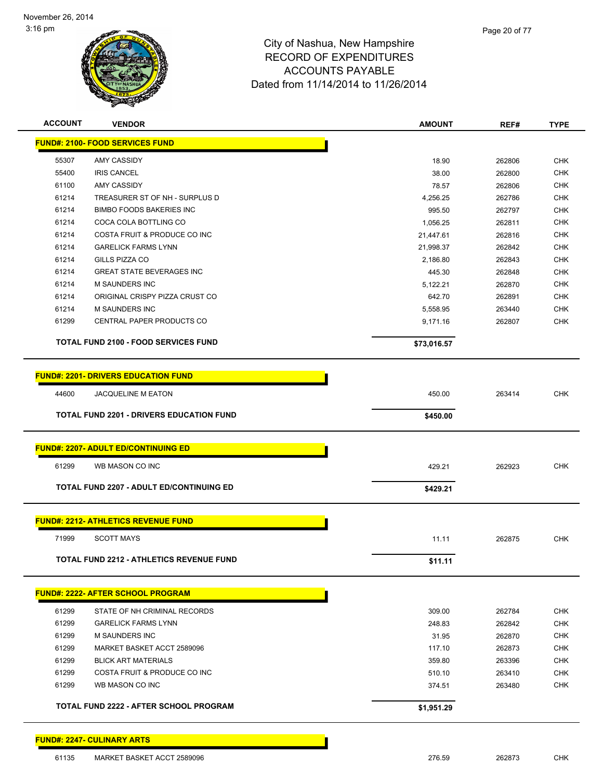

| <b>ACCOUNT</b> | <b>VENDOR</b>                                   | <b>AMOUNT</b> | REF#   | <b>TYPE</b> |
|----------------|-------------------------------------------------|---------------|--------|-------------|
|                | <b>FUND#: 2100- FOOD SERVICES FUND</b>          |               |        |             |
| 55307          | AMY CASSIDY                                     | 18.90         | 262806 | <b>CHK</b>  |
| 55400          | <b>IRIS CANCEL</b>                              | 38.00         | 262800 | <b>CHK</b>  |
| 61100          | AMY CASSIDY                                     | 78.57         | 262806 | <b>CHK</b>  |
| 61214          | TREASURER ST OF NH - SURPLUS D                  | 4,256.25      | 262786 | <b>CHK</b>  |
| 61214          | <b>BIMBO FOODS BAKERIES INC</b>                 | 995.50        | 262797 | <b>CHK</b>  |
| 61214          | COCA COLA BOTTLING CO                           | 1,056.25      | 262811 | <b>CHK</b>  |
| 61214          | COSTA FRUIT & PRODUCE CO INC                    | 21,447.61     | 262816 | <b>CHK</b>  |
| 61214          | <b>GARELICK FARMS LYNN</b>                      | 21,998.37     | 262842 | CHK         |
| 61214          | GILLS PIZZA CO                                  | 2,186.80      | 262843 | <b>CHK</b>  |
| 61214          | <b>GREAT STATE BEVERAGES INC</b>                | 445.30        | 262848 | <b>CHK</b>  |
| 61214          | <b>M SAUNDERS INC</b>                           | 5,122.21      | 262870 | <b>CHK</b>  |
| 61214          | ORIGINAL CRISPY PIZZA CRUST CO                  | 642.70        | 262891 | <b>CHK</b>  |
| 61214          | <b>M SAUNDERS INC</b>                           | 5,558.95      | 263440 | <b>CHK</b>  |
| 61299          | CENTRAL PAPER PRODUCTS CO                       | 9,171.16      | 262807 | CHK         |
|                | TOTAL FUND 2100 - FOOD SERVICES FUND            | \$73,016.57   |        |             |
|                | <b>FUND#: 2201- DRIVERS EDUCATION FUND</b>      |               |        |             |
| 44600          | <b>JACQUELINE M EATON</b>                       | 450.00        | 263414 | <b>CHK</b>  |
|                | TOTAL FUND 2201 - DRIVERS EDUCATION FUND        | \$450.00      |        |             |
|                |                                                 |               |        |             |
|                | <b>FUND#: 2207- ADULT ED/CONTINUING ED</b>      |               |        |             |
| 61299          | WB MASON CO INC                                 | 429.21        | 262923 | <b>CHK</b>  |
|                | <b>TOTAL FUND 2207 - ADULT ED/CONTINUING ED</b> | \$429.21      |        |             |
|                |                                                 |               |        |             |
|                | <b>FUND#: 2212- ATHLETICS REVENUE FUND</b>      |               |        |             |
| 71999          | <b>SCOTT MAYS</b>                               | 11.11         | 262875 | <b>CHK</b>  |
|                | TOTAL FUND 2212 - ATHLETICS REVENUE FUND        | \$11.11       |        |             |
|                | <b>FUND#: 2222- AFTER SCHOOL PROGRAM</b>        |               |        |             |
| 61299          | STATE OF NH CRIMINAL RECORDS                    | 309.00        | 262784 | <b>CHK</b>  |
| 61299          | <b>GARELICK FARMS LYNN</b>                      | 248.83        | 262842 | <b>CHK</b>  |
| 61299          | <b>M SAUNDERS INC</b>                           | 31.95         | 262870 | <b>CHK</b>  |
| 61299          | MARKET BASKET ACCT 2589096                      | 117.10        | 262873 | <b>CHK</b>  |
| 61299          | <b>BLICK ART MATERIALS</b>                      | 359.80        | 263396 | <b>CHK</b>  |
| 61299          | COSTA FRUIT & PRODUCE CO INC                    | 510.10        | 263410 | <b>CHK</b>  |
| 61299          | WB MASON CO INC                                 | 374.51        | 263480 | <b>CHK</b>  |
|                | TOTAL FUND 2222 - AFTER SCHOOL PROGRAM          | \$1,951.29    |        |             |
|                |                                                 |               |        |             |

**FUND#: 2247- CULINARY ARTS**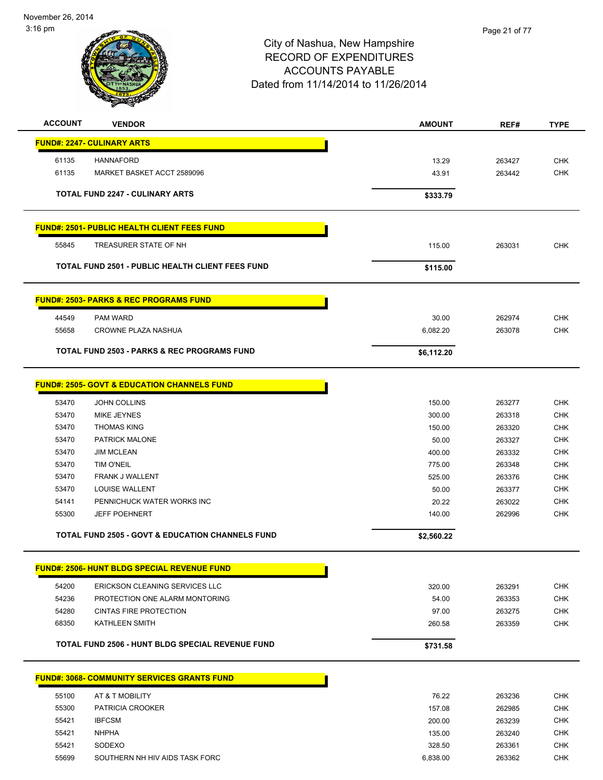

| <b>ACCOUNT</b><br><b>VENDOR</b>                             | <b>AMOUNT</b>    | REF#             | <b>TYPE</b>              |
|-------------------------------------------------------------|------------------|------------------|--------------------------|
| <b>FUND#: 2247- CULINARY ARTS</b>                           |                  |                  |                          |
| 61135<br><b>HANNAFORD</b>                                   | 13.29            | 263427           | <b>CHK</b>               |
| 61135<br>MARKET BASKET ACCT 2589096                         | 43.91            | 263442           | <b>CHK</b>               |
| <b>TOTAL FUND 2247 - CULINARY ARTS</b>                      | \$333.79         |                  |                          |
| <b>FUND#: 2501- PUBLIC HEALTH CLIENT FEES FUND</b>          |                  |                  |                          |
| 55845<br>TREASURER STATE OF NH                              | 115.00           | 263031           | <b>CHK</b>               |
| <b>TOTAL FUND 2501 - PUBLIC HEALTH CLIENT FEES FUND</b>     | \$115.00         |                  |                          |
| <b>FUND#: 2503- PARKS &amp; REC PROGRAMS FUND</b>           |                  |                  |                          |
| 44549<br><b>PAM WARD</b>                                    | 30.00            | 262974           | <b>CHK</b>               |
| 55658<br><b>CROWNE PLAZA NASHUA</b>                         | 6,082.20         | 263078           | <b>CHK</b>               |
| <b>TOTAL FUND 2503 - PARKS &amp; REC PROGRAMS FUND</b>      | \$6,112.20       |                  |                          |
| <b>FUND#: 2505- GOVT &amp; EDUCATION CHANNELS FUND</b>      |                  |                  |                          |
|                                                             |                  |                  |                          |
| <b>JOHN COLLINS</b><br>53470                                | 150.00           | 263277           | <b>CHK</b>               |
| 53470<br>MIKE JEYNES                                        | 300.00           | 263318           | <b>CHK</b>               |
| 53470<br><b>THOMAS KING</b>                                 | 150.00           | 263320           | <b>CHK</b>               |
| 53470<br>PATRICK MALONE<br><b>JIM MCLEAN</b>                | 50.00            | 263327           | <b>CHK</b><br><b>CHK</b> |
| 53470<br>53470<br><b>TIM O'NEIL</b>                         | 400.00<br>775.00 | 263332<br>263348 | <b>CHK</b>               |
| 53470<br>FRANK J WALLENT                                    | 525.00           | 263376           | <b>CHK</b>               |
| 53470<br>LOUISE WALLENT                                     | 50.00            | 263377           | <b>CHK</b>               |
| 54141<br>PENNICHUCK WATER WORKS INC                         |                  |                  | <b>CHK</b>               |
| <b>JEFF POEHNERT</b><br>55300                               | 20.22<br>140.00  | 263022<br>262996 | <b>CHK</b>               |
|                                                             |                  |                  |                          |
| <b>TOTAL FUND 2505 - GOVT &amp; EDUCATION CHANNELS FUND</b> | \$2,560.22       |                  |                          |
| <b>FUND#: 2506- HUNT BLDG SPECIAL REVENUE FUND</b>          |                  |                  |                          |
| 54200<br><b>ERICKSON CLEANING SERVICES LLC</b>              | 320.00           | 263291           | <b>CHK</b>               |
| 54236<br>PROTECTION ONE ALARM MONTORING                     | 54.00            | 263353           | <b>CHK</b>               |
| 54280<br><b>CINTAS FIRE PROTECTION</b>                      | 97.00            | 263275           | <b>CHK</b>               |
| 68350<br>KATHLEEN SMITH                                     | 260.58           | 263359           | <b>CHK</b>               |
| TOTAL FUND 2506 - HUNT BLDG SPECIAL REVENUE FUND            | \$731.58         |                  |                          |
| <b>FUND#: 3068- COMMUNITY SERVICES GRANTS FUND</b>          |                  |                  |                          |
| 55100<br>AT & T MOBILITY                                    | 76.22            | 263236           | <b>CHK</b>               |
| 55300<br>PATRICIA CROOKER                                   | 157.08           | 262985           | <b>CHK</b>               |
| <b>IBFCSM</b><br>55421                                      | 200.00           | 263239           | <b>CHK</b>               |
| <b>NHPHA</b><br>55421                                       | 135.00           | 263240           | <b>CHK</b>               |
| 55421<br>SODEXO                                             | 328.50           | 263361           | <b>CHK</b>               |
| SOUTHERN NH HIV AIDS TASK FORC<br>55699                     | 6,838.00         | 263362           | <b>CHK</b>               |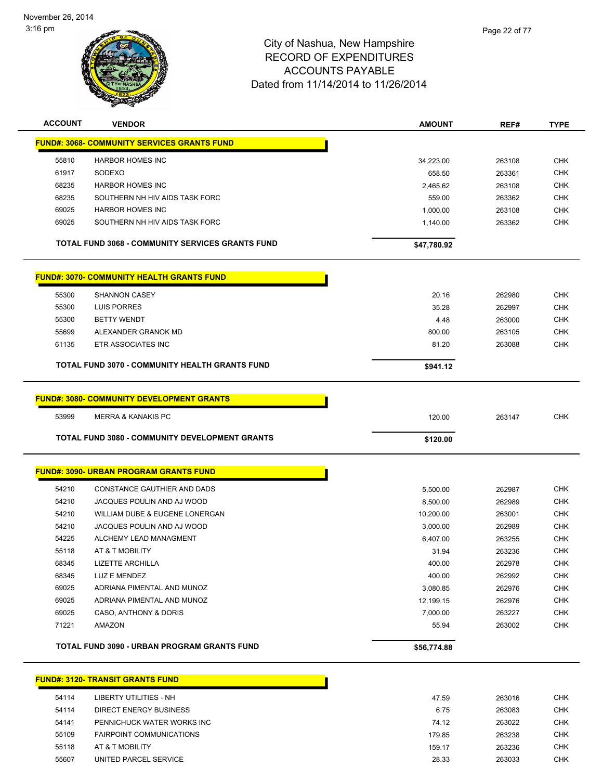

| <b>ACCOUNT</b> | <b>VENDOR</b>                                           | <b>AMOUNT</b> | REF#   | <b>TYPE</b> |
|----------------|---------------------------------------------------------|---------------|--------|-------------|
|                | <b>FUND#: 3068- COMMUNITY SERVICES GRANTS FUND</b>      |               |        |             |
| 55810          | <b>HARBOR HOMES INC</b>                                 | 34,223.00     | 263108 | <b>CHK</b>  |
| 61917          | SODEXO                                                  | 658.50        | 263361 | <b>CHK</b>  |
| 68235          | <b>HARBOR HOMES INC</b>                                 | 2,465.62      | 263108 | CHK         |
| 68235          | SOUTHERN NH HIV AIDS TASK FORC                          | 559.00        | 263362 | <b>CHK</b>  |
| 69025          | <b>HARBOR HOMES INC</b>                                 | 1,000.00      | 263108 | CHK         |
| 69025          | SOUTHERN NH HIV AIDS TASK FORC                          | 1,140.00      | 263362 | <b>CHK</b>  |
|                |                                                         |               |        |             |
|                | <b>TOTAL FUND 3068 - COMMUNITY SERVICES GRANTS FUND</b> | \$47,780.92   |        |             |
|                | <b>FUND#: 3070- COMMUNITY HEALTH GRANTS FUND</b>        |               |        |             |
| 55300          | <b>SHANNON CASEY</b>                                    | 20.16         | 262980 | <b>CHK</b>  |
| 55300          | LUIS PORRES                                             | 35.28         | 262997 | <b>CHK</b>  |
| 55300          | <b>BETTY WENDT</b>                                      | 4.48          | 263000 | CHK         |
| 55699          | ALEXANDER GRANOK MD                                     | 800.00        | 263105 | <b>CHK</b>  |
| 61135          | ETR ASSOCIATES INC                                      | 81.20         | 263088 | <b>CHK</b>  |
|                | <b>TOTAL FUND 3070 - COMMUNITY HEALTH GRANTS FUND</b>   | \$941.12      |        |             |
|                |                                                         |               |        |             |
|                | <b>FUND#: 3080- COMMUNITY DEVELOPMENT GRANTS</b>        |               |        |             |
| 53999          | <b>MERRA &amp; KANAKIS PC</b>                           | 120.00        | 263147 | <b>CHK</b>  |
|                | TOTAL FUND 3080 - COMMUNITY DEVELOPMENT GRANTS          | \$120.00      |        |             |
|                |                                                         |               |        |             |
|                | <b>FUND#: 3090- URBAN PROGRAM GRANTS FUND</b>           |               |        |             |
| 54210          | CONSTANCE GAUTHIER AND DADS                             | 5,500.00      | 262987 | <b>CHK</b>  |
| 54210          | JACQUES POULIN AND AJ WOOD                              | 8,500.00      | 262989 | <b>CHK</b>  |
| 54210          | WILLIAM DUBE & EUGENE LONERGAN                          | 10,200.00     | 263001 | <b>CHK</b>  |
| 54210          | JACQUES POULIN AND AJ WOOD                              | 3,000.00      | 262989 | CHK         |
| 54225          | ALCHEMY LEAD MANAGMENT                                  | 6,407.00      | 263255 | <b>CHK</b>  |
| 55118          | AT & T MOBILITY                                         | 31.94         | 263236 | <b>CHK</b>  |
| 68345          | LIZETTE ARCHILLA                                        | 400.00        | 262978 | <b>CHK</b>  |
| 68345          | LUZ E MENDEZ                                            | 400.00        | 262992 | <b>CHK</b>  |
| 69025          | ADRIANA PIMENTAL AND MUNOZ                              | 3,080.85      | 262976 | <b>CHK</b>  |
| 69025          | ADRIANA PIMENTAL AND MUNOZ                              | 12,199.15     | 262976 | <b>CHK</b>  |
| 69025          | CASO, ANTHONY & DORIS                                   | 7,000.00      | 263227 | <b>CHK</b>  |
| 71221          | AMAZON                                                  | 55.94         | 263002 | <b>CHK</b>  |
|                | TOTAL FUND 3090 - URBAN PROGRAM GRANTS FUND             | \$56,774.88   |        |             |
|                |                                                         |               |        |             |
|                | <b>FUND#: 3120- TRANSIT GRANTS FUND</b>                 |               |        |             |
| 54114          | LIBERTY UTILITIES - NH                                  | 47.59         | 263016 | <b>CHK</b>  |
| 54114          | DIRECT ENERGY BUSINESS                                  | 6.75          | 263083 | <b>CHK</b>  |
| 54141          | PENNICHUCK WATER WORKS INC                              | 74.12         | 263022 | <b>CHK</b>  |

| 54114 | LIBERTY UTILITIES - NH          | 47.59  | 263016 | CHK.       |
|-------|---------------------------------|--------|--------|------------|
| 54114 | DIRECT ENERGY BUSINESS          | 6.75   | 263083 | CHK        |
| 54141 | PENNICHUCK WATER WORKS INC      | 74.12  | 263022 | CHK        |
| 55109 | <b>FAIRPOINT COMMUNICATIONS</b> | 179.85 | 263238 | <b>CHK</b> |
| 55118 | AT & T MOBILITY                 | 159.17 | 263236 | CHK        |
| 55607 | UNITED PARCEL SERVICE           | 28.33  | 263033 | снк        |
|       |                                 |        |        |            |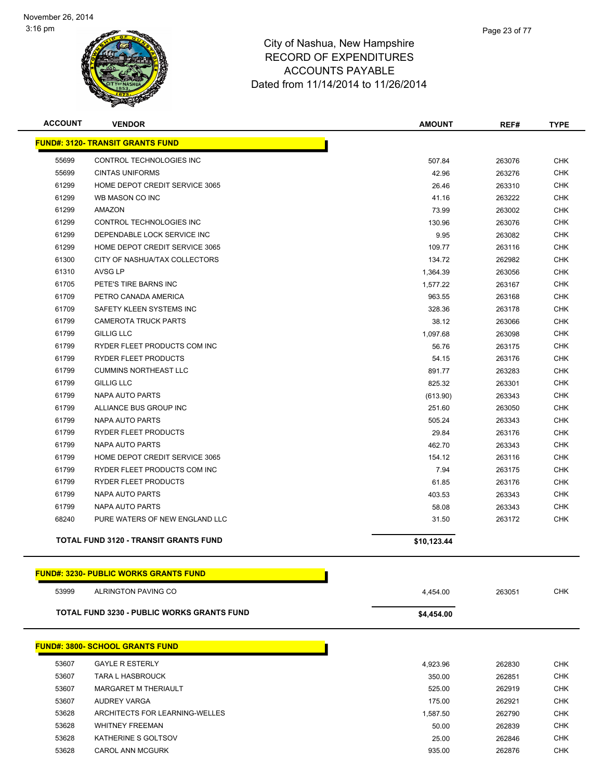

| <b>ACCOUNT</b> | <b>VENDOR</b>                                 | <b>AMOUNT</b> | REF#   | <b>TYPE</b> |
|----------------|-----------------------------------------------|---------------|--------|-------------|
|                | <b>FUND#: 3120- TRANSIT GRANTS FUND</b>       |               |        |             |
| 55699          | CONTROL TECHNOLOGIES INC                      | 507.84        | 263076 | <b>CHK</b>  |
| 55699          | <b>CINTAS UNIFORMS</b>                        | 42.96         | 263276 | <b>CHK</b>  |
| 61299          | HOME DEPOT CREDIT SERVICE 3065                | 26.46         | 263310 | CHK         |
| 61299          | WB MASON CO INC                               | 41.16         | 263222 | <b>CHK</b>  |
| 61299          | AMAZON                                        | 73.99         | 263002 | <b>CHK</b>  |
| 61299          | CONTROL TECHNOLOGIES INC                      | 130.96        | 263076 | <b>CHK</b>  |
| 61299          | DEPENDABLE LOCK SERVICE INC                   | 9.95          | 263082 | <b>CHK</b>  |
| 61299          | HOME DEPOT CREDIT SERVICE 3065                | 109.77        | 263116 | <b>CHK</b>  |
| 61300          | CITY OF NASHUA/TAX COLLECTORS                 | 134.72        | 262982 | <b>CHK</b>  |
| 61310          | <b>AVSG LP</b>                                | 1,364.39      | 263056 | <b>CHK</b>  |
| 61705          | PETE'S TIRE BARNS INC                         | 1,577.22      | 263167 | <b>CHK</b>  |
| 61709          | PETRO CANADA AMERICA                          | 963.55        | 263168 | <b>CHK</b>  |
| 61709          | SAFETY KLEEN SYSTEMS INC                      | 328.36        | 263178 | <b>CHK</b>  |
| 61799          | <b>CAMEROTA TRUCK PARTS</b>                   | 38.12         | 263066 | CHK         |
| 61799          | <b>GILLIG LLC</b>                             | 1,097.68      | 263098 | <b>CHK</b>  |
| 61799          | RYDER FLEET PRODUCTS COM INC                  | 56.76         | 263175 | <b>CHK</b>  |
| 61799          | RYDER FLEET PRODUCTS                          | 54.15         | 263176 | <b>CHK</b>  |
| 61799          | <b>CUMMINS NORTHEAST LLC</b>                  | 891.77        | 263283 | <b>CHK</b>  |
| 61799          | <b>GILLIG LLC</b>                             | 825.32        | 263301 | <b>CHK</b>  |
| 61799          | <b>NAPA AUTO PARTS</b>                        | (613.90)      | 263343 | <b>CHK</b>  |
| 61799          | ALLIANCE BUS GROUP INC                        | 251.60        | 263050 | <b>CHK</b>  |
| 61799          | <b>NAPA AUTO PARTS</b>                        | 505.24        | 263343 | <b>CHK</b>  |
| 61799          | RYDER FLEET PRODUCTS                          | 29.84         | 263176 | <b>CHK</b>  |
| 61799          | NAPA AUTO PARTS                               | 462.70        | 263343 | <b>CHK</b>  |
| 61799          | HOME DEPOT CREDIT SERVICE 3065                | 154.12        | 263116 | CHK         |
| 61799          | RYDER FLEET PRODUCTS COM INC                  | 7.94          | 263175 | <b>CHK</b>  |
| 61799          | RYDER FLEET PRODUCTS                          | 61.85         | 263176 | <b>CHK</b>  |
| 61799          | <b>NAPA AUTO PARTS</b>                        | 403.53        | 263343 | <b>CHK</b>  |
| 61799          | <b>NAPA AUTO PARTS</b>                        | 58.08         | 263343 | <b>CHK</b>  |
| 68240          | PURE WATERS OF NEW ENGLAND LLC                | 31.50         | 263172 | CHK         |
|                | <b>TOTAL FUND 3120 - TRANSIT GRANTS FUND</b>  | \$10,123.44   |        |             |
|                | <u> FUND#: 3230- PUBLIC WORKS GRANTS FUND</u> |               |        |             |
| 53999          | ALRINGTON PAVING CO                           | 4,454.00      | 263051 | <b>CHK</b>  |
|                | TOTAL FUND 3230 - PUBLIC WORKS GRANTS FUND    | \$4,454.00    |        |             |
|                |                                               |               |        |             |
|                | <b>FUND#: 3800- SCHOOL GRANTS FUND</b>        |               |        |             |
| 53607          | <b>GAYLE R ESTERLY</b>                        | 4,923.96      | 262830 | <b>CHK</b>  |
| 53607          | <b>TARA L HASBROUCK</b>                       | 350.00        | 262851 | <b>CHK</b>  |
| 53607          | <b>MARGARET M THERIAULT</b>                   | 525.00        | 262919 | <b>CHK</b>  |
| 53607          | AUDREY VARGA                                  | 175.00        | 262921 | <b>CHK</b>  |
| 53628          | ARCHITECTS FOR LEARNING-WELLES                | 1,587.50      | 262790 | CHK         |
| 53628          | <b>WHITNEY FREEMAN</b>                        | 50.00         | 262839 | CHK         |
| 53628          | KATHERINE S GOLTSOV                           | 25.00         | 262846 | <b>CHK</b>  |

CAROL ANN MCGURK 935.00 262876 CHK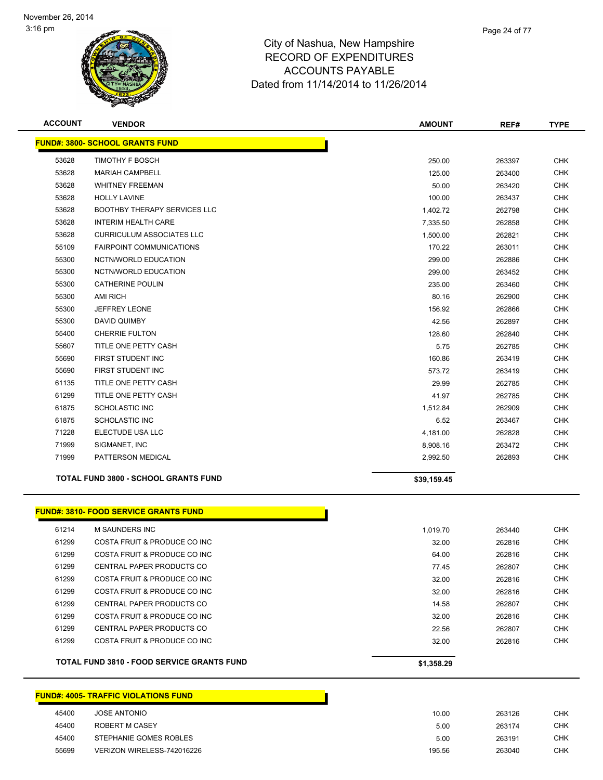

| <b>ACCOUNT</b> | <b>VENDOR</b>                                     | <b>AMOUNT</b> | REF#   | <b>TYPE</b> |
|----------------|---------------------------------------------------|---------------|--------|-------------|
|                | <b>FUND#: 3800- SCHOOL GRANTS FUND</b>            |               |        |             |
| 53628          | <b>TIMOTHY F BOSCH</b>                            | 250.00        | 263397 | <b>CHK</b>  |
| 53628          | <b>MARIAH CAMPBELL</b>                            | 125.00        | 263400 | <b>CHK</b>  |
| 53628          | <b>WHITNEY FREEMAN</b>                            | 50.00         | 263420 | <b>CHK</b>  |
| 53628          | <b>HOLLY LAVINE</b>                               | 100.00        | 263437 | <b>CHK</b>  |
| 53628          | <b>BOOTHBY THERAPY SERVICES LLC</b>               | 1,402.72      | 262798 | <b>CHK</b>  |
| 53628          | <b>INTERIM HEALTH CARE</b>                        | 7,335.50      | 262858 | <b>CHK</b>  |
| 53628          | <b>CURRICULUM ASSOCIATES LLC</b>                  | 1,500.00      | 262821 | <b>CHK</b>  |
| 55109          | <b>FAIRPOINT COMMUNICATIONS</b>                   | 170.22        | 263011 | <b>CHK</b>  |
| 55300          | NCTN/WORLD EDUCATION                              | 299.00        | 262886 | <b>CHK</b>  |
| 55300          | NCTN/WORLD EDUCATION                              | 299.00        | 263452 | <b>CHK</b>  |
| 55300          | <b>CATHERINE POULIN</b>                           | 235.00        | 263460 | <b>CHK</b>  |
| 55300          | <b>AMI RICH</b>                                   | 80.16         | 262900 | <b>CHK</b>  |
| 55300          | <b>JEFFREY LEONE</b>                              | 156.92        | 262866 | <b>CHK</b>  |
| 55300          | DAVID QUIMBY                                      | 42.56         | 262897 | <b>CHK</b>  |
| 55400          | <b>CHERRIE FULTON</b>                             | 128.60        | 262840 | <b>CHK</b>  |
| 55607          | TITLE ONE PETTY CASH                              | 5.75          | 262785 | <b>CHK</b>  |
| 55690          | FIRST STUDENT INC                                 | 160.86        | 263419 | <b>CHK</b>  |
| 55690          | FIRST STUDENT INC                                 | 573.72        | 263419 | <b>CHK</b>  |
| 61135          | TITLE ONE PETTY CASH                              | 29.99         | 262785 | <b>CHK</b>  |
| 61299          | TITLE ONE PETTY CASH                              | 41.97         | 262785 | <b>CHK</b>  |
| 61875          | <b>SCHOLASTIC INC</b>                             | 1,512.84      | 262909 | <b>CHK</b>  |
| 61875          | <b>SCHOLASTIC INC</b>                             | 6.52          | 263467 | <b>CHK</b>  |
| 71228          | ELECTUDE USA LLC                                  | 4,181.00      | 262828 | <b>CHK</b>  |
| 71999          | SIGMANET, INC                                     | 8,908.16      | 263472 | <b>CHK</b>  |
| 71999          | PATTERSON MEDICAL                                 | 2,992.50      | 262893 | <b>CHK</b>  |
|                | <b>TOTAL FUND 3800 - SCHOOL GRANTS FUND</b>       | \$39,159.45   |        |             |
|                | <b>FUND#: 3810- FOOD SERVICE GRANTS FUND</b>      |               |        |             |
| 61214          | M SAUNDERS INC                                    | 1,019.70      | 263440 | <b>CHK</b>  |
| 61299          | COSTA FRUIT & PRODUCE CO INC                      | 32.00         | 262816 | <b>CHK</b>  |
| 61299          | <b>COSTA FRUIT &amp; PRODUCE CO INC</b>           | 64.00         | 262816 | <b>CHK</b>  |
| 61299          | CENTRAL PAPER PRODUCTS CO                         | 77.45         | 262807 | <b>CHK</b>  |
| 61299          | COSTA FRUIT & PRODUCE CO INC                      | 32.00         | 262816 | <b>CHK</b>  |
| 61299          | COSTA FRUIT & PRODUCE CO INC                      | 32.00         | 262816 | <b>CHK</b>  |
| 61299          | CENTRAL PAPER PRODUCTS CO                         | 14.58         | 262807 | <b>CHK</b>  |
| 61299          | COSTA FRUIT & PRODUCE CO INC                      | 32.00         | 262816 | <b>CHK</b>  |
| 61299          | CENTRAL PAPER PRODUCTS CO                         | 22.56         | 262807 | <b>CHK</b>  |
| 61299          | COSTA FRUIT & PRODUCE CO INC                      | 32.00         | 262816 | <b>CHK</b>  |
|                | <b>TOTAL FUND 3810 - FOOD SERVICE GRANTS FUND</b> | \$1,358.29    |        |             |

# **FUND#: 4005- TRAFFIC VIOLATIONS FUND**

| 45400 | JOSE ANTONIO               | 10.00  | 263126 | <b>CHK</b> |
|-------|----------------------------|--------|--------|------------|
| 45400 | ROBERT M CASEY             | 5.00   | 263174 | <b>CHK</b> |
| 45400 | STEPHANIE GOMES ROBLES     | 5.00   | 263191 | <b>CHK</b> |
| 55699 | VERIZON WIRELESS-742016226 | 195.56 | 263040 | <b>CHK</b> |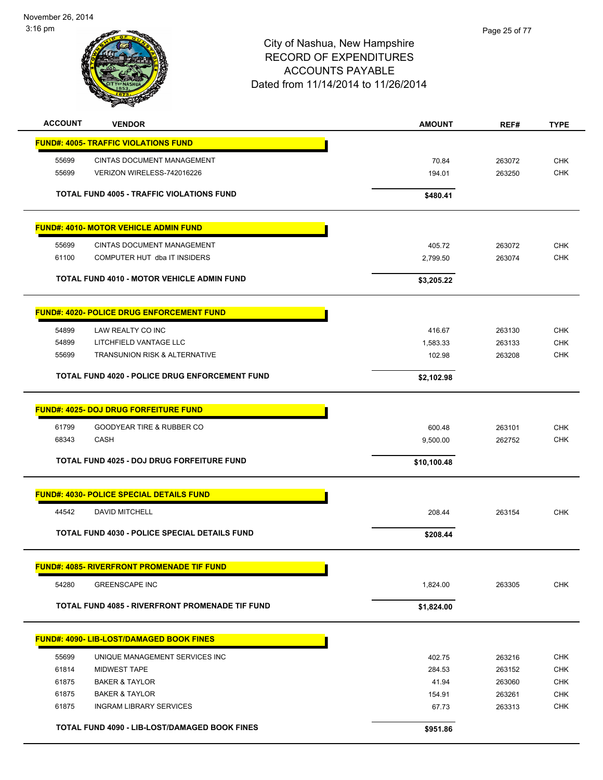November 26, 2014 3:16 pm



| <b>ACCOUNT</b> | <b>VENDOR</b>                                         | <b>AMOUNT</b> | REF#   | <b>TYPE</b> |
|----------------|-------------------------------------------------------|---------------|--------|-------------|
|                | <b>FUND#: 4005- TRAFFIC VIOLATIONS FUND</b>           |               |        |             |
| 55699          | <b>CINTAS DOCUMENT MANAGEMENT</b>                     | 70.84         | 263072 | <b>CHK</b>  |
| 55699          | VERIZON WIRELESS-742016226                            | 194.01        | 263250 | <b>CHK</b>  |
|                |                                                       |               |        |             |
|                | <b>TOTAL FUND 4005 - TRAFFIC VIOLATIONS FUND</b>      | \$480.41      |        |             |
|                | <b>FUND#: 4010- MOTOR VEHICLE ADMIN FUND</b>          |               |        |             |
| 55699          | <b>CINTAS DOCUMENT MANAGEMENT</b>                     | 405.72        | 263072 | <b>CHK</b>  |
| 61100          | COMPUTER HUT dba IT INSIDERS                          | 2,799.50      | 263074 | <b>CHK</b>  |
|                | <b>TOTAL FUND 4010 - MOTOR VEHICLE ADMIN FUND</b>     | \$3,205.22    |        |             |
|                | <b>FUND#: 4020- POLICE DRUG ENFORCEMENT FUND</b>      |               |        |             |
| 54899          | LAW REALTY CO INC                                     | 416.67        | 263130 | <b>CHK</b>  |
| 54899          | LITCHFIELD VANTAGE LLC                                | 1,583.33      | 263133 | <b>CHK</b>  |
| 55699          | TRANSUNION RISK & ALTERNATIVE                         | 102.98        | 263208 | <b>CHK</b>  |
|                |                                                       |               |        |             |
|                | <b>TOTAL FUND 4020 - POLICE DRUG ENFORCEMENT FUND</b> | \$2,102.98    |        |             |
|                | <b>FUND#: 4025- DOJ DRUG FORFEITURE FUND</b>          |               |        |             |
| 61799          | GOODYEAR TIRE & RUBBER CO                             | 600.48        | 263101 | <b>CHK</b>  |
| 68343          | <b>CASH</b>                                           | 9,500.00      | 262752 | <b>CHK</b>  |
|                | TOTAL FUND 4025 - DOJ DRUG FORFEITURE FUND            | \$10,100.48   |        |             |
|                | <b>FUND#: 4030- POLICE SPECIAL DETAILS FUND</b>       |               |        |             |
|                |                                                       |               |        |             |
| 44542          | DAVID MITCHELL                                        | 208.44        | 263154 | <b>CHK</b>  |
|                | <b>TOTAL FUND 4030 - POLICE SPECIAL DETAILS FUND</b>  | \$208.44      |        |             |
|                | <b>FUND#: 4085- RIVERFRONT PROMENADE TIF FUND</b>     |               |        |             |
| 54280          | <b>GREENSCAPE INC</b>                                 | 1,824.00      | 263305 | <b>CHK</b>  |
|                | TOTAL FUND 4085 - RIVERFRONT PROMENADE TIF FUND       | \$1,824.00    |        |             |
|                | <b>FUND#: 4090- LIB-LOST/DAMAGED BOOK FINES</b>       |               |        |             |
| 55699          | UNIQUE MANAGEMENT SERVICES INC                        | 402.75        | 263216 | <b>CHK</b>  |
| 61814          | <b>MIDWEST TAPE</b>                                   | 284.53        | 263152 | <b>CHK</b>  |
| 61875          | <b>BAKER &amp; TAYLOR</b>                             | 41.94         | 263060 | <b>CHK</b>  |
| 61875          | <b>BAKER &amp; TAYLOR</b>                             | 154.91        | 263261 | <b>CHK</b>  |
| 61875          | <b>INGRAM LIBRARY SERVICES</b>                        | 67.73         | 263313 | <b>CHK</b>  |
|                |                                                       |               |        |             |
|                | TOTAL FUND 4090 - LIB-LOST/DAMAGED BOOK FINES         | \$951.86      |        |             |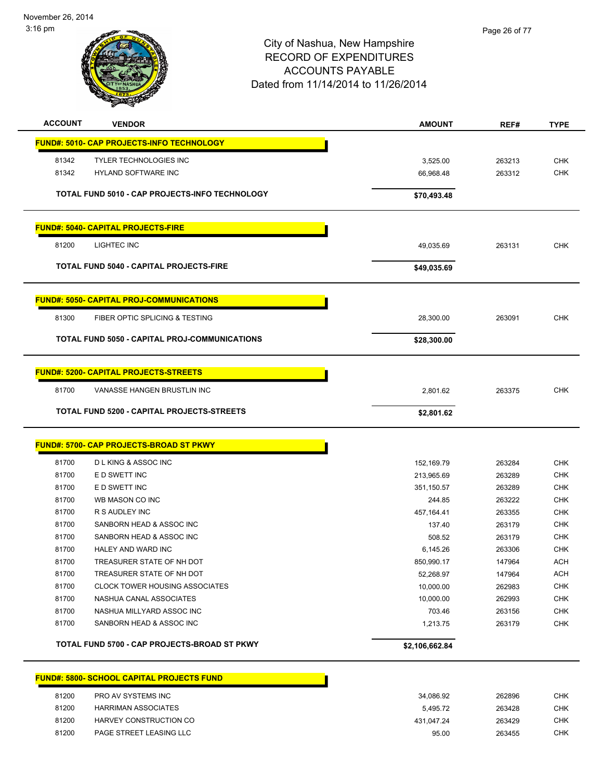November 26, 2014 3:16 pm



| <b>ACCOUNT</b> | <b>VENDOR</b>                                    | <b>AMOUNT</b>        | REF#             | <b>TYPE</b>              |
|----------------|--------------------------------------------------|----------------------|------------------|--------------------------|
|                | FUND#: 5010- CAP PROJECTS-INFO TECHNOLOGY        |                      |                  |                          |
| 81342          | <b>TYLER TECHNOLOGIES INC</b>                    | 3,525.00             | 263213           | <b>CHK</b>               |
| 81342          | HYLAND SOFTWARE INC                              | 66,968.48            | 263312           | <b>CHK</b>               |
|                |                                                  |                      |                  |                          |
|                | TOTAL FUND 5010 - CAP PROJECTS-INFO TECHNOLOGY   | \$70,493.48          |                  |                          |
|                | <b>FUND#: 5040- CAPITAL PROJECTS-FIRE</b>        |                      |                  |                          |
| 81200          | LIGHTEC INC                                      | 49,035.69            | 263131           | CHK                      |
|                | <b>TOTAL FUND 5040 - CAPITAL PROJECTS-FIRE</b>   | \$49,035.69          |                  |                          |
|                | <b>FUND#: 5050- CAPITAL PROJ-COMMUNICATIONS</b>  |                      |                  |                          |
| 81300          | FIBER OPTIC SPLICING & TESTING                   | 28,300.00            | 263091           | CHK                      |
|                | TOTAL FUND 5050 - CAPITAL PROJ-COMMUNICATIONS    | \$28,300.00          |                  |                          |
|                |                                                  |                      |                  |                          |
|                | <b>FUND#: 5200- CAPITAL PROJECTS-STREETS</b>     |                      |                  |                          |
| 81700          | VANASSE HANGEN BRUSTLIN INC                      | 2,801.62             | 263375           | <b>CHK</b>               |
|                | TOTAL FUND 5200 - CAPITAL PROJECTS-STREETS       | \$2,801.62           |                  |                          |
|                |                                                  |                      |                  |                          |
|                | FUND#: 5700- CAP PROJECTS-BROAD ST PKWY          |                      |                  |                          |
|                |                                                  |                      |                  |                          |
| 81700          | D L KING & ASSOC INC                             | 152,169.79           | 263284           | <b>CHK</b>               |
| 81700<br>81700 | E D SWETT INC<br>E D SWETT INC                   | 213,965.69           | 263289<br>263289 | <b>CHK</b><br><b>CHK</b> |
| 81700          | WB MASON CO INC                                  | 351,150.57<br>244.85 | 263222           | <b>CHK</b>               |
| 81700          | R S AUDLEY INC                                   | 457,164.41           | 263355           | <b>CHK</b>               |
| 81700          | SANBORN HEAD & ASSOC INC                         | 137.40               | 263179           | <b>CHK</b>               |
| 81700          | SANBORN HEAD & ASSOC INC                         | 508.52               | 263179           | CHK                      |
| 81700          | HALEY AND WARD INC                               | 6,145.26             | 263306           | <b>CHK</b>               |
| 81700          | TREASURER STATE OF NH DOT                        | 850,990.17           | 147964           | ACH                      |
| 81700          | TREASURER STATE OF NH DOT                        | 52,268.97            | 147964           | <b>ACH</b>               |
| 81700          | <b>CLOCK TOWER HOUSING ASSOCIATES</b>            | 10,000.00            | 262983           | CHK                      |
| 81700          | NASHUA CANAL ASSOCIATES                          | 10,000.00            | 262993           | <b>CHK</b>               |
| 81700          | NASHUA MILLYARD ASSOC INC                        | 703.46               | 263156           | <b>CHK</b>               |
| 81700          | SANBORN HEAD & ASSOC INC                         | 1,213.75             | 263179           | <b>CHK</b>               |
|                | TOTAL FUND 5700 - CAP PROJECTS-BROAD ST PKWY     | \$2,106,662.84       |                  |                          |
|                | <b>FUND#: 5800- SCHOOL CAPITAL PROJECTS FUND</b> |                      |                  |                          |

| 81200 | PRO AV SYSTEMS INC         | 34.086.92  | 262896 | CHK        |
|-------|----------------------------|------------|--------|------------|
| 81200 | <b>HARRIMAN ASSOCIATES</b> | 5.495.72   | 263428 | <b>CHK</b> |
| 81200 | HARVEY CONSTRUCTION CO     | 431.047.24 | 263429 | CHK        |
| 81200 | PAGE STREET LEASING LLC    | 95.00      | 263455 | СНК        |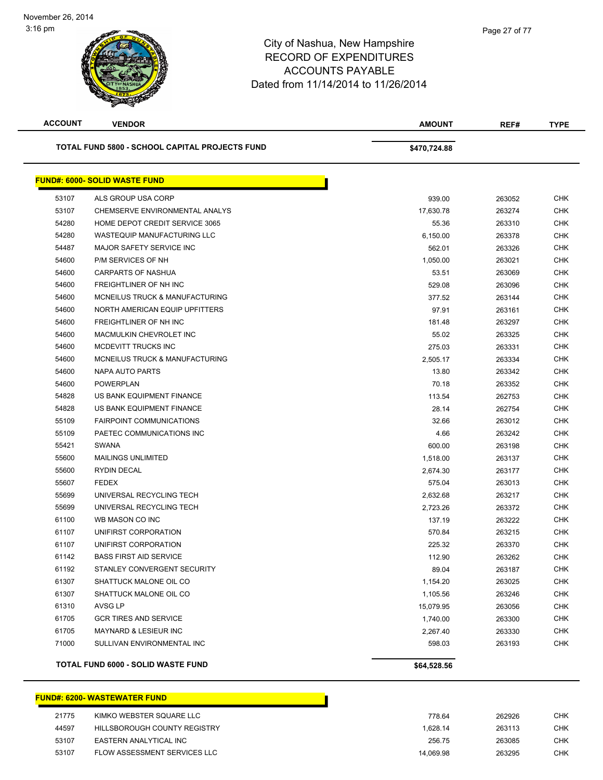| <b>ACCOUNT</b> | <b>VENDOR</b>                                  | <b>AMOUNT</b> | REF#   | <b>TYPE</b> |
|----------------|------------------------------------------------|---------------|--------|-------------|
|                | TOTAL FUND 5800 - SCHOOL CAPITAL PROJECTS FUND | \$470,724.88  |        |             |
|                | <b>FUND#: 6000- SOLID WASTE FUND</b>           |               |        |             |
| 53107          | ALS GROUP USA CORP                             | 939.00        | 263052 | <b>CHK</b>  |
| 53107          | CHEMSERVE ENVIRONMENTAL ANALYS                 | 17,630.78     | 263274 | <b>CHK</b>  |
| 54280          | HOME DEPOT CREDIT SERVICE 3065                 | 55.36         | 263310 | <b>CHK</b>  |
| 54280          | WASTEQUIP MANUFACTURING LLC                    | 6,150.00      | 263378 | <b>CHK</b>  |
| 54487          | <b>MAJOR SAFETY SERVICE INC</b>                | 562.01        | 263326 | CHK         |
| 54600          | P/M SERVICES OF NH                             | 1,050.00      | 263021 | <b>CHK</b>  |
| 54600          | CARPARTS OF NASHUA                             | 53.51         | 263069 | <b>CHK</b>  |
| 54600          | FREIGHTLINER OF NH INC                         | 529.08        | 263096 | <b>CHK</b>  |
| 54600          | MCNEILUS TRUCK & MANUFACTURING                 | 377.52        | 263144 | <b>CHK</b>  |
| 54600          | NORTH AMERICAN EQUIP UPFITTERS                 | 97.91         | 263161 | <b>CHK</b>  |
| 54600          | FREIGHTLINER OF NH INC                         | 181.48        | 263297 | <b>CHK</b>  |
| 54600          | MACMULKIN CHEVROLET INC                        | 55.02         | 263325 | <b>CHK</b>  |
| 54600          | MCDEVITT TRUCKS INC                            | 275.03        | 263331 | <b>CHK</b>  |
| 54600          | MCNEILUS TRUCK & MANUFACTURING                 | 2,505.17      | 263334 | <b>CHK</b>  |
| 54600          | NAPA AUTO PARTS                                | 13.80         | 263342 | <b>CHK</b>  |
| 54600          | <b>POWERPLAN</b>                               | 70.18         | 263352 | <b>CHK</b>  |
| 54828          | US BANK EQUIPMENT FINANCE                      | 113.54        | 262753 | <b>CHK</b>  |
| 54828          | US BANK EQUIPMENT FINANCE                      | 28.14         | 262754 | <b>CHK</b>  |
| 55109          | <b>FAIRPOINT COMMUNICATIONS</b>                | 32.66         | 263012 | <b>CHK</b>  |
| 55109          | PAETEC COMMUNICATIONS INC                      | 4.66          | 263242 | <b>CHK</b>  |
| 55421          | <b>SWANA</b>                                   | 600.00        | 263198 | CHK         |
| 55600          | <b>MAILINGS UNLIMITED</b>                      | 1,518.00      | 263137 | <b>CHK</b>  |
| 55600          | <b>RYDIN DECAL</b>                             | 2,674.30      | 263177 | CHK         |
| 55607          | <b>FEDEX</b>                                   | 575.04        | 263013 | CHK         |
| 55699          | UNIVERSAL RECYCLING TECH                       | 2,632.68      | 263217 | <b>CHK</b>  |
| 55699          | UNIVERSAL RECYCLING TECH                       | 2,723.26      | 263372 | <b>CHK</b>  |
| 61100          | WB MASON CO INC                                | 137.19        | 263222 | <b>CHK</b>  |
| 61107          | UNIFIRST CORPORATION                           | 570.84        | 263215 | <b>CHK</b>  |
| 61107          | UNIFIRST CORPORATION                           | 225.32        | 263370 | <b>CHK</b>  |
| 61142          | <b>BASS FIRST AID SERVICE</b>                  | 112.90        | 263262 | <b>CHK</b>  |
| 61192          | STANLEY CONVERGENT SECURITY                    | 89.04         | 263187 | <b>CHK</b>  |
| 61307          | SHATTUCK MALONE OIL CO                         | 1,154.20      | 263025 | <b>CHK</b>  |
| 61307          | SHATTUCK MALONE OIL CO                         | 1,105.56      | 263246 | <b>CHK</b>  |
| 61310          | AVSG LP                                        | 15,079.95     | 263056 | <b>CHK</b>  |
| 61705          | <b>GCR TIRES AND SERVICE</b>                   | 1,740.00      | 263300 | <b>CHK</b>  |
| 61705          | MAYNARD & LESIEUR INC                          | 2,267.40      | 263330 | <b>CHK</b>  |
| 71000          | SULLIVAN ENVIRONMENTAL INC                     | 598.03        | 263193 | <b>CHK</b>  |
|                | <b>TOTAL FUND 6000 - SOLID WASTE FUND</b>      | \$64,528.56   |        |             |

#### **FUND#: 6200- WASTEWATER FUND**

| 21775 | KIMKO WEBSTER SQUARE LLC     | 778.64    | 262926 | CHK        |
|-------|------------------------------|-----------|--------|------------|
|       |                              |           |        |            |
| 44597 | HILLSBOROUGH COUNTY REGISTRY | 1.628.14  | 263113 | <b>CHK</b> |
|       |                              |           |        |            |
| 53107 | EASTERN ANALYTICAL INC       | 256.75    | 263085 | СНК        |
|       |                              |           |        |            |
| 53107 | FLOW ASSESSMENT SERVICES LLC | 14.069.98 | 263295 | <b>CHK</b> |
|       |                              |           |        |            |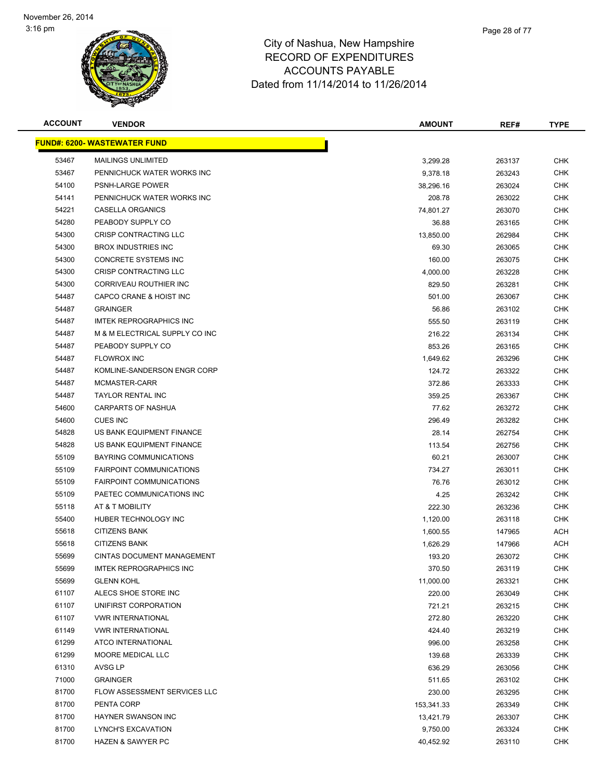

| <b>ACCOUNT</b> | <b>VENDOR</b>                        | <b>AMOUNT</b> | REF#   | <b>TYPE</b> |
|----------------|--------------------------------------|---------------|--------|-------------|
|                | <u> FUND#: 6200- WASTEWATER FUND</u> |               |        |             |
| 53467          | <b>MAILINGS UNLIMITED</b>            | 3,299.28      | 263137 | <b>CHK</b>  |
| 53467          | PENNICHUCK WATER WORKS INC           | 9,378.18      | 263243 | <b>CHK</b>  |
| 54100          | <b>PSNH-LARGE POWER</b>              | 38,296.16     | 263024 | <b>CHK</b>  |
| 54141          | PENNICHUCK WATER WORKS INC           | 208.78        | 263022 | <b>CHK</b>  |
| 54221          | CASELLA ORGANICS                     | 74,801.27     | 263070 | <b>CHK</b>  |
| 54280          | PEABODY SUPPLY CO                    | 36.88         | 263165 | <b>CHK</b>  |
| 54300          | CRISP CONTRACTING LLC                | 13,850.00     | 262984 | <b>CHK</b>  |
| 54300          | <b>BROX INDUSTRIES INC</b>           | 69.30         | 263065 | <b>CHK</b>  |
| 54300          | CONCRETE SYSTEMS INC                 | 160.00        | 263075 | <b>CHK</b>  |
| 54300          | CRISP CONTRACTING LLC                | 4,000.00      | 263228 | CHK         |
| 54300          | CORRIVEAU ROUTHIER INC               | 829.50        | 263281 | <b>CHK</b>  |
| 54487          | CAPCO CRANE & HOIST INC              | 501.00        | 263067 | CHK         |
| 54487          | <b>GRAINGER</b>                      | 56.86         | 263102 | <b>CHK</b>  |
| 54487          | <b>IMTEK REPROGRAPHICS INC</b>       | 555.50        | 263119 | <b>CHK</b>  |
| 54487          | M & M ELECTRICAL SUPPLY CO INC       | 216.22        | 263134 | <b>CHK</b>  |
| 54487          | PEABODY SUPPLY CO                    | 853.26        | 263165 | <b>CHK</b>  |
| 54487          | <b>FLOWROX INC</b>                   | 1,649.62      | 263296 | <b>CHK</b>  |
| 54487          | KOMLINE-SANDERSON ENGR CORP          | 124.72        | 263322 | <b>CHK</b>  |
| 54487          | MCMASTER-CARR                        | 372.86        | 263333 | <b>CHK</b>  |
| 54487          | <b>TAYLOR RENTAL INC</b>             | 359.25        | 263367 | <b>CHK</b>  |
| 54600          | <b>CARPARTS OF NASHUA</b>            | 77.62         | 263272 | <b>CHK</b>  |
| 54600          | <b>CUES INC</b>                      | 296.49        | 263282 | <b>CHK</b>  |
| 54828          | US BANK EQUIPMENT FINANCE            | 28.14         | 262754 | <b>CHK</b>  |
| 54828          | US BANK EQUIPMENT FINANCE            | 113.54        | 262756 | <b>CHK</b>  |
| 55109          | <b>BAYRING COMMUNICATIONS</b>        | 60.21         | 263007 | <b>CHK</b>  |
| 55109          | <b>FAIRPOINT COMMUNICATIONS</b>      | 734.27        | 263011 | <b>CHK</b>  |
| 55109          | <b>FAIRPOINT COMMUNICATIONS</b>      | 76.76         | 263012 | <b>CHK</b>  |
| 55109          | PAETEC COMMUNICATIONS INC            | 4.25          | 263242 | <b>CHK</b>  |
| 55118          | AT & T MOBILITY                      | 222.30        | 263236 | <b>CHK</b>  |
| 55400          | HUBER TECHNOLOGY INC                 | 1,120.00      | 263118 | <b>CHK</b>  |
| 55618          | <b>CITIZENS BANK</b>                 | 1,600.55      | 147965 | <b>ACH</b>  |
| 55618          | <b>CITIZENS BANK</b>                 | 1,626.29      | 147966 | ACH         |
| 55699          | <b>CINTAS DOCUMENT MANAGEMENT</b>    | 193.20        | 263072 | <b>CHK</b>  |
| 55699          | <b>IMTEK REPROGRAPHICS INC</b>       | 370.50        | 263119 | <b>CHK</b>  |
| 55699          | <b>GLENN KOHL</b>                    | 11,000.00     | 263321 | <b>CHK</b>  |
| 61107          | ALECS SHOE STORE INC                 | 220.00        | 263049 | <b>CHK</b>  |
| 61107          | UNIFIRST CORPORATION                 | 721.21        | 263215 | <b>CHK</b>  |
| 61107          | <b>VWR INTERNATIONAL</b>             | 272.80        | 263220 | <b>CHK</b>  |
| 61149          | <b>VWR INTERNATIONAL</b>             | 424.40        | 263219 | <b>CHK</b>  |
| 61299          | ATCO INTERNATIONAL                   | 996.00        | 263258 | <b>CHK</b>  |
| 61299          | MOORE MEDICAL LLC                    | 139.68        | 263339 | <b>CHK</b>  |
| 61310          | AVSG LP                              | 636.29        | 263056 | <b>CHK</b>  |
| 71000          | <b>GRAINGER</b>                      | 511.65        | 263102 | <b>CHK</b>  |
| 81700          | FLOW ASSESSMENT SERVICES LLC         | 230.00        | 263295 | <b>CHK</b>  |
| 81700          | PENTA CORP                           | 153,341.33    | 263349 | <b>CHK</b>  |
| 81700          | HAYNER SWANSON INC                   | 13,421.79     | 263307 | CHK         |
| 81700          | LYNCH'S EXCAVATION                   | 9,750.00      | 263324 | <b>CHK</b>  |
| 81700          | <b>HAZEN &amp; SAWYER PC</b>         | 40,452.92     | 263110 | <b>CHK</b>  |
|                |                                      |               |        |             |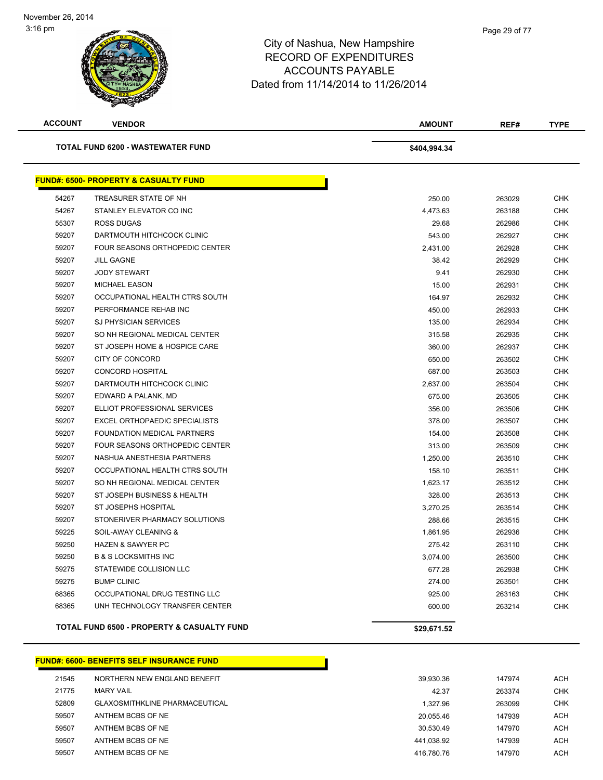| <b>ACCOUNT</b> | <b>VENDOR</b>                                         | <b>AMOUNT</b> | REF#   | <b>TYPE</b> |
|----------------|-------------------------------------------------------|---------------|--------|-------------|
|                | <b>TOTAL FUND 6200 - WASTEWATER FUND</b>              | \$404,994.34  |        |             |
|                | <b>FUND#: 6500- PROPERTY &amp; CASUALTY FUND</b>      |               |        |             |
| 54267          | TREASURER STATE OF NH                                 | 250.00        | 263029 | <b>CHK</b>  |
| 54267          | STANLEY ELEVATOR CO INC                               | 4,473.63      | 263188 | <b>CHK</b>  |
| 55307          | <b>ROSS DUGAS</b>                                     | 29.68         | 262986 | <b>CHK</b>  |
| 59207          | DARTMOUTH HITCHCOCK CLINIC                            | 543.00        | 262927 | <b>CHK</b>  |
| 59207          | <b>FOUR SEASONS ORTHOPEDIC CENTER</b>                 | 2,431.00      | 262928 | <b>CHK</b>  |
| 59207          | <b>JILL GAGNE</b>                                     | 38.42         | 262929 | <b>CHK</b>  |
| 59207          | <b>JODY STEWART</b>                                   | 9.41          | 262930 | <b>CHK</b>  |
| 59207          | <b>MICHAEL EASON</b>                                  | 15.00         | 262931 | <b>CHK</b>  |
| 59207          | OCCUPATIONAL HEALTH CTRS SOUTH                        | 164.97        | 262932 | <b>CHK</b>  |
| 59207          | PERFORMANCE REHAB INC                                 | 450.00        | 262933 | <b>CHK</b>  |
| 59207          | SJ PHYSICIAN SERVICES                                 | 135.00        | 262934 | <b>CHK</b>  |
| 59207          | SO NH REGIONAL MEDICAL CENTER                         | 315.58        | 262935 | <b>CHK</b>  |
| 59207          | ST JOSEPH HOME & HOSPICE CARE                         | 360.00        | 262937 | <b>CHK</b>  |
| 59207          | CITY OF CONCORD                                       | 650.00        | 263502 | <b>CHK</b>  |
| 59207          | <b>CONCORD HOSPITAL</b>                               | 687.00        | 263503 | <b>CHK</b>  |
| 59207          | DARTMOUTH HITCHCOCK CLINIC                            | 2,637.00      | 263504 | <b>CHK</b>  |
| 59207          | EDWARD A PALANK, MD                                   | 675.00        | 263505 | <b>CHK</b>  |
| 59207          | ELLIOT PROFESSIONAL SERVICES                          | 356.00        | 263506 | <b>CHK</b>  |
| 59207          | <b>EXCEL ORTHOPAEDIC SPECIALISTS</b>                  | 378.00        | 263507 | <b>CHK</b>  |
| 59207          | FOUNDATION MEDICAL PARTNERS                           | 154.00        | 263508 | <b>CHK</b>  |
| 59207          | FOUR SEASONS ORTHOPEDIC CENTER                        | 313.00        | 263509 | <b>CHK</b>  |
| 59207          | NASHUA ANESTHESIA PARTNERS                            | 1,250.00      | 263510 | <b>CHK</b>  |
| 59207          | OCCUPATIONAL HEALTH CTRS SOUTH                        | 158.10        | 263511 | <b>CHK</b>  |
| 59207          | SO NH REGIONAL MEDICAL CENTER                         | 1,623.17      | 263512 | <b>CHK</b>  |
| 59207          | ST JOSEPH BUSINESS & HEALTH                           | 328.00        | 263513 | <b>CHK</b>  |
| 59207          | ST JOSEPHS HOSPITAL                                   | 3,270.25      | 263514 | <b>CHK</b>  |
| 59207          | STONERIVER PHARMACY SOLUTIONS                         | 288.66        | 263515 | <b>CHK</b>  |
| 59225          | SOIL-AWAY CLEANING &                                  | 1,861.95      | 262936 | <b>CHK</b>  |
| 59250          | <b>HAZEN &amp; SAWYER PC</b>                          | 275.42        | 263110 | <b>CHK</b>  |
| 59250          | <b>B &amp; S LOCKSMITHS INC</b>                       | 3,074.00      | 263500 | <b>CHK</b>  |
| 59275          | STATEWIDE COLLISION LLC                               | 677.28        | 262938 | <b>CHK</b>  |
| 59275          | <b>BUMP CLINIC</b>                                    | 274.00        | 263501 | <b>CHK</b>  |
| 68365          | OCCUPATIONAL DRUG TESTING LLC                         | 925.00        | 263163 | <b>CHK</b>  |
| 68365          | UNH TECHNOLOGY TRANSFER CENTER                        | 600.00        | 263214 | <b>CHK</b>  |
|                | <b>TOTAL FUND 6500 - PROPERTY &amp; CASUALTY FUND</b> | \$29,671.52   |        |             |

#### **FUND#: 6600- BENEFITS SELF INSURANCE FUND**

| 21545 | NORTHERN NEW ENGLAND BENEFIT          | 39.930.36  | 147974 | <b>ACH</b> |
|-------|---------------------------------------|------------|--------|------------|
| 21775 | <b>MARY VAIL</b>                      | 42.37      | 263374 | <b>CHK</b> |
| 52809 | <b>GLAXOSMITHKLINE PHARMACEUTICAL</b> | 1.327.96   | 263099 | <b>CHK</b> |
| 59507 | ANTHEM BCBS OF NE                     | 20.055.46  | 147939 | ACH        |
| 59507 | ANTHEM BCBS OF NE                     | 30.530.49  | 147970 | <b>ACH</b> |
| 59507 | ANTHEM BCBS OF NE                     | 441.038.92 | 147939 | <b>ACH</b> |
| 59507 | ANTHEM BCBS OF NE                     | 416.780.76 | 147970 | ACH        |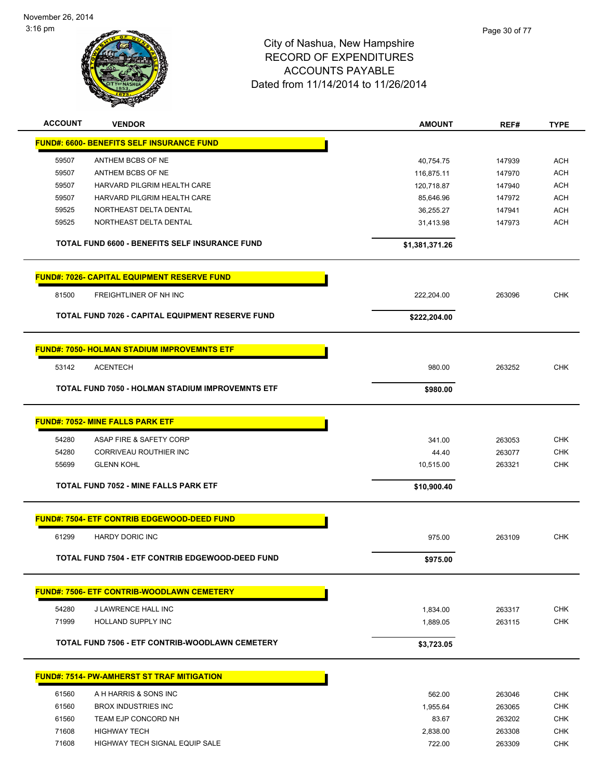

Page 30 of 77

| <b>ACCOUNT</b> | <b>VENDOR</b>                                      | <b>AMOUNT</b>  | REF#   | <b>TYPE</b>       |
|----------------|----------------------------------------------------|----------------|--------|-------------------|
|                | <b>FUND#: 6600- BENEFITS SELF INSURANCE FUND</b>   |                |        |                   |
| 59507          | ANTHEM BCBS OF NE                                  | 40,754.75      | 147939 | <b>ACH</b>        |
| 59507          | ANTHEM BCBS OF NE                                  | 116,875.11     | 147970 | <b>ACH</b>        |
| 59507          | HARVARD PILGRIM HEALTH CARE                        | 120,718.87     | 147940 | <b>ACH</b>        |
| 59507          | HARVARD PILGRIM HEALTH CARE                        | 85,646.96      | 147972 | <b>ACH</b>        |
| 59525          | NORTHEAST DELTA DENTAL                             | 36,255.27      | 147941 | <b>ACH</b>        |
| 59525          | NORTHEAST DELTA DENTAL                             | 31,413.98      | 147973 | ACH               |
|                | TOTAL FUND 6600 - BENEFITS SELF INSURANCE FUND     | \$1,381,371.26 |        |                   |
|                | <b>FUND#: 7026- CAPITAL EQUIPMENT RESERVE FUND</b> |                |        |                   |
| 81500          | FREIGHTLINER OF NH INC                             | 222,204.00     | 263096 | <b>CHK</b>        |
|                | TOTAL FUND 7026 - CAPITAL EQUIPMENT RESERVE FUND   | \$222,204.00   |        |                   |
|                |                                                    |                |        |                   |
|                | <b>FUND#: 7050- HOLMAN STADIUM IMPROVEMNTS ETF</b> |                |        |                   |
| 53142          | <b>ACENTECH</b>                                    | 980.00         | 263252 | <b>CHK</b>        |
|                | TOTAL FUND 7050 - HOLMAN STADIUM IMPROVEMNTS ETF   | \$980.00       |        |                   |
|                |                                                    |                |        |                   |
|                | <b>FUND#: 7052- MINE FALLS PARK ETF</b>            |                |        |                   |
|                |                                                    |                |        |                   |
| 54280          | ASAP FIRE & SAFETY CORP                            | 341.00         | 263053 | <b>CHK</b>        |
| 54280<br>55699 | CORRIVEAU ROUTHIER INC                             | 44.40          | 263077 | CHK<br><b>CHK</b> |
|                | <b>GLENN KOHL</b>                                  | 10,515.00      | 263321 |                   |
|                | TOTAL FUND 7052 - MINE FALLS PARK ETF              | \$10,900.40    |        |                   |
|                |                                                    |                |        |                   |
|                | <b>FUND#: 7504- ETF CONTRIB EDGEWOOD-DEED FUND</b> |                |        |                   |
| 61299          | <b>HARDY DORIC INC</b>                             | 975.00         | 263109 | <b>CHK</b>        |
|                | TOTAL FUND 7504 - ETF CONTRIB EDGEWOOD-DEED FUND   | \$975.00       |        |                   |
|                | <b>FUND#: 7506- ETF CONTRIB-WOODLAWN CEMETERY</b>  |                |        |                   |
|                |                                                    |                |        |                   |
| 54280<br>71999 | J LAWRENCE HALL INC<br><b>HOLLAND SUPPLY INC</b>   | 1,834.00       | 263317 | <b>CHK</b>        |
|                |                                                    | 1,889.05       | 263115 | <b>CHK</b>        |
|                | TOTAL FUND 7506 - ETF CONTRIB-WOODLAWN CEMETERY    | \$3,723.05     |        |                   |
|                | <b>FUND#: 7514- PW-AMHERST ST TRAF MITIGATION</b>  |                |        |                   |
|                |                                                    |                |        |                   |
| 61560          | A H HARRIS & SONS INC                              | 562.00         | 263046 | <b>CHK</b>        |
| 61560          | <b>BROX INDUSTRIES INC</b>                         | 1,955.64       | 263065 | <b>CHK</b>        |
| 61560          | TEAM EJP CONCORD NH                                | 83.67          | 263202 | <b>CHK</b>        |
| 71608          | <b>HIGHWAY TECH</b>                                | 2,838.00       | 263308 | <b>CHK</b>        |
| 71608          | HIGHWAY TECH SIGNAL EQUIP SALE                     | 722.00         | 263309 | <b>CHK</b>        |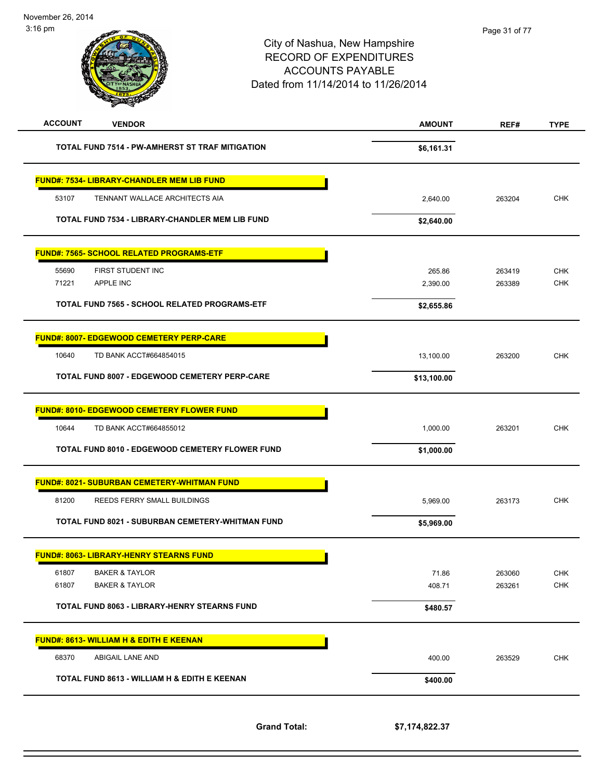

| FIRST STUDENT INC                                    | 265.86     | 263419 |  |
|------------------------------------------------------|------------|--------|--|
| APPLE INC                                            | 2,390.00   | 263389 |  |
| <b>TOTAL FUND 7565 - SCHOOL RELATED PROGRAMS-ETF</b> | \$2,655.86 |        |  |
|                                                      |            |        |  |

| 10640<br>TD BANK ACCT#664854015                      | 13,100.00   | 263200 | <b>CHK</b> |
|------------------------------------------------------|-------------|--------|------------|
| <b>TOTAL FUND 8007 - EDGEWOOD CEMETERY PERP-CARE</b> | \$13,100.00 |        |            |
| <b>FUND#: 8010- EDGEWOOD CEMETERY FLOWER FUND</b>    |             |        |            |
| 10644<br>TD BANK ACCT#664855012                      | 1.000.00    | 263201 | <b>CHK</b> |
| TOTAL FUND 8010 - EDGEWOOD CEMETERY FLOWER FUND      | \$1,000.00  |        |            |
| <b>FUND#: 8021- SUBURBAN CEMETERY-WHITMAN FUND</b>   |             |        |            |
| REEDS FERRY SMALL BUILDINGS<br>81200                 | 5,969.00    | 263173 | <b>CHK</b> |

Г

**TOTAL FUND 8021 - SUBURBAN CEMETERY-WHITMAN FUND \$5,969.00** 

**FUND#: 8007- EDGEWOOD CEMETERY PERP-CARE**

**FUND#: 7565- SCHOOL RELATED PROGRAMS-ETF**

|       | <b>FUND#: 8063- LIBRARY-HENRY STEARNS FUND</b>      |          |        |            |
|-------|-----------------------------------------------------|----------|--------|------------|
| 61807 | <b>BAKER &amp; TAYLOR</b>                           | 71.86    | 263060 | <b>CHK</b> |
| 61807 | <b>BAKER &amp; TAYLOR</b>                           | 408.71   | 263261 | <b>CHK</b> |
|       | <b>TOTAL FUND 8063 - LIBRARY-HENRY STEARNS FUND</b> | \$480.57 |        |            |
|       | <b>FUND#: 8613- WILLIAM H &amp; EDITH E KEENAN</b>  |          |        |            |
| 68370 | ABIGAIL LANE AND                                    | 400.00   | 263529 | <b>CHK</b> |
|       | TOTAL FUND 8613 - WILLIAM H & EDITH E KEENAN        | \$400.00 |        |            |

**Grand Total: \$7,174,822.37**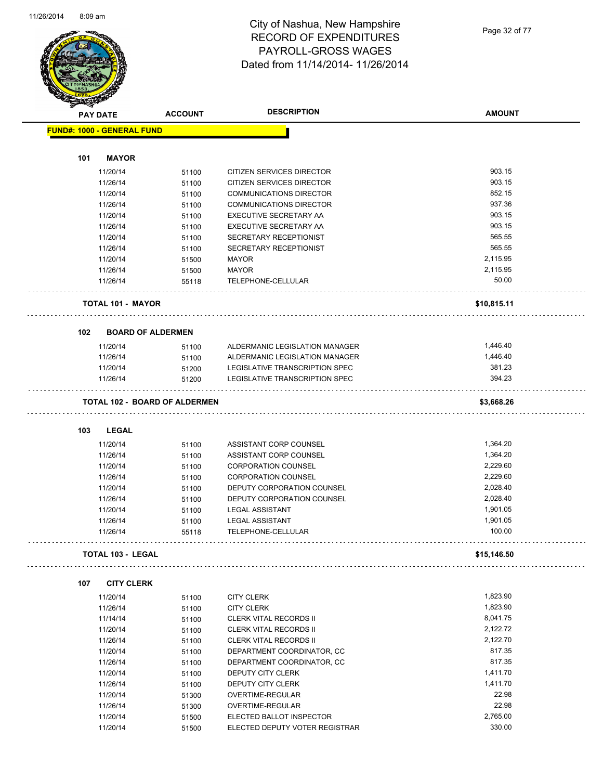

#### City of Nashua, New Hampshire RECORD OF EXPENDITURES PAYROLL-GROSS WAGES Dated from 11/14/2014- 11/26/2014

Page 32 of 77

|     | <b>PAY DATE</b>                      | <b>ACCOUNT</b> | <b>DESCRIPTION</b>             | <b>AMOUNT</b> |
|-----|--------------------------------------|----------------|--------------------------------|---------------|
|     | <b>FUND#: 1000 - GENERAL FUND</b>    |                |                                |               |
|     |                                      |                |                                |               |
| 101 | <b>MAYOR</b>                         |                |                                |               |
|     | 11/20/14                             | 51100          | CITIZEN SERVICES DIRECTOR      | 903.15        |
|     | 11/26/14                             | 51100          | CITIZEN SERVICES DIRECTOR      | 903.15        |
|     | 11/20/14                             | 51100          | <b>COMMUNICATIONS DIRECTOR</b> | 852.15        |
|     | 11/26/14                             | 51100          | <b>COMMUNICATIONS DIRECTOR</b> | 937.36        |
|     | 11/20/14                             | 51100          | EXECUTIVE SECRETARY AA         | 903.15        |
|     | 11/26/14                             | 51100          | EXECUTIVE SECRETARY AA         | 903.15        |
|     | 11/20/14                             | 51100          | SECRETARY RECEPTIONIST         | 565.55        |
|     | 11/26/14                             | 51100          | SECRETARY RECEPTIONIST         | 565.55        |
|     | 11/20/14                             | 51500          | <b>MAYOR</b>                   | 2,115.95      |
|     | 11/26/14                             | 51500          | <b>MAYOR</b>                   | 2,115.95      |
|     | 11/26/14                             | 55118          | TELEPHONE-CELLULAR             | 50.00         |
|     | <b>TOTAL 101 - MAYOR</b>             |                |                                | \$10,815.11   |
|     |                                      |                |                                |               |
| 102 | <b>BOARD OF ALDERMEN</b>             |                |                                |               |
|     | 11/20/14                             | 51100          | ALDERMANIC LEGISLATION MANAGER | 1,446.40      |
|     | 11/26/14                             | 51100          | ALDERMANIC LEGISLATION MANAGER | 1,446.40      |
|     | 11/20/14                             | 51200          | LEGISLATIVE TRANSCRIPTION SPEC | 381.23        |
|     | 11/26/14                             | 51200          | LEGISLATIVE TRANSCRIPTION SPEC | 394.23        |
|     |                                      |                |                                |               |
|     | <b>TOTAL 102 - BOARD OF ALDERMEN</b> |                |                                | \$3,668.26    |
| 103 | <b>LEGAL</b>                         |                |                                |               |
|     | 11/20/14                             | 51100          | ASSISTANT CORP COUNSEL         | 1,364.20      |
|     | 11/26/14                             | 51100          | ASSISTANT CORP COUNSEL         | 1,364.20      |
|     | 11/20/14                             | 51100          | <b>CORPORATION COUNSEL</b>     | 2,229.60      |
|     | 11/26/14                             | 51100          | <b>CORPORATION COUNSEL</b>     | 2,229.60      |
|     | 11/20/14                             | 51100          | DEPUTY CORPORATION COUNSEL     | 2,028.40      |
|     | 11/26/14                             | 51100          | DEPUTY CORPORATION COUNSEL     | 2,028.40      |
|     | 11/20/14                             | 51100          | <b>LEGAL ASSISTANT</b>         | 1,901.05      |
|     | 11/26/14                             | 51100          | <b>LEGAL ASSISTANT</b>         | 1,901.05      |
|     | 11/26/14                             | 55118          | TELEPHONE-CELLULAR             | 100.00        |
|     |                                      |                |                                |               |
|     | <b>TOTAL 103 - LEGAL</b>             |                |                                | \$15,146.50   |
| 107 | <b>CITY CLERK</b>                    |                |                                |               |
|     | 11/20/14                             | 51100          | <b>CITY CLERK</b>              | 1,823.90      |
|     | 11/26/14                             | 51100          | <b>CITY CLERK</b>              | 1,823.90      |
|     | 11/14/14                             | 51100          | <b>CLERK VITAL RECORDS II</b>  | 8,041.75      |
|     | 11/20/14                             | 51100          | <b>CLERK VITAL RECORDS II</b>  | 2,122.72      |
|     | 11/26/14                             | 51100          | <b>CLERK VITAL RECORDS II</b>  | 2,122.70      |
|     | 11/20/14                             | 51100          | DEPARTMENT COORDINATOR, CC     | 817.35        |
|     | 11/26/14                             | 51100          | DEPARTMENT COORDINATOR, CC     | 817.35        |
|     | 11/20/14                             | 51100          | DEPUTY CITY CLERK              | 1,411.70      |
|     | 11/26/14                             | 51100          | DEPUTY CITY CLERK              | 1,411.70      |
|     | 11/20/14                             | 51300          | OVERTIME-REGULAR               | 22.98         |
|     | 11/26/14                             | 51300          | OVERTIME-REGULAR               | 22.98         |
|     | 11/20/14                             | 51500          | ELECTED BALLOT INSPECTOR       | 2,765.00      |
|     | 11/20/14                             |                | ELECTED DEPUTY VOTER REGISTRAR | 330.00        |
|     |                                      | 51500          |                                |               |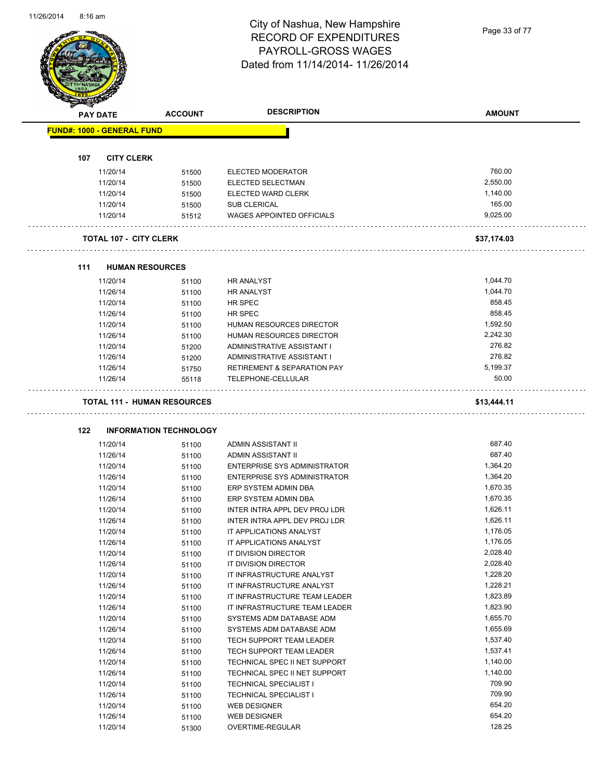#### City of Nashua, New Hampshire RECORD OF EXPENDITURES PAYROLL-GROSS WAGES Dated from 11/14/2014- 11/26/2014

Page 33 of 77

|     | <b>PAY DATE</b>                   | <b>ACCOUNT</b>                     | <b>DESCRIPTION</b>                         | <b>AMOUNT</b>    |
|-----|-----------------------------------|------------------------------------|--------------------------------------------|------------------|
|     | <b>FUND#: 1000 - GENERAL FUND</b> |                                    |                                            |                  |
| 107 | <b>CITY CLERK</b>                 |                                    |                                            |                  |
|     | 11/20/14                          | 51500                              | ELECTED MODERATOR                          | 760.00           |
|     | 11/20/14                          | 51500                              | ELECTED SELECTMAN                          | 2,550.00         |
|     | 11/20/14                          | 51500                              | ELECTED WARD CLERK                         | 1,140.00         |
|     | 11/20/14                          | 51500                              | <b>SUB CLERICAL</b>                        | 165.00           |
|     | 11/20/14                          | 51512                              | <b>WAGES APPOINTED OFFICIALS</b>           | 9.025.00         |
|     | <b>TOTAL 107 - CITY CLERK</b>     |                                    |                                            | \$37,174.03      |
|     |                                   |                                    |                                            |                  |
| 111 |                                   | <b>HUMAN RESOURCES</b>             |                                            |                  |
|     | 11/20/14                          | 51100                              | <b>HR ANALYST</b>                          | 1,044.70         |
|     | 11/26/14                          | 51100                              | <b>HR ANALYST</b>                          | 1,044.70         |
|     | 11/20/14                          | 51100                              | HR SPEC                                    | 858.45           |
|     | 11/26/14                          | 51100                              | HR SPEC                                    | 858.45           |
|     | 11/20/14                          | 51100                              | HUMAN RESOURCES DIRECTOR                   | 1,592.50         |
|     | 11/26/14                          | 51100                              | HUMAN RESOURCES DIRECTOR                   | 2,242.30         |
|     | 11/20/14                          | 51200                              | ADMINISTRATIVE ASSISTANT I                 | 276.82           |
|     | 11/26/14                          | 51200                              | ADMINISTRATIVE ASSISTANT I                 | 276.82           |
|     | 11/26/14                          | 51750                              | <b>RETIREMENT &amp; SEPARATION PAY</b>     | 5,199.37         |
|     | 11/26/14                          | 55118                              | TELEPHONE-CELLULAR                         | 50.00            |
|     |                                   | <b>TOTAL 111 - HUMAN RESOURCES</b> |                                            | \$13,444.11      |
| 122 |                                   | <b>INFORMATION TECHNOLOGY</b>      |                                            |                  |
|     | 11/20/14                          | 51100                              | ADMIN ASSISTANT II                         | 687.40           |
|     | 11/26/14                          | 51100                              | ADMIN ASSISTANT II                         | 687.40           |
|     | 11/20/14                          | 51100                              | ENTERPRISE SYS ADMINISTRATOR               | 1,364.20         |
|     | 11/26/14                          | 51100                              | ENTERPRISE SYS ADMINISTRATOR               | 1,364.20         |
|     | 11/20/14                          | 51100                              | ERP SYSTEM ADMIN DBA                       | 1,670.35         |
|     | 11/26/14                          | 51100                              | ERP SYSTEM ADMIN DBA                       | 1,670.35         |
|     | 11/20/14                          | 51100                              | INTER INTRA APPL DEV PROJ LDR              | 1,626.11         |
|     | 11/26/14                          |                                    | INTER INTRA APPL DEV PROJ LDR              |                  |
|     |                                   | 51100                              |                                            | 1,626.11         |
|     | 11/20/14                          | 51100                              | IT APPLICATIONS ANALYST                    | 1,176.05         |
|     | 11/26/14                          |                                    | IT APPLICATIONS ANALYST                    | 1,176.05         |
|     | 11/20/14                          | 51100                              | IT DIVISION DIRECTOR                       | 2,028.40         |
|     | 11/26/14                          | 51100<br>51100                     | IT DIVISION DIRECTOR                       | 2,028.40         |
|     | 11/20/14                          | 51100                              | IT INFRASTRUCTURE ANALYST                  | 1,228.20         |
|     | 11/26/14                          | 51100                              | IT INFRASTRUCTURE ANALYST                  | 1,228.21         |
|     | 11/20/14                          |                                    | IT INFRASTRUCTURE TEAM LEADER              | 1,823.89         |
|     | 11/26/14                          | 51100                              | IT INFRASTRUCTURE TEAM LEADER              | 1,823.90         |
|     | 11/20/14                          | 51100                              | SYSTEMS ADM DATABASE ADM                   | 1,655.70         |
|     | 11/26/14                          | 51100                              | SYSTEMS ADM DATABASE ADM                   | 1,655.69         |
|     | 11/20/14                          | 51100                              | TECH SUPPORT TEAM LEADER                   | 1,537.40         |
|     | 11/26/14                          | 51100                              | TECH SUPPORT TEAM LEADER                   | 1,537.41         |
|     |                                   | 51100                              |                                            |                  |
|     | 11/20/14                          | 51100                              | TECHNICAL SPEC II NET SUPPORT              | 1,140.00         |
|     | 11/26/14                          | 51100                              | TECHNICAL SPEC II NET SUPPORT              | 1,140.00         |
|     | 11/20/14                          | 51100                              | <b>TECHNICAL SPECIALIST I</b>              | 709.90           |
|     | 11/26/14                          | 51100                              | <b>TECHNICAL SPECIALIST I</b>              | 709.90           |
|     | 11/20/14<br>11/26/14              | 51100<br>51100                     | <b>WEB DESIGNER</b><br><b>WEB DESIGNER</b> | 654.20<br>654.20 |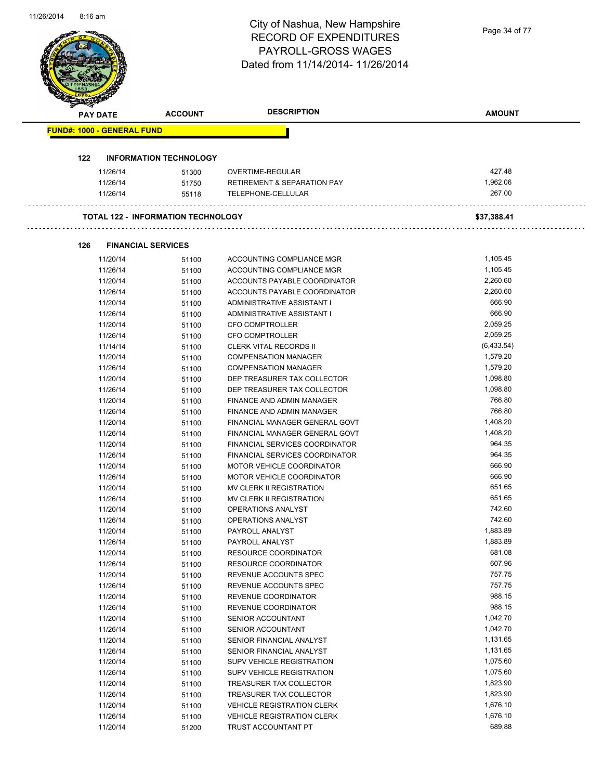|                                   |                      |                                           | City of Nashua, New Hampshire                  |                    |
|-----------------------------------|----------------------|-------------------------------------------|------------------------------------------------|--------------------|
|                                   |                      |                                           | <b>RECORD OF EXPENDITURES</b>                  | Page 34 of 77      |
|                                   |                      |                                           | PAYROLL-GROSS WAGES                            |                    |
|                                   |                      |                                           | Dated from 11/14/2014-11/26/2014               |                    |
|                                   |                      |                                           |                                                |                    |
|                                   |                      |                                           |                                                |                    |
|                                   |                      |                                           |                                                |                    |
|                                   |                      |                                           | <b>DESCRIPTION</b>                             |                    |
|                                   | <b>PAY DATE</b>      | <b>ACCOUNT</b>                            |                                                | <b>AMOUNT</b>      |
| <b>FUND#: 1000 - GENERAL FUND</b> |                      |                                           |                                                |                    |
|                                   |                      |                                           |                                                |                    |
| 122                               |                      | <b>INFORMATION TECHNOLOGY</b>             |                                                |                    |
|                                   | 11/26/14             | 51300                                     | OVERTIME-REGULAR                               | 427.48             |
|                                   | 11/26/14             | 51750                                     | <b>RETIREMENT &amp; SEPARATION PAY</b>         | 1,962.06           |
|                                   | 11/26/14             | 55118                                     | TELEPHONE-CELLULAR                             | 267.00             |
|                                   |                      |                                           |                                                |                    |
|                                   |                      | <b>TOTAL 122 - INFORMATION TECHNOLOGY</b> |                                                | \$37,388.41        |
|                                   |                      |                                           |                                                |                    |
| 126                               |                      | <b>FINANCIAL SERVICES</b>                 |                                                |                    |
|                                   | 11/20/14             | 51100                                     | ACCOUNTING COMPLIANCE MGR                      | 1,105.45           |
|                                   | 11/26/14             | 51100                                     | ACCOUNTING COMPLIANCE MGR                      | 1,105.45           |
|                                   | 11/20/14             | 51100                                     | ACCOUNTS PAYABLE COORDINATOR                   | 2,260.60           |
|                                   | 11/26/14             | 51100                                     | ACCOUNTS PAYABLE COORDINATOR                   | 2,260.60           |
|                                   | 11/20/14             | 51100                                     | ADMINISTRATIVE ASSISTANT I                     | 666.90             |
|                                   | 11/26/14             | 51100                                     | ADMINISTRATIVE ASSISTANT I                     | 666.90             |
|                                   | 11/20/14             | 51100                                     | CFO COMPTROLLER                                | 2,059.25           |
|                                   | 11/26/14             | 51100                                     | <b>CFO COMPTROLLER</b>                         | 2,059.25           |
|                                   | 11/14/14             | 51100                                     | <b>CLERK VITAL RECORDS II</b>                  | (6,433.54)         |
|                                   | 11/20/14             | 51100                                     | <b>COMPENSATION MANAGER</b>                    | 1,579.20           |
|                                   | 11/26/14             | 51100                                     | <b>COMPENSATION MANAGER</b>                    | 1,579.20           |
|                                   | 11/20/14             | 51100                                     | DEP TREASURER TAX COLLECTOR                    | 1,098.80           |
|                                   | 11/26/14             | 51100                                     | DEP TREASURER TAX COLLECTOR                    | 1,098.80           |
|                                   | 11/20/14             | 51100                                     | FINANCE AND ADMIN MANAGER                      | 766.80             |
|                                   | 11/26/14             | 51100                                     | FINANCE AND ADMIN MANAGER                      | 766.80             |
|                                   | 11/20/14             | 51100                                     | FINANCIAL MANAGER GENERAL GOVT                 | 1,408.20           |
|                                   | 11/26/14             | 51100                                     | FINANCIAL MANAGER GENERAL GOVT                 | 1,408.20           |
|                                   | 11/20/14             | 51100                                     | FINANCIAL SERVICES COORDINATOR                 | 964.35             |
|                                   | 11/26/14             | 51100                                     | FINANCIAL SERVICES COORDINATOR                 | 964.35             |
|                                   | 11/20/14             | 51100                                     | MOTOR VEHICLE COORDINATOR                      | 666.90             |
|                                   | 11/26/14             | 51100                                     | MOTOR VEHICLE COORDINATOR                      | 666.90             |
|                                   | 11/20/14             | 51100                                     | MV CLERK II REGISTRATION                       | 651.65             |
|                                   | 11/26/14             | 51100                                     | MV CLERK II REGISTRATION                       | 651.65             |
|                                   | 11/20/14             | 51100                                     | OPERATIONS ANALYST                             | 742.60             |
|                                   | 11/26/14             | 51100                                     | OPERATIONS ANALYST                             | 742.60             |
|                                   | 11/20/14             | 51100                                     | PAYROLL ANALYST                                | 1,883.89           |
|                                   | 11/26/14             | 51100                                     | PAYROLL ANALYST<br><b>RESOURCE COORDINATOR</b> | 1,883.89<br>681.08 |
|                                   | 11/20/14<br>11/26/14 | 51100                                     | <b>RESOURCE COORDINATOR</b>                    | 607.96             |
|                                   | 11/20/14             | 51100<br>51100                            | <b>REVENUE ACCOUNTS SPEC</b>                   | 757.75             |
|                                   | 11/26/14             | 51100                                     | REVENUE ACCOUNTS SPEC                          | 757.75             |
|                                   | 11/20/14             | 51100                                     | REVENUE COORDINATOR                            | 988.15             |
|                                   | 11/26/14             | 51100                                     | REVENUE COORDINATOR                            | 988.15             |
|                                   | 11/20/14             | 51100                                     | SENIOR ACCOUNTANT                              | 1,042.70           |
|                                   | 11/26/14             | 51100                                     | SENIOR ACCOUNTANT                              | 1,042.70           |
|                                   | 11/20/14             | 51100                                     | SENIOR FINANCIAL ANALYST                       | 1,131.65           |
|                                   | 11/26/14             | 51100                                     | SENIOR FINANCIAL ANALYST                       | 1,131.65           |
|                                   | 11/20/14             | 51100                                     | <b>SUPV VEHICLE REGISTRATION</b>               | 1,075.60           |
|                                   | 11/26/14             | 51100                                     | <b>SUPV VEHICLE REGISTRATION</b>               | 1,075.60           |
|                                   | 11/20/14             | 51100                                     | TREASURER TAX COLLECTOR                        | 1,823.90           |
|                                   | 11/26/14             | 51100                                     | TREASURER TAX COLLECTOR                        | 1,823.90           |
|                                   | 11/20/14             | 51100                                     | <b>VEHICLE REGISTRATION CLERK</b>              | 1,676.10           |
|                                   | 11/26/14             | 51100                                     | <b>VEHICLE REGISTRATION CLERK</b>              | 1,676.10           |
|                                   | 11/20/14             | 51200                                     | TRUST ACCOUNTANT PT                            | 689.88             |

11/26/2014 8:16 am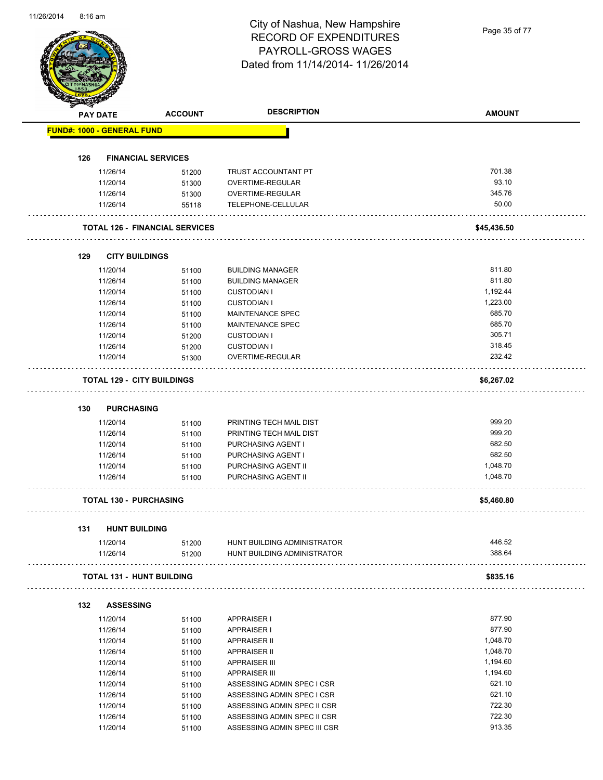# City of Nashua, New Hampshire RECORD OF EXPENDITURES PAYROLL-GROSS WAGES Dated from 11/14/2014- 11/26/2014

Page 35 of 77

|     | <b>PAY DATE</b>                   | <b>ACCOUNT</b>                        | <b>DESCRIPTION</b>           | <b>AMOUNT</b> |
|-----|-----------------------------------|---------------------------------------|------------------------------|---------------|
|     | <b>FUND#: 1000 - GENERAL FUND</b> |                                       |                              |               |
|     |                                   |                                       |                              |               |
| 126 | <b>FINANCIAL SERVICES</b>         |                                       |                              |               |
|     | 11/26/14                          | 51200                                 | TRUST ACCOUNTANT PT          | 701.38        |
|     | 11/20/14                          | 51300                                 | <b>OVERTIME-REGULAR</b>      | 93.10         |
|     | 11/26/14                          | 51300                                 | OVERTIME-REGULAR             | 345.76        |
|     | 11/26/14                          | 55118                                 | TELEPHONE-CELLULAR           | 50.00         |
|     |                                   | <b>TOTAL 126 - FINANCIAL SERVICES</b> |                              | \$45,436.50   |
| 129 | <b>CITY BUILDINGS</b>             |                                       |                              |               |
|     | 11/20/14                          | 51100                                 | <b>BUILDING MANAGER</b>      | 811.80        |
|     | 11/26/14                          | 51100                                 | <b>BUILDING MANAGER</b>      | 811.80        |
|     | 11/20/14                          | 51100                                 | <b>CUSTODIAN I</b>           | 1,192.44      |
|     | 11/26/14                          | 51100                                 | <b>CUSTODIAN I</b>           | 1,223.00      |
|     | 11/20/14                          | 51100                                 | <b>MAINTENANCE SPEC</b>      | 685.70        |
|     | 11/26/14                          | 51100                                 | MAINTENANCE SPEC             | 685.70        |
|     | 11/20/14                          | 51200                                 | <b>CUSTODIAN I</b>           | 305.71        |
|     | 11/26/14                          | 51200                                 | <b>CUSTODIAN I</b>           | 318.45        |
|     | 11/20/14                          | 51300                                 | OVERTIME-REGULAR             | 232.42        |
|     | <b>TOTAL 129 - CITY BUILDINGS</b> |                                       |                              | \$6,267.02    |
|     |                                   |                                       |                              |               |
| 130 | <b>PURCHASING</b>                 |                                       |                              |               |
|     | 11/20/14                          | 51100                                 | PRINTING TECH MAIL DIST      | 999.20        |
|     | 11/26/14                          | 51100                                 | PRINTING TECH MAIL DIST      | 999.20        |
|     | 11/20/14                          | 51100                                 | PURCHASING AGENT I           | 682.50        |
|     | 11/26/14                          | 51100                                 | PURCHASING AGENT I           | 682.50        |
|     | 11/20/14                          | 51100                                 | PURCHASING AGENT II          | 1,048.70      |
|     | 11/26/14                          | 51100                                 | PURCHASING AGENT II          | 1,048.70      |
|     | <b>TOTAL 130 - PURCHASING</b>     |                                       |                              | \$5,460.80    |
|     |                                   |                                       |                              |               |
| 131 | <b>HUNT BUILDING</b><br>11/20/14  | 51200                                 | HUNT BUILDING ADMINISTRATOR  | 446.52        |
|     | 11/26/14                          | 51200                                 | HUNT BUILDING ADMINISTRATOR  | 388.64        |
|     | <b>TOTAL 131 - HUNT BUILDING</b>  |                                       |                              | \$835.16      |
|     |                                   |                                       |                              |               |
| 132 | <b>ASSESSING</b><br>11/20/14      |                                       |                              | 877.90        |
|     |                                   | 51100                                 | <b>APPRAISER I</b>           | 877.90        |
|     | 11/26/14                          | 51100                                 | <b>APPRAISER I</b>           |               |
|     | 11/20/14                          | 51100                                 | <b>APPRAISER II</b>          | 1,048.70      |
|     | 11/26/14                          | 51100                                 | <b>APPRAISER II</b>          | 1,048.70      |
|     | 11/20/14                          | 51100                                 | <b>APPRAISER III</b>         | 1,194.60      |
|     | 11/26/14                          | 51100                                 | <b>APPRAISER III</b>         | 1,194.60      |
|     | 11/20/14                          | 51100                                 | ASSESSING ADMIN SPEC I CSR   | 621.10        |
|     | 11/26/14                          | 51100                                 | ASSESSING ADMIN SPEC I CSR   | 621.10        |
|     | 11/20/14                          | 51100                                 | ASSESSING ADMIN SPEC II CSR  | 722.30        |
|     | 11/26/14                          | 51100                                 | ASSESSING ADMIN SPEC II CSR  | 722.30        |
|     | 11/20/14                          | 51100                                 | ASSESSING ADMIN SPEC III CSR | 913.35        |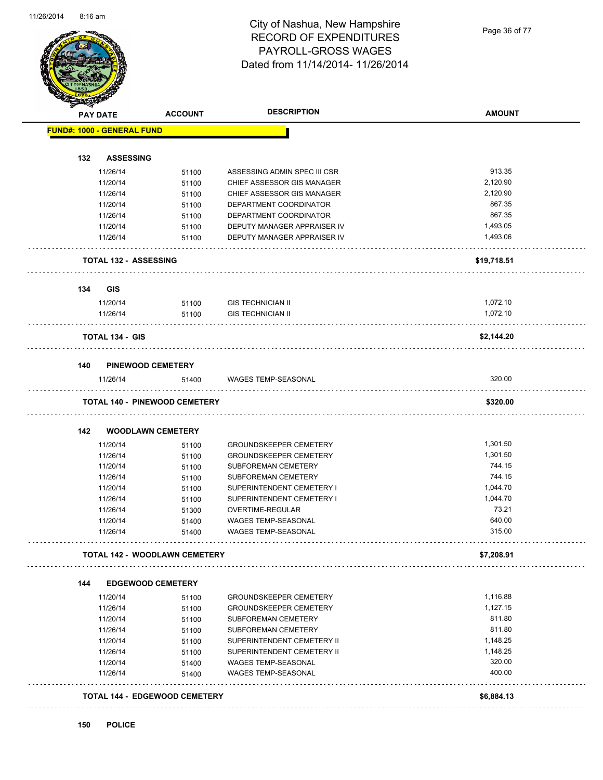#### City of Nashua, New Hampshire RECORD OF EXPENDITURES PAYROLL-GROSS WAGES Dated from 11/14/2014- 11/26/2014

Page 36 of 77

| <b>PAY DATE</b> |                                   | <b>ACCOUNT</b>                       | <b>DESCRIPTION</b>                                       | <b>AMOUNT</b>    |
|-----------------|-----------------------------------|--------------------------------------|----------------------------------------------------------|------------------|
|                 | <b>FUND#: 1000 - GENERAL FUND</b> |                                      |                                                          |                  |
| 132             | <b>ASSESSING</b>                  |                                      |                                                          |                  |
|                 | 11/26/14                          | 51100                                | ASSESSING ADMIN SPEC III CSR                             | 913.35           |
|                 | 11/20/14                          | 51100                                | CHIEF ASSESSOR GIS MANAGER                               | 2,120.90         |
|                 | 11/26/14                          | 51100                                | CHIEF ASSESSOR GIS MANAGER                               | 2,120.90         |
|                 | 11/20/14                          | 51100                                | DEPARTMENT COORDINATOR                                   | 867.35           |
|                 | 11/26/14                          | 51100                                | DEPARTMENT COORDINATOR                                   | 867.35           |
|                 | 11/20/14                          | 51100                                | DEPUTY MANAGER APPRAISER IV                              | 1,493.05         |
|                 | 11/26/14                          | 51100                                | DEPUTY MANAGER APPRAISER IV                              | 1,493.06         |
|                 | <b>TOTAL 132 - ASSESSING</b>      |                                      |                                                          | \$19,718.51      |
| 134             | <b>GIS</b>                        |                                      |                                                          |                  |
|                 | 11/20/14                          | 51100                                | <b>GIS TECHNICIAN II</b>                                 | 1,072.10         |
|                 | 11/26/14                          | 51100                                | <b>GIS TECHNICIAN II</b>                                 | 1,072.10         |
|                 | <b>TOTAL 134 - GIS</b>            |                                      |                                                          | \$2,144.20       |
| 140             |                                   | <b>PINEWOOD CEMETERY</b>             |                                                          |                  |
|                 | 11/26/14                          | 51400                                | WAGES TEMP-SEASONAL                                      | 320.00           |
|                 |                                   | <b>TOTAL 140 - PINEWOOD CEMETERY</b> |                                                          | \$320.00         |
|                 |                                   |                                      |                                                          |                  |
| 142             |                                   | <b>WOODLAWN CEMETERY</b>             |                                                          |                  |
|                 | 11/20/14                          | 51100                                | <b>GROUNDSKEEPER CEMETERY</b>                            | 1,301.50         |
|                 | 11/26/14                          | 51100                                | <b>GROUNDSKEEPER CEMETERY</b>                            | 1,301.50         |
|                 | 11/20/14                          | 51100                                | SUBFOREMAN CEMETERY                                      | 744.15           |
|                 | 11/26/14                          | 51100                                | SUBFOREMAN CEMETERY                                      | 744.15           |
|                 | 11/20/14                          | 51100                                | SUPERINTENDENT CEMETERY I                                | 1,044.70         |
|                 | 11/26/14                          | 51100                                | SUPERINTENDENT CEMETERY I                                | 1,044.70         |
|                 | 11/26/14                          | 51300                                | OVERTIME-REGULAR                                         | 73.21            |
|                 | 11/20/14<br>11/26/14              | 51400<br>51400                       | <b>WAGES TEMP-SEASONAL</b><br><b>WAGES TEMP-SEASONAL</b> | 640.00<br>315.00 |
|                 |                                   |                                      |                                                          |                  |
|                 |                                   | <b>TOTAL 142 - WOODLAWN CEMETERY</b> |                                                          | \$7,208.91       |
| 144             |                                   | <b>EDGEWOOD CEMETERY</b>             |                                                          |                  |
|                 | 11/20/14                          | 51100                                | <b>GROUNDSKEEPER CEMETERY</b>                            | 1,116.88         |
|                 | 11/26/14                          | 51100                                | <b>GROUNDSKEEPER CEMETERY</b>                            | 1,127.15         |
|                 | 11/20/14                          | 51100                                | SUBFOREMAN CEMETERY                                      | 811.80           |
|                 | 11/26/14                          | 51100                                | SUBFOREMAN CEMETERY                                      | 811.80           |
|                 | 11/20/14                          | 51100                                | SUPERINTENDENT CEMETERY II                               | 1,148.25         |
|                 | 11/26/14                          | 51100                                | SUPERINTENDENT CEMETERY II                               | 1,148.25         |
|                 | 11/20/14                          | 51400                                | WAGES TEMP-SEASONAL                                      | 320.00           |
|                 | 11/26/14                          | 51400                                | WAGES TEMP-SEASONAL                                      | 400.00           |
|                 |                                   | <b>TOTAL 144 - EDGEWOOD CEMETERY</b> |                                                          | \$6,884.13       |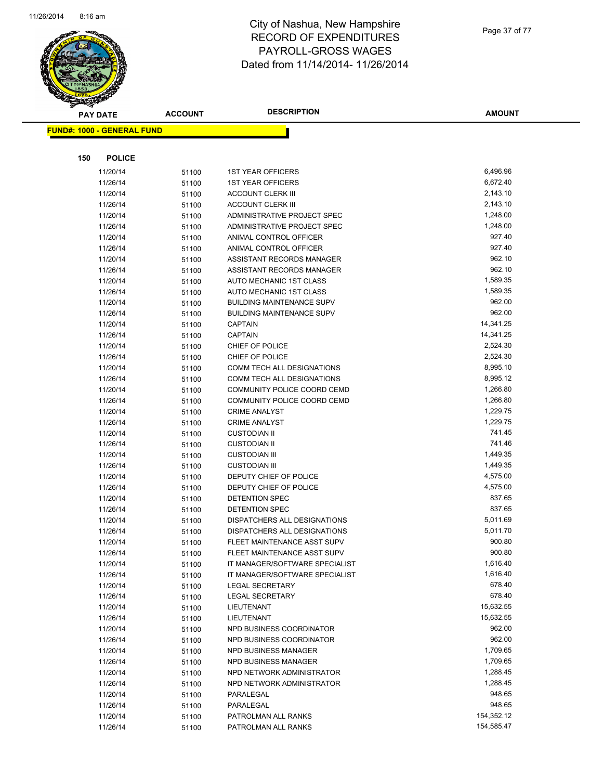

|     | FUND#: 1000 - GENERAL FUND |       |                                  |            |
|-----|----------------------------|-------|----------------------------------|------------|
|     |                            |       |                                  |            |
| 150 | <b>POLICE</b>              |       |                                  |            |
|     | 11/20/14                   | 51100 | <b>1ST YEAR OFFICERS</b>         | 6,496.96   |
|     | 11/26/14                   | 51100 | <b>1ST YEAR OFFICERS</b>         | 6,672.40   |
|     | 11/20/14                   | 51100 | <b>ACCOUNT CLERK III</b>         | 2,143.10   |
|     | 11/26/14                   | 51100 | <b>ACCOUNT CLERK III</b>         | 2,143.10   |
|     | 11/20/14                   | 51100 | ADMINISTRATIVE PROJECT SPEC      | 1,248.00   |
|     | 11/26/14                   | 51100 | ADMINISTRATIVE PROJECT SPEC      | 1,248.00   |
|     | 11/20/14                   | 51100 | ANIMAL CONTROL OFFICER           | 927.40     |
|     | 11/26/14                   | 51100 | ANIMAL CONTROL OFFICER           | 927.40     |
|     | 11/20/14                   | 51100 | ASSISTANT RECORDS MANAGER        | 962.10     |
|     | 11/26/14                   | 51100 | ASSISTANT RECORDS MANAGER        | 962.10     |
|     | 11/20/14                   | 51100 | AUTO MECHANIC 1ST CLASS          | 1,589.35   |
|     | 11/26/14                   | 51100 | AUTO MECHANIC 1ST CLASS          | 1,589.35   |
|     | 11/20/14                   | 51100 | <b>BUILDING MAINTENANCE SUPV</b> | 962.00     |
|     | 11/26/14                   | 51100 | <b>BUILDING MAINTENANCE SUPV</b> | 962.00     |
|     | 11/20/14                   | 51100 | <b>CAPTAIN</b>                   | 14,341.25  |
|     | 11/26/14                   | 51100 | <b>CAPTAIN</b>                   | 14,341.25  |
|     | 11/20/14                   | 51100 | CHIEF OF POLICE                  | 2,524.30   |
|     | 11/26/14                   | 51100 | CHIEF OF POLICE                  | 2,524.30   |
|     | 11/20/14                   | 51100 | COMM TECH ALL DESIGNATIONS       | 8,995.10   |
|     | 11/26/14                   | 51100 | COMM TECH ALL DESIGNATIONS       | 8,995.12   |
|     | 11/20/14                   | 51100 | COMMUNITY POLICE COORD CEMD      | 1,266.80   |
|     | 11/26/14                   | 51100 | COMMUNITY POLICE COORD CEMD      | 1,266.80   |
|     | 11/20/14                   | 51100 | <b>CRIME ANALYST</b>             | 1,229.75   |
|     | 11/26/14                   | 51100 | <b>CRIME ANALYST</b>             | 1,229.75   |
|     | 11/20/14                   | 51100 | <b>CUSTODIAN II</b>              | 741.45     |
|     | 11/26/14                   | 51100 | <b>CUSTODIAN II</b>              | 741.46     |
|     | 11/20/14                   | 51100 | <b>CUSTODIAN III</b>             | 1,449.35   |
|     | 11/26/14                   | 51100 | <b>CUSTODIAN III</b>             | 1,449.35   |
|     | 11/20/14                   | 51100 | DEPUTY CHIEF OF POLICE           | 4,575.00   |
|     | 11/26/14                   | 51100 | DEPUTY CHIEF OF POLICE           | 4,575.00   |
|     | 11/20/14                   | 51100 | DETENTION SPEC                   | 837.65     |
|     | 11/26/14                   | 51100 | DETENTION SPEC                   | 837.65     |
|     | 11/20/14                   | 51100 | DISPATCHERS ALL DESIGNATIONS     | 5,011.69   |
|     | 11/26/14                   | 51100 | DISPATCHERS ALL DESIGNATIONS     | 5,011.70   |
|     | 11/20/14                   | 51100 | FLEET MAINTENANCE ASST SUPV      | 900.80     |
|     | 11/26/14                   | 51100 | FLEET MAINTENANCE ASST SUPV      | 900.80     |
|     | 11/20/14                   | 51100 | IT MANAGER/SOFTWARE SPECIALIST   | 1,616.40   |
|     | 11/26/14                   | 51100 | IT MANAGER/SOFTWARE SPECIALIST   | 1,616.40   |
|     | 11/20/14                   | 51100 | <b>LEGAL SECRETARY</b>           | 678.40     |
|     | 11/26/14                   | 51100 | <b>LEGAL SECRETARY</b>           | 678.40     |
|     | 11/20/14                   | 51100 | LIEUTENANT                       | 15,632.55  |
|     | 11/26/14                   | 51100 | LIEUTENANT                       | 15,632.55  |
|     | 11/20/14                   | 51100 | NPD BUSINESS COORDINATOR         | 962.00     |
|     | 11/26/14                   | 51100 | NPD BUSINESS COORDINATOR         | 962.00     |
|     | 11/20/14                   | 51100 | NPD BUSINESS MANAGER             | 1,709.65   |
|     | 11/26/14                   | 51100 | NPD BUSINESS MANAGER             | 1,709.65   |
|     | 11/20/14                   | 51100 | NPD NETWORK ADMINISTRATOR        | 1,288.45   |
|     | 11/26/14                   | 51100 | NPD NETWORK ADMINISTRATOR        | 1,288.45   |
|     | 11/20/14                   | 51100 | PARALEGAL                        | 948.65     |
|     | 11/26/14                   | 51100 | PARALEGAL                        | 948.65     |
|     | 11/20/14                   | 51100 | PATROLMAN ALL RANKS              | 154,352.12 |
|     | 11/26/14                   | 51100 | PATROLMAN ALL RANKS              | 154,585.47 |

**AMOUNT**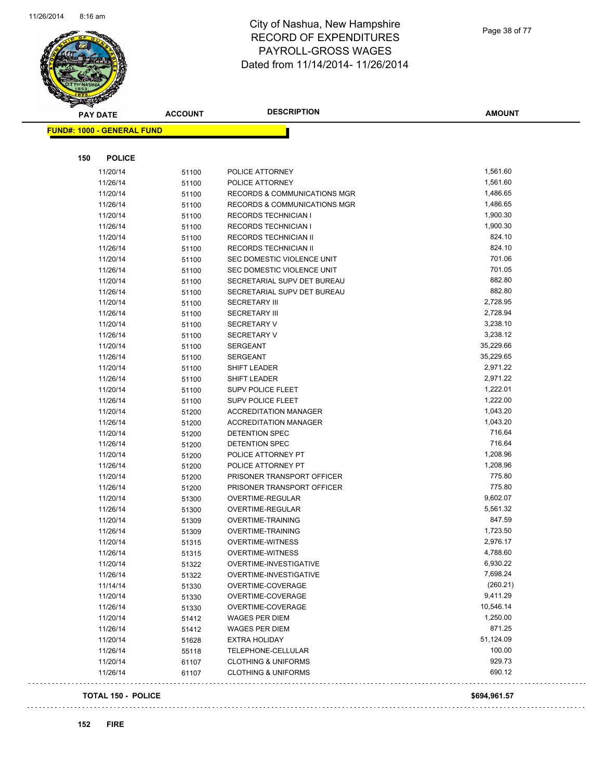

Page 38 of 77

| <b>PAY DATE</b>                   | <b>ACCOUNT</b> | <b>DESCRIPTION</b>                      | <b>AMOUNT</b>        |
|-----------------------------------|----------------|-----------------------------------------|----------------------|
| <b>FUND#: 1000 - GENERAL FUND</b> |                |                                         |                      |
|                                   |                |                                         |                      |
| 150<br><b>POLICE</b>              |                |                                         |                      |
| 11/20/14                          | 51100          | POLICE ATTORNEY                         | 1,561.60             |
| 11/26/14                          | 51100          | POLICE ATTORNEY                         | 1,561.60             |
| 11/20/14                          | 51100          | <b>RECORDS &amp; COMMUNICATIONS MGR</b> | 1,486.65             |
| 11/26/14                          | 51100          | RECORDS & COMMUNICATIONS MGR            | 1,486.65             |
| 11/20/14                          | 51100          | <b>RECORDS TECHNICIAN I</b>             | 1,900.30             |
| 11/26/14                          | 51100          | <b>RECORDS TECHNICIAN I</b>             | 1,900.30             |
| 11/20/14                          | 51100          | RECORDS TECHNICIAN II                   | 824.10               |
| 11/26/14                          | 51100          | RECORDS TECHNICIAN II                   | 824.10               |
| 11/20/14                          | 51100          | SEC DOMESTIC VIOLENCE UNIT              | 701.06               |
| 11/26/14                          | 51100          | SEC DOMESTIC VIOLENCE UNIT              | 701.05               |
| 11/20/14                          | 51100          | SECRETARIAL SUPV DET BUREAU             | 882.80               |
| 11/26/14                          | 51100          | SECRETARIAL SUPV DET BUREAU             | 882.80               |
| 11/20/14                          | 51100          | <b>SECRETARY III</b>                    | 2,728.95             |
| 11/26/14                          | 51100          | <b>SECRETARY III</b>                    | 2,728.94             |
| 11/20/14                          | 51100          | <b>SECRETARY V</b>                      | 3,238.10             |
| 11/26/14                          | 51100          | <b>SECRETARY V</b>                      | 3,238.12             |
| 11/20/14                          | 51100          | <b>SERGEANT</b>                         | 35,229.66            |
| 11/26/14                          | 51100          | <b>SERGEANT</b>                         | 35,229.65            |
| 11/20/14                          | 51100          | SHIFT LEADER                            | 2,971.22             |
| 11/26/14                          | 51100          | SHIFT LEADER                            | 2,971.22             |
| 11/20/14                          | 51100          | <b>SUPV POLICE FLEET</b>                | 1,222.01             |
| 11/26/14                          | 51100          | <b>SUPV POLICE FLEET</b>                | 1,222.00             |
| 11/20/14                          | 51200          | <b>ACCREDITATION MANAGER</b>            | 1,043.20             |
| 11/26/14                          | 51200          | <b>ACCREDITATION MANAGER</b>            | 1,043.20             |
| 11/20/14                          | 51200          | DETENTION SPEC                          | 716.64               |
| 11/26/14                          | 51200          | <b>DETENTION SPEC</b>                   | 716.64               |
| 11/20/14                          | 51200          | POLICE ATTORNEY PT                      | 1,208.96             |
| 11/26/14                          | 51200          | POLICE ATTORNEY PT                      | 1,208.96             |
| 11/20/14                          | 51200          | PRISONER TRANSPORT OFFICER              | 775.80               |
| 11/26/14                          | 51200          | PRISONER TRANSPORT OFFICER              | 775.80               |
| 11/20/14                          | 51300          | OVERTIME-REGULAR                        | 9,602.07             |
| 11/26/14                          | 51300          | OVERTIME-REGULAR                        | 5,561.32             |
| 11/20/14                          | 51309          | <b>OVERTIME-TRAINING</b>                | 847.59               |
| 11/26/14                          | 51309          | <b>OVERTIME-TRAINING</b>                | 1,723.50             |
| 11/20/14                          | 51315          | <b>OVERTIME-WITNESS</b>                 | 2,976.17             |
| 11/26/14                          | 51315          | <b>OVERTIME-WITNESS</b>                 | 4,788.60             |
| 11/20/14                          | 51322          | OVERTIME-INVESTIGATIVE                  | 6,930.22<br>7,698.24 |
| 11/26/14                          | 51322          | OVERTIME-INVESTIGATIVE                  | (260.21)             |
| 11/14/14                          | 51330          | OVERTIME-COVERAGE                       |                      |
| 11/20/14                          | 51330          | OVERTIME-COVERAGE                       | 9,411.29             |
| 11/26/14                          | 51330          | OVERTIME-COVERAGE                       | 10,546.14            |
| 11/20/14                          | 51412          | <b>WAGES PER DIEM</b>                   | 1,250.00             |
| 11/26/14                          | 51412          | <b>WAGES PER DIEM</b>                   | 871.25               |
| 11/20/14                          | 51628          | <b>EXTRA HOLIDAY</b>                    | 51,124.09            |
| 11/26/14                          | 55118          | TELEPHONE-CELLULAR                      | 100.00<br>929.73     |
| 11/20/14                          | 61107          | <b>CLOTHING &amp; UNIFORMS</b>          | 690.12               |
| 11/26/14                          | 61107          | <b>CLOTHING &amp; UNIFORMS</b>          |                      |
| <b>TOTAL 150 - POLICE</b>         |                |                                         | \$694,961.57         |

 $\ldots$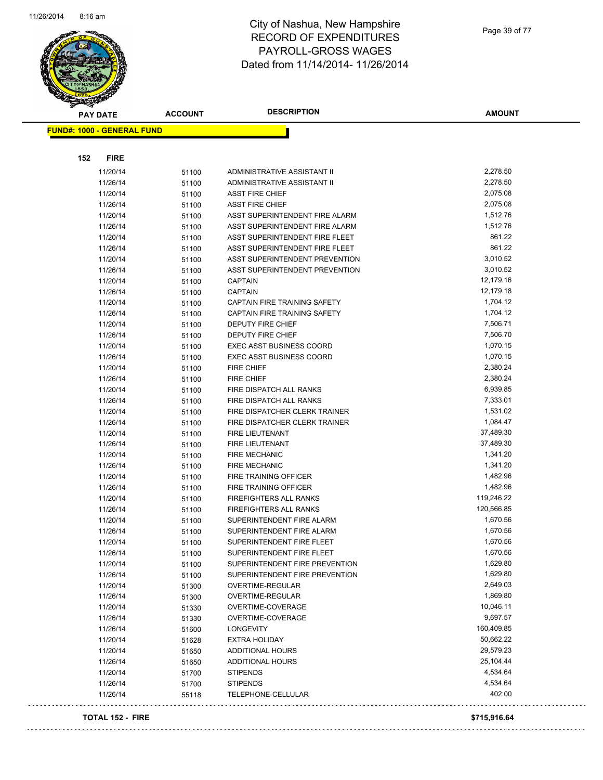

Page 39 of 77

| <b>PAY DATE</b>                   | <b>ACCOUNT</b> | <b>DESCRIPTION</b>                    | <b>AMOUNT</b> |
|-----------------------------------|----------------|---------------------------------------|---------------|
| <b>FUND#: 1000 - GENERAL FUND</b> |                |                                       |               |
|                                   |                |                                       |               |
| <b>FIRE</b><br>152                |                |                                       |               |
| 11/20/14                          | 51100          | ADMINISTRATIVE ASSISTANT II           | 2,278.50      |
| 11/26/14                          | 51100          | ADMINISTRATIVE ASSISTANT II           | 2,278.50      |
| 11/20/14                          | 51100          | <b>ASST FIRE CHIEF</b>                | 2,075.08      |
| 11/26/14                          | 51100          | <b>ASST FIRE CHIEF</b>                | 2,075.08      |
| 11/20/14                          | 51100          | ASST SUPERINTENDENT FIRE ALARM        | 1,512.76      |
| 11/26/14                          | 51100          | ASST SUPERINTENDENT FIRE ALARM        | 1,512.76      |
| 11/20/14                          | 51100          | ASST SUPERINTENDENT FIRE FLEET        | 861.22        |
| 11/26/14                          | 51100          | ASST SUPERINTENDENT FIRE FLEET        | 861.22        |
| 11/20/14                          | 51100          | ASST SUPERINTENDENT PREVENTION        | 3,010.52      |
| 11/26/14                          | 51100          | ASST SUPERINTENDENT PREVENTION        | 3,010.52      |
| 11/20/14                          | 51100          | <b>CAPTAIN</b>                        | 12,179.16     |
| 11/26/14                          | 51100          | <b>CAPTAIN</b>                        | 12,179.18     |
| 11/20/14                          | 51100          | CAPTAIN FIRE TRAINING SAFETY          | 1,704.12      |
| 11/26/14                          | 51100          | CAPTAIN FIRE TRAINING SAFETY          | 1,704.12      |
| 11/20/14                          | 51100          | DEPUTY FIRE CHIEF                     | 7,506.71      |
| 11/26/14                          | 51100          | DEPUTY FIRE CHIEF                     | 7,506.70      |
| 11/20/14                          | 51100          | <b>EXEC ASST BUSINESS COORD</b>       | 1,070.15      |
| 11/26/14                          | 51100          | EXEC ASST BUSINESS COORD              | 1,070.15      |
| 11/20/14                          | 51100          | FIRE CHIEF                            | 2,380.24      |
| 11/26/14                          | 51100          | <b>FIRE CHIEF</b>                     | 2,380.24      |
| 11/20/14                          | 51100          | FIRE DISPATCH ALL RANKS               | 6,939.85      |
| 11/26/14                          | 51100          | FIRE DISPATCH ALL RANKS               | 7,333.01      |
| 11/20/14                          | 51100          | FIRE DISPATCHER CLERK TRAINER         | 1,531.02      |
| 11/26/14                          | 51100          | FIRE DISPATCHER CLERK TRAINER         | 1,084.47      |
| 11/20/14                          | 51100          | <b>FIRE LIEUTENANT</b>                | 37,489.30     |
| 11/26/14                          | 51100          | FIRE LIEUTENANT                       | 37,489.30     |
| 11/20/14                          | 51100          | <b>FIRE MECHANIC</b>                  | 1,341.20      |
| 11/26/14                          | 51100          | <b>FIRE MECHANIC</b>                  | 1,341.20      |
| 11/20/14                          | 51100          | FIRE TRAINING OFFICER                 | 1,482.96      |
| 11/26/14                          | 51100          | FIRE TRAINING OFFICER                 | 1,482.96      |
| 11/20/14                          | 51100          | FIREFIGHTERS ALL RANKS                | 119,246.22    |
| 11/26/14                          | 51100          | <b>FIREFIGHTERS ALL RANKS</b>         | 120,566.85    |
| 11/20/14                          | 51100          | SUPERINTENDENT FIRE ALARM             | 1,670.56      |
| 11/26/14                          | 51100          | SUPERINTENDENT FIRE ALARM             | 1,670.56      |
| 11/20/14                          | 51100          | SUPERINTENDENT FIRE FLEET             | 1,670.56      |
| 11/26/14                          | 51100          | SUPERINTENDENT FIRE FLEET             | 1,670.56      |
| 11/20/14                          | 51100          | SUPERINTENDENT FIRE PREVENTION        | 1,629.80      |
| 11/26/14                          | 51100          | SUPERINTENDENT FIRE PREVENTION        | 1,629.80      |
| 11/20/14                          | 51300          | OVERTIME-REGULAR                      | 2,649.03      |
| 11/26/14                          | 51300          | OVERTIME-REGULAR                      | 1,869.80      |
| 11/20/14                          | 51330          | OVERTIME-COVERAGE                     | 10,046.11     |
| 11/26/14                          | 51330          | OVERTIME-COVERAGE                     | 9,697.57      |
| 11/26/14                          | 51600          | <b>LONGEVITY</b>                      | 160,409.85    |
| 11/20/14                          | 51628          | <b>EXTRA HOLIDAY</b>                  | 50,662.22     |
| 11/20/14                          |                | ADDITIONAL HOURS                      | 29,579.23     |
|                                   | 51650          |                                       | 25,104.44     |
| 11/26/14<br>11/20/14              | 51650          | ADDITIONAL HOURS                      | 4,534.64      |
|                                   | 51700          | <b>STIPENDS</b>                       | 4,534.64      |
| 11/26/14<br>11/26/14              | 51700<br>55118 | <b>STIPENDS</b><br>TELEPHONE-CELLULAR | 402.00        |

#### **TOTAL 152 - FIRE \$715,916.64**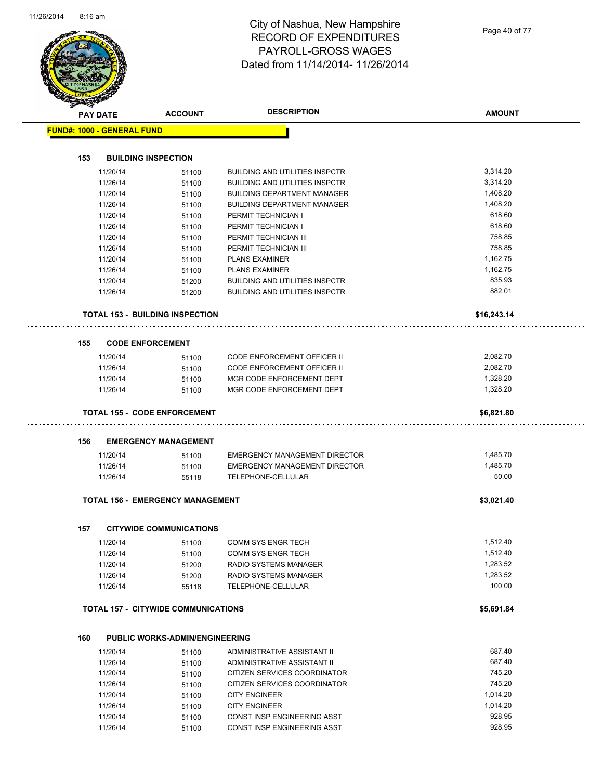Page 40 of 77

|     | <b>PAY DATE</b>                   | <b>ACCOUNT</b>                             | <b>DESCRIPTION</b>                    | <b>AMOUNT</b> |
|-----|-----------------------------------|--------------------------------------------|---------------------------------------|---------------|
|     | <b>FUND#: 1000 - GENERAL FUND</b> |                                            |                                       |               |
|     |                                   |                                            |                                       |               |
| 153 |                                   | <b>BUILDING INSPECTION</b>                 |                                       |               |
|     | 11/20/14                          | 51100                                      | <b>BUILDING AND UTILITIES INSPCTR</b> | 3,314.20      |
|     | 11/26/14                          | 51100                                      | <b>BUILDING AND UTILITIES INSPCTR</b> | 3,314.20      |
|     | 11/20/14                          | 51100                                      | <b>BUILDING DEPARTMENT MANAGER</b>    | 1,408.20      |
|     | 11/26/14                          | 51100                                      | <b>BUILDING DEPARTMENT MANAGER</b>    | 1,408.20      |
|     | 11/20/14                          | 51100                                      | PERMIT TECHNICIAN I                   | 618.60        |
|     | 11/26/14                          | 51100                                      | PERMIT TECHNICIAN I                   | 618.60        |
|     | 11/20/14                          | 51100                                      | PERMIT TECHNICIAN III                 | 758.85        |
|     | 11/26/14                          | 51100                                      | PERMIT TECHNICIAN III                 | 758.85        |
|     | 11/20/14                          | 51100                                      | <b>PLANS EXAMINER</b>                 | 1,162.75      |
|     | 11/26/14                          | 51100                                      | <b>PLANS EXAMINER</b>                 | 1,162.75      |
|     | 11/20/14                          | 51200                                      | <b>BUILDING AND UTILITIES INSPCTR</b> | 835.93        |
|     | 11/26/14                          | 51200                                      | <b>BUILDING AND UTILITIES INSPCTR</b> | 882.01        |
|     |                                   | <b>TOTAL 153 - BUILDING INSPECTION</b>     |                                       | \$16,243.14   |
| 155 | <b>CODE ENFORCEMENT</b>           |                                            |                                       |               |
|     | 11/20/14                          | 51100                                      | CODE ENFORCEMENT OFFICER II           | 2,082.70      |
|     | 11/26/14                          | 51100                                      | <b>CODE ENFORCEMENT OFFICER II</b>    | 2,082.70      |
|     | 11/20/14                          | 51100                                      | MGR CODE ENFORCEMENT DEPT             | 1,328.20      |
|     | 11/26/14                          | 51100                                      | MGR CODE ENFORCEMENT DEPT             | 1,328.20      |
|     |                                   | <b>TOTAL 155 - CODE ENFORCEMENT</b>        |                                       | \$6,821.80    |
| 156 |                                   | <b>EMERGENCY MANAGEMENT</b>                |                                       |               |
|     | 11/20/14                          | 51100                                      | EMERGENCY MANAGEMENT DIRECTOR         | 1,485.70      |
|     | 11/26/14                          | 51100                                      | EMERGENCY MANAGEMENT DIRECTOR         | 1,485.70      |
|     | 11/26/14                          | 55118                                      | TELEPHONE-CELLULAR                    | 50.00         |
|     |                                   | <b>TOTAL 156 - EMERGENCY MANAGEMENT</b>    |                                       | \$3,021.40    |
| 157 |                                   | <b>CITYWIDE COMMUNICATIONS</b>             |                                       |               |
|     | 11/20/14                          | 51100                                      | <b>COMM SYS ENGR TECH</b>             | 1,512.40      |
|     | 11/26/14                          | 51100                                      | <b>COMM SYS ENGR TECH</b>             | 1,512.40      |
|     | 11/20/14                          | 51200                                      | <b>RADIO SYSTEMS MANAGER</b>          | 1,283.52      |
|     | 11/26/14                          | 51200                                      | RADIO SYSTEMS MANAGER                 | 1,283.52      |
|     | 11/26/14                          | 55118                                      | TELEPHONE-CELLULAR                    | 100.00        |
|     |                                   | <b>TOTAL 157 - CITYWIDE COMMUNICATIONS</b> |                                       | \$5,691.84    |
| 160 |                                   | <b>PUBLIC WORKS-ADMIN/ENGINEERING</b>      |                                       |               |
|     | 11/20/14                          | 51100                                      | ADMINISTRATIVE ASSISTANT II           | 687.40        |
|     | 11/26/14                          | 51100                                      | ADMINISTRATIVE ASSISTANT II           | 687.40        |
|     | 11/20/14                          | 51100                                      | CITIZEN SERVICES COORDINATOR          | 745.20        |
|     | 11/26/14                          | 51100                                      | CITIZEN SERVICES COORDINATOR          | 745.20        |
|     | 11/20/14                          | 51100                                      | <b>CITY ENGINEER</b>                  | 1,014.20      |
|     | 11/26/14                          | 51100                                      | <b>CITY ENGINEER</b>                  | 1,014.20      |
|     | 11/20/14                          | 51100                                      | CONST INSP ENGINEERING ASST           | 928.95        |
|     |                                   |                                            |                                       |               |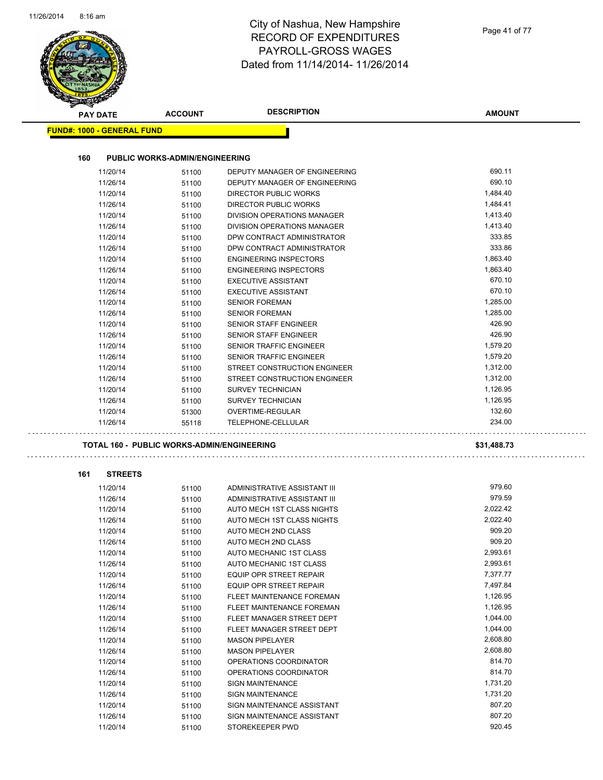$\mathcal{L}$ 

#### City of Nashua, New Hampshire RECORD OF EXPENDITURES PAYROLL-GROSS WAGES Dated from 11/14/2014- 11/26/2014

| <b>PAY DATE</b>                   | <b>ACCOUNT</b>                                    | <b>DESCRIPTION</b>                                         | <b>AMOUNT</b>        |
|-----------------------------------|---------------------------------------------------|------------------------------------------------------------|----------------------|
| <b>FUND#: 1000 - GENERAL FUND</b> |                                                   |                                                            |                      |
|                                   |                                                   |                                                            |                      |
| 160                               | <b>PUBLIC WORKS-ADMIN/ENGINEERING</b>             |                                                            |                      |
| 11/20/14                          | 51100                                             | DEPUTY MANAGER OF ENGINEERING                              | 690.11               |
| 11/26/14                          | 51100                                             | DEPUTY MANAGER OF ENGINEERING                              | 690.10               |
| 11/20/14                          | 51100                                             | DIRECTOR PUBLIC WORKS<br><b>DIRECTOR PUBLIC WORKS</b>      | 1,484.40             |
| 11/26/14                          | 51100                                             |                                                            | 1,484.41<br>1,413.40 |
| 11/20/14<br>11/26/14              | 51100                                             | DIVISION OPERATIONS MANAGER<br>DIVISION OPERATIONS MANAGER | 1,413.40             |
| 11/20/14                          | 51100<br>51100                                    | DPW CONTRACT ADMINISTRATOR                                 | 333.85               |
| 11/26/14                          | 51100                                             | DPW CONTRACT ADMINISTRATOR                                 | 333.86               |
| 11/20/14                          | 51100                                             | <b>ENGINEERING INSPECTORS</b>                              | 1,863.40             |
| 11/26/14                          | 51100                                             | <b>ENGINEERING INSPECTORS</b>                              | 1,863.40             |
| 11/20/14                          | 51100                                             | <b>EXECUTIVE ASSISTANT</b>                                 | 670.10               |
| 11/26/14                          | 51100                                             | <b>EXECUTIVE ASSISTANT</b>                                 | 670.10               |
| 11/20/14                          | 51100                                             | <b>SENIOR FOREMAN</b>                                      | 1,285.00             |
| 11/26/14                          | 51100                                             | <b>SENIOR FOREMAN</b>                                      | 1,285.00             |
| 11/20/14                          | 51100                                             | <b>SENIOR STAFF ENGINEER</b>                               | 426.90               |
| 11/26/14                          | 51100                                             | <b>SENIOR STAFF ENGINEER</b>                               | 426.90               |
| 11/20/14                          | 51100                                             | <b>SENIOR TRAFFIC ENGINEER</b>                             | 1,579.20             |
| 11/26/14                          | 51100                                             | <b>SENIOR TRAFFIC ENGINEER</b>                             | 1,579.20             |
| 11/20/14                          | 51100                                             | STREET CONSTRUCTION ENGINEER                               | 1,312.00             |
| 11/26/14                          | 51100                                             | STREET CONSTRUCTION ENGINEER                               | 1,312.00             |
| 11/20/14                          | 51100                                             | <b>SURVEY TECHNICIAN</b>                                   | 1,126.95             |
| 11/26/14                          | 51100                                             | <b>SURVEY TECHNICIAN</b>                                   | 1,126.95             |
| 11/20/14                          | 51300                                             | OVERTIME-REGULAR                                           | 132.60               |
| 11/26/14                          | 55118                                             | TELEPHONE-CELLULAR                                         | 234.00               |
|                                   | <b>TOTAL 160 - PUBLIC WORKS-ADMIN/ENGINEERING</b> |                                                            | \$31,488.73          |
|                                   |                                                   |                                                            |                      |
| 161<br><b>STREETS</b>             |                                                   |                                                            |                      |
| 11/20/14                          | 51100                                             | ADMINISTRATIVE ASSISTANT III                               | 979.60               |
| 11/26/14                          | 51100                                             | ADMINISTRATIVE ASSISTANT III                               | 979.59               |
| 11/20/14                          | 51100                                             | AUTO MECH 1ST CLASS NIGHTS                                 | 2,022.42             |
| 11/26/14                          | 51100                                             | AUTO MECH 1ST CLASS NIGHTS                                 | 2,022.40             |
| 11/20/14                          | 51100                                             | AUTO MECH 2ND CLASS                                        | 909.20               |
| 11/26/14                          | 51100                                             | AUTO MECH 2ND CLASS                                        | 909.20               |
| 11/20/14                          | 51100                                             | AUTO MECHANIC 1ST CLASS                                    | 2,993.61             |
| 11/26/14                          | 51100                                             | AUTO MECHANIC 1ST CLASS                                    | 2,993.61             |
| 11/20/14                          | 51100                                             | EQUIP OPR STREET REPAIR                                    | 7,377.77             |
| 11/26/14                          | 51100                                             | EQUIP OPR STREET REPAIR                                    | 7,497.84             |
| 11/20/14                          | 51100                                             | FLEET MAINTENANCE FOREMAN                                  | 1,126.95             |
| 11/26/14                          | 51100                                             | FLEET MAINTENANCE FOREMAN                                  | 1,126.95             |
| 11/20/14                          | 51100                                             | FLEET MANAGER STREET DEPT                                  | 1,044.00             |
| 11/26/14                          | 51100                                             | FLEET MANAGER STREET DEPT                                  | 1,044.00             |
| 11/20/14                          | 51100                                             | <b>MASON PIPELAYER</b>                                     | 2,608.80             |
| 11/26/14                          | 51100                                             | <b>MASON PIPELAYER</b>                                     | 2,608.80             |
| 11/20/14                          | 51100                                             | OPERATIONS COORDINATOR                                     | 814.70               |
|                                   | 51100                                             | OPERATIONS COORDINATOR                                     | 814.70               |
| 11/26/14                          |                                                   |                                                            |                      |
| 11/20/14                          | 51100                                             | SIGN MAINTENANCE                                           | 1,731.20             |
| 11/26/14                          | 51100                                             | <b>SIGN MAINTENANCE</b>                                    | 1,731.20             |
| 11/20/14                          | 51100                                             | SIGN MAINTENANCE ASSISTANT                                 | 807.20               |
| 11/26/14                          | 51100                                             | SIGN MAINTENANCE ASSISTANT                                 | 807.20               |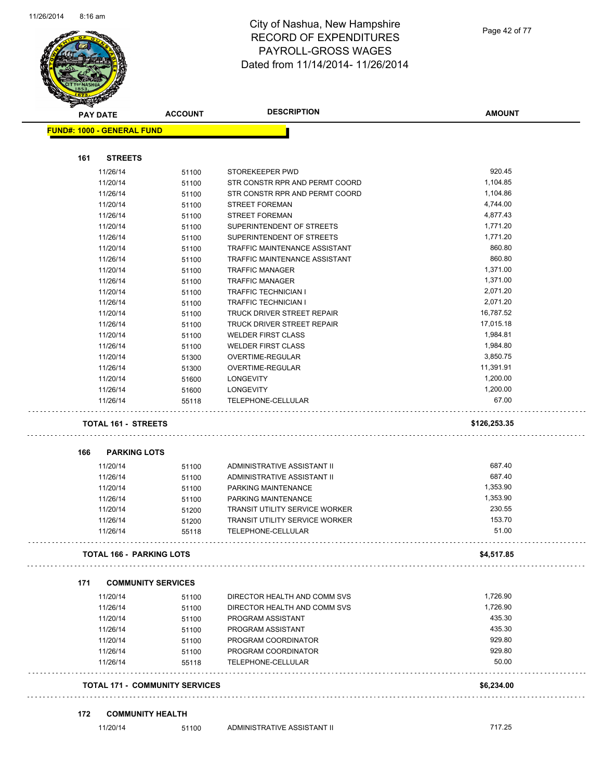

| <b>FUND#: 1000 - GENERAL FUND</b> |       |                                       |              |
|-----------------------------------|-------|---------------------------------------|--------------|
| <b>STREETS</b><br>161             |       |                                       |              |
| 11/26/14                          | 51100 | STOREKEEPER PWD                       | 920.45       |
| 11/20/14                          | 51100 | STR CONSTR RPR AND PERMT COORD        | 1,104.85     |
| 11/26/14                          | 51100 | STR CONSTR RPR AND PERMT COORD        | 1,104.86     |
| 11/20/14                          | 51100 | <b>STREET FOREMAN</b>                 | 4,744.00     |
| 11/26/14                          | 51100 | <b>STREET FOREMAN</b>                 | 4,877.43     |
| 11/20/14                          | 51100 | SUPERINTENDENT OF STREETS             | 1,771.20     |
| 11/26/14                          | 51100 | SUPERINTENDENT OF STREETS             | 1,771.20     |
| 11/20/14                          | 51100 | TRAFFIC MAINTENANCE ASSISTANT         | 860.80       |
| 11/26/14                          | 51100 | TRAFFIC MAINTENANCE ASSISTANT         | 860.80       |
| 11/20/14                          | 51100 | <b>TRAFFIC MANAGER</b>                | 1,371.00     |
| 11/26/14                          | 51100 | <b>TRAFFIC MANAGER</b>                | 1,371.00     |
| 11/20/14                          | 51100 | <b>TRAFFIC TECHNICIAN I</b>           | 2,071.20     |
| 11/26/14                          | 51100 | <b>TRAFFIC TECHNICIAN I</b>           | 2,071.20     |
| 11/20/14                          | 51100 | TRUCK DRIVER STREET REPAIR            | 16,787.52    |
| 11/26/14                          | 51100 | TRUCK DRIVER STREET REPAIR            | 17,015.18    |
| 11/20/14                          | 51100 | <b>WELDER FIRST CLASS</b>             | 1,984.81     |
| 11/26/14                          | 51100 | <b>WELDER FIRST CLASS</b>             | 1,984.80     |
| 11/20/14                          | 51300 | <b>OVERTIME-REGULAR</b>               | 3,850.75     |
| 11/26/14                          | 51300 | OVERTIME-REGULAR                      | 11,391.91    |
| 11/20/14                          | 51600 | <b>LONGEVITY</b>                      | 1,200.00     |
| 11/26/14                          | 51600 | <b>LONGEVITY</b>                      | 1,200.00     |
| 11/26/14                          | 55118 | TELEPHONE-CELLULAR                    | 67.00        |
| <b>TOTAL 161 - STREETS</b>        |       |                                       | \$126,253.35 |
| 166<br><b>PARKING LOTS</b>        |       |                                       |              |
| 11/20/14                          | 51100 | ADMINISTRATIVE ASSISTANT II           | 687.40       |
| 11/26/14                          | 51100 | ADMINISTRATIVE ASSISTANT II           | 687.40       |
| 11/20/14                          | 51100 | PARKING MAINTENANCE                   | 1,353.90     |
| 11/26/14                          | 51100 | PARKING MAINTENANCE                   | 1,353.90     |
| 11/20/14                          | 51200 | <b>TRANSIT UTILITY SERVICE WORKER</b> | 230.55       |
| 11/26/14                          | 51200 | <b>TRANSIT UTILITY SERVICE WORKER</b> | 153.70       |
| 11/26/14                          | 55118 | TELEPHONE-CELLULAR                    | 51.00        |
| <b>TOTAL 166 - PARKING LOTS</b>   |       |                                       | \$4,517.85   |
| 171<br><b>COMMUNITY SERVICES</b>  |       |                                       |              |
| 11/20/14                          | 51100 | DIRECTOR HEALTH AND COMM SVS          | 1,726.90     |
| 11/26/14                          | 51100 | DIRECTOR HEALTH AND COMM SVS          | 1,726.90     |
| 11/20/14                          | 51100 | PROGRAM ASSISTANT                     | 435.30       |
| 11/26/14                          | 51100 | PROGRAM ASSISTANT                     | 435.30       |
| 11/20/14                          | 51100 | PROGRAM COORDINATOR                   | 929.80       |
| 11/26/14                          | 51100 | PROGRAM COORDINATOR                   | 929.80       |
| 11/26/14                          | 55118 | <b>TELEPHONE-CELLULAR</b>             | 50.00        |
|                                   |       |                                       |              |

#### **172 COMMUNITY HEALTH**

**AMOUNT**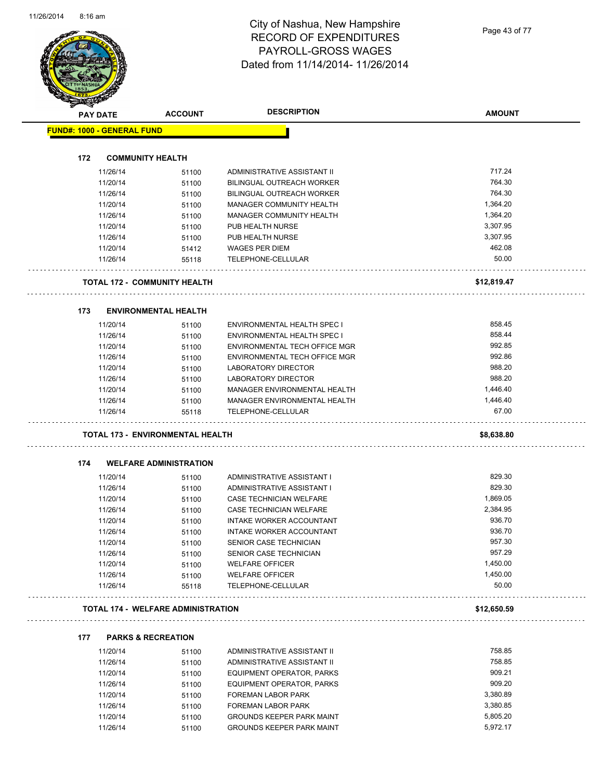Page 43 of 77

|     | <b>PAY DATE</b>                   | <b>ACCOUNT</b>                            | <b>DESCRIPTION</b>                                     | <b>AMOUNT</b> |
|-----|-----------------------------------|-------------------------------------------|--------------------------------------------------------|---------------|
|     | <b>FUND#: 1000 - GENERAL FUND</b> |                                           |                                                        |               |
|     |                                   |                                           |                                                        |               |
| 172 |                                   | <b>COMMUNITY HEALTH</b>                   |                                                        |               |
|     | 11/26/14                          | 51100                                     | ADMINISTRATIVE ASSISTANT II                            | 717.24        |
|     | 11/20/14                          | 51100                                     | <b>BILINGUAL OUTREACH WORKER</b>                       | 764.30        |
|     | 11/26/14                          | 51100                                     | BILINGUAL OUTREACH WORKER                              | 764.30        |
|     | 11/20/14                          | 51100                                     | MANAGER COMMUNITY HEALTH                               | 1,364.20      |
|     | 11/26/14                          | 51100                                     | MANAGER COMMUNITY HEALTH                               | 1,364.20      |
|     | 11/20/14                          | 51100                                     | PUB HEALTH NURSE                                       | 3,307.95      |
|     | 11/26/14                          | 51100                                     | PUB HEALTH NURSE                                       | 3,307.95      |
|     | 11/20/14                          | 51412                                     | <b>WAGES PER DIEM</b>                                  | 462.08        |
|     | 11/26/14                          | 55118                                     | TELEPHONE-CELLULAR                                     | 50.00         |
|     |                                   | <b>TOTAL 172 - COMMUNITY HEALTH</b>       |                                                        | \$12,819.47   |
| 173 |                                   | <b>ENVIRONMENTAL HEALTH</b>               |                                                        |               |
|     | 11/20/14                          | 51100                                     | ENVIRONMENTAL HEALTH SPEC I                            | 858.45        |
|     | 11/26/14                          | 51100                                     | <b>ENVIRONMENTAL HEALTH SPEC I</b>                     | 858.44        |
|     | 11/20/14                          | 51100                                     | ENVIRONMENTAL TECH OFFICE MGR                          | 992.85        |
|     | 11/26/14                          | 51100                                     | ENVIRONMENTAL TECH OFFICE MGR                          | 992.86        |
|     | 11/20/14                          | 51100                                     | <b>LABORATORY DIRECTOR</b>                             | 988.20        |
|     | 11/26/14                          | 51100                                     | LABORATORY DIRECTOR                                    | 988.20        |
|     | 11/20/14                          | 51100                                     | MANAGER ENVIRONMENTAL HEALTH                           | 1,446.40      |
|     | 11/26/14                          | 51100                                     | MANAGER ENVIRONMENTAL HEALTH                           | 1,446.40      |
|     | 11/26/14                          | 55118                                     | TELEPHONE-CELLULAR                                     | 67.00         |
|     |                                   | TOTAL 173 - ENVIRONMENTAL HEALTH          |                                                        | \$8,638.80    |
| 174 |                                   | <b>WELFARE ADMINISTRATION</b>             |                                                        |               |
|     | 11/20/14                          | 51100                                     | ADMINISTRATIVE ASSISTANT I                             | 829.30        |
|     | 11/26/14                          | 51100                                     | ADMINISTRATIVE ASSISTANT I                             | 829.30        |
|     | 11/20/14                          | 51100                                     | CASE TECHNICIAN WELFARE                                | 1,869.05      |
|     | 11/26/14                          | 51100                                     | CASE TECHNICIAN WELFARE                                | 2,384.95      |
|     | 11/20/14                          | 51100                                     | <b>INTAKE WORKER ACCOUNTANT</b>                        | 936.70        |
|     | 11/26/14                          |                                           | INTAKE WORKER ACCOUNTANT                               | 936.70        |
|     | 11/20/14                          | 51100<br>51100                            | SENIOR CASE TECHNICIAN                                 | 957.30        |
|     | 11/26/14                          |                                           | SENIOR CASE TECHNICIAN                                 | 957.29        |
|     |                                   | 51100                                     |                                                        | 1,450.00      |
|     | 11/20/14<br>11/26/14              | 51100                                     | <b>WELFARE OFFICER</b><br><b>WELFARE OFFICER</b>       | 1,450.00      |
|     | 11/26/14                          | 51100<br>55118                            | TELEPHONE-CELLULAR                                     | 50.00         |
|     |                                   | <b>TOTAL 174 - WELFARE ADMINISTRATION</b> |                                                        | \$12,650.59   |
| 177 |                                   | <b>PARKS &amp; RECREATION</b>             |                                                        |               |
|     | 11/20/14                          | 51100                                     | ADMINISTRATIVE ASSISTANT II                            | 758.85        |
|     | 11/26/14                          | 51100                                     | ADMINISTRATIVE ASSISTANT II                            | 758.85        |
|     | 11/20/14                          | 51100                                     | EQUIPMENT OPERATOR, PARKS                              | 909.21        |
|     | 11/26/14                          | 51100                                     | EQUIPMENT OPERATOR, PARKS                              | 909.20        |
|     | 11/20/14                          | 51100                                     | FOREMAN LABOR PARK                                     | 3,380.89      |
|     |                                   |                                           |                                                        |               |
|     |                                   |                                           |                                                        | 3,380.85      |
|     | 11/26/14<br>11/20/14              | 51100<br>51100                            | FOREMAN LABOR PARK<br><b>GROUNDS KEEPER PARK MAINT</b> | 5,805.20      |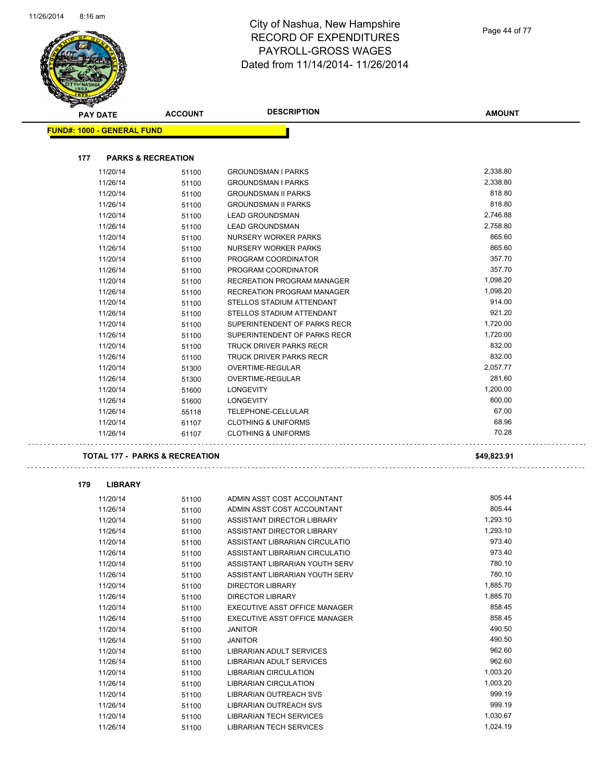$\overline{\phantom{a}}$ 

J.



# City of Nashua, New Hampshire RECORD OF EXPENDITURES PAYROLL-GROSS WAGES Dated from 11/14/2014- 11/26/2014

| <b>PAY DATE</b>                   | <b>ACCOUNT</b>                            | <b>DESCRIPTION</b>             | <b>AMOUNT</b> |
|-----------------------------------|-------------------------------------------|--------------------------------|---------------|
| <b>FUND#: 1000 - GENERAL FUND</b> |                                           |                                |               |
| 177                               | <b>PARKS &amp; RECREATION</b>             |                                |               |
| 11/20/14                          | 51100                                     | <b>GROUNDSMAN I PARKS</b>      | 2,338.80      |
| 11/26/14                          | 51100                                     | <b>GROUNDSMAN I PARKS</b>      | 2,338.80      |
| 11/20/14                          | 51100                                     | <b>GROUNDSMAN II PARKS</b>     | 818.80        |
| 11/26/14                          | 51100                                     | <b>GROUNDSMAN II PARKS</b>     | 818.80        |
| 11/20/14                          | 51100                                     | <b>LEAD GROUNDSMAN</b>         | 2,746.88      |
| 11/26/14                          | 51100                                     | <b>LEAD GROUNDSMAN</b>         | 2,758.80      |
| 11/20/14                          | 51100                                     | NURSERY WORKER PARKS           | 865.60        |
| 11/26/14                          | 51100                                     | NURSERY WORKER PARKS           | 865.60        |
| 11/20/14                          | 51100                                     | PROGRAM COORDINATOR            | 357.70        |
| 11/26/14                          | 51100                                     | PROGRAM COORDINATOR            | 357.70        |
| 11/20/14                          | 51100                                     | RECREATION PROGRAM MANAGER     | 1,098.20      |
| 11/26/14                          | 51100                                     | RECREATION PROGRAM MANAGER     | 1,098.20      |
| 11/20/14                          | 51100                                     | STELLOS STADIUM ATTENDANT      | 914.00        |
| 11/26/14                          | 51100                                     | STELLOS STADIUM ATTENDANT      | 921.20        |
| 11/20/14                          | 51100                                     | SUPERINTENDENT OF PARKS RECR   | 1,720.00      |
| 11/26/14                          | 51100                                     | SUPERINTENDENT OF PARKS RECR   | 1,720.00      |
| 11/20/14                          | 51100                                     | TRUCK DRIVER PARKS RECR        | 832.00        |
| 11/26/14                          | 51100                                     | <b>TRUCK DRIVER PARKS RECR</b> | 832.00        |
| 11/20/14                          | 51300                                     | <b>OVERTIME-REGULAR</b>        | 2,057.77      |
| 11/26/14                          | 51300                                     | OVERTIME-REGULAR               | 281.60        |
| 11/20/14                          | 51600                                     | <b>LONGEVITY</b>               | 1,200.00      |
| 11/26/14                          | 51600                                     | <b>LONGEVITY</b>               | 800.00        |
| 11/26/14                          | 55118                                     | TELEPHONE-CELLULAR             | 67.00         |
| 11/20/14                          | 61107                                     | <b>CLOTHING &amp; UNIFORMS</b> | 68.96         |
| 11/26/14                          | 61107                                     | <b>CLOTHING &amp; UNIFORMS</b> | 70.28         |
|                                   | <b>TOTAL 177 - PARKS &amp; RECREATION</b> |                                | \$49,823.91   |
| 179<br><b>LIBRARY</b>             |                                           |                                |               |
| 11/20/14                          | 51100                                     | ADMIN ASST COST ACCOUNTANT     | 805.44        |
| 11/26/14                          | 51100                                     | ADMIN ASST COST ACCOUNTANT     | 805.44        |
| 11/20/14                          | 51100                                     | ASSISTANT DIRECTOR LIBRARY     | 1,293.10      |
| 11/26/14                          | 51100                                     | ASSISTANT DIRECTOR LIBRARY     | 1,293.10      |
| 11/20/14                          | 51100                                     | ASSISTANT LIBRARIAN CIRCULATIO | 973.40        |
| 11/26/14                          | 51100                                     | ASSISTANT LIBRARIAN CIRCULATIO | 973.40        |
| 11/20/14                          | 51100                                     | ASSISTANT LIBRARIAN YOUTH SERV | 780.10        |
| 11/26/14                          | 51100                                     | ASSISTANT LIBRARIAN YOUTH SERV | 780.10        |
| 11/20/14                          | 51100                                     | DIRECTOR LIBRARY               | 1,885.70      |
| 11/26/14                          | 51100                                     | DIRECTOR LIBRARY               | 1,885.70      |
| 11/20/14                          | 51100                                     | EXECUTIVE ASST OFFICE MANAGER  | 858.45        |
| 11/26/14                          | 51100                                     | EXECUTIVE ASST OFFICE MANAGER  | 858.45        |
| 11/20/14                          | 51100                                     | <b>JANITOR</b>                 | 490.50        |
| 11/26/14                          | 51100                                     | <b>JANITOR</b>                 | 490.50        |
| 11/20/14                          | 51100                                     | LIBRARIAN ADULT SERVICES       | 962.60        |
| 11/26/14                          | 51100                                     | LIBRARIAN ADULT SERVICES       | 962.60        |
| 11/20/14                          | 51100                                     | LIBRARIAN CIRCULATION          | 1,003.20      |
| 11/26/14                          | 51100                                     | LIBRARIAN CIRCULATION          | 1,003.20      |
| 11/20/14                          | 51100                                     | LIBRARIAN OUTREACH SVS         | 999.19        |
| 11/26/14                          | 51100                                     | LIBRARIAN OUTREACH SVS         | 999.19        |
| 11/20/14                          | 51100                                     | <b>LIBRARIAN TECH SERVICES</b> | 1,030.67      |
| 11/26/14                          | 51100                                     | <b>LIBRARIAN TECH SERVICES</b> | 1,024.19      |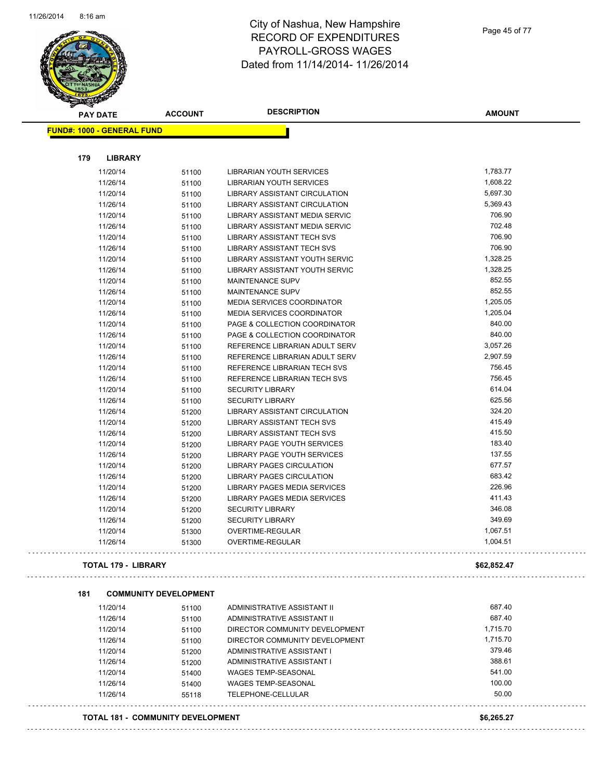

| <b>PAY DATE</b>                   | <b>ACCOUNT</b>                           | <b>DESCRIPTION</b>                    | <b>AMOUNT</b> |
|-----------------------------------|------------------------------------------|---------------------------------------|---------------|
| <b>FUND#: 1000 - GENERAL FUND</b> |                                          |                                       |               |
| 179                               |                                          |                                       |               |
| <b>LIBRARY</b><br>11/20/14        |                                          | <b>LIBRARIAN YOUTH SERVICES</b>       | 1,783.77      |
| 11/26/14                          | 51100<br>51100                           | LIBRARIAN YOUTH SERVICES              | 1,608.22      |
| 11/20/14                          | 51100                                    | LIBRARY ASSISTANT CIRCULATION         | 5,697.30      |
| 11/26/14                          | 51100                                    | LIBRARY ASSISTANT CIRCULATION         | 5,369.43      |
| 11/20/14                          | 51100                                    | LIBRARY ASSISTANT MEDIA SERVIC        | 706.90        |
| 11/26/14                          | 51100                                    | <b>LIBRARY ASSISTANT MEDIA SERVIC</b> | 702.48        |
| 11/20/14                          | 51100                                    | <b>LIBRARY ASSISTANT TECH SVS</b>     | 706.90        |
| 11/26/14                          | 51100                                    | LIBRARY ASSISTANT TECH SVS            | 706.90        |
| 11/20/14                          | 51100                                    | LIBRARY ASSISTANT YOUTH SERVIC        | 1,328.25      |
| 11/26/14                          | 51100                                    | LIBRARY ASSISTANT YOUTH SERVIC        | 1,328.25      |
| 11/20/14                          | 51100                                    | <b>MAINTENANCE SUPV</b>               | 852.55        |
| 11/26/14                          |                                          | <b>MAINTENANCE SUPV</b>               | 852.55        |
| 11/20/14                          | 51100<br>51100                           | <b>MEDIA SERVICES COORDINATOR</b>     | 1,205.05      |
| 11/26/14                          | 51100                                    | <b>MEDIA SERVICES COORDINATOR</b>     | 1,205.04      |
| 11/20/14                          | 51100                                    | PAGE & COLLECTION COORDINATOR         | 840.00        |
| 11/26/14                          |                                          | PAGE & COLLECTION COORDINATOR         | 840.00        |
| 11/20/14                          | 51100<br>51100                           | REFERENCE LIBRARIAN ADULT SERV        | 3,057.26      |
| 11/26/14                          | 51100                                    | REFERENCE LIBRARIAN ADULT SERV        | 2,907.59      |
| 11/20/14                          |                                          | REFERENCE LIBRARIAN TECH SVS          | 756.45        |
| 11/26/14                          | 51100<br>51100                           | REFERENCE LIBRARIAN TECH SVS          | 756.45        |
| 11/20/14                          | 51100                                    | <b>SECURITY LIBRARY</b>               | 614.04        |
| 11/26/14                          | 51100                                    | <b>SECURITY LIBRARY</b>               | 625.56        |
| 11/26/14                          | 51200                                    | LIBRARY ASSISTANT CIRCULATION         | 324.20        |
| 11/20/14                          | 51200                                    | <b>LIBRARY ASSISTANT TECH SVS</b>     | 415.49        |
| 11/26/14                          | 51200                                    | LIBRARY ASSISTANT TECH SVS            | 415.50        |
| 11/20/14                          | 51200                                    | LIBRARY PAGE YOUTH SERVICES           | 183.40        |
| 11/26/14                          | 51200                                    | LIBRARY PAGE YOUTH SERVICES           | 137.55        |
| 11/20/14                          | 51200                                    | <b>LIBRARY PAGES CIRCULATION</b>      | 677.57        |
| 11/26/14                          | 51200                                    | LIBRARY PAGES CIRCULATION             | 683.42        |
| 11/20/14                          | 51200                                    | LIBRARY PAGES MEDIA SERVICES          | 226.96        |
| 11/26/14                          | 51200                                    | LIBRARY PAGES MEDIA SERVICES          | 411.43        |
| 11/20/14                          | 51200                                    | <b>SECURITY LIBRARY</b>               | 346.08        |
| 11/26/14                          | 51200                                    | <b>SECURITY LIBRARY</b>               | 349.69        |
| 11/20/14                          | 51300                                    | OVERTIME-REGULAR                      | 1,067.51      |
| 11/26/14                          | 51300                                    | OVERTIME-REGULAR                      | 1,004.51      |
| <b>TOTAL 179 - LIBRARY</b>        |                                          |                                       | \$62,852.47   |
| 181                               | <b>COMMUNITY DEVELOPMENT</b>             |                                       |               |
| 11/20/14                          | 51100                                    | ADMINISTRATIVE ASSISTANT II           | 687.40        |
| 11/26/14                          | 51100                                    | ADMINISTRATIVE ASSISTANT II           | 687.40        |
| 11/20/14                          | 51100                                    | DIRECTOR COMMUNITY DEVELOPMENT        | 1,715.70      |
| 11/26/14                          | 51100                                    | DIRECTOR COMMUNITY DEVELOPMENT        | 1,715.70      |
| 11/20/14                          | 51200                                    | ADMINISTRATIVE ASSISTANT I            | 379.46        |
| 11/26/14                          | 51200                                    | ADMINISTRATIVE ASSISTANT I            | 388.61        |
| 11/20/14                          | 51400                                    | <b>WAGES TEMP-SEASONAL</b>            | 541.00        |
| 11/26/14                          | 51400                                    | <b>WAGES TEMP-SEASONAL</b>            | 100.00        |
| 11/26/14                          | 55118                                    | TELEPHONE-CELLULAR                    | 50.00         |
|                                   |                                          |                                       |               |
|                                   | <b>TOTAL 181 - COMMUNITY DEVELOPMENT</b> |                                       | \$6,265.27    |
|                                   |                                          |                                       |               |

 $\omega$  is  $\omega$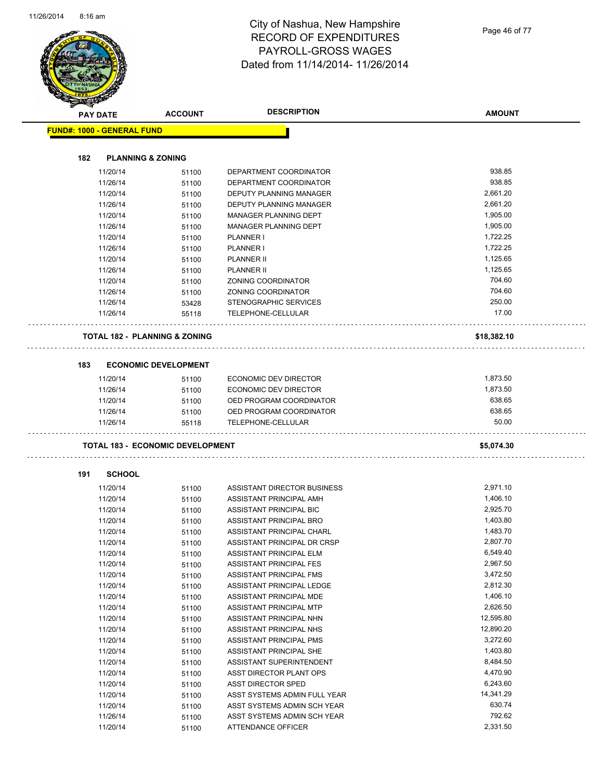Page 46 of 77

| <b>PAY DATE</b>                   | <b>ACCOUNT</b>                           | <b>DESCRIPTION</b>                            | <b>AMOUNT</b>   |
|-----------------------------------|------------------------------------------|-----------------------------------------------|-----------------|
| <b>FUND#: 1000 - GENERAL FUND</b> |                                          |                                               |                 |
|                                   |                                          |                                               |                 |
| 182                               | <b>PLANNING &amp; ZONING</b>             |                                               |                 |
| 11/20/14                          | 51100                                    | DEPARTMENT COORDINATOR                        | 938.85          |
| 11/26/14                          | 51100                                    | DEPARTMENT COORDINATOR                        | 938.85          |
| 11/20/14                          | 51100                                    | DEPUTY PLANNING MANAGER                       | 2,661.20        |
| 11/26/14                          | 51100                                    | DEPUTY PLANNING MANAGER                       | 2,661.20        |
| 11/20/14                          | 51100                                    | MANAGER PLANNING DEPT                         | 1,905.00        |
| 11/26/14                          | 51100                                    | MANAGER PLANNING DEPT                         | 1,905.00        |
| 11/20/14                          | 51100                                    | PLANNER I                                     | 1,722.25        |
| 11/26/14                          | 51100                                    | PLANNER I                                     | 1,722.25        |
| 11/20/14                          | 51100                                    | <b>PLANNER II</b>                             | 1,125.65        |
| 11/26/14                          | 51100                                    | <b>PLANNER II</b>                             | 1,125.65        |
| 11/20/14                          | 51100                                    | ZONING COORDINATOR                            | 704.60          |
| 11/26/14                          | 51100                                    | <b>ZONING COORDINATOR</b>                     | 704.60          |
| 11/26/14                          | 53428                                    | STENOGRAPHIC SERVICES                         | 250.00          |
| 11/26/14                          | 55118                                    | TELEPHONE-CELLULAR                            | 17.00           |
|                                   | <b>TOTAL 182 - PLANNING &amp; ZONING</b> |                                               | \$18,382.10     |
|                                   |                                          |                                               |                 |
| 183                               | <b>ECONOMIC DEVELOPMENT</b>              |                                               |                 |
| 11/20/14                          | 51100                                    | <b>ECONOMIC DEV DIRECTOR</b>                  | 1,873.50        |
| 11/26/14                          | 51100                                    | ECONOMIC DEV DIRECTOR                         | 1,873.50        |
| 11/20/14                          | 51100                                    | OED PROGRAM COORDINATOR                       | 638.65          |
| 11/26/14<br>11/26/14              | 51100<br>55118                           | OED PROGRAM COORDINATOR<br>TELEPHONE-CELLULAR | 638.65<br>50.00 |
|                                   |                                          |                                               |                 |
|                                   | <b>TOTAL 183 - ECONOMIC DEVELOPMENT</b>  |                                               | \$5,074.30      |
|                                   |                                          |                                               |                 |
| 191<br><b>SCHOOL</b>              |                                          |                                               |                 |
| 11/20/14                          | 51100                                    | ASSISTANT DIRECTOR BUSINESS                   | 2,971.10        |
| 11/20/14                          | 51100                                    | ASSISTANT PRINCIPAL AMH                       | 1,406.10        |
| 11/20/14                          | 51100                                    | ASSISTANT PRINCIPAL BIC                       | 2,925.70        |
| 11/20/14                          | 51100                                    | ASSISTANT PRINCIPAL BRO                       | 1,403.80        |
| 11/20/14                          | 51100                                    | ASSISTANT PRINCIPAL CHARL                     | 1,483.70        |
| 11/20/14                          | 51100                                    | ASSISTANT PRINCIPAL DR CRSP                   | 2,807.70        |
| 11/20/14                          | 51100                                    | ASSISTANT PRINCIPAL ELM                       | 6,549.40        |
| 11/20/14                          | 51100                                    | ASSISTANT PRINCIPAL FES                       | 2,967.50        |
| 11/20/14                          | 51100                                    | ASSISTANT PRINCIPAL FMS                       | 3,472.50        |
| 11/20/14                          | 51100                                    | ASSISTANT PRINCIPAL LEDGE                     | 2,812.30        |
| 11/20/14                          | 51100                                    | ASSISTANT PRINCIPAL MDE                       | 1,406.10        |
| 11/20/14                          | 51100                                    | ASSISTANT PRINCIPAL MTP                       | 2,626.50        |
| 11/20/14                          | 51100                                    | ASSISTANT PRINCIPAL NHN                       | 12,595.80       |
| 11/20/14                          | 51100                                    | ASSISTANT PRINCIPAL NHS                       | 12,890.20       |
| 11/20/14                          | 51100                                    | ASSISTANT PRINCIPAL PMS                       | 3,272.60        |
| 11/20/14                          | 51100                                    | ASSISTANT PRINCIPAL SHE                       | 1,403.80        |
| 11/20/14                          | 51100                                    | ASSISTANT SUPERINTENDENT                      | 8,484.50        |
| 11/20/14                          | 51100                                    | ASST DIRECTOR PLANT OPS                       | 4,470.90        |
| 11/20/14                          | 51100                                    | <b>ASST DIRECTOR SPED</b>                     | 6,243.60        |
| 11/20/14                          | 51100                                    | ASST SYSTEMS ADMIN FULL YEAR                  | 14,341.29       |
| 11/20/14                          |                                          | ASST SYSTEMS ADMIN SCH YEAR                   | 630.74          |
| 11/26/14                          | 51100<br>51100                           | ASST SYSTEMS ADMIN SCH YEAR                   | 792.62          |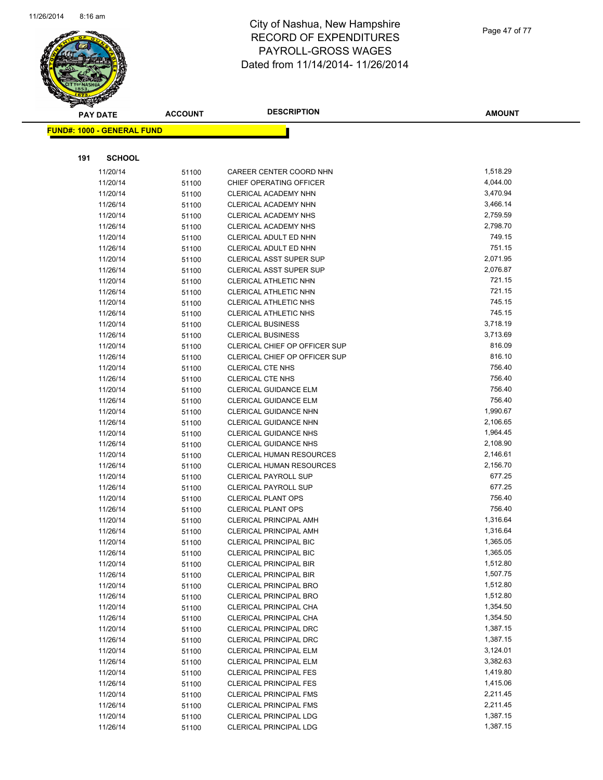

Page 47 of 77

| <b>PAY DATE</b>                   |                      | <b>ACCOUNT</b> | <b>DESCRIPTION</b>                                       | <b>AMOUNT</b>    |
|-----------------------------------|----------------------|----------------|----------------------------------------------------------|------------------|
| <b>FUND#: 1000 - GENERAL FUND</b> |                      |                |                                                          |                  |
|                                   |                      |                |                                                          |                  |
|                                   |                      |                |                                                          |                  |
| 191                               | <b>SCHOOL</b>        |                |                                                          |                  |
|                                   | 11/20/14             | 51100          | CAREER CENTER COORD NHN                                  | 1,518.29         |
|                                   | 11/20/14             | 51100          | CHIEF OPERATING OFFICER                                  | 4,044.00         |
|                                   | 11/20/14             | 51100          | CLERICAL ACADEMY NHN                                     | 3,470.94         |
|                                   | 11/26/14             | 51100          | CLERICAL ACADEMY NHN                                     | 3,466.14         |
|                                   | 11/20/14             | 51100          | CLERICAL ACADEMY NHS                                     | 2,759.59         |
|                                   | 11/26/14             | 51100          | CLERICAL ACADEMY NHS                                     | 2,798.70         |
|                                   | 11/20/14             | 51100          | CLERICAL ADULT ED NHN                                    | 749.15           |
|                                   | 11/26/14             | 51100          | CLERICAL ADULT ED NHN                                    | 751.15           |
|                                   | 11/20/14             | 51100          | CLERICAL ASST SUPER SUP                                  | 2,071.95         |
|                                   | 11/26/14             | 51100          | <b>CLERICAL ASST SUPER SUP</b>                           | 2,076.87         |
|                                   | 11/20/14             | 51100          | <b>CLERICAL ATHLETIC NHN</b>                             | 721.15<br>721.15 |
|                                   | 11/26/14             | 51100          | CLERICAL ATHLETIC NHN                                    | 745.15           |
|                                   | 11/20/14             | 51100          | CLERICAL ATHLETIC NHS                                    | 745.15           |
|                                   | 11/26/14<br>11/20/14 | 51100          | <b>CLERICAL ATHLETIC NHS</b><br><b>CLERICAL BUSINESS</b> | 3,718.19         |
|                                   |                      | 51100          | <b>CLERICAL BUSINESS</b>                                 | 3,713.69         |
|                                   | 11/26/14<br>11/20/14 | 51100          | CLERICAL CHIEF OP OFFICER SUP                            | 816.09           |
|                                   | 11/26/14             | 51100<br>51100 | CLERICAL CHIEF OP OFFICER SUP                            | 816.10           |
|                                   | 11/20/14             | 51100          | <b>CLERICAL CTE NHS</b>                                  | 756.40           |
|                                   | 11/26/14             | 51100          | <b>CLERICAL CTE NHS</b>                                  | 756.40           |
|                                   | 11/20/14             | 51100          | CLERICAL GUIDANCE ELM                                    | 756.40           |
|                                   | 11/26/14             | 51100          | <b>CLERICAL GUIDANCE ELM</b>                             | 756.40           |
|                                   | 11/20/14             | 51100          | CLERICAL GUIDANCE NHN                                    | 1,990.67         |
|                                   | 11/26/14             | 51100          | CLERICAL GUIDANCE NHN                                    | 2,106.65         |
|                                   | 11/20/14             | 51100          | <b>CLERICAL GUIDANCE NHS</b>                             | 1,964.45         |
|                                   | 11/26/14             | 51100          | <b>CLERICAL GUIDANCE NHS</b>                             | 2,108.90         |
|                                   | 11/20/14             | 51100          | CLERICAL HUMAN RESOURCES                                 | 2,146.61         |
|                                   | 11/26/14             | 51100          | CLERICAL HUMAN RESOURCES                                 | 2,156.70         |
|                                   | 11/20/14             | 51100          | <b>CLERICAL PAYROLL SUP</b>                              | 677.25           |
|                                   | 11/26/14             | 51100          | <b>CLERICAL PAYROLL SUP</b>                              | 677.25           |
|                                   | 11/20/14             | 51100          | <b>CLERICAL PLANT OPS</b>                                | 756.40           |
|                                   | 11/26/14             | 51100          | <b>CLERICAL PLANT OPS</b>                                | 756.40           |
|                                   | 11/20/14             | 51100          | <b>CLERICAL PRINCIPAL AMH</b>                            | 1,316.64         |
|                                   | 11/26/14             | 51100          | <b>CLERICAL PRINCIPAL AMH</b>                            | 1,316.64         |
|                                   | 11/20/14             | 51100          | CLERICAL PRINCIPAL BIC                                   | 1,365.05         |
|                                   | 11/26/14             | 51100          | CLERICAL PRINCIPAL BIC                                   | 1,365.05         |
|                                   | 11/20/14             | 51100          | <b>CLERICAL PRINCIPAL BIR</b>                            | 1,512.80         |
|                                   | 11/26/14             | 51100          | <b>CLERICAL PRINCIPAL BIR</b>                            | 1,507.75         |
|                                   | 11/20/14             | 51100          | <b>CLERICAL PRINCIPAL BRO</b>                            | 1,512.80         |
|                                   | 11/26/14             | 51100          | <b>CLERICAL PRINCIPAL BRO</b>                            | 1,512.80         |
|                                   | 11/20/14             | 51100          | CLERICAL PRINCIPAL CHA                                   | 1,354.50         |
|                                   | 11/26/14             | 51100          | CLERICAL PRINCIPAL CHA                                   | 1,354.50         |
|                                   | 11/20/14             | 51100          | CLERICAL PRINCIPAL DRC                                   | 1,387.15         |
|                                   | 11/26/14             | 51100          | <b>CLERICAL PRINCIPAL DRC</b>                            | 1,387.15         |
|                                   | 11/20/14             | 51100          | CLERICAL PRINCIPAL ELM                                   | 3,124.01         |
|                                   | 11/26/14             | 51100          | <b>CLERICAL PRINCIPAL ELM</b>                            | 3,382.63         |
|                                   | 11/20/14             | 51100          | <b>CLERICAL PRINCIPAL FES</b>                            | 1,419.80         |
|                                   | 11/26/14             | 51100          | <b>CLERICAL PRINCIPAL FES</b>                            | 1,415.06         |
|                                   | 11/20/14             | 51100          | <b>CLERICAL PRINCIPAL FMS</b>                            | 2,211.45         |
|                                   | 11/26/14             | 51100          | <b>CLERICAL PRINCIPAL FMS</b>                            | 2,211.45         |
|                                   | 11/20/14             | 51100          | CLERICAL PRINCIPAL LDG                                   | 1,387.15         |
|                                   | 11/26/14             | 51100          | CLERICAL PRINCIPAL LDG                                   | 1,387.15         |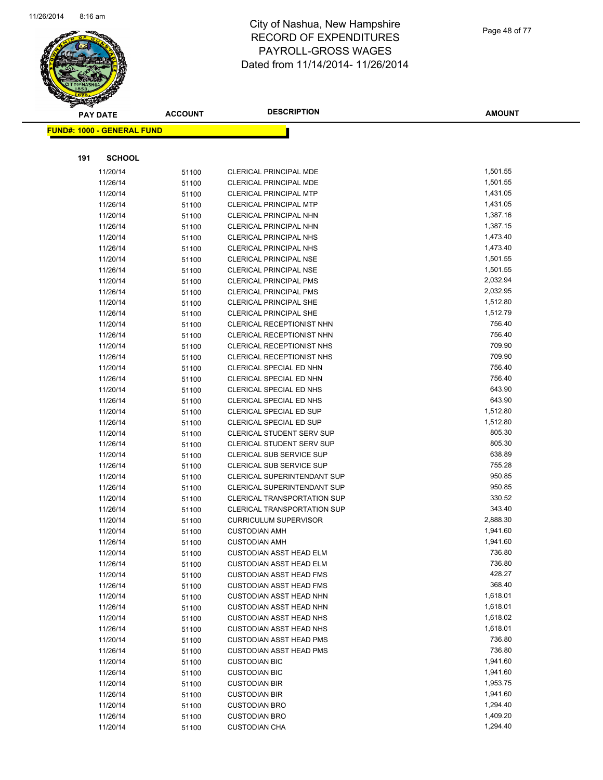

| <b>PAY DATE</b> |                                   | <b>ACCOUNT</b> | <b>DESCRIPTION</b>                 | <b>AMOUNT</b> |
|-----------------|-----------------------------------|----------------|------------------------------------|---------------|
|                 | <b>FUND#: 1000 - GENERAL FUND</b> |                |                                    |               |
|                 |                                   |                |                                    |               |
|                 |                                   |                |                                    |               |
| 191             | <b>SCHOOL</b>                     |                |                                    |               |
|                 | 11/20/14                          | 51100          | CLERICAL PRINCIPAL MDE             | 1,501.55      |
|                 | 11/26/14                          | 51100          | CLERICAL PRINCIPAL MDE             | 1,501.55      |
|                 | 11/20/14                          | 51100          | <b>CLERICAL PRINCIPAL MTP</b>      | 1,431.05      |
|                 | 11/26/14                          | 51100          | <b>CLERICAL PRINCIPAL MTP</b>      | 1,431.05      |
|                 | 11/20/14                          | 51100          | CLERICAL PRINCIPAL NHN             | 1,387.16      |
|                 | 11/26/14                          | 51100          | CLERICAL PRINCIPAL NHN             | 1,387.15      |
|                 | 11/20/14                          | 51100          | <b>CLERICAL PRINCIPAL NHS</b>      | 1,473.40      |
|                 | 11/26/14                          | 51100          | <b>CLERICAL PRINCIPAL NHS</b>      | 1,473.40      |
|                 | 11/20/14                          | 51100          | <b>CLERICAL PRINCIPAL NSE</b>      | 1,501.55      |
|                 | 11/26/14                          | 51100          | <b>CLERICAL PRINCIPAL NSE</b>      | 1,501.55      |
|                 | 11/20/14                          | 51100          | <b>CLERICAL PRINCIPAL PMS</b>      | 2,032.94      |
|                 | 11/26/14                          | 51100          | <b>CLERICAL PRINCIPAL PMS</b>      | 2,032.95      |
|                 | 11/20/14                          | 51100          | <b>CLERICAL PRINCIPAL SHE</b>      | 1,512.80      |
|                 | 11/26/14                          | 51100          | <b>CLERICAL PRINCIPAL SHE</b>      | 1,512.79      |
|                 | 11/20/14                          | 51100          | CLERICAL RECEPTIONIST NHN          | 756.40        |
|                 | 11/26/14                          | 51100          | CLERICAL RECEPTIONIST NHN          | 756.40        |
|                 | 11/20/14                          | 51100          | CLERICAL RECEPTIONIST NHS          | 709.90        |
|                 | 11/26/14                          | 51100          | CLERICAL RECEPTIONIST NHS          | 709.90        |
|                 | 11/20/14                          | 51100          | CLERICAL SPECIAL ED NHN            | 756.40        |
|                 | 11/26/14                          | 51100          | CLERICAL SPECIAL ED NHN            | 756.40        |
|                 | 11/20/14                          | 51100          | CLERICAL SPECIAL ED NHS            | 643.90        |
|                 | 11/26/14                          | 51100          | CLERICAL SPECIAL ED NHS            | 643.90        |
|                 | 11/20/14                          | 51100          | CLERICAL SPECIAL ED SUP            | 1,512.80      |
|                 | 11/26/14                          | 51100          | CLERICAL SPECIAL ED SUP            | 1,512.80      |
|                 | 11/20/14                          | 51100          | <b>CLERICAL STUDENT SERV SUP</b>   | 805.30        |
|                 | 11/26/14                          | 51100          | <b>CLERICAL STUDENT SERV SUP</b>   | 805.30        |
|                 | 11/20/14                          | 51100          | <b>CLERICAL SUB SERVICE SUP</b>    | 638.89        |
|                 | 11/26/14                          | 51100          | CLERICAL SUB SERVICE SUP           | 755.28        |
|                 | 11/20/14                          | 51100          | <b>CLERICAL SUPERINTENDANT SUP</b> | 950.85        |
|                 | 11/26/14                          | 51100          | <b>CLERICAL SUPERINTENDANT SUP</b> | 950.85        |
|                 | 11/20/14                          | 51100          | <b>CLERICAL TRANSPORTATION SUP</b> | 330.52        |
|                 | 11/26/14                          | 51100          | <b>CLERICAL TRANSPORTATION SUP</b> | 343.40        |
|                 | 11/20/14                          | 51100          | <b>CURRICULUM SUPERVISOR</b>       | 2,888.30      |
|                 | 11/20/14                          | 51100          | <b>CUSTODIAN AMH</b>               | 1,941.60      |
|                 | 11/26/14                          | 51100          | <b>CUSTODIAN AMH</b>               | 1,941.60      |
|                 | 11/20/14                          | 51100          | <b>CUSTODIAN ASST HEAD ELM</b>     | 736.80        |
|                 | 11/26/14                          | 51100          | <b>CUSTODIAN ASST HEAD ELM</b>     | 736.80        |
|                 | 11/20/14                          | 51100          | <b>CUSTODIAN ASST HEAD FMS</b>     | 428.27        |
|                 | 11/26/14                          | 51100          | <b>CUSTODIAN ASST HEAD FMS</b>     | 368.40        |
|                 | 11/20/14                          | 51100          | <b>CUSTODIAN ASST HEAD NHN</b>     | 1,618.01      |
|                 | 11/26/14                          | 51100          | <b>CUSTODIAN ASST HEAD NHN</b>     | 1,618.01      |
|                 | 11/20/14                          | 51100          | <b>CUSTODIAN ASST HEAD NHS</b>     | 1,618.02      |
|                 | 11/26/14                          | 51100          | <b>CUSTODIAN ASST HEAD NHS</b>     | 1,618.01      |
|                 | 11/20/14                          | 51100          | <b>CUSTODIAN ASST HEAD PMS</b>     | 736.80        |
|                 | 11/26/14                          | 51100          | <b>CUSTODIAN ASST HEAD PMS</b>     | 736.80        |
|                 | 11/20/14                          | 51100          | <b>CUSTODIAN BIC</b>               | 1,941.60      |
|                 | 11/26/14                          |                | <b>CUSTODIAN BIC</b>               | 1,941.60      |
|                 | 11/20/14                          | 51100          | <b>CUSTODIAN BIR</b>               | 1,953.75      |
|                 | 11/26/14                          | 51100          | <b>CUSTODIAN BIR</b>               | 1,941.60      |
|                 | 11/20/14                          | 51100          | <b>CUSTODIAN BRO</b>               | 1,294.40      |
|                 | 11/26/14                          | 51100          | <b>CUSTODIAN BRO</b>               | 1,409.20      |
|                 | 11/20/14                          | 51100          | <b>CUSTODIAN CHA</b>               | 1,294.40      |
|                 |                                   | 51100          |                                    |               |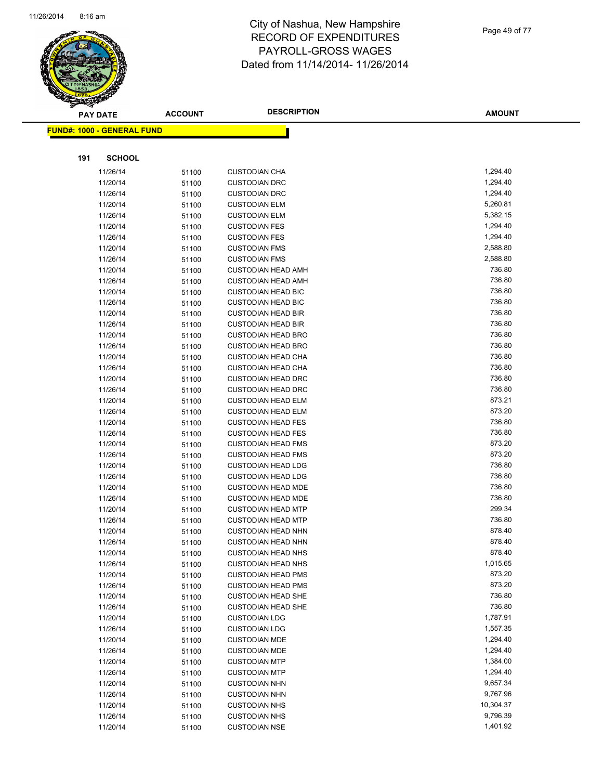

| 2014 |               |
|------|---------------|
|      | <b>AMOUNT</b> |
|      |               |
|      |               |

| <u> FUND#: 1000 - GENERAL FUND</u> |       |                           |           |
|------------------------------------|-------|---------------------------|-----------|
|                                    |       |                           |           |
| 191<br><b>SCHOOL</b>               |       |                           |           |
| 11/26/14                           | 51100 | <b>CUSTODIAN CHA</b>      | 1,294.40  |
| 11/20/14                           | 51100 | <b>CUSTODIAN DRC</b>      | 1,294.40  |
| 11/26/14                           | 51100 | <b>CUSTODIAN DRC</b>      | 1,294.40  |
| 11/20/14                           | 51100 | <b>CUSTODIAN ELM</b>      | 5,260.81  |
| 11/26/14                           | 51100 | <b>CUSTODIAN ELM</b>      | 5,382.15  |
| 11/20/14                           | 51100 | <b>CUSTODIAN FES</b>      | 1,294.40  |
| 11/26/14                           | 51100 | <b>CUSTODIAN FES</b>      | 1,294.40  |
| 11/20/14                           | 51100 | <b>CUSTODIAN FMS</b>      | 2,588.80  |
| 11/26/14                           | 51100 | <b>CUSTODIAN FMS</b>      | 2,588.80  |
| 11/20/14                           | 51100 | <b>CUSTODIAN HEAD AMH</b> | 736.80    |
| 11/26/14                           | 51100 | <b>CUSTODIAN HEAD AMH</b> | 736.80    |
| 11/20/14                           | 51100 | <b>CUSTODIAN HEAD BIC</b> | 736.80    |
| 11/26/14                           | 51100 | <b>CUSTODIAN HEAD BIC</b> | 736.80    |
| 11/20/14                           | 51100 | <b>CUSTODIAN HEAD BIR</b> | 736.80    |
| 11/26/14                           | 51100 | <b>CUSTODIAN HEAD BIR</b> | 736.80    |
| 11/20/14                           | 51100 | <b>CUSTODIAN HEAD BRO</b> | 736.80    |
| 11/26/14                           | 51100 | <b>CUSTODIAN HEAD BRO</b> | 736.80    |
| 11/20/14                           | 51100 | <b>CUSTODIAN HEAD CHA</b> | 736.80    |
| 11/26/14                           | 51100 | <b>CUSTODIAN HEAD CHA</b> | 736.80    |
| 11/20/14                           | 51100 | <b>CUSTODIAN HEAD DRC</b> | 736.80    |
| 11/26/14                           | 51100 | <b>CUSTODIAN HEAD DRC</b> | 736.80    |
| 11/20/14                           | 51100 | <b>CUSTODIAN HEAD ELM</b> | 873.21    |
| 11/26/14                           | 51100 | <b>CUSTODIAN HEAD ELM</b> | 873.20    |
| 11/20/14                           | 51100 | <b>CUSTODIAN HEAD FES</b> | 736.80    |
| 11/26/14                           | 51100 | <b>CUSTODIAN HEAD FES</b> | 736.80    |
| 11/20/14                           | 51100 | <b>CUSTODIAN HEAD FMS</b> | 873.20    |
| 11/26/14                           | 51100 | <b>CUSTODIAN HEAD FMS</b> | 873.20    |
| 11/20/14                           | 51100 | <b>CUSTODIAN HEAD LDG</b> | 736.80    |
| 11/26/14                           | 51100 | <b>CUSTODIAN HEAD LDG</b> | 736.80    |
| 11/20/14                           | 51100 | <b>CUSTODIAN HEAD MDE</b> | 736.80    |
| 11/26/14                           | 51100 | <b>CUSTODIAN HEAD MDE</b> | 736.80    |
| 11/20/14                           | 51100 | <b>CUSTODIAN HEAD MTP</b> | 299.34    |
| 11/26/14                           | 51100 | <b>CUSTODIAN HEAD MTP</b> | 736.80    |
| 11/20/14                           | 51100 | <b>CUSTODIAN HEAD NHN</b> | 878.40    |
| 11/26/14                           | 51100 | <b>CUSTODIAN HEAD NHN</b> | 878.40    |
| 11/20/14                           | 51100 | <b>CUSTODIAN HEAD NHS</b> | 878.40    |
| 11/26/14                           | 51100 | <b>CUSTODIAN HEAD NHS</b> | 1,015.65  |
| 11/20/14                           | 51100 | <b>CUSTODIAN HEAD PMS</b> | 873.20    |
| 11/26/14                           | 51100 | <b>CUSTODIAN HEAD PMS</b> | 873.20    |
| 11/20/14                           | 51100 | <b>CUSTODIAN HEAD SHE</b> | 736.80    |
| 11/26/14                           | 51100 | <b>CUSTODIAN HEAD SHE</b> | 736.80    |
| 11/20/14                           | 51100 | <b>CUSTODIAN LDG</b>      | 1,787.91  |
| 11/26/14                           | 51100 | <b>CUSTODIAN LDG</b>      | 1,557.35  |
| 11/20/14                           | 51100 | <b>CUSTODIAN MDE</b>      | 1,294.40  |
| 11/26/14                           | 51100 | <b>CUSTODIAN MDE</b>      | 1,294.40  |
| 11/20/14                           | 51100 | <b>CUSTODIAN MTP</b>      | 1,384.00  |
| 11/26/14                           | 51100 | <b>CUSTODIAN MTP</b>      | 1,294.40  |
| 11/20/14                           | 51100 | <b>CUSTODIAN NHN</b>      | 9,657.34  |
| 11/26/14                           | 51100 | <b>CUSTODIAN NHN</b>      | 9,767.96  |
| 11/20/14                           | 51100 | <b>CUSTODIAN NHS</b>      | 10,304.37 |

11/26/14 51100 CUSTODIAN NHS 9,796.39<br>11/20/14 51100 CUSTODIAN NSE 11/20/14 1,401.92

11/20/14 51100 CUSTODIAN NSE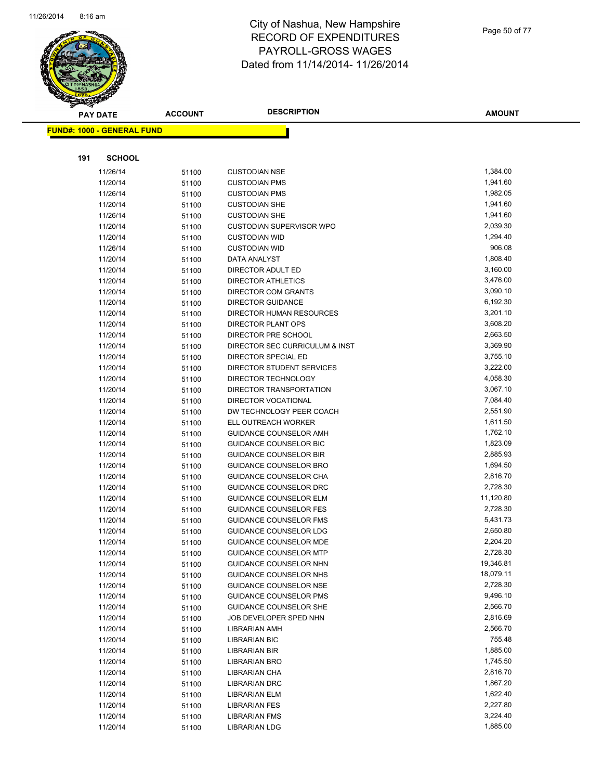

**FUND#: 1000 - GENERAL FUND**

**191 SCHOOL**

### City of Nashua, New Hampshire RECORD OF EXPENDITURES PAYROLL-GROSS WAGES Dated from 11/14/2014-

| <b>AMOUNT</b> |
|---------------|
|               |
|               |
|               |

| 11/26/14 | 51100 | <b>CUSTODIAN NSE</b>            | 1,384.00  |
|----------|-------|---------------------------------|-----------|
| 11/20/14 | 51100 | <b>CUSTODIAN PMS</b>            | 1,941.60  |
| 11/26/14 | 51100 | <b>CUSTODIAN PMS</b>            | 1,982.05  |
| 11/20/14 | 51100 | <b>CUSTODIAN SHE</b>            | 1,941.60  |
| 11/26/14 | 51100 | <b>CUSTODIAN SHE</b>            | 1,941.60  |
| 11/20/14 | 51100 | <b>CUSTODIAN SUPERVISOR WPO</b> | 2,039.30  |
| 11/20/14 | 51100 | <b>CUSTODIAN WID</b>            | 1,294.40  |
| 11/26/14 | 51100 | <b>CUSTODIAN WID</b>            | 906.08    |
| 11/20/14 | 51100 | DATA ANALYST                    | 1,808.40  |
| 11/20/14 | 51100 | DIRECTOR ADULT ED               | 3,160.00  |
| 11/20/14 | 51100 | <b>DIRECTOR ATHLETICS</b>       | 3,476.00  |
| 11/20/14 | 51100 | <b>DIRECTOR COM GRANTS</b>      | 3,090.10  |
| 11/20/14 | 51100 | <b>DIRECTOR GUIDANCE</b>        | 6,192.30  |
| 11/20/14 | 51100 | DIRECTOR HUMAN RESOURCES        | 3,201.10  |
| 11/20/14 | 51100 | <b>DIRECTOR PLANT OPS</b>       | 3,608.20  |
| 11/20/14 | 51100 | DIRECTOR PRE SCHOOL             | 2,663.50  |
| 11/20/14 | 51100 | DIRECTOR SEC CURRICULUM & INST  | 3,369.90  |
| 11/20/14 | 51100 | DIRECTOR SPECIAL ED             | 3,755.10  |
| 11/20/14 | 51100 | DIRECTOR STUDENT SERVICES       | 3,222.00  |
| 11/20/14 | 51100 | DIRECTOR TECHNOLOGY             | 4,058.30  |
| 11/20/14 | 51100 | DIRECTOR TRANSPORTATION         | 3,067.10  |
| 11/20/14 | 51100 | <b>DIRECTOR VOCATIONAL</b>      | 7,084.40  |
| 11/20/14 | 51100 | DW TECHNOLOGY PEER COACH        | 2,551.90  |
| 11/20/14 | 51100 | ELL OUTREACH WORKER             | 1,611.50  |
| 11/20/14 | 51100 | GUIDANCE COUNSELOR AMH          | 1,762.10  |
| 11/20/14 | 51100 | GUIDANCE COUNSELOR BIC          | 1,823.09  |
| 11/20/14 | 51100 | <b>GUIDANCE COUNSELOR BIR</b>   | 2,885.93  |
| 11/20/14 | 51100 | GUIDANCE COUNSELOR BRO          | 1,694.50  |
| 11/20/14 | 51100 | GUIDANCE COUNSELOR CHA          | 2,816.70  |
| 11/20/14 | 51100 | GUIDANCE COUNSELOR DRC          | 2,728.30  |
| 11/20/14 | 51100 | <b>GUIDANCE COUNSELOR ELM</b>   | 11,120.80 |
| 11/20/14 | 51100 | <b>GUIDANCE COUNSELOR FES</b>   | 2,728.30  |
| 11/20/14 | 51100 | <b>GUIDANCE COUNSELOR FMS</b>   | 5,431.73  |
| 11/20/14 | 51100 | <b>GUIDANCE COUNSELOR LDG</b>   | 2,650.80  |
| 11/20/14 | 51100 | <b>GUIDANCE COUNSELOR MDE</b>   | 2,204.20  |
| 11/20/14 | 51100 | <b>GUIDANCE COUNSELOR MTP</b>   | 2,728.30  |
| 11/20/14 | 51100 | <b>GUIDANCE COUNSELOR NHN</b>   | 19,346.81 |
| 11/20/14 | 51100 | GUIDANCE COUNSELOR NHS          | 18,079.11 |
| 11/20/14 | 51100 | <b>GUIDANCE COUNSELOR NSE</b>   | 2,728.30  |
| 11/20/14 | 51100 | <b>GUIDANCE COUNSELOR PMS</b>   | 9,496.10  |
| 11/20/14 | 51100 | GUIDANCE COUNSELOR SHE          | 2,566.70  |
| 11/20/14 | 51100 | JOB DEVELOPER SPED NHN          | 2,816.69  |
| 11/20/14 | 51100 | LIBRARIAN AMH                   | 2,566.70  |
| 11/20/14 | 51100 | <b>LIBRARIAN BIC</b>            | 755.48    |
| 11/20/14 | 51100 | LIBRARIAN BIR                   | 1,885.00  |
| 11/20/14 | 51100 | LIBRARIAN BRO                   | 1,745.50  |
| 11/20/14 | 51100 | LIBRARIAN CHA                   | 2,816.70  |
| 11/20/14 | 51100 | LIBRARIAN DRC                   | 1,867.20  |
| 11/20/14 | 51100 | LIBRARIAN ELM                   | 1,622.40  |
| 11/20/14 | 51100 | <b>LIBRARIAN FES</b>            | 2,227.80  |
| 11/20/14 | 51100 | LIBRARIAN FMS                   | 3,224.40  |
| 11/20/14 | 51100 | LIBRARIAN LDG                   | 1,885.00  |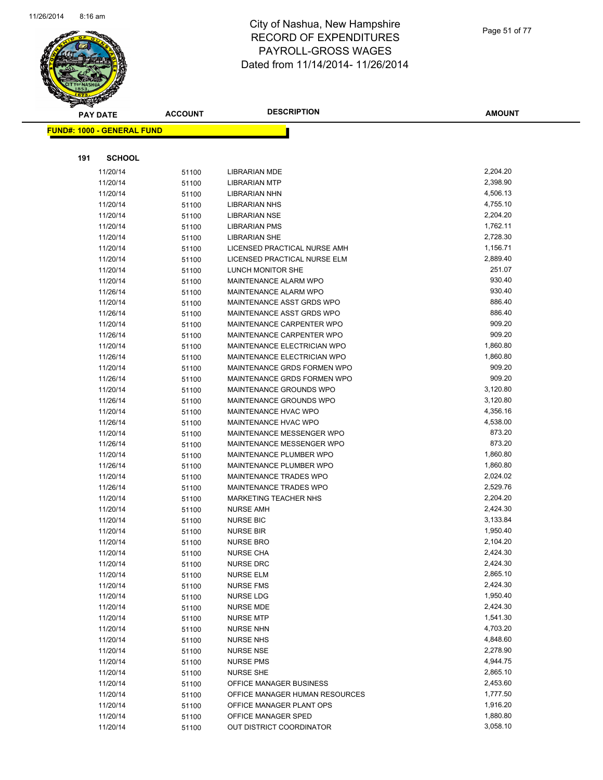

|     | <b>PAY DATE</b>                    | <b>ACCOUNT</b> | <b>DESCRIPTION</b>                   | <b>AMOUNT</b>        |
|-----|------------------------------------|----------------|--------------------------------------|----------------------|
|     | <u> FUND#: 1000 - GENERAL FUND</u> |                |                                      |                      |
|     |                                    |                |                                      |                      |
|     |                                    |                |                                      |                      |
| 191 | <b>SCHOOL</b>                      |                |                                      |                      |
|     | 11/20/14                           | 51100          | <b>LIBRARIAN MDE</b>                 | 2,204.20             |
|     | 11/20/14                           | 51100          | <b>LIBRARIAN MTP</b>                 | 2,398.90             |
|     | 11/20/14                           | 51100          | <b>LIBRARIAN NHN</b>                 | 4,506.13             |
|     | 11/20/14                           | 51100          | <b>LIBRARIAN NHS</b>                 | 4,755.10             |
|     | 11/20/14                           | 51100          | <b>LIBRARIAN NSE</b>                 | 2,204.20             |
|     | 11/20/14                           | 51100          | <b>LIBRARIAN PMS</b>                 | 1,762.11             |
|     | 11/20/14                           | 51100          | <b>LIBRARIAN SHE</b>                 | 2,728.30             |
|     | 11/20/14                           | 51100          | LICENSED PRACTICAL NURSE AMH         | 1,156.71             |
|     | 11/20/14                           | 51100          | LICENSED PRACTICAL NURSE ELM         | 2,889.40             |
|     | 11/20/14                           | 51100          | LUNCH MONITOR SHE                    | 251.07               |
|     | 11/20/14                           | 51100          | MAINTENANCE ALARM WPO                | 930.40               |
|     | 11/26/14                           | 51100          | MAINTENANCE ALARM WPO                | 930.40               |
|     | 11/20/14                           | 51100          | MAINTENANCE ASST GRDS WPO            | 886.40               |
|     | 11/26/14                           | 51100          | MAINTENANCE ASST GRDS WPO            | 886.40               |
|     | 11/20/14                           | 51100          | MAINTENANCE CARPENTER WPO            | 909.20               |
|     | 11/26/14                           | 51100          | MAINTENANCE CARPENTER WPO            | 909.20               |
|     | 11/20/14                           | 51100          | MAINTENANCE ELECTRICIAN WPO          | 1,860.80             |
|     | 11/26/14                           | 51100          | MAINTENANCE ELECTRICIAN WPO          | 1,860.80             |
|     | 11/20/14                           | 51100          | MAINTENANCE GRDS FORMEN WPO          | 909.20               |
|     | 11/26/14                           | 51100          | MAINTENANCE GRDS FORMEN WPO          | 909.20               |
|     | 11/20/14                           | 51100          | MAINTENANCE GROUNDS WPO              | 3,120.80             |
|     | 11/26/14                           | 51100          | MAINTENANCE GROUNDS WPO              | 3,120.80             |
|     | 11/20/14                           | 51100          | MAINTENANCE HVAC WPO                 | 4,356.16             |
|     | 11/26/14                           | 51100          | MAINTENANCE HVAC WPO                 | 4,538.00             |
|     | 11/20/14                           | 51100          | MAINTENANCE MESSENGER WPO            | 873.20               |
|     | 11/26/14                           | 51100          | MAINTENANCE MESSENGER WPO            | 873.20               |
|     | 11/20/14                           | 51100          | MAINTENANCE PLUMBER WPO              | 1,860.80             |
|     | 11/26/14                           | 51100          | MAINTENANCE PLUMBER WPO              | 1,860.80             |
|     | 11/20/14                           | 51100          | MAINTENANCE TRADES WPO               | 2,024.02             |
|     | 11/26/14                           | 51100          | <b>MAINTENANCE TRADES WPO</b>        | 2,529.76             |
|     | 11/20/14                           | 51100          | <b>MARKETING TEACHER NHS</b>         | 2,204.20             |
|     | 11/20/14                           | 51100          | <b>NURSE AMH</b>                     | 2,424.30             |
|     | 11/20/14                           | 51100          | <b>NURSE BIC</b>                     | 3,133.84             |
|     | 11/20/14                           | 51100          | <b>NURSE BIR</b>                     | 1,950.40             |
|     | 11/20/14                           | 51100          | <b>NURSE BRO</b>                     | 2,104.20<br>2,424.30 |
|     | 11/20/14                           | 51100          | <b>NURSE CHA</b>                     |                      |
|     | 11/20/14                           | 51100          | <b>NURSE DRC</b>                     | 2,424.30<br>2,865.10 |
|     | 11/20/14                           | 51100          | NURSE ELM                            |                      |
|     | 11/20/14                           | 51100          | <b>NURSE FMS</b>                     | 2,424.30             |
|     | 11/20/14                           | 51100          | NURSE LDG                            | 1,950.40             |
|     | 11/20/14                           | 51100          | <b>NURSE MDE</b>                     | 2,424.30<br>1,541.30 |
|     | 11/20/14                           | 51100          | <b>NURSE MTP</b><br><b>NURSE NHN</b> | 4,703.20             |
|     | 11/20/14                           | 51100          |                                      |                      |
|     | 11/20/14                           | 51100          | <b>NURSE NHS</b><br><b>NURSE NSE</b> | 4,848.60<br>2,278.90 |
|     | 11/20/14                           | 51100          |                                      | 4,944.75             |
|     | 11/20/14                           | 51100          | <b>NURSE PMS</b>                     | 2,865.10             |
|     | 11/20/14                           | 51100          | <b>NURSE SHE</b>                     | 2,453.60             |
|     | 11/20/14                           | 51100          | OFFICE MANAGER BUSINESS              | 1,777.50             |
|     | 11/20/14                           | 51100          | OFFICE MANAGER HUMAN RESOURCES       | 1,916.20             |
|     | 11/20/14                           | 51100          | OFFICE MANAGER PLANT OPS             |                      |
|     | 11/20/14                           | 51100          | OFFICE MANAGER SPED                  | 1,880.80<br>3,058.10 |
|     | 11/20/14                           | 51100          | OUT DISTRICT COORDINATOR             |                      |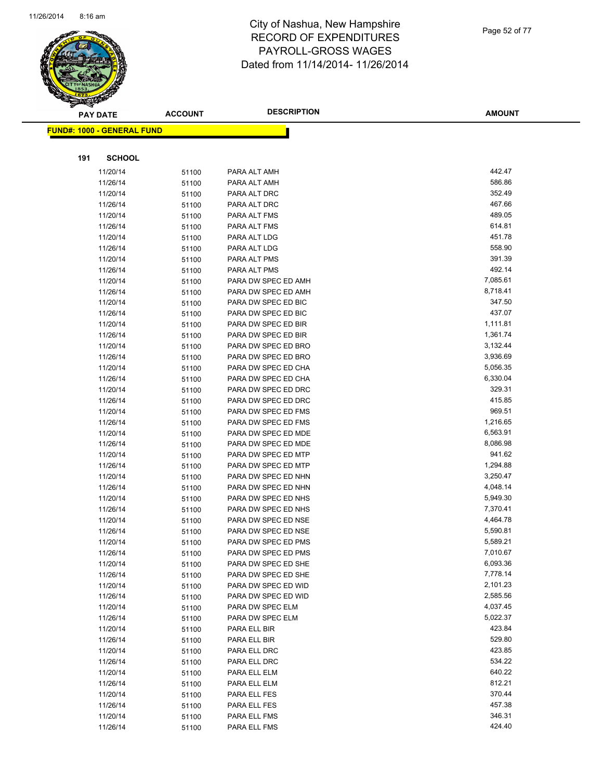

**FUND#: 1000** 

**191** 

### City of Nashua, New Hampshire RECORD OF EXPENDITURES PAYROLL-GROSS WAGES Dated from 11/14/2014- 11/26/2014

|     | <b>PAY DATE</b>      | <b>ACCOUNT</b> | <b>DESCRIPTION</b>                         | <b>AMOUNT</b>    |
|-----|----------------------|----------------|--------------------------------------------|------------------|
|     | 1000 - GENERAL FUND  |                |                                            |                  |
|     |                      |                |                                            |                  |
| 191 | <b>SCHOOL</b>        |                |                                            |                  |
|     | 11/20/14             | 51100          | PARA ALT AMH                               | 442.47           |
|     | 11/26/14             | 51100          | PARA ALT AMH                               | 586.86           |
|     | 11/20/14             | 51100          | PARA ALT DRC                               | 352.49           |
|     | 11/26/14             | 51100          | PARA ALT DRC                               | 467.66           |
|     | 11/20/14             | 51100          | PARA ALT FMS                               | 489.05           |
|     | 11/26/14             | 51100          | PARA ALT FMS                               | 614.81           |
|     | 11/20/14             | 51100          | PARA ALT LDG                               | 451.78           |
|     | 11/26/14             | 51100          | PARA ALT LDG                               | 558.90           |
|     | 11/20/14             | 51100          | PARA ALT PMS                               | 391.39           |
|     | 11/26/14             | 51100          | PARA ALT PMS                               | 492.14           |
|     | 11/20/14             | 51100          | PARA DW SPEC ED AMH                        | 7,085.61         |
|     | 11/26/14             | 51100          | PARA DW SPEC ED AMH                        | 8,718.41         |
|     | 11/20/14             | 51100          | PARA DW SPEC ED BIC                        | 347.50           |
|     | 11/26/14             | 51100          | PARA DW SPEC ED BIC                        | 437.07           |
|     | 11/20/14             | 51100          | PARA DW SPEC ED BIR                        | 1,111.81         |
|     | 11/26/14             | 51100          | PARA DW SPEC ED BIR                        | 1,361.74         |
|     | 11/20/14             | 51100          | PARA DW SPEC ED BRO                        | 3,132.44         |
|     | 11/26/14             | 51100          | PARA DW SPEC ED BRO                        | 3,936.69         |
|     | 11/20/14             | 51100          | PARA DW SPEC ED CHA                        | 5,056.35         |
|     | 11/26/14             | 51100          | PARA DW SPEC ED CHA                        | 6,330.04         |
|     | 11/20/14             | 51100          | PARA DW SPEC ED DRC                        | 329.31<br>415.85 |
|     | 11/26/14             | 51100          | PARA DW SPEC ED DRC                        | 969.51           |
|     | 11/20/14             | 51100          | PARA DW SPEC ED FMS                        | 1,216.65         |
|     | 11/26/14<br>11/20/14 | 51100          | PARA DW SPEC ED FMS<br>PARA DW SPEC ED MDE | 6,563.91         |
|     | 11/26/14             | 51100          | PARA DW SPEC ED MDE                        | 8,086.98         |
|     | 11/20/14             | 51100          | PARA DW SPEC ED MTP                        | 941.62           |
|     | 11/26/14             | 51100<br>51100 | PARA DW SPEC ED MTP                        | 1,294.88         |
|     | 11/20/14             | 51100          | PARA DW SPEC ED NHN                        | 3,250.47         |
|     | 11/26/14             | 51100          | PARA DW SPEC ED NHN                        | 4,048.14         |
|     | 11/20/14             | 51100          | PARA DW SPEC ED NHS                        | 5,949.30         |
|     | 11/26/14             | 51100          | PARA DW SPEC ED NHS                        | 7,370.41         |
|     | 11/20/14             | 51100          | PARA DW SPEC ED NSE                        | 4,464.78         |
|     | 11/26/14             | 51100          | PARA DW SPEC ED NSE                        | 5,590.81         |
|     | 11/20/14             | 51100          | PARA DW SPEC ED PMS                        | 5,589.21         |
|     | 11/26/14             | 51100          | PARA DW SPEC ED PMS                        | 7,010.67         |
|     | 11/20/14             | 51100          | PARA DW SPEC ED SHE                        | 6,093.36         |
|     | 11/26/14             | 51100          | PARA DW SPEC ED SHE                        | 7,778.14         |
|     | 11/20/14             | 51100          | PARA DW SPEC ED WID                        | 2,101.23         |
|     | 11/26/14             | 51100          | PARA DW SPEC ED WID                        | 2,585.56         |
|     | 11/20/14             | 51100          | PARA DW SPEC ELM                           | 4,037.45         |
|     | 11/26/14             | 51100          | PARA DW SPEC ELM                           | 5,022.37         |
|     | 11/20/14             | 51100          | PARA ELL BIR                               | 423.84           |
|     | 11/26/14             | 51100          | PARA ELL BIR                               | 529.80           |
|     | 11/20/14             | 51100          | PARA ELL DRC                               | 423.85           |
|     | 11/26/14             | 51100          | PARA ELL DRC                               | 534.22           |
|     | 11/20/14             | 51100          | PARA ELL ELM                               | 640.22           |
|     | 11/26/14             | 51100          | PARA ELL ELM                               | 812.21           |
|     | 11/20/14             | 51100          | PARA ELL FES                               | 370.44           |
|     | 11/26/14             | 51100          | PARA ELL FES                               | 457.38           |
|     | 11/20/14             | 51100          | PARA ELL FMS                               | 346.31           |
|     | 11/26/14             | 51100          | PARA ELL FMS                               | 424.40           |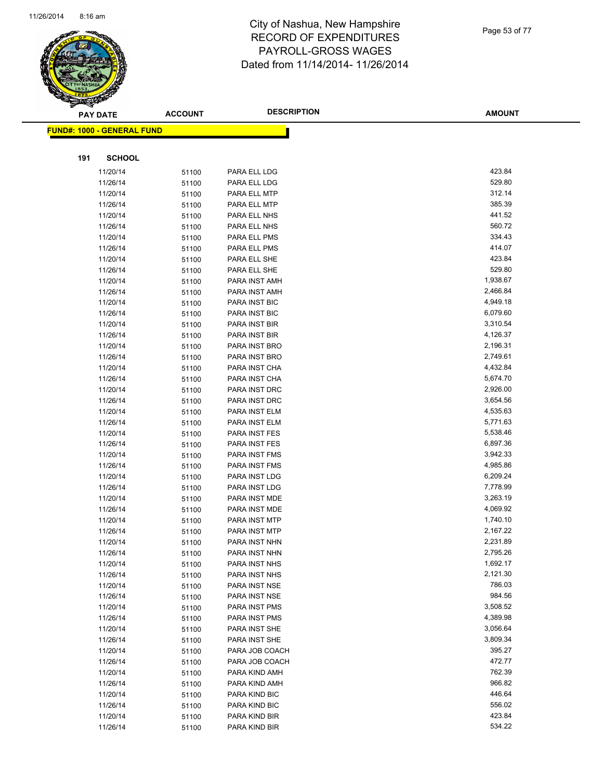

Page 53 of 77

| <b>PAY DATE</b>                   | <b>ACCOUNT</b> | <b>DESCRIPTION</b>           | <b>AMOUNT</b>    |
|-----------------------------------|----------------|------------------------------|------------------|
| <b>FUND#: 1000 - GENERAL FUND</b> |                |                              |                  |
|                                   |                |                              |                  |
| <b>SCHOOL</b><br>191              |                |                              |                  |
|                                   |                |                              |                  |
| 11/20/14                          | 51100          | PARA ELL LDG                 | 423.84           |
| 11/26/14                          | 51100          | PARA ELL LDG                 | 529.80           |
| 11/20/14                          | 51100          | PARA ELL MTP                 | 312.14           |
| 11/26/14                          | 51100          | PARA ELL MTP                 | 385.39           |
| 11/20/14                          | 51100          | PARA ELL NHS                 | 441.52<br>560.72 |
| 11/26/14                          | 51100          | PARA ELL NHS                 | 334.43           |
| 11/20/14                          | 51100          | PARA ELL PMS                 | 414.07           |
| 11/26/14<br>11/20/14              | 51100          | PARA ELL PMS<br>PARA ELL SHE | 423.84           |
| 11/26/14                          | 51100          | PARA ELL SHE                 | 529.80           |
| 11/20/14                          | 51100          | PARA INST AMH                | 1,938.67         |
| 11/26/14                          | 51100          | PARA INST AMH                | 2,466.84         |
| 11/20/14                          | 51100<br>51100 | PARA INST BIC                | 4,949.18         |
| 11/26/14                          | 51100          | PARA INST BIC                | 6,079.60         |
| 11/20/14                          | 51100          | PARA INST BIR                | 3,310.54         |
| 11/26/14                          | 51100          | PARA INST BIR                | 4,126.37         |
| 11/20/14                          | 51100          | PARA INST BRO                | 2,196.31         |
| 11/26/14                          | 51100          | PARA INST BRO                | 2,749.61         |
| 11/20/14                          | 51100          | PARA INST CHA                | 4,432.84         |
| 11/26/14                          | 51100          | PARA INST CHA                | 5,674.70         |
| 11/20/14                          | 51100          | PARA INST DRC                | 2,926.00         |
| 11/26/14                          | 51100          | PARA INST DRC                | 3,654.56         |
| 11/20/14                          | 51100          | PARA INST ELM                | 4,535.63         |
| 11/26/14                          | 51100          | PARA INST ELM                | 5,771.63         |
| 11/20/14                          | 51100          | PARA INST FES                | 5,538.46         |
| 11/26/14                          | 51100          | PARA INST FES                | 6,897.36         |
| 11/20/14                          | 51100          | PARA INST FMS                | 3,942.33         |
| 11/26/14                          | 51100          | PARA INST FMS                | 4,985.86         |
| 11/20/14                          | 51100          | PARA INST LDG                | 6,209.24         |
| 11/26/14                          | 51100          | PARA INST LDG                | 7,778.99         |
| 11/20/14                          | 51100          | PARA INST MDE                | 3,263.19         |
| 11/26/14                          | 51100          | PARA INST MDE                | 4,069.92         |
| 11/20/14                          | 51100          | PARA INST MTP                | 1,740.10         |
| 11/26/14                          | 51100          | PARA INST MTP                | 2,167.22         |
| 11/20/14                          | 51100          | PARA INST NHN                | 2,231.89         |
| 11/26/14                          | 51100          | PARA INST NHN                | 2,795.26         |
| 11/20/14                          | 51100          | PARA INST NHS                | 1,692.17         |
| 11/26/14                          | 51100          | PARA INST NHS                | 2,121.30         |
| 11/20/14                          | 51100          | PARA INST NSE                | 786.03           |
| 11/26/14                          | 51100          | PARA INST NSE                | 984.56           |
| 11/20/14                          | 51100          | PARA INST PMS                | 3,508.52         |
| 11/26/14                          | 51100          | PARA INST PMS                | 4,389.98         |
| 11/20/14                          | 51100          | PARA INST SHE                | 3,056.64         |
| 11/26/14                          | 51100          | PARA INST SHE                | 3,809.34         |
| 11/20/14                          | 51100          | PARA JOB COACH               | 395.27           |
| 11/26/14                          | 51100          | PARA JOB COACH               | 472.77           |
| 11/20/14                          | 51100          | PARA KIND AMH                | 762.39           |
| 11/26/14                          | 51100          | PARA KIND AMH                | 966.82           |
| 11/20/14                          | 51100          | PARA KIND BIC                | 446.64           |
| 11/26/14                          | 51100          | PARA KIND BIC                | 556.02           |
| 11/20/14                          | 51100          | PARA KIND BIR                | 423.84           |
| 11/26/14                          | 51100          | PARA KIND BIR                | 534.22           |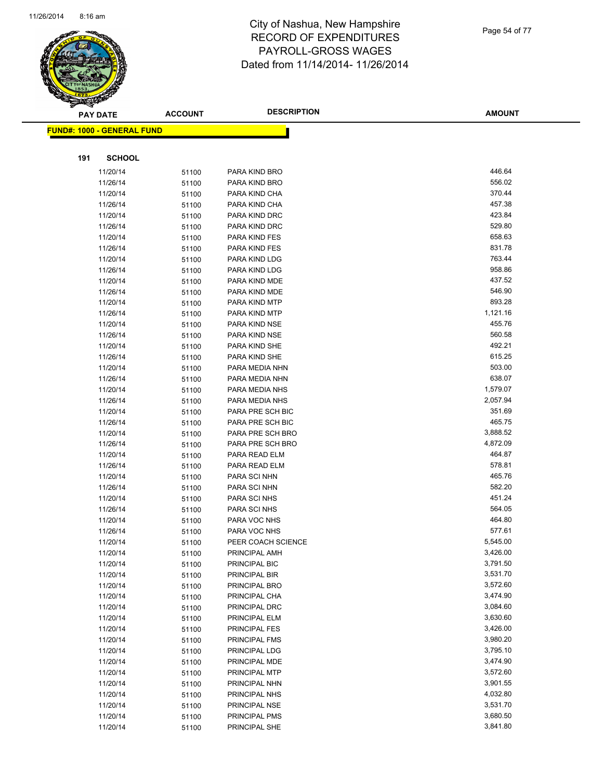

| <b>AMOUNT</b> |
|---------------|
|               |
|               |
|               |
|               |
|               |
|               |
|               |

| <b>FUND#: 1000 - GENERAL FUND</b> |                |                                |          |
|-----------------------------------|----------------|--------------------------------|----------|
|                                   |                |                                |          |
| <b>SCHOOL</b><br>191              |                |                                |          |
|                                   |                |                                | 446.64   |
| 11/20/14                          | 51100          | PARA KIND BRO                  | 556.02   |
| 11/26/14                          | 51100          | PARA KIND BRO                  | 370.44   |
| 11/20/14                          | 51100          | PARA KIND CHA                  | 457.38   |
| 11/26/14                          | 51100          | PARA KIND CHA                  | 423.84   |
| 11/20/14<br>11/26/14              | 51100          | PARA KIND DRC<br>PARA KIND DRC | 529.80   |
| 11/20/14                          | 51100          | PARA KIND FES                  | 658.63   |
| 11/26/14                          | 51100          | PARA KIND FES                  | 831.78   |
| 11/20/14                          | 51100          | PARA KIND LDG                  | 763.44   |
| 11/26/14                          | 51100          | PARA KIND LDG                  | 958.86   |
| 11/20/14                          | 51100<br>51100 | PARA KIND MDE                  | 437.52   |
| 11/26/14                          | 51100          | PARA KIND MDE                  | 546.90   |
| 11/20/14                          | 51100          | PARA KIND MTP                  | 893.28   |
| 11/26/14                          | 51100          | PARA KIND MTP                  | 1,121.16 |
| 11/20/14                          | 51100          | PARA KIND NSE                  | 455.76   |
| 11/26/14                          | 51100          | PARA KIND NSE                  | 560.58   |
| 11/20/14                          | 51100          | PARA KIND SHE                  | 492.21   |
| 11/26/14                          | 51100          | PARA KIND SHE                  | 615.25   |
| 11/20/14                          | 51100          | PARA MEDIA NHN                 | 503.00   |
| 11/26/14                          | 51100          | PARA MEDIA NHN                 | 638.07   |
| 11/20/14                          | 51100          | PARA MEDIA NHS                 | 1,579.07 |
| 11/26/14                          | 51100          | PARA MEDIA NHS                 | 2,057.94 |
| 11/20/14                          | 51100          | PARA PRE SCH BIC               | 351.69   |
| 11/26/14                          | 51100          | PARA PRE SCH BIC               | 465.75   |
| 11/20/14                          | 51100          | PARA PRE SCH BRO               | 3,888.52 |
| 11/26/14                          | 51100          | PARA PRE SCH BRO               | 4,872.09 |
| 11/20/14                          | 51100          | PARA READ ELM                  | 464.87   |
| 11/26/14                          | 51100          | PARA READ ELM                  | 578.81   |
| 11/20/14                          | 51100          | PARA SCI NHN                   | 465.76   |
| 11/26/14                          | 51100          | PARA SCI NHN                   | 582.20   |
| 11/20/14                          | 51100          | PARA SCI NHS                   | 451.24   |
| 11/26/14                          | 51100          | PARA SCI NHS                   | 564.05   |
| 11/20/14                          | 51100          | PARA VOC NHS                   | 464.80   |
| 11/26/14                          | 51100          | PARA VOC NHS                   | 577.61   |
| 11/20/14                          | 51100          | PEER COACH SCIENCE             | 5,545.00 |
| 11/20/14                          | 51100          | PRINCIPAL AMH                  | 3,426.00 |
| 11/20/14                          | 51100          | PRINCIPAL BIC                  | 3,791.50 |
| 11/20/14                          | 51100          | PRINCIPAL BIR                  | 3,531.70 |
| 11/20/14                          | 51100          | PRINCIPAL BRO                  | 3,572.60 |
| 11/20/14                          | 51100          | PRINCIPAL CHA                  | 3,474.90 |
| 11/20/14                          | 51100          | PRINCIPAL DRC                  | 3,084.60 |
| 11/20/14                          | 51100          | PRINCIPAL ELM                  | 3,630.60 |
| 11/20/14                          | 51100          | PRINCIPAL FES                  | 3,426.00 |
| 11/20/14                          | 51100          | PRINCIPAL FMS                  | 3,980.20 |
| 11/20/14                          | 51100          | PRINCIPAL LDG                  | 3,795.10 |
| 11/20/14                          | 51100          | PRINCIPAL MDE                  | 3,474.90 |
| 11/20/14                          | 51100          | PRINCIPAL MTP                  | 3,572.60 |
| 11/20/14                          | 51100          | PRINCIPAL NHN                  | 3,901.55 |
| 11/20/14                          | 51100          | PRINCIPAL NHS                  | 4,032.80 |
| 11/20/14                          | 51100          | PRINCIPAL NSE                  | 3,531.70 |
| 11/20/14                          | 51100          | PRINCIPAL PMS                  | 3,680.50 |
| 11/20/14                          | 51100          | PRINCIPAL SHE                  | 3,841.80 |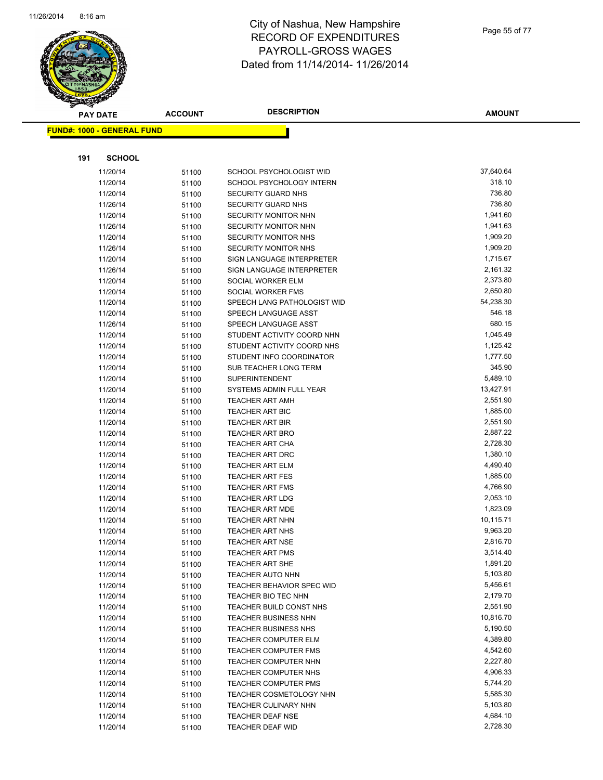

Page 55 of 77

|     | <b>PAY DATE</b>                   | <b>ACCOUNT</b> | <b>DESCRIPTION</b>                                | <b>AMOUNT</b>        |
|-----|-----------------------------------|----------------|---------------------------------------------------|----------------------|
|     | <b>FUND#: 1000 - GENERAL FUND</b> |                |                                                   |                      |
|     |                                   |                |                                                   |                      |
|     |                                   |                |                                                   |                      |
| 191 | <b>SCHOOL</b>                     |                |                                                   |                      |
|     | 11/20/14                          | 51100          | SCHOOL PSYCHOLOGIST WID                           | 37,640.64            |
|     | 11/20/14                          | 51100          | SCHOOL PSYCHOLOGY INTERN                          | 318.10               |
|     | 11/20/14                          | 51100          | <b>SECURITY GUARD NHS</b>                         | 736.80               |
|     | 11/26/14                          | 51100          | <b>SECURITY GUARD NHS</b>                         | 736.80               |
|     | 11/20/14                          | 51100          | <b>SECURITY MONITOR NHN</b>                       | 1,941.60             |
|     | 11/26/14                          | 51100          | SECURITY MONITOR NHN                              | 1,941.63             |
|     | 11/20/14                          | 51100          | SECURITY MONITOR NHS                              | 1,909.20             |
|     | 11/26/14                          | 51100          | SECURITY MONITOR NHS                              | 1,909.20             |
|     | 11/20/14                          | 51100          | SIGN LANGUAGE INTERPRETER                         | 1,715.67             |
|     | 11/26/14                          | 51100          | SIGN LANGUAGE INTERPRETER                         | 2,161.32             |
|     | 11/20/14                          | 51100          | SOCIAL WORKER ELM                                 | 2,373.80             |
|     | 11/20/14                          | 51100          | SOCIAL WORKER FMS                                 | 2,650.80             |
|     | 11/20/14                          | 51100          | SPEECH LANG PATHOLOGIST WID                       | 54,238.30            |
|     | 11/20/14                          | 51100          | SPEECH LANGUAGE ASST                              | 546.18               |
|     | 11/26/14                          | 51100          | SPEECH LANGUAGE ASST                              | 680.15               |
|     | 11/20/14                          | 51100          | STUDENT ACTIVITY COORD NHN                        | 1,045.49             |
|     | 11/20/14                          | 51100          | STUDENT ACTIVITY COORD NHS                        | 1,125.42             |
|     | 11/20/14                          | 51100          | STUDENT INFO COORDINATOR                          | 1,777.50             |
|     | 11/20/14                          | 51100          | SUB TEACHER LONG TERM                             | 345.90               |
|     | 11/20/14                          | 51100          | <b>SUPERINTENDENT</b>                             | 5,489.10             |
|     | 11/20/14                          | 51100          | SYSTEMS ADMIN FULL YEAR                           | 13,427.91            |
|     | 11/20/14                          | 51100          | <b>TEACHER ART AMH</b>                            | 2,551.90             |
|     | 11/20/14                          | 51100          | TEACHER ART BIC                                   | 1,885.00             |
|     | 11/20/14                          | 51100          | <b>TEACHER ART BIR</b>                            | 2,551.90             |
|     | 11/20/14                          | 51100          | <b>TEACHER ART BRO</b>                            | 2,887.22             |
|     | 11/20/14                          | 51100          | TEACHER ART CHA                                   | 2,728.30             |
|     | 11/20/14                          | 51100          | <b>TEACHER ART DRC</b>                            | 1,380.10             |
|     | 11/20/14                          | 51100          | TEACHER ART ELM                                   | 4,490.40             |
|     | 11/20/14                          | 51100          | <b>TEACHER ART FES</b>                            | 1,885.00             |
|     | 11/20/14                          | 51100          | <b>TEACHER ART FMS</b>                            | 4,766.90             |
|     | 11/20/14                          | 51100          | <b>TEACHER ART LDG</b>                            | 2,053.10             |
|     | 11/20/14                          | 51100          | <b>TEACHER ART MDE</b>                            | 1,823.09             |
|     | 11/20/14                          | 51100          | <b>TEACHER ART NHN</b>                            | 10,115.71            |
|     | 11/20/14                          | 51100          | <b>TEACHER ART NHS</b>                            | 9,963.20<br>2,816.70 |
|     | 11/20/14<br>11/20/14              | 51100          | <b>TEACHER ART NSE</b><br>TEACHER ART PMS         | 3,514.40             |
|     |                                   | 51100          |                                                   | 1,891.20             |
|     | 11/20/14<br>11/20/14              | 51100          | <b>TEACHER ART SHE</b><br><b>TEACHER AUTO NHN</b> | 5,103.80             |
|     |                                   | 51100          | TEACHER BEHAVIOR SPEC WID                         | 5,456.61             |
|     | 11/20/14<br>11/20/14              | 51100          | TEACHER BIO TEC NHN                               | 2,179.70             |
|     | 11/20/14                          | 51100          | TEACHER BUILD CONST NHS                           | 2,551.90             |
|     | 11/20/14                          | 51100          | TEACHER BUSINESS NHN                              | 10,816.70            |
|     | 11/20/14                          | 51100<br>51100 | <b>TEACHER BUSINESS NHS</b>                       | 5,190.50             |
|     | 11/20/14                          |                | <b>TEACHER COMPUTER ELM</b>                       | 4,389.80             |
|     | 11/20/14                          | 51100          | <b>TEACHER COMPUTER FMS</b>                       | 4,542.60             |
|     | 11/20/14                          | 51100<br>51100 | TEACHER COMPUTER NHN                              | 2,227.80             |
|     | 11/20/14                          |                | TEACHER COMPUTER NHS                              | 4,906.33             |
|     | 11/20/14                          | 51100<br>51100 | <b>TEACHER COMPUTER PMS</b>                       | 5,744.20             |
|     | 11/20/14                          | 51100          | TEACHER COSMETOLOGY NHN                           | 5,585.30             |
|     | 11/20/14                          | 51100          | TEACHER CULINARY NHN                              | 5,103.80             |
|     | 11/20/14                          | 51100          | <b>TEACHER DEAF NSE</b>                           | 4,684.10             |
|     | 11/20/14                          | 51100          | TEACHER DEAF WID                                  | 2,728.30             |
|     |                                   |                |                                                   |                      |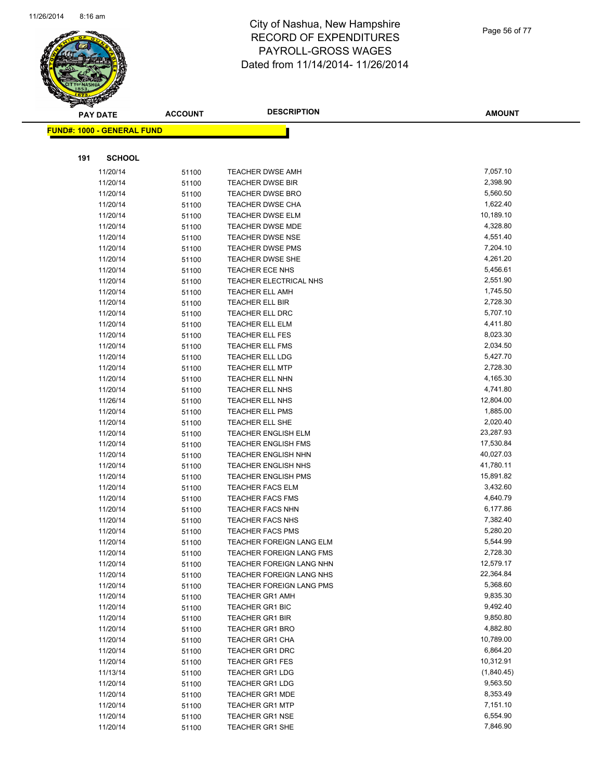

Page 56 of 77

| <b>PAY DATE</b>                   | <b>ACCOUNT</b> | <b>DESCRIPTION</b>                                       | <b>AMOUNT</b>         |
|-----------------------------------|----------------|----------------------------------------------------------|-----------------------|
| <b>FUND#: 1000 - GENERAL FUND</b> |                |                                                          |                       |
|                                   |                |                                                          |                       |
|                                   |                |                                                          |                       |
| <b>SCHOOL</b><br>191              |                |                                                          |                       |
| 11/20/14                          | 51100          | TEACHER DWSE AMH                                         | 7,057.10              |
| 11/20/14                          | 51100          | <b>TEACHER DWSE BIR</b>                                  | 2,398.90              |
| 11/20/14                          | 51100          | <b>TEACHER DWSE BRO</b>                                  | 5,560.50              |
| 11/20/14                          | 51100          | <b>TEACHER DWSE CHA</b>                                  | 1,622.40              |
| 11/20/14                          | 51100          | <b>TEACHER DWSE ELM</b>                                  | 10,189.10             |
| 11/20/14                          | 51100          | TEACHER DWSE MDE                                         | 4,328.80              |
| 11/20/14                          | 51100          | <b>TEACHER DWSE NSE</b>                                  | 4,551.40              |
| 11/20/14                          | 51100          | <b>TEACHER DWSE PMS</b>                                  | 7,204.10              |
| 11/20/14                          | 51100          | TEACHER DWSE SHE                                         | 4,261.20              |
| 11/20/14                          | 51100          | TEACHER ECE NHS                                          | 5,456.61              |
| 11/20/14                          | 51100          | TEACHER ELECTRICAL NHS                                   | 2,551.90              |
| 11/20/14                          | 51100          | TEACHER ELL AMH                                          | 1,745.50              |
| 11/20/14                          | 51100          | <b>TEACHER ELL BIR</b>                                   | 2,728.30              |
| 11/20/14                          | 51100          | TEACHER ELL DRC                                          | 5,707.10              |
| 11/20/14                          | 51100          | TEACHER ELL ELM                                          | 4,411.80              |
| 11/20/14                          | 51100          | <b>TEACHER ELL FES</b>                                   | 8,023.30              |
| 11/20/14                          | 51100          | <b>TEACHER ELL FMS</b>                                   | 2,034.50              |
| 11/20/14                          | 51100          | <b>TEACHER ELL LDG</b>                                   | 5,427.70              |
| 11/20/14                          | 51100          | <b>TEACHER ELL MTP</b>                                   | 2,728.30              |
| 11/20/14                          | 51100          | <b>TEACHER ELL NHN</b>                                   | 4,165.30              |
| 11/20/14                          | 51100          | TEACHER ELL NHS                                          | 4,741.80              |
| 11/26/14                          | 51100          | TEACHER ELL NHS                                          | 12,804.00             |
| 11/20/14                          | 51100          | TEACHER ELL PMS                                          | 1,885.00              |
| 11/20/14                          | 51100          | TEACHER ELL SHE                                          | 2,020.40<br>23,287.93 |
| 11/20/14                          | 51100          | <b>TEACHER ENGLISH ELM</b><br><b>TEACHER ENGLISH FMS</b> | 17,530.84             |
| 11/20/14<br>11/20/14              | 51100          | <b>TEACHER ENGLISH NHN</b>                               | 40,027.03             |
| 11/20/14                          | 51100<br>51100 | <b>TEACHER ENGLISH NHS</b>                               | 41,780.11             |
| 11/20/14                          | 51100          | <b>TEACHER ENGLISH PMS</b>                               | 15,891.82             |
| 11/20/14                          | 51100          | <b>TEACHER FACS ELM</b>                                  | 3,432.60              |
| 11/20/14                          | 51100          | <b>TEACHER FACS FMS</b>                                  | 4,640.79              |
| 11/20/14                          | 51100          | <b>TEACHER FACS NHN</b>                                  | 6,177.86              |
| 11/20/14                          | 51100          | TEACHER FACS NHS                                         | 7,382.40              |
| 11/20/14                          | 51100          | <b>TEACHER FACS PMS</b>                                  | 5,280.20              |
| 11/20/14                          | 51100          | TEACHER FOREIGN LANG ELM                                 | 5,544.99              |
| 11/20/14                          | 51100          | <b>TEACHER FOREIGN LANG FMS</b>                          | 2,728.30              |
| 11/20/14                          | 51100          | TEACHER FOREIGN LANG NHN                                 | 12,579.17             |
| 11/20/14                          | 51100          | TEACHER FOREIGN LANG NHS                                 | 22,364.84             |
| 11/20/14                          | 51100          | TEACHER FOREIGN LANG PMS                                 | 5,368.60              |
| 11/20/14                          | 51100          | <b>TEACHER GR1 AMH</b>                                   | 9,835.30              |
| 11/20/14                          | 51100          | <b>TEACHER GR1 BIC</b>                                   | 9,492.40              |
| 11/20/14                          | 51100          | <b>TEACHER GR1 BIR</b>                                   | 9,850.80              |
| 11/20/14                          | 51100          | <b>TEACHER GR1 BRO</b>                                   | 4,882.80              |
| 11/20/14                          | 51100          | <b>TEACHER GR1 CHA</b>                                   | 10,789.00             |
| 11/20/14                          | 51100          | <b>TEACHER GR1 DRC</b>                                   | 6,864.20              |
| 11/20/14                          | 51100          | <b>TEACHER GR1 FES</b>                                   | 10,312.91             |
| 11/13/14                          | 51100          | <b>TEACHER GR1 LDG</b>                                   | (1,840.45)            |
| 11/20/14                          | 51100          | <b>TEACHER GR1 LDG</b>                                   | 9,563.50              |
| 11/20/14                          | 51100          | <b>TEACHER GR1 MDE</b>                                   | 8,353.49              |
| 11/20/14                          | 51100          | <b>TEACHER GR1 MTP</b>                                   | 7,151.10              |
| 11/20/14                          | 51100          | <b>TEACHER GR1 NSE</b>                                   | 6,554.90              |
| 11/20/14                          | 51100          | <b>TEACHER GR1 SHE</b>                                   | 7,846.90              |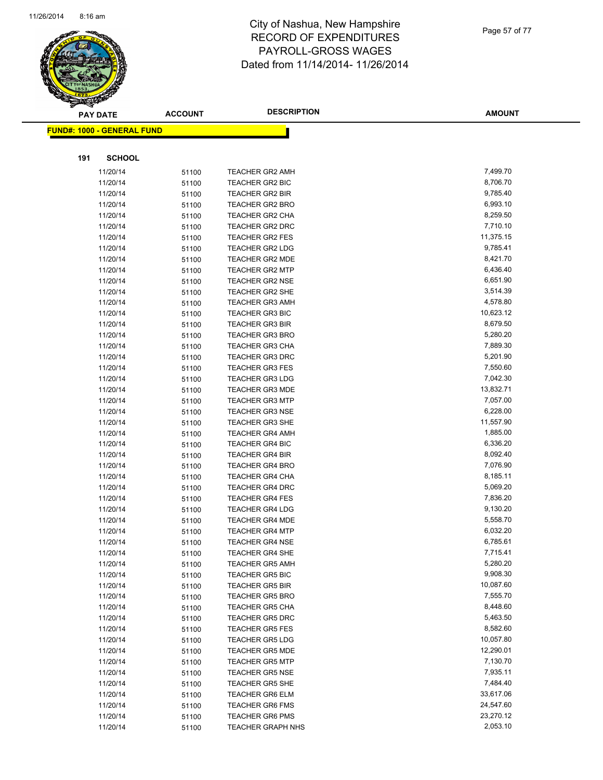

Page 57 of 77

| $\tilde{\phantom{a}}$<br><b>PAY DATE</b> | <b>ACCOUNT</b> | <b>DESCRIPTION</b>                               | <b>AMOUNT</b>        |
|------------------------------------------|----------------|--------------------------------------------------|----------------------|
| <b>FUND#: 1000 - GENERAL FUND</b>        |                |                                                  |                      |
|                                          |                |                                                  |                      |
| 191<br><b>SCHOOL</b>                     |                |                                                  |                      |
| 11/20/14                                 | 51100          | <b>TEACHER GR2 AMH</b>                           | 7,499.70             |
| 11/20/14                                 | 51100          | TEACHER GR2 BIC                                  | 8,706.70             |
| 11/20/14                                 | 51100          | <b>TEACHER GR2 BIR</b>                           | 9,785.40             |
| 11/20/14                                 | 51100          | <b>TEACHER GR2 BRO</b>                           | 6,993.10             |
| 11/20/14                                 | 51100          | TEACHER GR2 CHA                                  | 8,259.50             |
| 11/20/14                                 | 51100          | TEACHER GR2 DRC                                  | 7,710.10             |
| 11/20/14                                 | 51100          | <b>TEACHER GR2 FES</b>                           | 11,375.15            |
| 11/20/14                                 | 51100          | <b>TEACHER GR2 LDG</b>                           | 9,785.41             |
| 11/20/14                                 | 51100          | <b>TEACHER GR2 MDE</b>                           | 8,421.70             |
| 11/20/14                                 | 51100          | <b>TEACHER GR2 MTP</b>                           | 6,436.40             |
| 11/20/14                                 | 51100          | <b>TEACHER GR2 NSE</b>                           | 6,651.90             |
| 11/20/14                                 | 51100          | <b>TEACHER GR2 SHE</b>                           | 3,514.39             |
| 11/20/14                                 | 51100          | <b>TEACHER GR3 AMH</b>                           | 4,578.80             |
| 11/20/14                                 | 51100          | <b>TEACHER GR3 BIC</b>                           | 10,623.12            |
| 11/20/14                                 | 51100          | <b>TEACHER GR3 BIR</b>                           | 8,679.50             |
| 11/20/14                                 | 51100          | <b>TEACHER GR3 BRO</b>                           | 5,280.20             |
| 11/20/14                                 | 51100          | <b>TEACHER GR3 CHA</b>                           | 7,889.30             |
| 11/20/14                                 | 51100          | <b>TEACHER GR3 DRC</b>                           | 5,201.90             |
| 11/20/14                                 | 51100          | <b>TEACHER GR3 FES</b>                           | 7,550.60             |
| 11/20/14                                 | 51100          | <b>TEACHER GR3 LDG</b>                           | 7,042.30             |
| 11/20/14                                 | 51100          | <b>TEACHER GR3 MDE</b>                           | 13,832.71            |
| 11/20/14                                 | 51100          | <b>TEACHER GR3 MTP</b>                           | 7,057.00             |
| 11/20/14                                 | 51100          | <b>TEACHER GR3 NSE</b>                           | 6,228.00             |
| 11/20/14                                 | 51100          | <b>TEACHER GR3 SHE</b>                           | 11,557.90            |
| 11/20/14                                 | 51100          | <b>TEACHER GR4 AMH</b>                           | 1,885.00             |
| 11/20/14                                 | 51100          | <b>TEACHER GR4 BIC</b>                           | 6,336.20             |
| 11/20/14                                 | 51100          | TEACHER GR4 BIR                                  | 8,092.40             |
| 11/20/14                                 | 51100          | <b>TEACHER GR4 BRO</b>                           | 7,076.90             |
| 11/20/14                                 | 51100          | TEACHER GR4 CHA                                  | 8,185.11             |
| 11/20/14                                 | 51100          | TEACHER GR4 DRC                                  | 5,069.20             |
| 11/20/14                                 | 51100          | <b>TEACHER GR4 FES</b>                           | 7,836.20             |
| 11/20/14                                 | 51100          | <b>TEACHER GR4 LDG</b>                           | 9,130.20             |
| 11/20/14                                 | 51100          | <b>TEACHER GR4 MDE</b>                           | 5,558.70             |
| 11/20/14                                 | 51100          | <b>TEACHER GR4 MTP</b>                           | 6,032.20             |
| 11/20/14                                 | 51100          | <b>TEACHER GR4 NSE</b>                           | 6,785.61             |
| 11/20/14                                 | 51100          | <b>TEACHER GR4 SHE</b>                           | 7,715.41             |
| 11/20/14                                 | 51100          | <b>TEACHER GR5 AMH</b>                           | 5,280.20<br>9,908.30 |
| 11/20/14                                 | 51100          | <b>TEACHER GR5 BIC</b>                           | 10,087.60            |
| 11/20/14                                 | 51100          | <b>TEACHER GR5 BIR</b>                           | 7,555.70             |
| 11/20/14                                 | 51100          | <b>TEACHER GR5 BRO</b>                           | 8,448.60             |
| 11/20/14<br>11/20/14                     | 51100          | <b>TEACHER GR5 CHA</b><br><b>TEACHER GR5 DRC</b> | 5,463.50             |
| 11/20/14                                 | 51100<br>51100 | <b>TEACHER GR5 FES</b>                           | 8,582.60             |
| 11/20/14                                 | 51100          | <b>TEACHER GR5 LDG</b>                           | 10,057.80            |
| 11/20/14                                 | 51100          | <b>TEACHER GR5 MDE</b>                           | 12,290.01            |
| 11/20/14                                 | 51100          | <b>TEACHER GR5 MTP</b>                           | 7,130.70             |
| 11/20/14                                 | 51100          | <b>TEACHER GR5 NSE</b>                           | 7,935.11             |
| 11/20/14                                 | 51100          | <b>TEACHER GR5 SHE</b>                           | 7,484.40             |
| 11/20/14                                 | 51100          | <b>TEACHER GR6 ELM</b>                           | 33,617.06            |
| 11/20/14                                 | 51100          | <b>TEACHER GR6 FMS</b>                           | 24,547.60            |
| 11/20/14                                 | 51100          | <b>TEACHER GR6 PMS</b>                           | 23,270.12            |
| 11/20/14                                 | 51100          | <b>TEACHER GRAPH NHS</b>                         | 2,053.10             |
|                                          |                |                                                  |                      |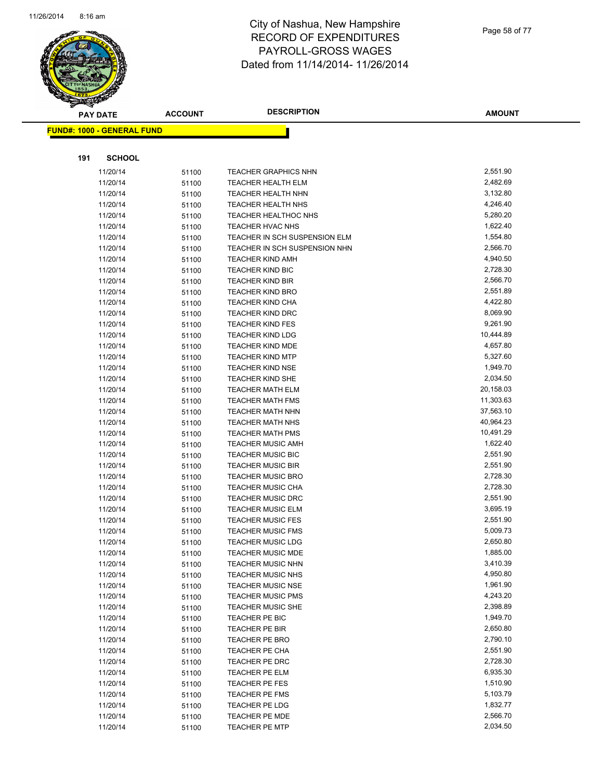

Page 58 of 77

|     | <b>PAY DATE</b>                    | <b>ACCOUNT</b> | <b>DESCRIPTION</b>                                 | <b>AMOUNT</b>        |
|-----|------------------------------------|----------------|----------------------------------------------------|----------------------|
|     | <u> FUND#: 1000 - GENERAL FUND</u> |                |                                                    |                      |
|     |                                    |                |                                                    |                      |
|     |                                    |                |                                                    |                      |
| 191 | <b>SCHOOL</b>                      |                |                                                    |                      |
|     | 11/20/14                           | 51100          | <b>TEACHER GRAPHICS NHN</b>                        | 2,551.90             |
|     | 11/20/14                           | 51100          | <b>TEACHER HEALTH ELM</b>                          | 2,482.69             |
|     | 11/20/14                           | 51100          | <b>TEACHER HEALTH NHN</b>                          | 3,132.80             |
|     | 11/20/14                           | 51100          | <b>TEACHER HEALTH NHS</b>                          | 4,246.40             |
|     | 11/20/14                           | 51100          | <b>TEACHER HEALTHOC NHS</b>                        | 5,280.20             |
|     | 11/20/14                           | 51100          | TEACHER HVAC NHS                                   | 1,622.40             |
|     | 11/20/14                           | 51100          | TEACHER IN SCH SUSPENSION ELM                      | 1,554.80             |
|     | 11/20/14                           | 51100          | TEACHER IN SCH SUSPENSION NHN                      | 2,566.70             |
|     | 11/20/14                           | 51100          | <b>TEACHER KIND AMH</b>                            | 4,940.50             |
|     | 11/20/14                           | 51100          | <b>TEACHER KIND BIC</b>                            | 2,728.30             |
|     | 11/20/14                           | 51100          | <b>TEACHER KIND BIR</b>                            | 2,566.70             |
|     | 11/20/14                           | 51100          | <b>TEACHER KIND BRO</b>                            | 2,551.89             |
|     | 11/20/14                           | 51100          | <b>TEACHER KIND CHA</b>                            | 4,422.80             |
|     | 11/20/14                           | 51100          | <b>TEACHER KIND DRC</b>                            | 8,069.90             |
|     | 11/20/14                           | 51100          | <b>TEACHER KIND FES</b>                            | 9,261.90             |
|     | 11/20/14                           | 51100          | <b>TEACHER KIND LDG</b>                            | 10,444.89            |
|     | 11/20/14                           | 51100          | <b>TEACHER KIND MDE</b>                            | 4,657.80             |
|     | 11/20/14                           | 51100          | <b>TEACHER KIND MTP</b>                            | 5,327.60<br>1,949.70 |
|     | 11/20/14                           | 51100          | <b>TEACHER KIND NSE</b>                            | 2,034.50             |
|     | 11/20/14<br>11/20/14               | 51100          | <b>TEACHER KIND SHE</b><br><b>TEACHER MATH ELM</b> | 20,158.03            |
|     |                                    | 51100          | <b>TEACHER MATH FMS</b>                            | 11,303.63            |
|     | 11/20/14<br>11/20/14               | 51100          | <b>TEACHER MATH NHN</b>                            | 37,563.10            |
|     | 11/20/14                           | 51100<br>51100 | <b>TEACHER MATH NHS</b>                            | 40,964.23            |
|     | 11/20/14                           | 51100          | <b>TEACHER MATH PMS</b>                            | 10,491.29            |
|     | 11/20/14                           | 51100          | <b>TEACHER MUSIC AMH</b>                           | 1,622.40             |
|     | 11/20/14                           | 51100          | <b>TEACHER MUSIC BIC</b>                           | 2,551.90             |
|     | 11/20/14                           | 51100          | <b>TEACHER MUSIC BIR</b>                           | 2,551.90             |
|     | 11/20/14                           | 51100          | <b>TEACHER MUSIC BRO</b>                           | 2,728.30             |
|     | 11/20/14                           | 51100          | <b>TEACHER MUSIC CHA</b>                           | 2,728.30             |
|     | 11/20/14                           | 51100          | <b>TEACHER MUSIC DRC</b>                           | 2,551.90             |
|     | 11/20/14                           | 51100          | <b>TEACHER MUSIC ELM</b>                           | 3,695.19             |
|     | 11/20/14                           | 51100          | <b>TEACHER MUSIC FES</b>                           | 2,551.90             |
|     | 11/20/14                           | 51100          | <b>TEACHER MUSIC FMS</b>                           | 5,009.73             |
|     | 11/20/14                           | 51100          | <b>TEACHER MUSIC LDG</b>                           | 2,650.80             |
|     | 11/20/14                           | 51100          | TEACHER MUSIC MDE                                  | 1,885.00             |
|     | 11/20/14                           | 51100          | <b>TEACHER MUSIC NHN</b>                           | 3,410.39             |
|     | 11/20/14                           | 51100          | <b>TEACHER MUSIC NHS</b>                           | 4,950.80             |
|     | 11/20/14                           | 51100          | <b>TEACHER MUSIC NSE</b>                           | 1,961.90             |
|     | 11/20/14                           | 51100          | <b>TEACHER MUSIC PMS</b>                           | 4,243.20             |
|     | 11/20/14                           | 51100          | <b>TEACHER MUSIC SHE</b>                           | 2,398.89             |
|     | 11/20/14                           | 51100          | TEACHER PE BIC                                     | 1,949.70             |
|     | 11/20/14                           | 51100          | TEACHER PE BIR                                     | 2,650.80             |
|     | 11/20/14                           | 51100          | TEACHER PE BRO                                     | 2,790.10             |
|     | 11/20/14                           | 51100          | TEACHER PE CHA                                     | 2,551.90             |
|     | 11/20/14                           | 51100          | TEACHER PE DRC                                     | 2,728.30             |
|     | 11/20/14                           | 51100          | TEACHER PE ELM                                     | 6,935.30             |
|     | 11/20/14                           | 51100          | TEACHER PE FES                                     | 1,510.90             |
|     | 11/20/14                           | 51100          | TEACHER PE FMS                                     | 5,103.79             |
|     | 11/20/14                           | 51100          | TEACHER PE LDG                                     | 1,832.77             |
|     | 11/20/14                           | 51100          | <b>TEACHER PE MDE</b>                              | 2,566.70             |
|     | 11/20/14                           | 51100          | <b>TEACHER PE MTP</b>                              | 2,034.50             |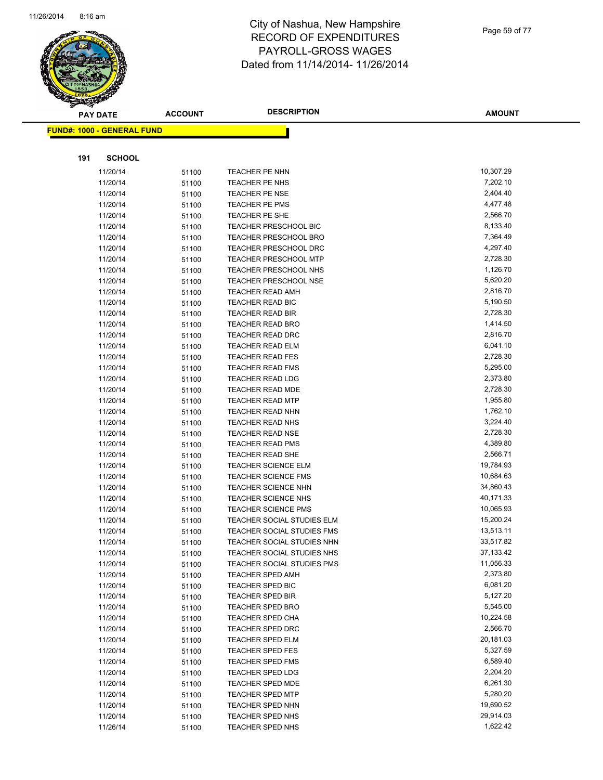

Page 59 of 77

| $\mathscr{D} \, \propto$ | <b>PAY DATE</b>                   | <b>ACCOUNT</b> | <b>DESCRIPTION</b>                                 | <b>AMOUNT</b>        |
|--------------------------|-----------------------------------|----------------|----------------------------------------------------|----------------------|
|                          | <b>FUND#: 1000 - GENERAL FUND</b> |                |                                                    |                      |
|                          |                                   |                |                                                    |                      |
| 191                      | <b>SCHOOL</b>                     |                |                                                    |                      |
|                          | 11/20/14                          | 51100          | TEACHER PE NHN                                     | 10,307.29            |
|                          | 11/20/14                          | 51100          | TEACHER PE NHS                                     | 7,202.10             |
|                          | 11/20/14                          | 51100          | <b>TEACHER PE NSE</b>                              | 2,404.40             |
|                          | 11/20/14                          | 51100          | TEACHER PE PMS                                     | 4,477.48             |
|                          | 11/20/14                          | 51100          | <b>TEACHER PE SHE</b>                              | 2,566.70             |
|                          | 11/20/14                          | 51100          | TEACHER PRESCHOOL BIC                              | 8,133.40             |
|                          | 11/20/14                          | 51100          | TEACHER PRESCHOOL BRO                              | 7,364.49             |
|                          | 11/20/14                          | 51100          | <b>TEACHER PRESCHOOL DRC</b>                       | 4,297.40             |
|                          | 11/20/14                          | 51100          | <b>TEACHER PRESCHOOL MTP</b>                       | 2,728.30             |
|                          | 11/20/14                          | 51100          | <b>TEACHER PRESCHOOL NHS</b>                       | 1,126.70             |
|                          | 11/20/14                          | 51100          | <b>TEACHER PRESCHOOL NSE</b>                       | 5,620.20             |
|                          | 11/20/14                          | 51100          | <b>TEACHER READ AMH</b>                            | 2,816.70             |
|                          | 11/20/14                          | 51100          | <b>TEACHER READ BIC</b>                            | 5,190.50             |
|                          | 11/20/14                          | 51100          | TEACHER READ BIR                                   | 2,728.30             |
|                          | 11/20/14                          | 51100          | <b>TEACHER READ BRO</b>                            | 1,414.50             |
|                          | 11/20/14                          | 51100          | TEACHER READ DRC                                   | 2,816.70             |
|                          | 11/20/14                          | 51100          | <b>TEACHER READ ELM</b>                            | 6,041.10             |
|                          | 11/20/14                          | 51100          | <b>TEACHER READ FES</b>                            | 2,728.30             |
|                          | 11/20/14                          | 51100          | <b>TEACHER READ FMS</b>                            | 5,295.00             |
|                          | 11/20/14                          | 51100          | <b>TEACHER READ LDG</b>                            | 2,373.80             |
|                          | 11/20/14                          | 51100          | <b>TEACHER READ MDE</b>                            | 2,728.30             |
|                          | 11/20/14                          | 51100          | <b>TEACHER READ MTP</b>                            | 1,955.80<br>1,762.10 |
|                          | 11/20/14                          | 51100          | <b>TEACHER READ NHN</b>                            |                      |
|                          | 11/20/14<br>11/20/14              | 51100          | <b>TEACHER READ NHS</b>                            | 3,224.40<br>2,728.30 |
|                          | 11/20/14                          | 51100          | <b>TEACHER READ NSE</b><br><b>TEACHER READ PMS</b> | 4,389.80             |
|                          | 11/20/14                          | 51100          | <b>TEACHER READ SHE</b>                            | 2,566.71             |
|                          | 11/20/14                          | 51100<br>51100 | <b>TEACHER SCIENCE ELM</b>                         | 19,784.93            |
|                          | 11/20/14                          | 51100          | <b>TEACHER SCIENCE FMS</b>                         | 10,684.63            |
|                          | 11/20/14                          | 51100          | <b>TEACHER SCIENCE NHN</b>                         | 34,860.43            |
|                          | 11/20/14                          | 51100          | <b>TEACHER SCIENCE NHS</b>                         | 40,171.33            |
|                          | 11/20/14                          | 51100          | <b>TEACHER SCIENCE PMS</b>                         | 10,065.93            |
|                          | 11/20/14                          | 51100          | TEACHER SOCIAL STUDIES ELM                         | 15,200.24            |
|                          | 11/20/14                          | 51100          | TEACHER SOCIAL STUDIES FMS                         | 13,513.11            |
|                          | 11/20/14                          | 51100          | TEACHER SOCIAL STUDIES NHN                         | 33,517.82            |
|                          | 11/20/14                          | 51100          | TEACHER SOCIAL STUDIES NHS                         | 37,133.42            |
|                          | 11/20/14                          | 51100          | TEACHER SOCIAL STUDIES PMS                         | 11,056.33            |
|                          | 11/20/14                          | 51100          | <b>TEACHER SPED AMH</b>                            | 2,373.80             |
|                          | 11/20/14                          | 51100          | TEACHER SPED BIC                                   | 6,081.20             |
|                          | 11/20/14                          | 51100          | <b>TEACHER SPED BIR</b>                            | 5,127.20             |
|                          | 11/20/14                          | 51100          | <b>TEACHER SPED BRO</b>                            | 5,545.00             |
|                          | 11/20/14                          | 51100          | <b>TEACHER SPED CHA</b>                            | 10,224.58            |
|                          | 11/20/14                          | 51100          | TEACHER SPED DRC                                   | 2,566.70             |
|                          | 11/20/14                          | 51100          | <b>TEACHER SPED ELM</b>                            | 20,181.03            |
|                          | 11/20/14                          | 51100          | <b>TEACHER SPED FES</b>                            | 5,327.59             |
|                          | 11/20/14                          | 51100          | <b>TEACHER SPED FMS</b>                            | 6,589.40             |
|                          | 11/20/14                          | 51100          | <b>TEACHER SPED LDG</b>                            | 2,204.20             |
|                          | 11/20/14                          | 51100          | <b>TEACHER SPED MDE</b>                            | 6,261.30             |
|                          | 11/20/14                          | 51100          | <b>TEACHER SPED MTP</b>                            | 5,280.20             |
|                          | 11/20/14                          | 51100          | <b>TEACHER SPED NHN</b>                            | 19,690.52            |
|                          | 11/20/14                          | 51100          | TEACHER SPED NHS                                   | 29,914.03            |
|                          | 11/26/14                          | 51100          | TEACHER SPED NHS                                   | 1,622.42             |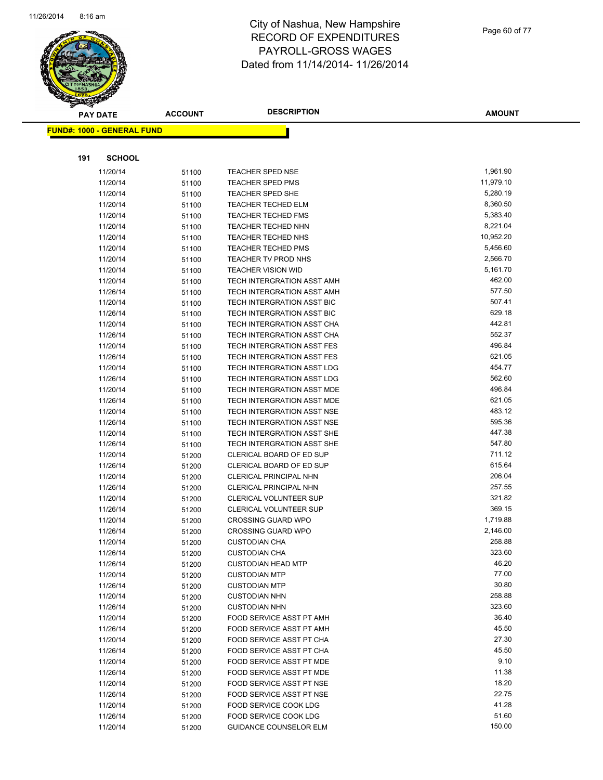

Page 60 of 77

|     | <b>PAY DATE</b>                   | <b>ACCOUNT</b> | <b>DESCRIPTION</b>                           | <b>AMOUNT</b>    |
|-----|-----------------------------------|----------------|----------------------------------------------|------------------|
|     | <b>FUND#: 1000 - GENERAL FUND</b> |                |                                              |                  |
|     |                                   |                |                                              |                  |
|     |                                   |                |                                              |                  |
| 191 | <b>SCHOOL</b>                     |                |                                              |                  |
|     | 11/20/14                          | 51100          | <b>TEACHER SPED NSE</b>                      | 1,961.90         |
|     | 11/20/14                          | 51100          | <b>TEACHER SPED PMS</b>                      | 11,979.10        |
|     | 11/20/14                          | 51100          | TEACHER SPED SHE                             | 5,280.19         |
|     | 11/20/14                          | 51100          | <b>TEACHER TECHED ELM</b>                    | 8,360.50         |
|     | 11/20/14                          | 51100          | <b>TEACHER TECHED FMS</b>                    | 5,383.40         |
|     | 11/20/14                          | 51100          | TEACHER TECHED NHN                           | 8,221.04         |
|     | 11/20/14                          | 51100          | TEACHER TECHED NHS                           | 10,952.20        |
|     | 11/20/14                          | 51100          | <b>TEACHER TECHED PMS</b>                    | 5,456.60         |
|     | 11/20/14                          | 51100          | TEACHER TV PROD NHS                          | 2,566.70         |
|     | 11/20/14                          | 51100          | <b>TEACHER VISION WID</b>                    | 5,161.70         |
|     | 11/20/14                          | 51100          | TECH INTERGRATION ASST AMH                   | 462.00           |
|     | 11/26/14                          | 51100          | TECH INTERGRATION ASST AMH                   | 577.50           |
|     | 11/20/14                          | 51100          | TECH INTERGRATION ASST BIC                   | 507.41           |
|     | 11/26/14                          | 51100          | TECH INTERGRATION ASST BIC                   | 629.18           |
|     | 11/20/14                          | 51100          | TECH INTERGRATION ASST CHA                   | 442.81           |
|     | 11/26/14                          | 51100          | TECH INTERGRATION ASST CHA                   | 552.37           |
|     | 11/20/14                          | 51100          | TECH INTERGRATION ASST FES                   | 496.84           |
|     | 11/26/14                          | 51100          | TECH INTERGRATION ASST FES                   | 621.05           |
|     | 11/20/14                          | 51100          | TECH INTERGRATION ASST LDG                   | 454.77           |
|     | 11/26/14                          | 51100          | TECH INTERGRATION ASST LDG                   | 562.60           |
|     | 11/20/14                          | 51100          | TECH INTERGRATION ASST MDE                   | 496.84           |
|     | 11/26/14                          | 51100          | TECH INTERGRATION ASST MDE                   | 621.05           |
|     | 11/20/14                          | 51100          | TECH INTERGRATION ASST NSE                   | 483.12           |
|     | 11/26/14                          | 51100          | TECH INTERGRATION ASST NSE                   | 595.36           |
|     | 11/20/14                          | 51100          | TECH INTERGRATION ASST SHE                   | 447.38           |
|     | 11/26/14                          | 51100          | TECH INTERGRATION ASST SHE                   | 547.80           |
|     | 11/20/14                          | 51200          | CLERICAL BOARD OF ED SUP                     | 711.12           |
|     | 11/26/14                          | 51200          | CLERICAL BOARD OF ED SUP                     | 615.64           |
|     | 11/20/14                          | 51200          | CLERICAL PRINCIPAL NHN                       | 206.04           |
|     | 11/26/14                          | 51200          | CLERICAL PRINCIPAL NHN                       | 257.55           |
|     | 11/20/14                          | 51200          | CLERICAL VOLUNTEER SUP                       | 321.82           |
|     | 11/26/14                          | 51200          | CLERICAL VOLUNTEER SUP                       | 369.15           |
|     | 11/20/14                          | 51200          | <b>CROSSING GUARD WPO</b>                    | 1,719.88         |
|     | 11/26/14                          | 51200          | <b>CROSSING GUARD WPO</b>                    | 2,146.00         |
|     | 11/20/14                          | 51200          | <b>CUSTODIAN CHA</b>                         | 258.88<br>323.60 |
|     | 11/26/14                          | 51200          | <b>CUSTODIAN CHA</b>                         | 46.20            |
|     | 11/26/14                          | 51200          | <b>CUSTODIAN HEAD MTP</b>                    | 77.00            |
|     | 11/20/14                          | 51200          | <b>CUSTODIAN MTP</b>                         | 30.80            |
|     | 11/26/14<br>11/20/14              | 51200          | <b>CUSTODIAN MTP</b><br><b>CUSTODIAN NHN</b> | 258.88           |
|     | 11/26/14                          | 51200<br>51200 | <b>CUSTODIAN NHN</b>                         | 323.60           |
|     | 11/20/14                          | 51200          | FOOD SERVICE ASST PT AMH                     | 36.40            |
|     | 11/26/14                          | 51200          | FOOD SERVICE ASST PT AMH                     | 45.50            |
|     | 11/20/14                          | 51200          | FOOD SERVICE ASST PT CHA                     | 27.30            |
|     | 11/26/14                          | 51200          | FOOD SERVICE ASST PT CHA                     | 45.50            |
|     | 11/20/14                          | 51200          | FOOD SERVICE ASST PT MDE                     | 9.10             |
|     | 11/26/14                          | 51200          | FOOD SERVICE ASST PT MDE                     | 11.38            |
|     | 11/20/14                          | 51200          | FOOD SERVICE ASST PT NSE                     | 18.20            |
|     | 11/26/14                          | 51200          | FOOD SERVICE ASST PT NSE                     | 22.75            |
|     | 11/20/14                          | 51200          | FOOD SERVICE COOK LDG                        | 41.28            |
|     | 11/26/14                          | 51200          | FOOD SERVICE COOK LDG                        | 51.60            |
|     | 11/20/14                          | 51200          | <b>GUIDANCE COUNSELOR ELM</b>                | 150.00           |
|     |                                   |                |                                              |                  |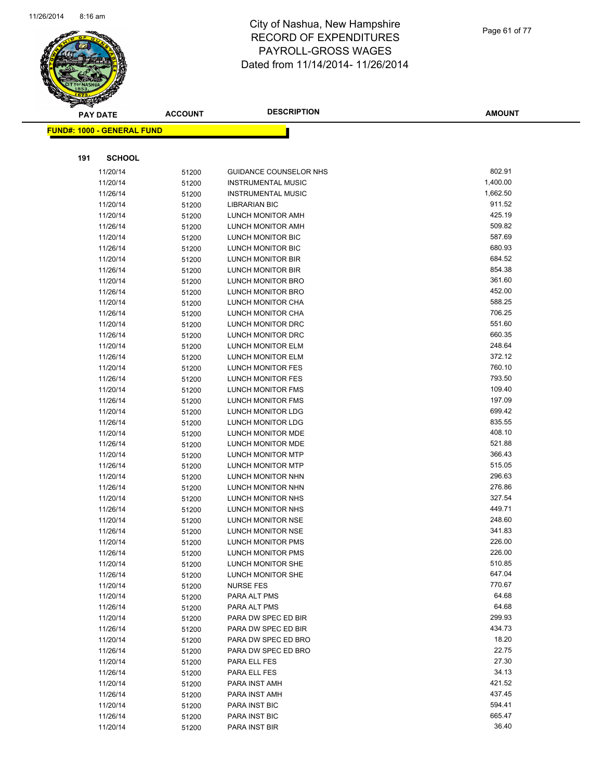

Page 61 of 77

| $\tilde{\phantom{a}}$<br><b>PAY DATE</b> | <b>ACCOUNT</b> | <b>DESCRIPTION</b>                     | <b>AMOUNT</b>    |
|------------------------------------------|----------------|----------------------------------------|------------------|
|                                          |                |                                        |                  |
| <b>FUND#: 1000 - GENERAL FUND</b>        |                |                                        |                  |
|                                          |                |                                        |                  |
| 191<br><b>SCHOOL</b>                     |                |                                        |                  |
| 11/20/14                                 | 51200          | GUIDANCE COUNSELOR NHS                 | 802.91           |
| 11/20/14                                 | 51200          | <b>INSTRUMENTAL MUSIC</b>              | 1,400.00         |
| 11/26/14                                 | 51200          | <b>INSTRUMENTAL MUSIC</b>              | 1,662.50         |
| 11/20/14                                 | 51200          | <b>LIBRARIAN BIC</b>                   | 911.52           |
| 11/20/14                                 | 51200          | LUNCH MONITOR AMH                      | 425.19           |
| 11/26/14                                 | 51200          | LUNCH MONITOR AMH                      | 509.82           |
| 11/20/14                                 | 51200          | <b>LUNCH MONITOR BIC</b>               | 587.69           |
| 11/26/14                                 | 51200          | LUNCH MONITOR BIC                      | 680.93           |
| 11/20/14                                 | 51200          | LUNCH MONITOR BIR                      | 684.52           |
| 11/26/14                                 | 51200          | LUNCH MONITOR BIR                      | 854.38           |
| 11/20/14                                 | 51200          | LUNCH MONITOR BRO                      | 361.60           |
| 11/26/14                                 | 51200          | LUNCH MONITOR BRO                      | 452.00           |
| 11/20/14                                 | 51200          | LUNCH MONITOR CHA                      | 588.25           |
| 11/26/14                                 | 51200          | LUNCH MONITOR CHA                      | 706.25           |
| 11/20/14                                 | 51200          | LUNCH MONITOR DRC                      | 551.60           |
| 11/26/14                                 | 51200          | LUNCH MONITOR DRC                      | 660.35           |
| 11/20/14                                 | 51200          | LUNCH MONITOR ELM                      | 248.64           |
| 11/26/14                                 | 51200          | LUNCH MONITOR ELM                      | 372.12           |
| 11/20/14                                 | 51200          | <b>LUNCH MONITOR FES</b>               | 760.10           |
| 11/26/14                                 | 51200          | <b>LUNCH MONITOR FES</b>               | 793.50           |
| 11/20/14                                 | 51200          | LUNCH MONITOR FMS                      | 109.40           |
| 11/26/14                                 | 51200          | LUNCH MONITOR FMS                      | 197.09           |
| 11/20/14                                 | 51200          | LUNCH MONITOR LDG                      | 699.42           |
| 11/26/14                                 | 51200          | LUNCH MONITOR LDG                      | 835.55           |
| 11/20/14                                 | 51200          | LUNCH MONITOR MDE                      | 408.10           |
| 11/26/14                                 | 51200          | LUNCH MONITOR MDE                      | 521.88           |
| 11/20/14                                 | 51200          | LUNCH MONITOR MTP                      | 366.43           |
| 11/26/14                                 | 51200          | LUNCH MONITOR MTP                      | 515.05           |
| 11/20/14                                 | 51200          | LUNCH MONITOR NHN                      | 296.63           |
| 11/26/14                                 | 51200          | LUNCH MONITOR NHN                      | 276.86           |
| 11/20/14                                 | 51200          | LUNCH MONITOR NHS                      | 327.54           |
| 11/26/14                                 | 51200          | LUNCH MONITOR NHS                      | 449.71           |
| 11/20/14                                 | 51200          | LUNCH MONITOR NSE                      | 248.60           |
| 11/26/14                                 | 51200          | LUNCH MONITOR NSE                      | 341.83           |
| 11/20/14                                 | 51200          | LUNCH MONITOR PMS                      | 226.00<br>226.00 |
| 11/26/14                                 | 51200          | LUNCH MONITOR PMS                      | 510.85           |
| 11/20/14<br>11/26/14                     | 51200          | LUNCH MONITOR SHE<br>LUNCH MONITOR SHE | 647.04           |
| 11/20/14                                 | 51200          | <b>NURSE FES</b>                       | 770.67           |
| 11/20/14                                 | 51200          | PARA ALT PMS                           | 64.68            |
| 11/26/14                                 | 51200          | PARA ALT PMS                           | 64.68            |
| 11/20/14                                 | 51200<br>51200 | PARA DW SPEC ED BIR                    | 299.93           |
| 11/26/14                                 | 51200          | PARA DW SPEC ED BIR                    | 434.73           |
| 11/20/14                                 | 51200          | PARA DW SPEC ED BRO                    | 18.20            |
| 11/26/14                                 | 51200          | PARA DW SPEC ED BRO                    | 22.75            |
| 11/20/14                                 | 51200          | PARA ELL FES                           | 27.30            |
| 11/26/14                                 | 51200          | PARA ELL FES                           | 34.13            |
| 11/20/14                                 | 51200          | PARA INST AMH                          | 421.52           |
| 11/26/14                                 | 51200          | PARA INST AMH                          | 437.45           |
| 11/20/14                                 | 51200          | PARA INST BIC                          | 594.41           |
| 11/26/14                                 | 51200          | PARA INST BIC                          | 665.47           |
| 11/20/14                                 | 51200          | PARA INST BIR                          | 36.40            |
|                                          |                |                                        |                  |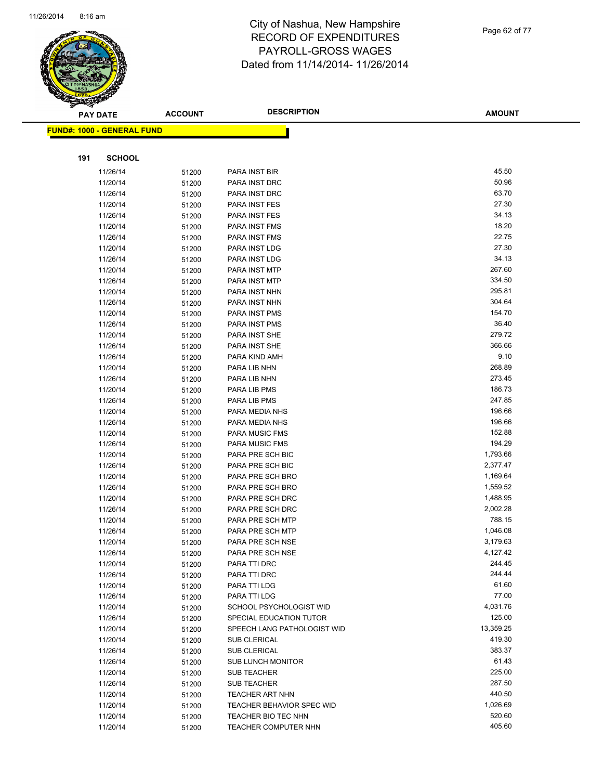

| <b>AMOUNT</b> |
|---------------|
|               |
|               |
| 45.50         |
| 50.96         |
| 63.70         |
| 27.30         |
| 34.13         |
| 18.20         |
| 22.75         |
| 27.30         |
| 34.13         |
| 267.60        |
| 334.50        |
| 295.81        |
| 304.64        |
| 154.70        |
| 36.40         |

|     | <b>FUND#: 1000 - GENERAL FUND</b> |                |                                                         |                    |
|-----|-----------------------------------|----------------|---------------------------------------------------------|--------------------|
|     |                                   |                |                                                         |                    |
| 191 | <b>SCHOOL</b>                     |                |                                                         |                    |
|     |                                   |                |                                                         |                    |
|     | 11/26/14                          | 51200          | PARA INST BIR                                           | 45.50              |
|     | 11/20/14                          | 51200          | PARA INST DRC                                           | 50.96<br>63.70     |
|     | 11/26/14                          | 51200          | PARA INST DRC                                           | 27.30              |
|     | 11/20/14                          | 51200          | PARA INST FES                                           | 34.13              |
|     | 11/26/14                          | 51200          | PARA INST FES<br>PARA INST FMS                          | 18.20              |
|     | 11/20/14                          | 51200          |                                                         | 22.75              |
|     | 11/26/14<br>11/20/14              | 51200          | PARA INST FMS<br>PARA INST LDG                          | 27.30              |
|     | 11/26/14                          | 51200<br>51200 | PARA INST LDG                                           | 34.13              |
|     | 11/20/14                          | 51200          | PARA INST MTP                                           | 267.60             |
|     | 11/26/14                          | 51200          | PARA INST MTP                                           | 334.50             |
|     | 11/20/14                          | 51200          | PARA INST NHN                                           | 295.81             |
|     | 11/26/14                          | 51200          | PARA INST NHN                                           | 304.64             |
|     | 11/20/14                          | 51200          | PARA INST PMS                                           | 154.70             |
|     | 11/26/14                          | 51200          | PARA INST PMS                                           | 36.40              |
|     | 11/20/14                          | 51200          | PARA INST SHE                                           | 279.72             |
|     | 11/26/14                          | 51200          | PARA INST SHE                                           | 366.66             |
|     | 11/26/14                          | 51200          | PARA KIND AMH                                           | 9.10               |
|     | 11/20/14                          | 51200          | PARA LIB NHN                                            | 268.89             |
|     | 11/26/14                          | 51200          | PARA LIB NHN                                            | 273.45             |
|     | 11/20/14                          | 51200          | PARA LIB PMS                                            | 186.73             |
|     | 11/26/14                          | 51200          | PARA LIB PMS                                            | 247.85             |
|     | 11/20/14                          | 51200          | PARA MEDIA NHS                                          | 196.66             |
|     | 11/26/14                          | 51200          | PARA MEDIA NHS                                          | 196.66             |
|     | 11/20/14                          | 51200          | <b>PARA MUSIC FMS</b>                                   | 152.88             |
|     | 11/26/14                          | 51200          | PARA MUSIC FMS                                          | 194.29             |
|     | 11/20/14                          | 51200          | PARA PRE SCH BIC                                        | 1,793.66           |
|     | 11/26/14                          | 51200          | PARA PRE SCH BIC                                        | 2,377.47           |
|     | 11/20/14                          | 51200          | PARA PRE SCH BRO                                        | 1,169.64           |
|     | 11/26/14                          | 51200          | PARA PRE SCH BRO                                        | 1,559.52           |
|     | 11/20/14                          | 51200          | PARA PRE SCH DRC                                        | 1,488.95           |
|     | 11/26/14                          | 51200          | PARA PRE SCH DRC                                        | 2,002.28           |
|     | 11/20/14                          | 51200          | PARA PRE SCH MTP                                        | 788.15             |
|     | 11/26/14                          | 51200          | PARA PRE SCH MTP                                        | 1,046.08           |
|     | 11/20/14                          | 51200          | PARA PRE SCH NSE                                        | 3,179.63           |
|     | 11/26/14                          | 51200          | PARA PRE SCH NSE                                        | 4,127.42           |
|     | 11/20/14                          | 51200          | PARA TTI DRC                                            | 244.45             |
|     | 11/26/14                          | 51200          | PARA TTI DRC                                            | 244.44             |
|     | 11/20/14                          | 51200          | PARA TTI LDG                                            | 61.60              |
|     | 11/26/14                          | 51200          | PARA TTI LDG                                            | 77.00              |
|     | 11/20/14                          | 51200          | SCHOOL PSYCHOLOGIST WID                                 | 4,031.76           |
|     | 11/26/14                          | 51200          | SPECIAL EDUCATION TUTOR                                 | 125.00             |
|     | 11/20/14                          | 51200          | SPEECH LANG PATHOLOGIST WID                             | 13,359.25          |
|     | 11/20/14                          | 51200          | SUB CLERICAL                                            | 419.30             |
|     | 11/26/14                          | 51200          | SUB CLERICAL                                            | 383.37             |
|     | 11/26/14                          | 51200          | <b>SUB LUNCH MONITOR</b>                                | 61.43              |
|     | 11/20/14                          | 51200          | SUB TEACHER                                             | 225.00             |
|     | 11/26/14                          | 51200          | <b>SUB TEACHER</b>                                      | 287.50             |
|     | 11/20/14                          | 51200          | <b>TEACHER ART NHN</b>                                  | 440.50<br>1,026.69 |
|     | 11/20/14<br>11/20/14              | 51200          | <b>TEACHER BEHAVIOR SPEC WID</b><br>TEACHER BIO TEC NHN | 520.60             |
|     | 11/20/14                          | 51200<br>51200 | <b>TEACHER COMPUTER NHN</b>                             | 405.60             |
|     |                                   |                |                                                         |                    |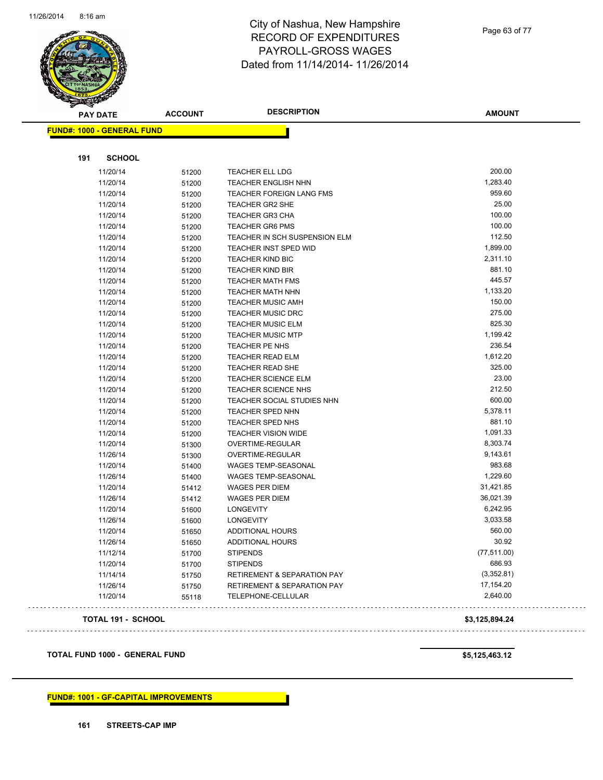

Page 63 of 77

| <b>PAY DATE</b>                       | <b>ACCOUNT</b> | <b>DESCRIPTION</b>                     | <b>AMOUNT</b>  |
|---------------------------------------|----------------|----------------------------------------|----------------|
| <b>FUND#: 1000 - GENERAL FUND</b>     |                |                                        |                |
| <b>SCHOOL</b><br>191                  |                |                                        |                |
| 11/20/14                              | 51200          | TEACHER ELL LDG                        | 200.00         |
| 11/20/14                              | 51200          | <b>TEACHER ENGLISH NHN</b>             | 1,283.40       |
| 11/20/14                              | 51200          | <b>TEACHER FOREIGN LANG FMS</b>        | 959.60         |
| 11/20/14                              | 51200          | TEACHER GR2 SHE                        | 25.00          |
| 11/20/14                              | 51200          | <b>TEACHER GR3 CHA</b>                 | 100.00         |
| 11/20/14                              | 51200          | <b>TEACHER GR6 PMS</b>                 | 100.00         |
| 11/20/14                              | 51200          | TEACHER IN SCH SUSPENSION ELM          | 112.50         |
| 11/20/14                              | 51200          | TEACHER INST SPED WID                  | 1,899.00       |
| 11/20/14                              | 51200          | <b>TEACHER KIND BIC</b>                | 2,311.10       |
| 11/20/14                              | 51200          | <b>TEACHER KIND BIR</b>                | 881.10         |
| 11/20/14                              | 51200          | <b>TEACHER MATH FMS</b>                | 445.57         |
| 11/20/14                              | 51200          | TEACHER MATH NHN                       | 1,133.20       |
| 11/20/14                              | 51200          | <b>TEACHER MUSIC AMH</b>               | 150.00         |
| 11/20/14                              | 51200          | <b>TEACHER MUSIC DRC</b>               | 275.00         |
| 11/20/14                              | 51200          | <b>TEACHER MUSIC ELM</b>               | 825.30         |
| 11/20/14                              | 51200          | <b>TEACHER MUSIC MTP</b>               | 1,199.42       |
| 11/20/14                              | 51200          | TEACHER PE NHS                         | 236.54         |
| 11/20/14                              | 51200          | <b>TEACHER READ ELM</b>                | 1,612.20       |
| 11/20/14                              | 51200          | TEACHER READ SHE                       | 325.00         |
| 11/20/14                              | 51200          | <b>TEACHER SCIENCE ELM</b>             | 23.00          |
| 11/20/14                              | 51200          | <b>TEACHER SCIENCE NHS</b>             | 212.50         |
| 11/20/14                              | 51200          | TEACHER SOCIAL STUDIES NHN             | 600.00         |
| 11/20/14                              | 51200          | <b>TEACHER SPED NHN</b>                | 5,378.11       |
| 11/20/14                              | 51200          | <b>TEACHER SPED NHS</b>                | 881.10         |
| 11/20/14                              | 51200          | <b>TEACHER VISION WIDE</b>             | 1,091.33       |
| 11/20/14                              | 51300          | OVERTIME-REGULAR                       | 8,303.74       |
| 11/26/14                              | 51300          | OVERTIME-REGULAR                       | 9,143.61       |
| 11/20/14                              | 51400          | WAGES TEMP-SEASONAL                    | 983.68         |
| 11/26/14                              | 51400          | WAGES TEMP-SEASONAL                    | 1,229.60       |
| 11/20/14                              | 51412          | WAGES PER DIEM                         | 31,421.85      |
| 11/26/14                              | 51412          | WAGES PER DIEM                         | 36,021.39      |
| 11/20/14                              | 51600          | <b>LONGEVITY</b>                       | 6,242.95       |
| 11/26/14                              | 51600          | <b>LONGEVITY</b>                       | 3,033.58       |
| 11/20/14                              | 51650          | ADDITIONAL HOURS                       | 560.00         |
| 11/26/14                              | 51650          | <b>ADDITIONAL HOURS</b>                | 30.92          |
| 11/12/14                              | 51700          | <b>STIPENDS</b>                        | (77, 511.00)   |
| 11/20/14                              | 51700          | <b>STIPENDS</b>                        | 686.93         |
| 11/14/14                              | 51750          | RETIREMENT & SEPARATION PAY            | (3,352.81)     |
| 11/26/14                              | 51750          | <b>RETIREMENT &amp; SEPARATION PAY</b> | 17,154.20      |
| 11/20/14                              | 55118          | TELEPHONE-CELLULAR                     | 2,640.00       |
| TOTAL 191 - SCHOOL                    |                |                                        | \$3,125,894.24 |
|                                       |                |                                        |                |
| <b>TOTAL FUND 1000 - GENERAL FUND</b> |                |                                        | \$5,125,463.12 |

# **FUND#: 1001 - GF-CAPITAL IMPROVEMENTS**

**161 STREETS-CAP IMP**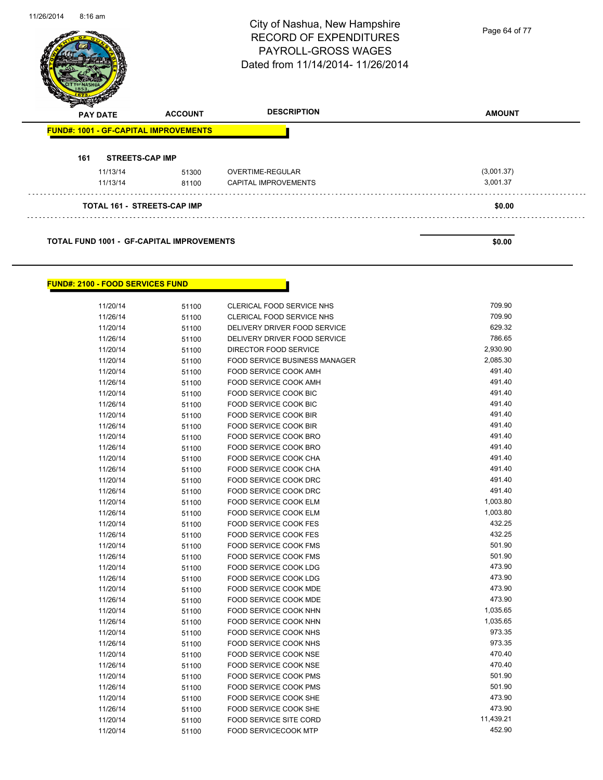|                 |                                              | City of Nashua, New Hampshire<br><b>RECORD OF EXPENDITURES</b><br><b>PAYROLL-GROSS WAGES</b><br>Dated from 11/14/2014-11/26/2014 | Page 64 of 77 |
|-----------------|----------------------------------------------|----------------------------------------------------------------------------------------------------------------------------------|---------------|
| <b>PAY DATE</b> | <b>ACCOUNT</b>                               | <b>DESCRIPTION</b>                                                                                                               | <b>AMOUNT</b> |
|                 | <b>FUND#: 1001 - GF-CAPITAL IMPROVEMENTS</b> |                                                                                                                                  |               |
|                 |                                              |                                                                                                                                  |               |
| 161             | <b>STREETS-CAP IMP</b>                       |                                                                                                                                  |               |
| 11/13/14        | 51300                                        | OVERTIME-REGULAR                                                                                                                 | (3,001.37)    |
| 11/13/14        | 81100                                        | <b>CAPITAL IMPROVEMENTS</b>                                                                                                      | 3,001.37      |
|                 | <b>TOTAL 161 - STREETS-CAP IMP</b>           |                                                                                                                                  | \$0.00        |

Г

#### **FUND#: 2100 - FOOD SERVICES FUND**

11/26/2014 8:16 am

| 11/20/14 | 51100 | CLERICAL FOOD SERVICE NHS            | 709.90    |
|----------|-------|--------------------------------------|-----------|
| 11/26/14 | 51100 | <b>CLERICAL FOOD SERVICE NHS</b>     | 709.90    |
| 11/20/14 | 51100 | DELIVERY DRIVER FOOD SERVICE         | 629.32    |
| 11/26/14 | 51100 | DELIVERY DRIVER FOOD SERVICE         | 786.65    |
| 11/20/14 | 51100 | DIRECTOR FOOD SERVICE                | 2,930.90  |
| 11/20/14 | 51100 | <b>FOOD SERVICE BUSINESS MANAGER</b> | 2,085.30  |
| 11/20/14 | 51100 | <b>FOOD SERVICE COOK AMH</b>         | 491.40    |
| 11/26/14 | 51100 | FOOD SERVICE COOK AMH                | 491.40    |
| 11/20/14 | 51100 | <b>FOOD SERVICE COOK BIC</b>         | 491.40    |
| 11/26/14 | 51100 | <b>FOOD SERVICE COOK BIC</b>         | 491.40    |
| 11/20/14 | 51100 | <b>FOOD SERVICE COOK BIR</b>         | 491.40    |
| 11/26/14 | 51100 | <b>FOOD SERVICE COOK BIR</b>         | 491.40    |
| 11/20/14 | 51100 | FOOD SERVICE COOK BRO                | 491.40    |
| 11/26/14 | 51100 | FOOD SERVICE COOK BRO                | 491.40    |
| 11/20/14 | 51100 | FOOD SERVICE COOK CHA                | 491.40    |
| 11/26/14 | 51100 | FOOD SERVICE COOK CHA                | 491.40    |
| 11/20/14 | 51100 | FOOD SERVICE COOK DRC                | 491.40    |
| 11/26/14 | 51100 | FOOD SERVICE COOK DRC                | 491.40    |
| 11/20/14 | 51100 | FOOD SERVICE COOK ELM                | 1,003.80  |
| 11/26/14 | 51100 | <b>FOOD SERVICE COOK ELM</b>         | 1,003.80  |
| 11/20/14 | 51100 | <b>FOOD SERVICE COOK FES</b>         | 432.25    |
| 11/26/14 | 51100 | <b>FOOD SERVICE COOK FES</b>         | 432.25    |
| 11/20/14 | 51100 | <b>FOOD SERVICE COOK FMS</b>         | 501.90    |
| 11/26/14 | 51100 | <b>FOOD SERVICE COOK FMS</b>         | 501.90    |
| 11/20/14 | 51100 | <b>FOOD SERVICE COOK LDG</b>         | 473.90    |
| 11/26/14 | 51100 | FOOD SERVICE COOK LDG                | 473.90    |
| 11/20/14 | 51100 | FOOD SERVICE COOK MDE                | 473.90    |
| 11/26/14 | 51100 | <b>FOOD SERVICE COOK MDE</b>         | 473.90    |
| 11/20/14 | 51100 | FOOD SERVICE COOK NHN                | 1,035.65  |
| 11/26/14 | 51100 | FOOD SERVICE COOK NHN                | 1,035.65  |
| 11/20/14 | 51100 | <b>FOOD SERVICE COOK NHS</b>         | 973.35    |
| 11/26/14 | 51100 | FOOD SERVICE COOK NHS                | 973.35    |
| 11/20/14 | 51100 | FOOD SERVICE COOK NSE                | 470.40    |
| 11/26/14 | 51100 | FOOD SERVICE COOK NSE                | 470.40    |
| 11/20/14 | 51100 | FOOD SERVICE COOK PMS                | 501.90    |
| 11/26/14 | 51100 | FOOD SERVICE COOK PMS                | 501.90    |
| 11/20/14 | 51100 | FOOD SERVICE COOK SHE                | 473.90    |
| 11/26/14 | 51100 | FOOD SERVICE COOK SHE                | 473.90    |
| 11/20/14 | 51100 | <b>FOOD SERVICE SITE CORD</b>        | 11,439.21 |
| 11/20/14 | 51100 | <b>FOOD SERVICECOOK MTP</b>          | 452.90    |
|          |       |                                      |           |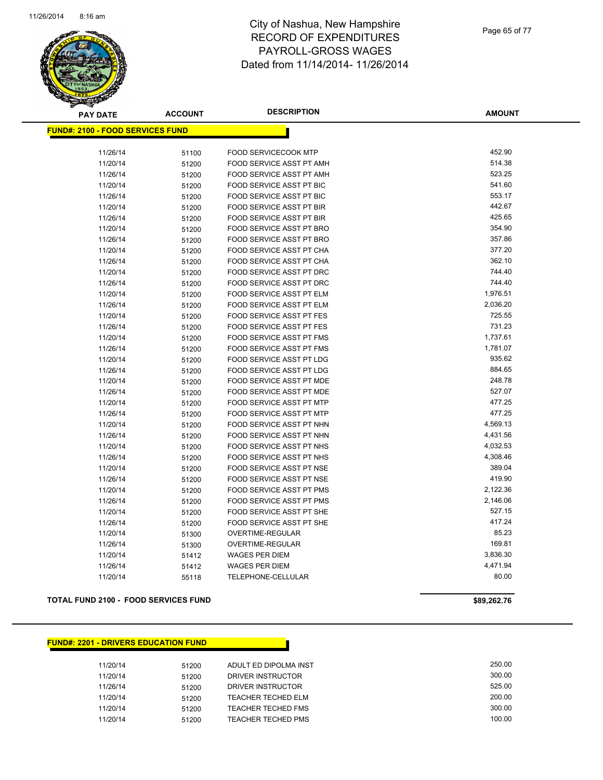

| <b>PAY DATE</b>                         | <b>ACCOUNT</b> | <b>DESCRIPTION</b>              | AMOUNT   |
|-----------------------------------------|----------------|---------------------------------|----------|
| <b>FUND#: 2100 - FOOD SERVICES FUND</b> |                |                                 |          |
|                                         |                |                                 |          |
| 11/26/14                                | 51100          | FOOD SERVICECOOK MTP            | 452.90   |
| 11/20/14                                | 51200          | FOOD SERVICE ASST PT AMH        | 514.38   |
| 11/26/14                                | 51200          | <b>FOOD SERVICE ASST PT AMH</b> | 523.25   |
| 11/20/14                                | 51200          | FOOD SERVICE ASST PT BIC        | 541.60   |
| 11/26/14                                | 51200          | FOOD SERVICE ASST PT BIC        | 553.17   |
| 11/20/14                                | 51200          | FOOD SERVICE ASST PT BIR        | 442.67   |
| 11/26/14                                | 51200          | FOOD SERVICE ASST PT BIR        | 425.65   |
| 11/20/14                                | 51200          | FOOD SERVICE ASST PT BRO        | 354.90   |
| 11/26/14                                | 51200          | FOOD SERVICE ASST PT BRO        | 357.86   |
| 11/20/14                                | 51200          | FOOD SERVICE ASST PT CHA        | 377.20   |
| 11/26/14                                | 51200          | FOOD SERVICE ASST PT CHA        | 362.10   |
| 11/20/14                                | 51200          | FOOD SERVICE ASST PT DRC        | 744.40   |
| 11/26/14                                | 51200          | FOOD SERVICE ASST PT DRC        | 744.40   |
| 11/20/14                                | 51200          | FOOD SERVICE ASST PT ELM        | 1,976.51 |
| 11/26/14                                | 51200          | FOOD SERVICE ASST PT ELM        | 2,036.20 |
| 11/20/14                                | 51200          | <b>FOOD SERVICE ASST PT FES</b> | 725.55   |
| 11/26/14                                | 51200          | <b>FOOD SERVICE ASST PT FES</b> | 731.23   |
| 11/20/14                                | 51200          | FOOD SERVICE ASST PT FMS        | 1,737.61 |
| 11/26/14                                | 51200          | <b>FOOD SERVICE ASST PT FMS</b> | 1,781.07 |
| 11/20/14                                | 51200          | FOOD SERVICE ASST PT LDG        | 935.62   |
| 11/26/14                                | 51200          | FOOD SERVICE ASST PT LDG        | 884.65   |
| 11/20/14                                | 51200          | FOOD SERVICE ASST PT MDE        | 248.78   |
| 11/26/14                                | 51200          | <b>FOOD SERVICE ASST PT MDE</b> | 527.07   |
| 11/20/14                                | 51200          | FOOD SERVICE ASST PT MTP        | 477.25   |
| 11/26/14                                | 51200          | FOOD SERVICE ASST PT MTP        | 477.25   |
| 11/20/14                                | 51200          | FOOD SERVICE ASST PT NHN        | 4,569.13 |
| 11/26/14                                | 51200          | FOOD SERVICE ASST PT NHN        | 4,431.56 |
| 11/20/14                                | 51200          | FOOD SERVICE ASST PT NHS        | 4,032.53 |
| 11/26/14                                | 51200          | FOOD SERVICE ASST PT NHS        | 4,308.46 |
| 11/20/14                                | 51200          | FOOD SERVICE ASST PT NSE        | 389.04   |
| 11/26/14                                | 51200          | FOOD SERVICE ASST PT NSE        | 419.90   |
| 11/20/14                                | 51200          | FOOD SERVICE ASST PT PMS        | 2,122.36 |
| 11/26/14                                | 51200          | FOOD SERVICE ASST PT PMS        | 2,146.06 |
| 11/20/14                                | 51200          | FOOD SERVICE ASST PT SHE        | 527.15   |
| 11/26/14                                | 51200          | FOOD SERVICE ASST PT SHE        | 417.24   |
| 11/20/14                                | 51300          | OVERTIME-REGULAR                | 85.23    |
| 11/26/14                                | 51300          | OVERTIME-REGULAR                | 169.81   |
| 11/20/14                                | 51412          | <b>WAGES PER DIEM</b>           | 3,836.30 |
| 11/26/14                                | 51412          | <b>WAGES PER DIEM</b>           | 4,471.94 |
| 11/20/14                                | 55118          | TELEPHONE-CELLULAR              | 80.00    |
|                                         |                |                                 |          |

#### **TOTAL FUND 2100 - FOOD SERVICES FUND \$89,262.76**

#### **FUND#: 2201 - DRIVERS EDUCATION FUND**

| 11/20/14 | 51200 | ADULT ED DIPOLMA INST | 250.00 |
|----------|-------|-----------------------|--------|
| 11/20/14 | 51200 | DRIVER INSTRUCTOR     | 300.00 |
| 11/26/14 | 51200 | DRIVER INSTRUCTOR     | 525.00 |
| 11/20/14 | 51200 | TEACHER TECHED ELM    | 200.00 |
| 11/20/14 | 51200 | TEACHER TECHED FMS    | 300.00 |
| 11/20/14 | 51200 | TEACHER TECHED PMS    | 100.00 |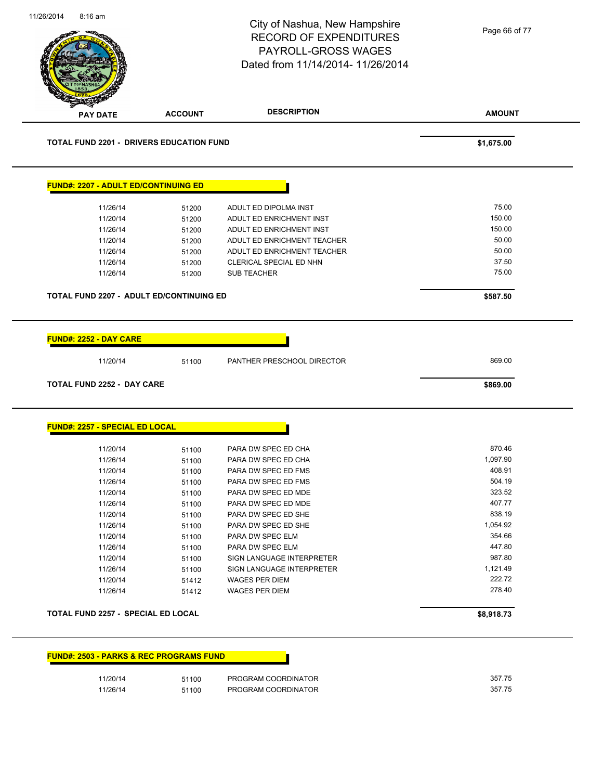|                                                                                                                                                                             |                | City of Nashua, New Hampshire<br><b>RECORD OF EXPENDITURES</b><br>PAYROLL-GROSS WAGES<br>Dated from 11/14/2014- 11/26/2014 | Page 66 of 77      |
|-----------------------------------------------------------------------------------------------------------------------------------------------------------------------------|----------------|----------------------------------------------------------------------------------------------------------------------------|--------------------|
| <b>PAY DATE</b>                                                                                                                                                             | <b>ACCOUNT</b> | <b>DESCRIPTION</b>                                                                                                         | <b>AMOUNT</b>      |
| <b>TOTAL FUND 2201 - DRIVERS EDUCATION FUND</b>                                                                                                                             |                |                                                                                                                            | \$1,675.00         |
| FUND#: 2207 - ADULT ED/CONTINUING ED                                                                                                                                        |                |                                                                                                                            |                    |
| 11/26/14                                                                                                                                                                    | 51200          | ADULT ED DIPOLMA INST                                                                                                      | 75.00              |
| 11/20/14                                                                                                                                                                    | 51200          | ADULT ED ENRICHMENT INST                                                                                                   | 150.00             |
| 11/26/14                                                                                                                                                                    | 51200          | ADULT ED ENRICHMENT INST                                                                                                   | 150.00             |
| 11/20/14                                                                                                                                                                    | 51200          | ADULT ED ENRICHMENT TEACHER                                                                                                | 50.00              |
| 11/26/14                                                                                                                                                                    | 51200          | ADULT ED ENRICHMENT TEACHER                                                                                                | 50.00              |
| 11/26/14                                                                                                                                                                    | 51200          | CLERICAL SPECIAL ED NHN                                                                                                    | 37.50              |
| 11/26/14                                                                                                                                                                    | 51200          | <b>SUB TEACHER</b>                                                                                                         | 75.00              |
| TOTAL FUND 2207 - ADULT ED/CONTINUING ED                                                                                                                                    |                |                                                                                                                            | \$587.50           |
| <b>FUND#: 2252 - DAY CARE</b><br>11/20/14                                                                                                                                   | 51100          | PANTHER PRESCHOOL DIRECTOR                                                                                                 | 869.00             |
|                                                                                                                                                                             |                |                                                                                                                            | \$869.00           |
|                                                                                                                                                                             |                |                                                                                                                            |                    |
|                                                                                                                                                                             |                |                                                                                                                            |                    |
| 11/20/14<br>11/26/14                                                                                                                                                        | 51100          | PARA DW SPEC ED CHA<br>PARA DW SPEC ED CHA                                                                                 | 870.46<br>1,097.90 |
| 11/20/14                                                                                                                                                                    | 51100<br>51100 | PARA DW SPEC ED FMS                                                                                                        | 408.91             |
| 11/26/14                                                                                                                                                                    | 51100          | PARA DW SPEC ED FMS                                                                                                        | 504.19             |
| 11/20/14                                                                                                                                                                    | 51100          | PARA DW SPEC ED MDE                                                                                                        | 323.52             |
| 11/26/14                                                                                                                                                                    | 51100          | PARA DW SPEC ED MDE                                                                                                        | 407.77             |
| 11/20/14                                                                                                                                                                    | 51100          | PARA DW SPEC ED SHE                                                                                                        | 838.19             |
| 11/26/14                                                                                                                                                                    | 51100          | PARA DW SPEC ED SHE                                                                                                        | 1,054.92           |
| 11/20/14                                                                                                                                                                    | 51100          | PARA DW SPEC ELM                                                                                                           | 354.66             |
| 11/26/14                                                                                                                                                                    | 51100          | PARA DW SPEC ELM                                                                                                           | 447.80             |
| 11/20/14                                                                                                                                                                    | 51100          | SIGN LANGUAGE INTERPRETER                                                                                                  | 987.80             |
| 11/26/14                                                                                                                                                                    | 51100          | SIGN LANGUAGE INTERPRETER                                                                                                  | 1,121.49           |
| 11/20/14                                                                                                                                                                    | 51412          | WAGES PER DIEM                                                                                                             | 222.72             |
| 11/26/14                                                                                                                                                                    | 51412          | WAGES PER DIEM                                                                                                             | 278.40             |
|                                                                                                                                                                             |                |                                                                                                                            | \$8,918.73         |
|                                                                                                                                                                             |                |                                                                                                                            |                    |
| <b>TOTAL FUND 2252 - DAY CARE</b><br>FUND#: 2257 - SPECIAL ED LOCAL<br>TOTAL FUND 2257 - SPECIAL ED LOCAL<br><b>FUND#: 2503 - PARKS &amp; REC PROGRAMS FUND</b><br>11/20/14 | 51100          | PROGRAM COORDINATOR                                                                                                        | 357.75             |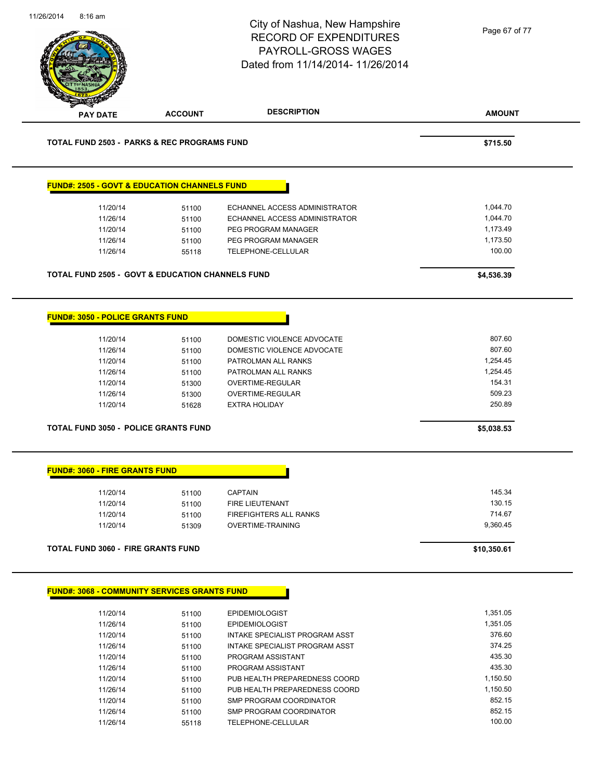| 11/26/2014 | $8:16$ am                                                                                           |                                                             | City of Nashua, New Hampshire<br><b>RECORD OF EXPENDITURES</b><br><b>PAYROLL-GROSS WAGES</b><br>Dated from 11/14/2014- 11/26/2014 | Page 67 of 77                                      |
|------------|-----------------------------------------------------------------------------------------------------|-------------------------------------------------------------|-----------------------------------------------------------------------------------------------------------------------------------|----------------------------------------------------|
|            | <b>PAY DATE</b>                                                                                     | <b>ACCOUNT</b>                                              | <b>DESCRIPTION</b>                                                                                                                | <b>AMOUNT</b>                                      |
|            |                                                                                                     | <b>TOTAL FUND 2503 - PARKS &amp; REC PROGRAMS FUND</b>      |                                                                                                                                   | \$715.50                                           |
|            |                                                                                                     | <b>FUND#: 2505 - GOVT &amp; EDUCATION CHANNELS FUND</b>     |                                                                                                                                   |                                                    |
|            | 11/20/14                                                                                            | 51100                                                       | <b>ECHANNEL ACCESS ADMINISTRATOR</b>                                                                                              | 1,044.70                                           |
|            | 11/26/14                                                                                            | 51100                                                       | ECHANNEL ACCESS ADMINISTRATOR                                                                                                     | 1,044.70                                           |
|            | 11/20/14                                                                                            | 51100                                                       | PEG PROGRAM MANAGER                                                                                                               | 1,173.49                                           |
|            | 11/26/14                                                                                            | 51100                                                       | PEG PROGRAM MANAGER                                                                                                               | 1,173.50                                           |
|            | 11/26/14                                                                                            | 55118                                                       | <b>TELEPHONE-CELLULAR</b>                                                                                                         | 100.00                                             |
|            |                                                                                                     | <b>TOTAL FUND 2505 - GOVT &amp; EDUCATION CHANNELS FUND</b> |                                                                                                                                   | \$4,536.39                                         |
|            | <b>FUND#: 3050 - POLICE GRANTS FUND</b><br>11/20/14<br>11/26/14<br>11/20/14<br>11/26/14<br>11/20/14 | 51100<br>51100<br>51100<br>51100<br>51300                   | DOMESTIC VIOLENCE ADVOCATE<br>DOMESTIC VIOLENCE ADVOCATE<br>PATROLMAN ALL RANKS<br>PATROLMAN ALL RANKS<br>OVERTIME-REGULAR        | 807.60<br>807.60<br>1,254.45<br>1,254.45<br>154.31 |
|            | 11/26/14                                                                                            | 51300                                                       | OVERTIME-REGULAR                                                                                                                  | 509.23                                             |
|            | 11/20/14                                                                                            | 51628                                                       | <b>EXTRA HOLIDAY</b>                                                                                                              | 250.89                                             |
|            | <b>TOTAL FUND 3050 - POLICE GRANTS FUND</b>                                                         |                                                             |                                                                                                                                   | \$5,038.53                                         |
|            | <b>FUND#: 3060 - FIRE GRANTS FUND</b>                                                               |                                                             |                                                                                                                                   |                                                    |
|            | 11/20/14                                                                                            | 51100                                                       | <b>CAPTAIN</b>                                                                                                                    | 145.34                                             |
|            | 11/20/14                                                                                            | 51100                                                       | <b>FIRE LIEUTENANT</b>                                                                                                            | 130.15                                             |
|            | 11/20/14                                                                                            | 51100                                                       | <b>FIREFIGHTERS ALL RANKS</b>                                                                                                     | 714.67                                             |
|            | 11/20/14                                                                                            | 51309                                                       | <b>OVERTIME-TRAINING</b>                                                                                                          | 9,360.45                                           |
|            | <b>TOTAL FUND 3060 - FIRE GRANTS FUND</b>                                                           |                                                             |                                                                                                                                   | \$10,350.61                                        |
|            |                                                                                                     | <b>FUND#: 3068 - COMMUNITY SERVICES GRANTS FUND</b>         |                                                                                                                                   |                                                    |
|            | 11/20/14                                                                                            | 51100                                                       | <b>EPIDEMIOLOGIST</b>                                                                                                             | 1,351.05                                           |
|            | 11/26/14                                                                                            | 51100                                                       | <b>EPIDEMIOLOGIST</b>                                                                                                             | 1,351.05                                           |
|            | 11/20/14                                                                                            | 51100                                                       | INTAKE SPECIALIST PROGRAM ASST                                                                                                    | 376.60                                             |
|            | 11/26/14                                                                                            | 51100                                                       | <b>INTAKE SPECIALIST PROGRAM ASST</b>                                                                                             | 374.25                                             |
|            | 11/20/14                                                                                            | 51100                                                       | PROGRAM ASSISTANT                                                                                                                 | 435.30                                             |
|            | 11/26/14                                                                                            | 51100                                                       | PROGRAM ASSISTANT                                                                                                                 | 435.30                                             |
|            | 11/20/14                                                                                            | 51100                                                       | PUB HEALTH PREPAREDNESS COORD                                                                                                     | 1,150.50                                           |
|            | 11/26/14                                                                                            | 51100                                                       | PUB HEALTH PREPAREDNESS COORD                                                                                                     | 1,150.50                                           |
|            | 11/20/14                                                                                            |                                                             | SMP PROGRAM COORDINATOR                                                                                                           | 852.15                                             |
|            |                                                                                                     | 51100                                                       |                                                                                                                                   |                                                    |

11/26/14 51100 SMP PROGRAM COORDINATOR 852.15 11/26/14 55118 TELEPHONE-CELLULAR 100.00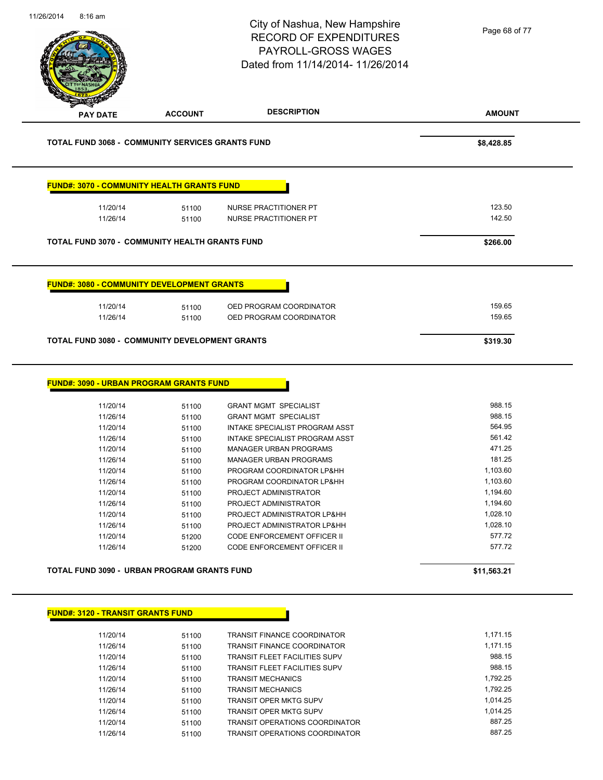| 11/26/2014<br>8:16 am |                                                             | City of Nashua, New Hampshire<br><b>RECORD OF EXPENDITURES</b><br><b>PAYROLL-GROSS WAGES</b><br>Dated from 11/14/2014-11/26/2014 | Page 68 of 77        |
|-----------------------|-------------------------------------------------------------|----------------------------------------------------------------------------------------------------------------------------------|----------------------|
| <b>PAY DATE</b>       | <b>ACCOUNT</b>                                              | <b>DESCRIPTION</b>                                                                                                               | <b>AMOUNT</b>        |
|                       | <b>TOTAL FUND 3068 - COMMUNITY SERVICES GRANTS FUND</b>     |                                                                                                                                  | \$8,428.85           |
|                       | <u> FUND#: 3070 - COMMUNITY HEALTH GRANTS FUND</u>          |                                                                                                                                  |                      |
|                       | 11/20/14<br>51100<br>11/26/14<br>51100                      | NURSE PRACTITIONER PT<br>NURSE PRACTITIONER PT                                                                                   | 123.50<br>142.50     |
|                       | <b>TOTAL FUND 3070 - COMMUNITY HEALTH GRANTS FUND</b>       |                                                                                                                                  | \$266.00             |
|                       | <b>FUND#: 3080 - COMMUNITY DEVELOPMENT GRANTS</b>           |                                                                                                                                  |                      |
|                       | 11/20/14<br>51100<br>11/26/14<br>51100                      | OED PROGRAM COORDINATOR<br>OED PROGRAM COORDINATOR                                                                               | 159.65<br>159.65     |
|                       | <b>TOTAL FUND 3080 - COMMUNITY DEVELOPMENT GRANTS</b>       |                                                                                                                                  | \$319.30             |
|                       | <u> FUND#: 3090 - URBAN PROGRAM GRANTS FUND</u><br>11/20/14 |                                                                                                                                  | 988.15               |
|                       | 51100<br>11/26/14<br>51100                                  | <b>GRANT MGMT SPECIALIST</b><br><b>GRANT MGMT SPECIALIST</b>                                                                     | 988.15               |
|                       | 11/20/14<br>51100                                           | INTAKE SPECIALIST PROGRAM ASST                                                                                                   | 564.95               |
|                       | 11/26/14<br>51100                                           | INTAKE SPECIALIST PROGRAM ASST                                                                                                   | 561.42               |
|                       | 11/20/14<br>51100                                           | <b>MANAGER URBAN PROGRAMS</b>                                                                                                    | 471.25               |
|                       | 11/26/14<br>51100                                           | <b>MANAGER URBAN PROGRAMS</b>                                                                                                    | 181.25               |
|                       | 11/20/14<br>51100                                           | PROGRAM COORDINATOR LP&HH                                                                                                        | 1,103.60             |
|                       | 11/26/14<br>51100                                           | PROGRAM COORDINATOR LP&HH<br>PROJECT ADMINISTRATOR                                                                               | 1,103.60<br>1,194.60 |
|                       | 11/20/14<br>51100<br>11/26/14<br>51100                      | PROJECT ADMINISTRATOR                                                                                                            | 1,194.60             |
|                       | 11/20/14<br>51100                                           | PROJECT ADMINISTRATOR LP&HH                                                                                                      | 1,028.10             |
|                       | 11/26/14<br>51100                                           | PROJECT ADMINISTRATOR LP&HH                                                                                                      | 1,028.10             |
|                       | 11/20/14<br>51200                                           | CODE ENFORCEMENT OFFICER II                                                                                                      | 577.72               |
|                       | 11/26/14<br>51200                                           | CODE ENFORCEMENT OFFICER II                                                                                                      | 577.72               |
|                       | TOTAL FUND 3090 - URBAN PROGRAM GRANTS FUND                 |                                                                                                                                  | \$11,563.21          |
|                       | <b>FUND#: 3120 - TRANSIT GRANTS FUND</b>                    |                                                                                                                                  |                      |
|                       |                                                             |                                                                                                                                  |                      |
|                       | 11/20/14<br>51100                                           | <b>TRANSIT FINANCE COORDINATOR</b>                                                                                               | 1,171.15             |
|                       | 11/26/14<br>51100<br>11/20/14                               | TRANSIT FINANCE COORDINATOR<br><b>TRANSIT FLEET FACILITIES SUPV</b>                                                              | 1,171.15<br>988.15   |
|                       | 51100<br>11/26/14<br>51100                                  | <b>TRANSIT FLEET FACILITIES SUPV</b>                                                                                             | 988.15               |
|                       | 11/20/14<br>51100                                           | <b>TRANSIT MECHANICS</b>                                                                                                         | 1,792.25             |
|                       | 11/26/14<br>51100                                           | <b>TRANSIT MECHANICS</b>                                                                                                         | 1,792.25             |
|                       | 11/20/14<br>51100                                           | <b>TRANSIT OPER MKTG SUPV</b>                                                                                                    | 1,014.25             |
|                       | 11/26/14<br>51100                                           | TRANSIT OPER MKTG SUPV                                                                                                           | 1,014.25             |
|                       | 11/20/14<br>51100                                           | <b>TRANSIT OPERATIONS COORDINATOR</b>                                                                                            | 887.25               |
|                       | 11/26/14<br>51100                                           | TRANSIT OPERATIONS COORDINATOR                                                                                                   | 887.25               |

11/26/14 51100 TRANSIT OPERATIONS COORDINATOR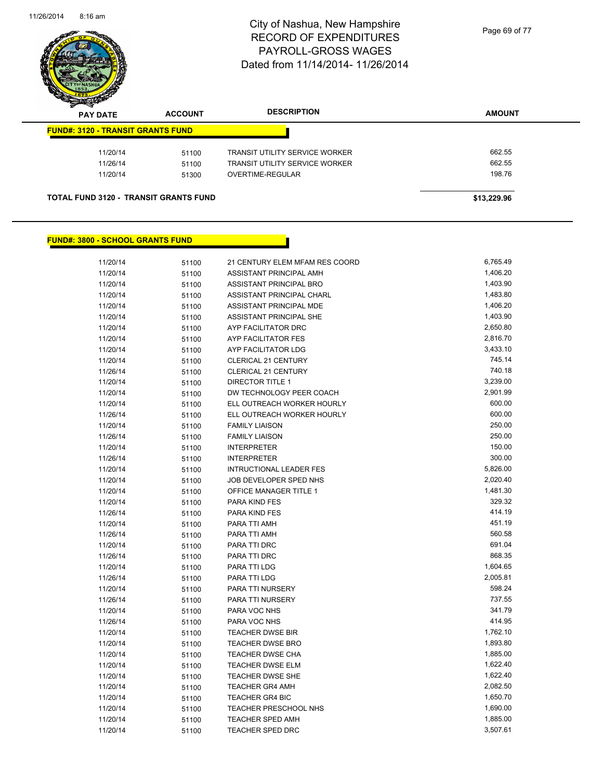

| $\sim$<br><b>PAY DATE</b>                    | <b>ACCOUNT</b> | <b>DESCRIPTION</b>                    | <b>AMOUNT</b> |
|----------------------------------------------|----------------|---------------------------------------|---------------|
| <b>FUND#: 3120 - TRANSIT GRANTS FUND</b>     |                |                                       |               |
| 11/20/14                                     | 51100          | <b>TRANSIT UTILITY SERVICE WORKER</b> | 662.55        |
| 11/26/14                                     | 51100          | TRANSIT UTILITY SERVICE WORKER        | 662.55        |
| 11/20/14                                     | 51300          | OVERTIME-REGULAR                      | 198.76        |
| <b>TOTAL FUND 3120 - TRANSIT GRANTS FUND</b> |                |                                       | \$13,229.96   |

#### **FUND#: 3800 - SCHOOL GRANTS FUND**

| 11/20/14 | 51100 | 21 CENTURY ELEM MFAM RES COORD | 6,765.49 |
|----------|-------|--------------------------------|----------|
| 11/20/14 | 51100 | ASSISTANT PRINCIPAL AMH        | 1,406.20 |
| 11/20/14 | 51100 | ASSISTANT PRINCIPAL BRO        | 1,403.90 |
| 11/20/14 | 51100 | ASSISTANT PRINCIPAL CHARL      | 1,483.80 |
| 11/20/14 | 51100 | ASSISTANT PRINCIPAL MDE        | 1,406.20 |
| 11/20/14 | 51100 | ASSISTANT PRINCIPAL SHE        | 1,403.90 |
| 11/20/14 | 51100 | AYP FACILITATOR DRC            | 2,650.80 |
| 11/20/14 | 51100 | AYP FACILITATOR FES            | 2,816.70 |
| 11/20/14 | 51100 | AYP FACILITATOR LDG            | 3,433.10 |
| 11/20/14 | 51100 | CLERICAL 21 CENTURY            | 745.14   |
| 11/26/14 | 51100 | CLERICAL 21 CENTURY            | 740.18   |
| 11/20/14 | 51100 | <b>DIRECTOR TITLE 1</b>        | 3,239.00 |
| 11/20/14 | 51100 | DW TECHNOLOGY PEER COACH       | 2,901.99 |
| 11/20/14 | 51100 | ELL OUTREACH WORKER HOURLY     | 600.00   |
| 11/26/14 | 51100 | ELL OUTREACH WORKER HOURLY     | 600.00   |
| 11/20/14 | 51100 | <b>FAMILY LIAISON</b>          | 250.00   |
| 11/26/14 | 51100 | <b>FAMILY LIAISON</b>          | 250.00   |
| 11/20/14 | 51100 | <b>INTERPRETER</b>             | 150.00   |
| 11/26/14 | 51100 | <b>INTERPRETER</b>             | 300.00   |
| 11/20/14 | 51100 | <b>INTRUCTIONAL LEADER FES</b> | 5,826.00 |
| 11/20/14 | 51100 | JOB DEVELOPER SPED NHS         | 2,020.40 |
| 11/20/14 | 51100 | OFFICE MANAGER TITLE 1         | 1,481.30 |
| 11/20/14 | 51100 | PARA KIND FES                  | 329.32   |
| 11/26/14 | 51100 | PARA KIND FES                  | 414.19   |
| 11/20/14 | 51100 | PARA TTI AMH                   | 451.19   |
| 11/26/14 | 51100 | PARA TTI AMH                   | 560.58   |
| 11/20/14 | 51100 | PARA TTI DRC                   | 691.04   |
| 11/26/14 | 51100 | PARA TTI DRC                   | 868.35   |
| 11/20/14 | 51100 | PARA TTI LDG                   | 1,604.65 |
| 11/26/14 | 51100 | PARA TTI LDG                   | 2,005.81 |
| 11/20/14 | 51100 | PARA TTI NURSERY               | 598.24   |
| 11/26/14 | 51100 | PARA TTI NURSERY               | 737.55   |
| 11/20/14 | 51100 | PARA VOC NHS                   | 341.79   |
| 11/26/14 | 51100 | PARA VOC NHS                   | 414.95   |
| 11/20/14 | 51100 | <b>TEACHER DWSE BIR</b>        | 1,762.10 |
| 11/20/14 | 51100 | <b>TEACHER DWSE BRO</b>        | 1,893.80 |
| 11/20/14 | 51100 | <b>TEACHER DWSE CHA</b>        | 1,885.00 |
| 11/20/14 | 51100 | TEACHER DWSE ELM               | 1,622.40 |
| 11/20/14 | 51100 | <b>TEACHER DWSE SHE</b>        | 1,622.40 |
| 11/20/14 | 51100 | <b>TEACHER GR4 AMH</b>         | 2,082.50 |
| 11/20/14 | 51100 | <b>TEACHER GR4 BIC</b>         | 1,650.70 |
| 11/20/14 | 51100 | TEACHER PRESCHOOL NHS          | 1,690.00 |
| 11/20/14 | 51100 | <b>TEACHER SPED AMH</b>        | 1,885.00 |
| 11/20/14 | 51100 | <b>TEACHER SPED DRC</b>        | 3,507.61 |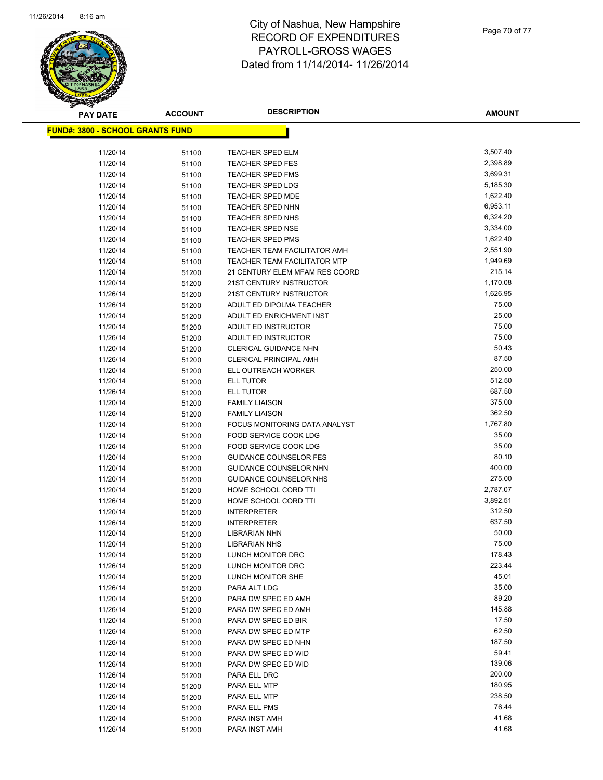

| <b>PAY DATE</b>                          | ACCOUNT        | <b>DESCRIPTION</b>                           | <b>AMOUNT</b>      |
|------------------------------------------|----------------|----------------------------------------------|--------------------|
| <u> FUND#: 3800 - SCHOOL GRANTS FUND</u> |                |                                              |                    |
|                                          |                |                                              |                    |
| 11/20/14                                 | 51100          | <b>TEACHER SPED ELM</b>                      | 3,507.40           |
| 11/20/14                                 | 51100          | TEACHER SPED FES                             | 2,398.89           |
| 11/20/14                                 | 51100          | <b>TEACHER SPED FMS</b>                      | 3,699.31           |
| 11/20/14                                 | 51100          | <b>TEACHER SPED LDG</b>                      | 5,185.30           |
| 11/20/14                                 | 51100          | <b>TEACHER SPED MDE</b>                      | 1,622.40           |
| 11/20/14                                 | 51100          | <b>TEACHER SPED NHN</b>                      | 6,953.11           |
| 11/20/14                                 | 51100          | <b>TEACHER SPED NHS</b>                      | 6,324.20           |
| 11/20/14                                 | 51100          | <b>TEACHER SPED NSE</b>                      | 3,334.00           |
| 11/20/14                                 | 51100          | <b>TEACHER SPED PMS</b>                      | 1,622.40           |
| 11/20/14                                 | 51100          | TEACHER TEAM FACILITATOR AMH                 | 2,551.90           |
| 11/20/14                                 | 51100          | <b>TEACHER TEAM FACILITATOR MTP</b>          | 1,949.69           |
| 11/20/14                                 | 51200          | 21 CENTURY ELEM MFAM RES COORD               | 215.14             |
| 11/20/14                                 | 51200          | 21ST CENTURY INSTRUCTOR                      | 1,170.08           |
| 11/26/14                                 | 51200          | 21ST CENTURY INSTRUCTOR                      | 1,626.95           |
| 11/26/14                                 | 51200          | ADULT ED DIPOLMA TEACHER                     | 75.00              |
| 11/20/14                                 | 51200          | ADULT ED ENRICHMENT INST                     | 25.00              |
| 11/20/14                                 | 51200          | ADULT ED INSTRUCTOR                          | 75.00              |
| 11/26/14                                 | 51200          | ADULT ED INSTRUCTOR                          | 75.00              |
| 11/20/14                                 | 51200          | <b>CLERICAL GUIDANCE NHN</b>                 | 50.43              |
| 11/26/14                                 | 51200          | <b>CLERICAL PRINCIPAL AMH</b>                | 87.50              |
| 11/20/14                                 | 51200          | ELL OUTREACH WORKER                          | 250.00             |
| 11/20/14                                 | 51200          | ELL TUTOR                                    | 512.50             |
| 11/26/14                                 | 51200          | <b>ELL TUTOR</b>                             | 687.50             |
| 11/20/14                                 | 51200          | <b>FAMILY LIAISON</b>                        | 375.00             |
| 11/26/14                                 | 51200          | <b>FAMILY LIAISON</b>                        | 362.50             |
| 11/20/14                                 | 51200          | FOCUS MONITORING DATA ANALYST                | 1,767.80           |
| 11/20/14                                 | 51200          | FOOD SERVICE COOK LDG                        | 35.00              |
| 11/26/14                                 | 51200          | FOOD SERVICE COOK LDG                        | 35.00              |
| 11/20/14                                 | 51200          | <b>GUIDANCE COUNSELOR FES</b>                | 80.10              |
| 11/20/14                                 | 51200          | GUIDANCE COUNSELOR NHN                       | 400.00             |
| 11/20/14                                 | 51200          | <b>GUIDANCE COUNSELOR NHS</b>                | 275.00             |
| 11/20/14                                 | 51200          | HOME SCHOOL CORD TTI                         | 2,787.07           |
| 11/26/14                                 | 51200          | HOME SCHOOL CORD TTI                         | 3,892.51<br>312.50 |
| 11/20/14                                 | 51200          | <b>INTERPRETER</b>                           | 637.50             |
| 11/26/14                                 | 51200          | <b>INTERPRETER</b>                           | 50.00              |
| 11/20/14<br>11/20/14                     | 51200          | <b>LIBRARIAN NHN</b><br><b>LIBRARIAN NHS</b> | 75.00              |
| 11/20/14                                 | 51200          | LUNCH MONITOR DRC                            | 178.43             |
| 11/26/14                                 | 51200<br>51200 | LUNCH MONITOR DRC                            | 223.44             |
| 11/20/14                                 | 51200          | LUNCH MONITOR SHE                            | 45.01              |
| 11/26/14                                 | 51200          | PARA ALT LDG                                 | 35.00              |
| 11/20/14                                 | 51200          | PARA DW SPEC ED AMH                          | 89.20              |
| 11/26/14                                 | 51200          | PARA DW SPEC ED AMH                          | 145.88             |
| 11/20/14                                 | 51200          | PARA DW SPEC ED BIR                          | 17.50              |
| 11/26/14                                 | 51200          | PARA DW SPEC ED MTP                          | 62.50              |
| 11/26/14                                 | 51200          | PARA DW SPEC ED NHN                          | 187.50             |
| 11/20/14                                 | 51200          | PARA DW SPEC ED WID                          | 59.41              |
| 11/26/14                                 | 51200          | PARA DW SPEC ED WID                          | 139.06             |
| 11/26/14                                 | 51200          | PARA ELL DRC                                 | 200.00             |
| 11/20/14                                 | 51200          | PARA ELL MTP                                 | 180.95             |
| 11/26/14                                 | 51200          | PARA ELL MTP                                 | 238.50             |
| 11/20/14                                 | 51200          | PARA ELL PMS                                 | 76.44              |
| 11/20/14                                 | 51200          | PARA INST AMH                                | 41.68              |
| 11/26/14                                 | 51200          | PARA INST AMH                                | 41.68              |
|                                          |                |                                              |                    |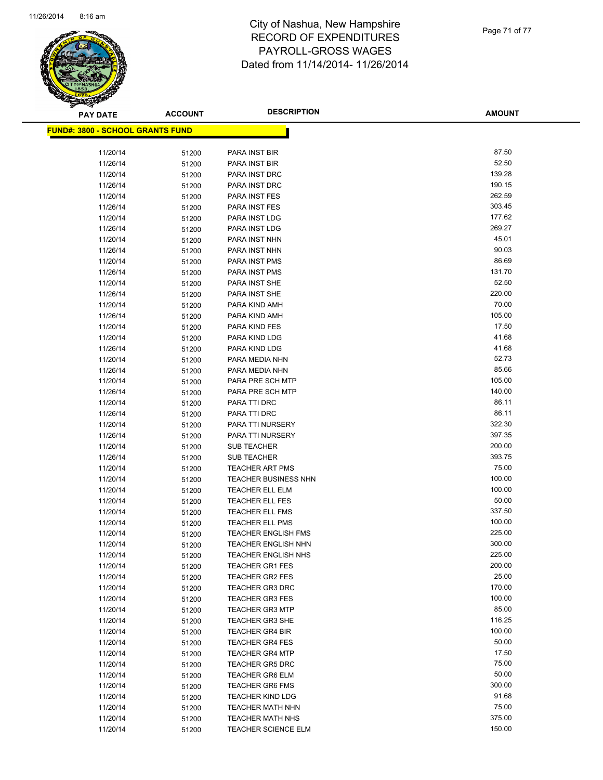

Page 71 of 77

| <b>PAY DATE</b>                          | <b>ACCOUNT</b> | <b>DESCRIPTION</b>                        | <b>AMOUNT</b>    |
|------------------------------------------|----------------|-------------------------------------------|------------------|
| <u> FUND#: 3800 - SCHOOL GRANTS FUND</u> |                |                                           |                  |
|                                          |                |                                           |                  |
| 11/20/14                                 | 51200          | PARA INST BIR                             | 87.50            |
| 11/26/14                                 | 51200          | PARA INST BIR                             | 52.50            |
| 11/20/14                                 | 51200          | PARA INST DRC                             | 139.28           |
| 11/26/14                                 | 51200          | PARA INST DRC                             | 190.15           |
| 11/20/14                                 | 51200          | PARA INST FES                             | 262.59           |
| 11/26/14                                 | 51200          | PARA INST FES                             | 303.45           |
| 11/20/14                                 | 51200          | PARA INST LDG                             | 177.62           |
| 11/26/14                                 | 51200          | PARA INST LDG                             | 269.27           |
| 11/20/14                                 | 51200          | PARA INST NHN                             | 45.01            |
| 11/26/14                                 | 51200          | PARA INST NHN                             | 90.03            |
| 11/20/14                                 | 51200          | PARA INST PMS                             | 86.69            |
| 11/26/14                                 | 51200          | PARA INST PMS                             | 131.70           |
| 11/20/14                                 | 51200          | PARA INST SHE                             | 52.50            |
| 11/26/14                                 | 51200          | PARA INST SHE                             | 220.00           |
| 11/20/14                                 | 51200          | PARA KIND AMH                             | 70.00            |
| 11/26/14                                 | 51200          | PARA KIND AMH                             | 105.00           |
| 11/20/14                                 | 51200          | PARA KIND FES                             | 17.50            |
| 11/20/14                                 | 51200          | PARA KIND LDG                             | 41.68            |
| 11/26/14                                 | 51200          | PARA KIND LDG                             | 41.68            |
| 11/20/14                                 | 51200          | PARA MEDIA NHN                            | 52.73            |
| 11/26/14                                 | 51200          | PARA MEDIA NHN                            | 85.66            |
| 11/20/14                                 | 51200          | PARA PRE SCH MTP                          | 105.00           |
| 11/26/14                                 | 51200          | PARA PRE SCH MTP                          | 140.00           |
| 11/20/14                                 | 51200          | PARA TTI DRC                              | 86.11            |
| 11/26/14                                 | 51200          | PARA TTI DRC                              | 86.11            |
| 11/20/14                                 | 51200          | PARA TTI NURSERY                          | 322.30           |
| 11/26/14                                 | 51200          | PARA TTI NURSERY                          | 397.35           |
| 11/20/14                                 | 51200          | <b>SUB TEACHER</b>                        | 200.00           |
| 11/26/14                                 | 51200          | <b>SUB TEACHER</b>                        | 393.75           |
| 11/20/14                                 | 51200          | <b>TEACHER ART PMS</b>                    | 75.00            |
| 11/20/14                                 | 51200          | <b>TEACHER BUSINESS NHN</b>               | 100.00<br>100.00 |
| 11/20/14                                 | 51200          | <b>TEACHER ELL ELM</b>                    |                  |
| 11/20/14                                 | 51200          | <b>TEACHER ELL FES</b><br>TEACHER ELL FMS | 50.00<br>337.50  |
| 11/20/14<br>11/20/14                     | 51200          | <b>TEACHER ELL PMS</b>                    | 100.00           |
| 11/20/14                                 | 51200<br>51200 | <b>TEACHER ENGLISH FMS</b>                | 225.00           |
| 11/20/14                                 | 51200          | <b>TEACHER ENGLISH NHN</b>                | 300.00           |
| 11/20/14                                 | 51200          | <b>TEACHER ENGLISH NHS</b>                | 225.00           |
| 11/20/14                                 | 51200          | <b>TEACHER GR1 FES</b>                    | 200.00           |
| 11/20/14                                 | 51200          | <b>TEACHER GR2 FES</b>                    | 25.00            |
| 11/20/14                                 | 51200          | <b>TEACHER GR3 DRC</b>                    | 170.00           |
| 11/20/14                                 | 51200          | <b>TEACHER GR3 FES</b>                    | 100.00           |
| 11/20/14                                 | 51200          | <b>TEACHER GR3 MTP</b>                    | 85.00            |
| 11/20/14                                 | 51200          | <b>TEACHER GR3 SHE</b>                    | 116.25           |
| 11/20/14                                 | 51200          | <b>TEACHER GR4 BIR</b>                    | 100.00           |
| 11/20/14                                 | 51200          | <b>TEACHER GR4 FES</b>                    | 50.00            |
| 11/20/14                                 | 51200          | <b>TEACHER GR4 MTP</b>                    | 17.50            |
| 11/20/14                                 | 51200          | <b>TEACHER GR5 DRC</b>                    | 75.00            |
| 11/20/14                                 | 51200          | <b>TEACHER GR6 ELM</b>                    | 50.00            |
| 11/20/14                                 | 51200          | <b>TEACHER GR6 FMS</b>                    | 300.00           |
| 11/20/14                                 | 51200          | <b>TEACHER KIND LDG</b>                   | 91.68            |
| 11/20/14                                 | 51200          | <b>TEACHER MATH NHN</b>                   | 75.00            |
| 11/20/14                                 | 51200          | <b>TEACHER MATH NHS</b>                   | 375.00           |
| 11/20/14                                 | 51200          | <b>TEACHER SCIENCE ELM</b>                | 150.00           |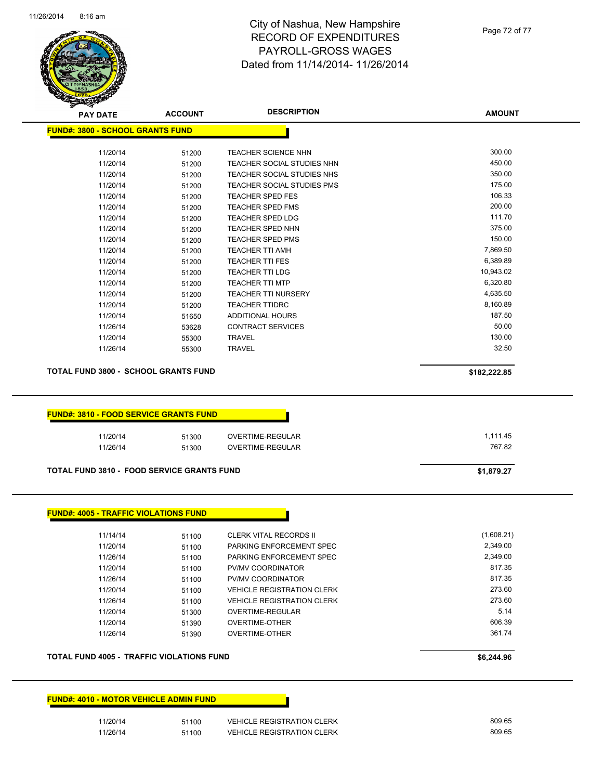

Page 72 of 77

| <b>PAY DATE</b>                                   | <b>ACCOUNT</b> | <b>DESCRIPTION</b>                | <b>AMOUNT</b> |
|---------------------------------------------------|----------------|-----------------------------------|---------------|
| <b>FUND#: 3800 - SCHOOL GRANTS FUND</b>           |                |                                   |               |
| 11/20/14                                          |                | <b>TEACHER SCIENCE NHN</b>        | 300.00        |
| 11/20/14                                          | 51200<br>51200 | TEACHER SOCIAL STUDIES NHN        | 450.00        |
| 11/20/14                                          | 51200          | TEACHER SOCIAL STUDIES NHS        | 350.00        |
| 11/20/14                                          | 51200          | TEACHER SOCIAL STUDIES PMS        | 175.00        |
| 11/20/14                                          |                | <b>TEACHER SPED FES</b>           | 106.33        |
| 11/20/14                                          | 51200<br>51200 | <b>TEACHER SPED FMS</b>           | 200.00        |
| 11/20/14                                          |                | <b>TEACHER SPED LDG</b>           | 111.70        |
| 11/20/14                                          | 51200          | <b>TEACHER SPED NHN</b>           | 375.00        |
| 11/20/14                                          | 51200<br>51200 | <b>TEACHER SPED PMS</b>           | 150.00        |
| 11/20/14                                          |                | <b>TEACHER TTI AMH</b>            | 7,869.50      |
| 11/20/14                                          | 51200          | <b>TEACHER TTI FES</b>            | 6,389.89      |
| 11/20/14                                          | 51200          | <b>TEACHER TTI LDG</b>            | 10,943.02     |
| 11/20/14                                          | 51200          | <b>TEACHER TTI MTP</b>            | 6,320.80      |
| 11/20/14                                          | 51200          | <b>TEACHER TTI NURSERY</b>        | 4,635.50      |
| 11/20/14                                          | 51200<br>51200 | <b>TEACHER TTIDRC</b>             | 8,160.89      |
| 11/20/14                                          |                | <b>ADDITIONAL HOURS</b>           | 187.50        |
| 11/26/14                                          | 51650<br>53628 | <b>CONTRACT SERVICES</b>          | 50.00         |
| 11/20/14                                          |                | <b>TRAVEL</b>                     | 130.00        |
| 11/26/14                                          | 55300<br>55300 | <b>TRAVEL</b>                     | 32.50         |
|                                                   |                |                                   |               |
| <b>TOTAL FUND 3800 - SCHOOL GRANTS FUND</b>       |                |                                   | \$182,222.85  |
| 11/26/14                                          | 51300<br>51300 | OVERTIME-REGULAR                  | 767.82        |
| <b>TOTAL FUND 3810 - FOOD SERVICE GRANTS FUND</b> |                |                                   | \$1,879.27    |
| <b>FUND#: 4005 - TRAFFIC VIOLATIONS FUND</b>      |                |                                   |               |
| 11/14/14                                          | 51100          | <b>CLERK VITAL RECORDS II</b>     | (1,608.21)    |
| 11/20/14                                          | 51100          | PARKING ENFORCEMENT SPEC          | 2,349.00      |
| 11/26/14                                          | 51100          | PARKING ENFORCEMENT SPEC          | 2,349.00      |
| 11/20/14                                          | 51100          | PV/MV COORDINATOR                 | 817.35        |
| 11/26/14                                          | 51100          | PV/MV COORDINATOR                 | 817.35        |
| 11/20/14                                          | 51100          | <b>VEHICLE REGISTRATION CLERK</b> | 273.60        |
| 11/26/14                                          | 51100          | <b>VEHICLE REGISTRATION CLERK</b> | 273.60        |
| 11/20/14                                          | 51300          | OVERTIME-REGULAR                  | 5.14          |
| 11/20/14                                          | 51390          | <b>OVERTIME-OTHER</b>             | 606.39        |
| 11/26/14                                          | 51390          | <b>OVERTIME-OTHER</b>             | 361.74        |
| TOTAL FUND 4005 - TRAFFIC VIOLATIONS FUND         |                |                                   | \$6,244.96    |
| <b>FUND#: 4010 - MOTOR VEHICLE ADMIN FUND</b>     |                |                                   |               |
| 11/20/14                                          | 51100          | <b>VEHICLE REGISTRATION CLERK</b> | 809.65        |

11/26/14 51100 VEHICLE REGISTRATION CLERK 809.65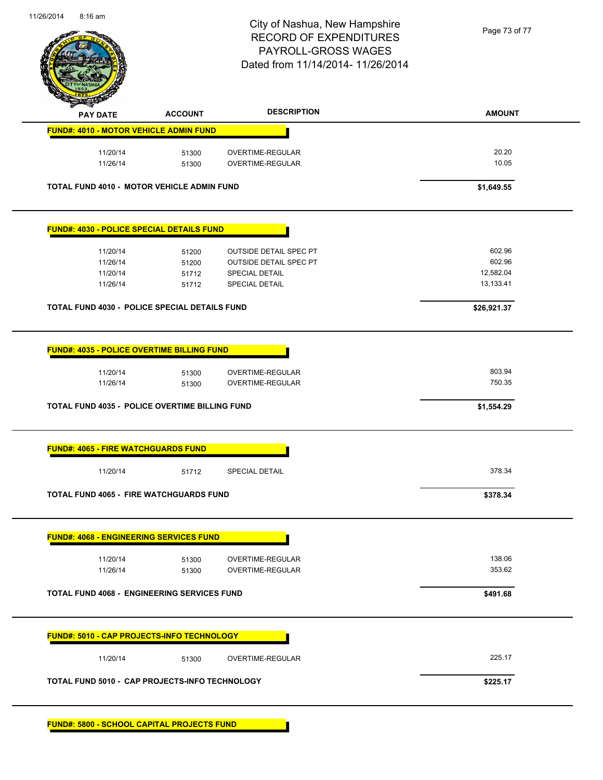

# City of Nashua, New Hampshire RECORD OF EXPENDITURES PAYROLL-GROSS WAGES Dated from 11/14/2014- 11/26/2014

Page 73 of 77

| <b>PAY DATE</b>                                                                                                                                                      | <b>ACCOUNT</b> | <b>DESCRIPTION</b>                   | <b>AMOUNT</b>    |
|----------------------------------------------------------------------------------------------------------------------------------------------------------------------|----------------|--------------------------------------|------------------|
| <b>FUND#: 4010 - MOTOR VEHICLE ADMIN FUND</b>                                                                                                                        |                |                                      |                  |
| 11/20/14                                                                                                                                                             | 51300          | OVERTIME-REGULAR                     | 20.20            |
| 11/26/14                                                                                                                                                             | 51300          | OVERTIME-REGULAR                     | 10.05            |
| <b>TOTAL FUND 4010 - MOTOR VEHICLE ADMIN FUND</b>                                                                                                                    |                |                                      | \$1,649.55       |
| <b>FUND#: 4030 - POLICE SPECIAL DETAILS FUND</b>                                                                                                                     |                |                                      |                  |
| 11/20/14                                                                                                                                                             | 51200          | <b>OUTSIDE DETAIL SPEC PT</b>        | 602.96           |
| 11/26/14                                                                                                                                                             | 51200          | <b>OUTSIDE DETAIL SPEC PT</b>        | 602.96           |
| 11/20/14                                                                                                                                                             | 51712          | <b>SPECIAL DETAIL</b>                | 12,582.04        |
| 11/26/14                                                                                                                                                             | 51712          | SPECIAL DETAIL                       | 13,133.41        |
| TOTAL FUND 4030 - POLICE SPECIAL DETAILS FUND                                                                                                                        |                |                                      | \$26,921.37      |
|                                                                                                                                                                      |                |                                      |                  |
| 11/20/14<br>11/26/14                                                                                                                                                 | 51300<br>51300 | OVERTIME-REGULAR<br>OVERTIME-REGULAR | 803.94<br>750.35 |
|                                                                                                                                                                      |                |                                      | \$1,554.29       |
|                                                                                                                                                                      |                |                                      |                  |
| <b>FUND#: 4035 - POLICE OVERTIME BILLING FUND</b><br><b>TOTAL FUND 4035 - POLICE OVERTIME BILLING FUND</b><br><b>FUND#: 4065 - FIRE WATCHGUARDS FUND</b><br>11/20/14 | 51712          | <b>SPECIAL DETAIL</b>                | 378.34           |
|                                                                                                                                                                      |                |                                      | \$378.34         |
|                                                                                                                                                                      |                |                                      |                  |
| <b>TOTAL FUND 4065 - FIRE WATCHGUARDS FUND</b><br><b>FUND#: 4068 - ENGINEERING SERVICES FUND</b><br>11/20/14                                                         | 51300          | OVERTIME-REGULAR                     | 138.06           |
| 11/26/14                                                                                                                                                             | 51300          | OVERTIME-REGULAR                     | 353.62           |
| <b>TOTAL FUND 4068 - ENGINEERING SERVICES FUND</b>                                                                                                                   |                |                                      | \$491.68         |
| FUND#: 5010 - CAP PROJECTS-INFO TECHNOLOGY                                                                                                                           |                |                                      |                  |
| 11/20/14                                                                                                                                                             | 51300          | OVERTIME-REGULAR                     | 225.17           |

**FUND#: 5800 - SCHOOL CAPITAL PROJECTS FUND**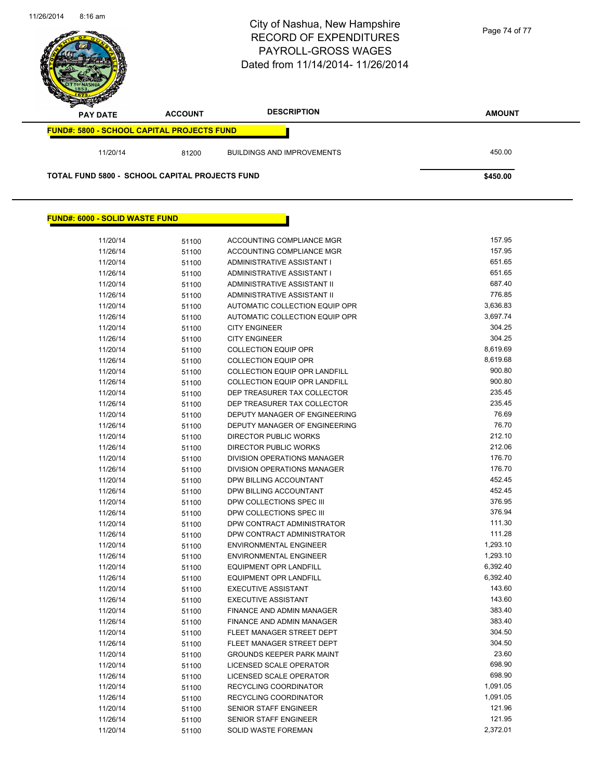

## **FUND#: 6000 - SOLID WASTE FUND**

| 11/20/14 | 51100 | ACCOUNTING COMPLIANCE MGR            | 157.95   |
|----------|-------|--------------------------------------|----------|
| 11/26/14 | 51100 | ACCOUNTING COMPLIANCE MGR            | 157.95   |
| 11/20/14 | 51100 | ADMINISTRATIVE ASSISTANT I           | 651.65   |
| 11/26/14 | 51100 | ADMINISTRATIVE ASSISTANT I           | 651.65   |
| 11/20/14 | 51100 | ADMINISTRATIVE ASSISTANT II          | 687.40   |
| 11/26/14 | 51100 | ADMINISTRATIVE ASSISTANT II          | 776.85   |
| 11/20/14 | 51100 | AUTOMATIC COLLECTION EQUIP OPR       | 3,636.83 |
| 11/26/14 | 51100 | AUTOMATIC COLLECTION EQUIP OPR       | 3,697.74 |
| 11/20/14 | 51100 | <b>CITY ENGINEER</b>                 | 304.25   |
| 11/26/14 | 51100 | <b>CITY ENGINEER</b>                 | 304.25   |
| 11/20/14 | 51100 | <b>COLLECTION EQUIP OPR</b>          | 8,619.69 |
| 11/26/14 | 51100 | <b>COLLECTION EQUIP OPR</b>          | 8,619.68 |
| 11/20/14 | 51100 | <b>COLLECTION EQUIP OPR LANDFILL</b> | 900.80   |
| 11/26/14 | 51100 | <b>COLLECTION EQUIP OPR LANDFILL</b> | 900.80   |
| 11/20/14 | 51100 | DEP TREASURER TAX COLLECTOR          | 235.45   |
| 11/26/14 | 51100 | DEP TREASURER TAX COLLECTOR          | 235.45   |
| 11/20/14 | 51100 | <b>DEPUTY MANAGER OF ENGINEERING</b> | 76.69    |
| 11/26/14 | 51100 | DEPUTY MANAGER OF ENGINEERING        | 76.70    |
| 11/20/14 | 51100 | <b>DIRECTOR PUBLIC WORKS</b>         | 212.10   |
| 11/26/14 | 51100 | DIRECTOR PUBLIC WORKS                | 212.06   |
| 11/20/14 | 51100 | <b>DIVISION OPERATIONS MANAGER</b>   | 176.70   |
| 11/26/14 | 51100 | <b>DIVISION OPERATIONS MANAGER</b>   | 176.70   |
| 11/20/14 | 51100 | DPW BILLING ACCOUNTANT               | 452.45   |
| 11/26/14 | 51100 | DPW BILLING ACCOUNTANT               | 452.45   |
| 11/20/14 | 51100 | DPW COLLECTIONS SPEC III             | 376.95   |
| 11/26/14 | 51100 | DPW COLLECTIONS SPEC III             | 376.94   |
| 11/20/14 | 51100 | DPW CONTRACT ADMINISTRATOR           | 111.30   |
| 11/26/14 | 51100 | DPW CONTRACT ADMINISTRATOR           | 111.28   |
| 11/20/14 | 51100 | <b>ENVIRONMENTAL ENGINEER</b>        | 1,293.10 |
| 11/26/14 | 51100 | <b>ENVIRONMENTAL ENGINEER</b>        | 1,293.10 |
| 11/20/14 | 51100 | <b>EQUIPMENT OPR LANDFILL</b>        | 6,392.40 |
| 11/26/14 | 51100 | <b>EQUIPMENT OPR LANDFILL</b>        | 6,392.40 |
| 11/20/14 | 51100 | <b>EXECUTIVE ASSISTANT</b>           | 143.60   |
| 11/26/14 | 51100 | <b>EXECUTIVE ASSISTANT</b>           | 143.60   |
| 11/20/14 | 51100 | FINANCE AND ADMIN MANAGER            | 383.40   |
| 11/26/14 | 51100 | FINANCE AND ADMIN MANAGER            | 383.40   |
| 11/20/14 | 51100 | FLEET MANAGER STREET DEPT            | 304.50   |
| 11/26/14 | 51100 | FLEET MANAGER STREET DEPT            | 304.50   |
| 11/20/14 | 51100 | <b>GROUNDS KEEPER PARK MAINT</b>     | 23.60    |
| 11/20/14 | 51100 | <b>LICENSED SCALE OPERATOR</b>       | 698.90   |
| 11/26/14 | 51100 | LICENSED SCALE OPERATOR              | 698.90   |
| 11/20/14 | 51100 | RECYCLING COORDINATOR                | 1,091.05 |
| 11/26/14 | 51100 | <b>RECYCLING COORDINATOR</b>         | 1,091.05 |
| 11/20/14 | 51100 | <b>SENIOR STAFF ENGINEER</b>         | 121.96   |
| 11/26/14 | 51100 | <b>SENIOR STAFF ENGINEER</b>         | 121.95   |
| 11/20/14 | 51100 | <b>SOLID WASTE FOREMAN</b>           | 2,372.01 |
|          |       |                                      |          |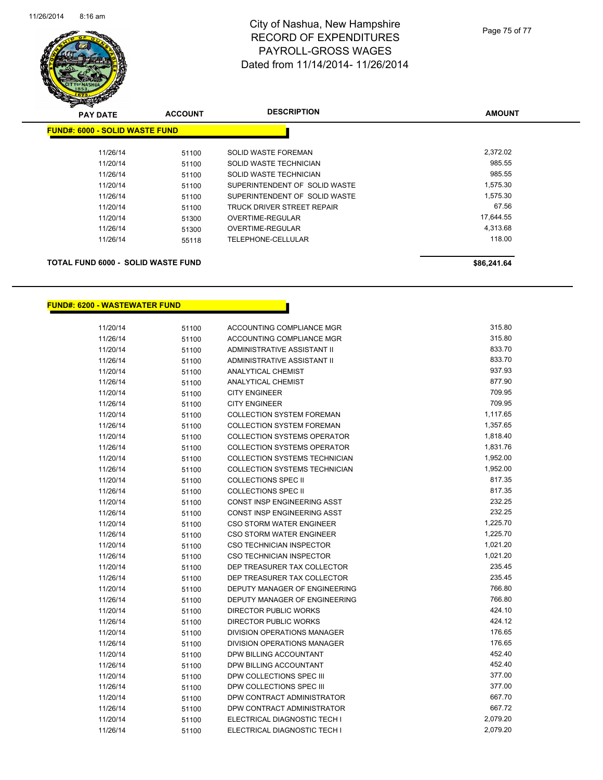

# City of Nashua, New Hampshire RECORD OF EXPENDITURES PAYROLL-GROSS WAGES Dated from 11/14/2014- 11/26/2014

| <b>PAY DATE</b>                       | <b>ACCOUNT</b> | <b>DESCRIPTION</b>            | <b>AMOUNT</b> |
|---------------------------------------|----------------|-------------------------------|---------------|
| <b>FUND#: 6000 - SOLID WASTE FUND</b> |                |                               |               |
| 11/26/14                              | 51100          | <b>SOLID WASTE FOREMAN</b>    | 2.372.02      |
| 11/20/14                              | 51100          | SOLID WASTE TECHNICIAN        | 985.55        |
| 11/26/14                              | 51100          | SOLID WASTE TECHNICIAN        | 985.55        |
| 11/20/14                              | 51100          | SUPERINTENDENT OF SOLID WASTE | 1,575.30      |
| 11/26/14                              | 51100          | SUPERINTENDENT OF SOLID WASTE | 1,575.30      |
| 11/20/14                              | 51100          | TRUCK DRIVER STREET REPAIR    | 67.56         |
| 11/20/14                              | 51300          | OVERTIME-REGULAR              | 17,644.55     |
| 11/26/14                              | 51300          | <b>OVERTIME-REGULAR</b>       | 4,313.68      |
| 11/26/14                              | 55118          | TELEPHONE-CELLULAR            | 118.00        |
|                                       |                |                               |               |
|                                       |                |                               |               |

## **TOTAL FUND 6000 - SOLID WASTE FUND \$86,241.64**

**FUND#: 6200 - WASTEWATER FUND**

| 11/20/14 | 51100 | ACCOUNTING COMPLIANCE MGR            | 315.80   |
|----------|-------|--------------------------------------|----------|
| 11/26/14 | 51100 | <b>ACCOUNTING COMPLIANCE MGR</b>     | 315.80   |
| 11/20/14 | 51100 | ADMINISTRATIVE ASSISTANT II          | 833.70   |
| 11/26/14 | 51100 | ADMINISTRATIVE ASSISTANT II          | 833.70   |
| 11/20/14 | 51100 | <b>ANALYTICAL CHEMIST</b>            | 937.93   |
| 11/26/14 | 51100 | <b>ANALYTICAL CHEMIST</b>            | 877.90   |
| 11/20/14 | 51100 | <b>CITY ENGINEER</b>                 | 709.95   |
| 11/26/14 | 51100 | <b>CITY ENGINEER</b>                 | 709.95   |
| 11/20/14 | 51100 | <b>COLLECTION SYSTEM FOREMAN</b>     | 1,117.65 |
| 11/26/14 | 51100 | <b>COLLECTION SYSTEM FOREMAN</b>     | 1,357.65 |
| 11/20/14 | 51100 | <b>COLLECTION SYSTEMS OPERATOR</b>   | 1,818.40 |
| 11/26/14 | 51100 | <b>COLLECTION SYSTEMS OPERATOR</b>   | 1,831.76 |
| 11/20/14 | 51100 | COLLECTION SYSTEMS TECHNICIAN        | 1,952.00 |
| 11/26/14 | 51100 | <b>COLLECTION SYSTEMS TECHNICIAN</b> | 1,952.00 |
| 11/20/14 | 51100 | <b>COLLECTIONS SPEC II</b>           | 817.35   |
| 11/26/14 | 51100 | <b>COLLECTIONS SPEC II</b>           | 817.35   |
| 11/20/14 | 51100 | CONST INSP ENGINEERING ASST          | 232.25   |
| 11/26/14 | 51100 | <b>CONST INSP ENGINEERING ASST</b>   | 232.25   |
| 11/20/14 | 51100 | <b>CSO STORM WATER ENGINEER</b>      | 1,225.70 |
| 11/26/14 | 51100 | CSO STORM WATER ENGINEER             | 1,225.70 |
| 11/20/14 | 51100 | <b>CSO TECHNICIAN INSPECTOR</b>      | 1,021.20 |
| 11/26/14 | 51100 | <b>CSO TECHNICIAN INSPECTOR</b>      | 1,021.20 |
| 11/20/14 | 51100 | DEP TREASURER TAX COLLECTOR          | 235.45   |
| 11/26/14 | 51100 | DEP TREASURER TAX COLLECTOR          | 235.45   |
| 11/20/14 | 51100 | DEPUTY MANAGER OF ENGINEERING        | 766.80   |
| 11/26/14 | 51100 | DEPUTY MANAGER OF ENGINEERING        | 766.80   |
| 11/20/14 | 51100 | <b>DIRECTOR PUBLIC WORKS</b>         | 424.10   |
| 11/26/14 | 51100 | DIRECTOR PUBLIC WORKS                | 424.12   |
| 11/20/14 | 51100 | DIVISION OPERATIONS MANAGER          | 176.65   |
| 11/26/14 | 51100 | DIVISION OPERATIONS MANAGER          | 176.65   |
| 11/20/14 | 51100 | DPW BILLING ACCOUNTANT               | 452.40   |
| 11/26/14 | 51100 | DPW BILLING ACCOUNTANT               | 452.40   |
| 11/20/14 | 51100 | DPW COLLECTIONS SPEC III             | 377.00   |
| 11/26/14 | 51100 | DPW COLLECTIONS SPEC III             | 377.00   |
| 11/20/14 | 51100 | DPW CONTRACT ADMINISTRATOR           | 667.70   |
| 11/26/14 | 51100 | DPW CONTRACT ADMINISTRATOR           | 667.72   |
| 11/20/14 | 51100 | ELECTRICAL DIAGNOSTIC TECH I         | 2,079.20 |
| 11/26/14 | 51100 | ELECTRICAL DIAGNOSTIC TECH I         | 2,079.20 |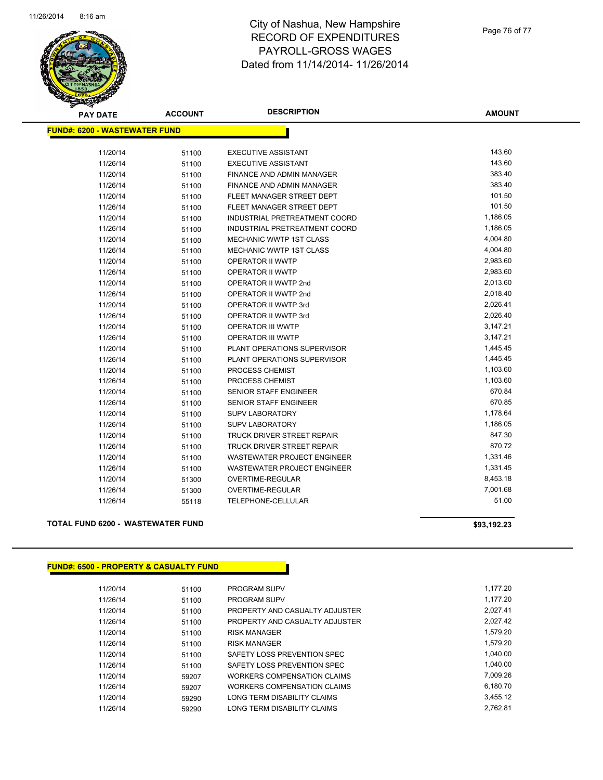

## City of Nashua, New Hampshire RECORD OF EXPENDITURES PAYROLL-GROSS WAGES Dated from 11/14/2014- 11/26/2014

| <b>PAY DATE</b>                      | <b>ACCOUNT</b> | <b>DESCRIPTION</b>                 | <b>AMOUNT</b> |
|--------------------------------------|----------------|------------------------------------|---------------|
| <b>FUND#: 6200 - WASTEWATER FUND</b> |                |                                    |               |
|                                      |                |                                    |               |
| 11/20/14                             | 51100          | <b>EXECUTIVE ASSISTANT</b>         | 143.60        |
| 11/26/14                             | 51100          | <b>EXECUTIVE ASSISTANT</b>         | 143.60        |
| 11/20/14                             | 51100          | FINANCE AND ADMIN MANAGER          | 383.40        |
| 11/26/14                             | 51100          | <b>FINANCE AND ADMIN MANAGER</b>   | 383.40        |
| 11/20/14                             | 51100          | FLEET MANAGER STREET DEPT          | 101.50        |
| 11/26/14                             | 51100          | FLEET MANAGER STREET DEPT          | 101.50        |
| 11/20/14                             | 51100          | INDUSTRIAL PRETREATMENT COORD      | 1,186.05      |
| 11/26/14                             | 51100          | INDUSTRIAL PRETREATMENT COORD      | 1,186.05      |
| 11/20/14                             | 51100          | <b>MECHANIC WWTP 1ST CLASS</b>     | 4,004.80      |
| 11/26/14                             | 51100          | MECHANIC WWTP 1ST CLASS            | 4,004.80      |
| 11/20/14                             | 51100          | OPERATOR II WWTP                   | 2,983.60      |
| 11/26/14                             | 51100          | <b>OPERATOR II WWTP</b>            | 2,983.60      |
| 11/20/14                             | 51100          | OPERATOR II WWTP 2nd               | 2,013.60      |
| 11/26/14                             | 51100          | OPERATOR II WWTP 2nd               | 2,018.40      |
| 11/20/14                             | 51100          | OPERATOR II WWTP 3rd               | 2,026.41      |
| 11/26/14                             | 51100          | OPERATOR II WWTP 3rd               | 2,026.40      |
| 11/20/14                             | 51100          | OPERATOR III WWTP                  | 3,147.21      |
| 11/26/14                             | 51100          | OPERATOR III WWTP                  | 3,147.21      |
| 11/20/14                             | 51100          | PLANT OPERATIONS SUPERVISOR        | 1,445.45      |
| 11/26/14                             | 51100          | PLANT OPERATIONS SUPERVISOR        | 1,445.45      |
| 11/20/14                             | 51100          | PROCESS CHEMIST                    | 1,103.60      |
| 11/26/14                             | 51100          | PROCESS CHEMIST                    | 1,103.60      |
| 11/20/14                             | 51100          | <b>SENIOR STAFF ENGINEER</b>       | 670.84        |
| 11/26/14                             | 51100          | SENIOR STAFF ENGINEER              | 670.85        |
| 11/20/14                             | 51100          | <b>SUPV LABORATORY</b>             | 1,178.64      |
| 11/26/14                             | 51100          | <b>SUPV LABORATORY</b>             | 1,186.05      |
| 11/20/14                             | 51100          | TRUCK DRIVER STREET REPAIR         | 847.30        |
| 11/26/14                             | 51100          | TRUCK DRIVER STREET REPAIR         | 870.72        |
| 11/20/14                             | 51100          | WASTEWATER PROJECT ENGINEER        | 1,331.46      |
| 11/26/14                             | 51100          | <b>WASTEWATER PROJECT ENGINEER</b> | 1,331.45      |
| 11/20/14                             | 51300          | OVERTIME-REGULAR                   | 8,453.18      |
| 11/26/14                             | 51300          | OVERTIME-REGULAR                   | 7,001.68      |
| 11/26/14                             | 55118          | TELEPHONE-CELLULAR                 | 51.00         |
|                                      |                |                                    |               |

## **TOTAL FUND 6200 - WASTEWATER FUND \$93,192.23**

**FUND#: 6500 - PROPERTY & CASUALTY FUND** 11/20/14 51100 PROGRAM SUPV 1,177.20 11/26/14 51100 PROGRAM SUPV 1,177.20 11/20/14 51100 PROPERTY AND CASUALTY ADJUSTER 2,027.41 11/26/14 51100 PROPERTY AND CASUALTY ADJUSTER 2,027.42 11/20/14 51100 RISK MANAGER 1,579.20 11/26/14 51100 RISK MANAGER 1,579.20 11/20/14 51100 SAFETY LOSS PREVENTION SPEC 1,040.00 11/26/14 51100 SAFETY LOSS PREVENTION SPEC 1,040.00 11/20/14 59207 WORKERS COMPENSATION CLAIMS 67,009.26 11/26/14 59207 WORKERS COMPENSATION CLAIMS 6,180.70 11/20/14 59290 LONG TERM DISABILITY CLAIMS 3,455.12 11/26/14 59290 LONG TERM DISABILITY CLAIMS 2,762.81